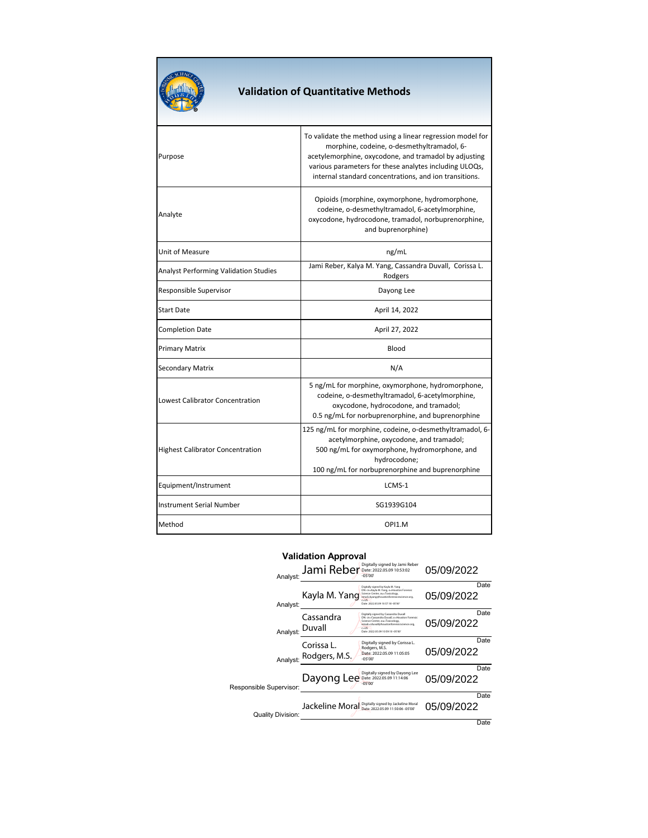| <b>SCIENC</b><br><b>SOF</b><br>٩ | <b>Validation of</b> |
|----------------------------------|----------------------|
| irpose                           |                      |

## **Validation of Quantitative Methods**

| Purpose                                      | To validate the method using a linear regression model for<br>morphine, codeine, o-desmethyltramadol, 6-<br>acetylemorphine, oxycodone, and tramadol by adjusting<br>various parameters for these analytes including ULOQs,<br>internal standard concentrations, and ion transitions. |
|----------------------------------------------|---------------------------------------------------------------------------------------------------------------------------------------------------------------------------------------------------------------------------------------------------------------------------------------|
| Analyte                                      | Opioids (morphine, oxymorphone, hydromorphone,<br>codeine, o-desmethyltramadol, 6-acetylmorphine,<br>oxycodone, hydrocodone, tramadol, norbuprenorphine,<br>and buprenorphine)                                                                                                        |
| Unit of Measure                              | ng/mL                                                                                                                                                                                                                                                                                 |
| <b>Analyst Performing Validation Studies</b> | Jami Reber, Kalya M. Yang, Cassandra Duvall, Corissa L.<br>Rodgers                                                                                                                                                                                                                    |
| Responsible Supervisor                       | Dayong Lee                                                                                                                                                                                                                                                                            |
| Start Date                                   | April 14, 2022                                                                                                                                                                                                                                                                        |
| <b>Completion Date</b>                       | April 27, 2022                                                                                                                                                                                                                                                                        |
| Primary Matrix                               | Blood                                                                                                                                                                                                                                                                                 |
| Secondary Matrix                             | N/A                                                                                                                                                                                                                                                                                   |
| <b>Lowest Calibrator Concentration</b>       | 5 ng/mL for morphine, oxymorphone, hydromorphone,<br>codeine, o-desmethyltramadol, 6-acetylmorphine,<br>oxycodone, hydrocodone, and tramadol;<br>0.5 ng/mL for norbuprenorphine, and buprenorphine                                                                                    |
| <b>Highest Calibrator Concentration</b>      | 125 ng/mL for morphine, codeine, o-desmethyltramadol, 6-<br>acetylmorphine, oxycodone, and tramadol;<br>500 ng/mL for oxymorphone, hydromorphone, and<br>hydrocodone;<br>100 ng/mL for norbuprenorphine and buprenorphine                                                             |
| Equipment/Instrument                         | LCMS-1                                                                                                                                                                                                                                                                                |
| <b>Instrument Serial Number</b>              | SG1939G104                                                                                                                                                                                                                                                                            |
| Method                                       | OPI1.M                                                                                                                                                                                                                                                                                |

## **Validation Approval**

| Analyst:                 | Jami Reber                           | Digitally signed by Jami Reber<br>Date: 2022.05.09 10:53:02<br>$-05'00'$                                                                                                                                             | 05/09/2022 |      |
|--------------------------|--------------------------------------|----------------------------------------------------------------------------------------------------------------------------------------------------------------------------------------------------------------------|------------|------|
| Analyst:                 | Kayla M. Yang                        | Digitally signed by Kayla M. Yang<br>DN: cn=Kayla M. Yang, o=Houston Forensic<br>Science Center, ou=Toxicology,<br>email-kvangethoustonforensicescience.org<br>$c = 115$<br>Date: 2022.05.09 10:57:18 -05'00         | 05/09/2022 | Date |
| Analyst:                 | Cassandra<br>Duvall                  | Digitally signed by Cassandra Duvall<br>DN: cn=Cassandra Duvall, o=Houston Forensic<br>Science Center, ou=Toxicology,<br>email-cduvall@houstonforensicscience.org.<br>$c = 115$<br>Date: 2022.05.09 10:59:10 -05'00' | 05/09/2022 | Date |
|                          | Corissa L.<br>Analyst: Rodgers, M.S. | Digitally signed by Corissa L.<br>Rodgers, M.S.<br>Date: 2022.05.09.11:05:05<br>$-05'00'$                                                                                                                            | 05/09/2022 | Date |
| Responsible Supervisor:  | Dayong Lee Date: 2022.05.09 11:14:06 | Digitally signed by Dayong Lee<br>$-05'00'$                                                                                                                                                                          | 05/09/2022 | Date |
| <b>Quality Division:</b> | Jackeline Moral                      | Digitally signed by Jackeline Moral<br>Date: 2022.05.09 11:50:06 -05'00'                                                                                                                                             | 05/09/2022 | Date |
|                          |                                      |                                                                                                                                                                                                                      |            | Date |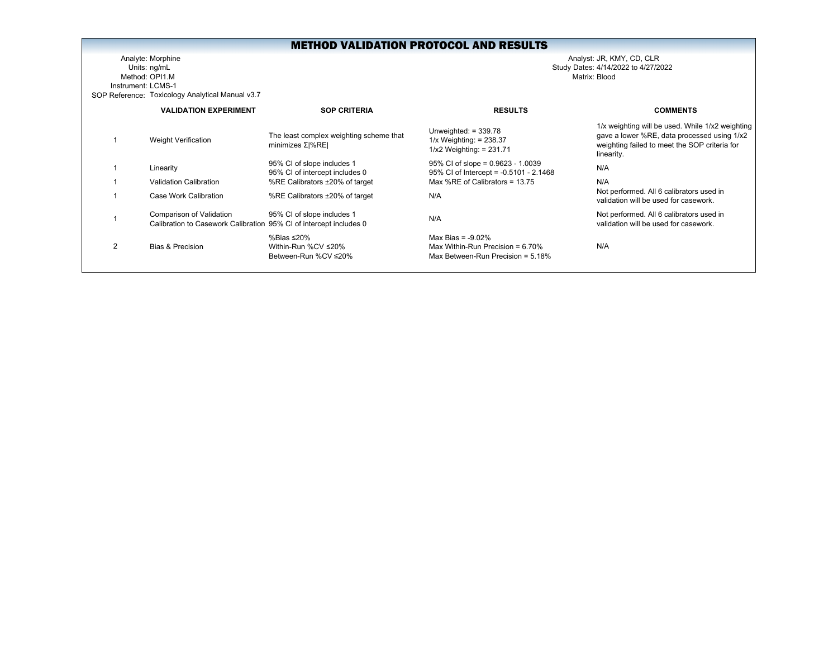Analyte: Morphine Analyst: JR, KMY, CD, CLR Units: ng/mL Study Dates: 4/14/2022 to 4/27/2022 Method: OPI1.MInstrument: LCMS-1SOP Reference: Toxicology Analytical Manual v3.7

|   | <b>VALIDATION EXPERIMENT</b>                                                                   | <b>SOP CRITERIA</b>                                          | <b>RESULTS</b>                                                                                      | <b>COMMENTS</b>                                                                                                                                                |
|---|------------------------------------------------------------------------------------------------|--------------------------------------------------------------|-----------------------------------------------------------------------------------------------------|----------------------------------------------------------------------------------------------------------------------------------------------------------------|
|   | <b>Weight Verification</b>                                                                     | The least complex weighting scheme that<br>minimizes Σ %RE   | Unweighted: $= 339.78$<br>$1/x$ Weighting: = 238.37<br>$1/x2$ Weighting: = 231.71                   | 1/x weighting will be used. While 1/x2 weighting<br>gave a lower %RE, data processed using 1/x2<br>weighting failed to meet the SOP criteria for<br>linearity. |
|   | Linearity                                                                                      | 95% CI of slope includes 1<br>95% CI of intercept includes 0 | $95\%$ CI of slope = 0.9623 - 1.0039<br>95% CI of Intercept = -0.5101 - 2.1468                      | N/A                                                                                                                                                            |
|   | Validation Calibration                                                                         | %RE Calibrators ±20% of target                               | Max %RE of Calibrators = 13.75                                                                      | N/A                                                                                                                                                            |
|   | Case Work Calibration                                                                          | %RE Calibrators ±20% of target                               | N/A                                                                                                 | Not performed. All 6 calibrators used in<br>validation will be used for casework.                                                                              |
|   | Comparison of Validation<br>Calibration to Casework Calibration 95% CI of intercept includes 0 | 95% CI of slope includes 1                                   | N/A                                                                                                 | Not performed. All 6 calibrators used in<br>validation will be used for casework.                                                                              |
| 2 | Bias & Precision                                                                               | %Bias ≤20%<br>Within-Run %CV ≤20%<br>Between-Run %CV ≤20%    | Max Bias = $-9.02\%$<br>Max Within-Run Precision = $6.70\%$<br>Max Between-Run Precision = $5.18\%$ | N/A                                                                                                                                                            |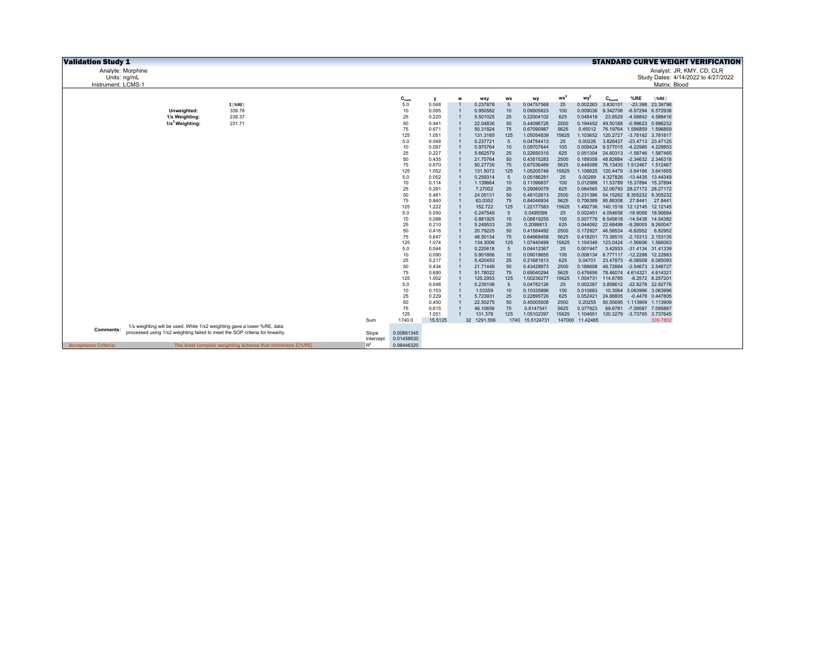| <b>Validation Study 1</b>   |                                                                               |           |            |                |   |                      |                       |                          |             |                   |                                                 |                            | <b>STANDARD CURVE WEIGHT VERIFICATION</b> |
|-----------------------------|-------------------------------------------------------------------------------|-----------|------------|----------------|---|----------------------|-----------------------|--------------------------|-------------|-------------------|-------------------------------------------------|----------------------------|-------------------------------------------|
| Analyte: Morphine           |                                                                               |           |            |                |   |                      |                       |                          |             |                   |                                                 |                            | Analyst: JR, KMY, CD, CLR                 |
| Units: ng/mL                |                                                                               |           |            |                |   |                      |                       |                          |             |                   |                                                 |                            | Study Dates: 4/14/2022 to 4/27/2022       |
| Instrument: LCMS-1          |                                                                               |           |            |                |   |                      |                       |                          |             |                   |                                                 |                            | Matrix: Blood                             |
|                             |                                                                               |           |            |                |   |                      |                       |                          |             |                   |                                                 |                            |                                           |
|                             |                                                                               |           | $C_{nom}$  | v              | W | wxy                  | <b>WX</b>             | wy                       | $wx^2$      | wy <sup>2</sup>   | $C_{\text{found}}$                              | %RE                        | $ \%$ RE                                  |
|                             | $\Sigma$ %RE                                                                  |           | 5.0        | 0.048          |   | 0.237878             | 5                     | 0.04757568               | 25          | 0.002263          | 3.830101                                        | $-23.398$                  | 23.39798                                  |
|                             | 339.78<br>Unweighted:                                                         |           | 10         | 0.095          |   | 0.950582             | 10                    | 0.09505823               | 100         | 0.009036          | 9.342706                                        | -6.57294 6.572938          |                                           |
|                             | 1/x Weighting:<br>238.37                                                      |           | 25         | 0.220          |   | 5.501025             | 25                    | 0.22004102               | 625         | 0.048418          | 23.8529                                         | -4.58842 4.588416          |                                           |
|                             | $1/x^2$ Weighting:<br>231.71                                                  |           | 50         | 0.441          |   | 22.04836             | 50                    | 0.44096728               | 2500        |                   | 0.194452 49.50188 -0.99623 0.996232             |                            |                                           |
|                             |                                                                               |           | 75         | 0.671          |   | 50.31824             | 75                    | 0.67090987               | 5625        |                   | 0.45012 76.19764 1.596859                       |                            | 1.596859                                  |
|                             |                                                                               |           | 125        | 1.051          |   | 131.3185             | 125<br>$\overline{5}$ | 1.05054839               | 15625       |                   | 1.103652 120.2727 -3.78182 3.781817             |                            |                                           |
|                             |                                                                               |           | 5.0        | 0.048          |   | 0.237721             |                       | 0.04754413<br>0.09707644 | 25<br>100   | 0.00226           | 3.826437<br>0.009424 9.577015 -4.22985 4.229853 | -23.4713 23.47125          |                                           |
|                             |                                                                               |           | 10<br>25   | 0.097<br>0.227 |   | 0.970764<br>5.662579 | 10<br>25              | 0.22650315               | 625         |                   | 0.051304 24.60313 -1.58746 1.587465             |                            |                                           |
|                             |                                                                               |           | 50         | 0.435          |   | 21.75764             | 50                    | 0.43515283               | 2500        |                   | 0.189358 48.82684 -2.34632 2.346318             |                            |                                           |
|                             |                                                                               |           | 75         | 0.670          |   | 50.27735             | 75                    | 0.67036469               | 5625        |                   | 0.449389 76.13435 1.512467 1.512467             |                            |                                           |
|                             |                                                                               |           | 125        | 1.052          |   | 131.5072             | 125                   | 1.05205748               | 15625       | 1.106825          | 120.4479 -3.64166 3.641655                      |                            |                                           |
|                             |                                                                               |           | 5.0        | 0.052          |   | 0.259314             | $\overline{5}$        | 0.05186281               | 25          | 0.00269           | 4.327826 -13.4435 13.44349                      |                            |                                           |
|                             |                                                                               |           | 10         | 0.114          |   | 1.139664             | 10                    | 0.11396637               | 100         |                   | 0.012988 11.53789 15.37894 15.37894             |                            |                                           |
|                             |                                                                               |           | 25         | 0.291          |   | 7.27002              | 25                    | 0.29080079               | 625         |                   | 0.084565 32.06793 28.27172 28.27172             |                            |                                           |
|                             |                                                                               |           | 50         | 0.481          |   | 24.05131             | 50                    | 0.48102613               | 2500        |                   | 0.231386 54.15262 8.305232 8.305232             |                            |                                           |
|                             |                                                                               |           | 75         | 0.840          |   | 63.0352              | 75                    | 0.84046934               | 5625        |                   | 0.706389 95.88308                               | 27.8441 27.8441            |                                           |
|                             |                                                                               |           | 125        | 1.222          |   | 152.722              | 125                   | 1.22177583               | 15625       | 1.492736          | 140.1518 12.12145 12.12145                      |                            |                                           |
|                             |                                                                               |           | 5.0        | 0.050          |   | 0.247549             | 5                     | 0.0495099                | 25          |                   | 0.002451  4.054658  -18.9068  18.90684          |                            |                                           |
|                             |                                                                               |           | 10         | 0.088          |   | 0.881925             | 10                    | 0.08819255               | 100         |                   | 0.007778 8.545618 -14.5438                      |                            | 14.54382                                  |
|                             |                                                                               |           | 25         | 0.210          |   | 5.249533             | 25                    | 0.2099813                | 625         |                   | 0.044092 22.68499 -9.26005 9.260047             |                            |                                           |
|                             |                                                                               |           | 50         | 0.416          |   | 20.79225             | 50                    | 0.41584492               | 2500        | 0.172927          | 46.58524 -6.82952                               |                            | 6.82952                                   |
|                             |                                                                               |           | 75         | 0.647          |   | 48.50134             | 75                    | 0.64668458               | 5625        |                   | 0.418201 73.38515 -2.15313 2.153135             |                            |                                           |
|                             |                                                                               |           | 125<br>5.0 | 1.074          |   | 134.3006<br>0.220618 | 125<br>$\overline{5}$ | 1.07440499<br>0.04412367 | 15625<br>25 | 0.001947          | 1.154346  123.0424  -1.56606  1.566063          | 3.42933 -31.4134 31.41339  |                                           |
|                             |                                                                               |           | 10         | 0.044<br>0.090 |   | 0.901866             | 10                    | 0.09018655               | 100         |                   | 0.008134 8.777117 -12.2288 12.22883             |                            |                                           |
|                             |                                                                               |           | 25         | 0.217          |   | 5.420453             | 25                    | 0.21681813               | 625         |                   | 0.04701 23.47873 -6.08509 6.085093              |                            |                                           |
|                             |                                                                               |           | 50         | 0.434          |   | 21.71449             | 50                    | 0.43428973               | 2500        | 0.188608          | 48.72664                                        | -2.54673 2.546727          |                                           |
|                             |                                                                               |           | 75         | 0.690          |   | 51.78022             | 75                    | 0.69040294               | 5625        |                   | 0.476656 78.46074 4.614321 4.614321             |                            |                                           |
|                             |                                                                               |           | 125        | 1.002          |   | 125.2953             | 125                   | 1.00236277               | 15625       |                   | 1.004731 114.6785                               |                            | -8.2572 8.257201                          |
|                             |                                                                               |           | 5.0        | 0.048          |   | 0.239106             | $-5$                  | 0.04782126               | 25          |                   | 0.002287 3.858612 -22.8278 22.82776             |                            |                                           |
|                             |                                                                               |           | 10         | 0.103          |   | 1.03359              | 10                    | 0.10335896               | 100         | 0.010683          |                                                 | 10.3064 3.063996 3.063996  |                                           |
|                             |                                                                               |           | 25         | 0.229          |   | 5.723931             | 25                    | 0.22895726               | 625         | 0.052421 24.88805 |                                                 |                            | -0.4478 0.447805                          |
|                             |                                                                               |           | 50         | 0.450          |   | 22.50275             | 50                    | 0.45005508               | 2500        | 0.20255           | 50.55695 1.113909 1.113909                      |                            |                                           |
|                             |                                                                               |           | 75         | 0.615          |   | 46.10656             | 75                    | 0.6147541                | 5625        | 0.377923          |                                                 | 69.6781 -7.09587 7.095867  |                                           |
|                             |                                                                               |           | 125        | 1.051          |   | 131.378              | 125                   | 1.05102397               | 15625       | 1.104651          |                                                 | 120.3279 -3.73765 3.737645 |                                           |
|                             |                                                                               | Sum       | 1740.0     | 15.5125        |   | 32 1291.556          |                       | 1740 15.5124731          |             | 147000 11.42465   |                                                 |                            | 339.7802                                  |
| Comments:                   | 1/x weighting will be used. While 1/x2 weighting gave a lower %RE, data       |           |            |                |   |                      |                       |                          |             |                   |                                                 |                            |                                           |
|                             | processed using 1/x2 weighting failed to meet the SOP criteria for linearity. | Slope     | 0.00861345 |                |   |                      |                       |                          |             |                   |                                                 |                            |                                           |
|                             |                                                                               | Intercept | 0.01458530 |                |   |                      |                       |                          |             |                   |                                                 |                            |                                           |
| <b>Acceptance Criteria:</b> | The least complex weighting scheme that minimizes $\Sigma$ %RE                | $R^2$     | 0.98446320 |                |   |                      |                       |                          |             |                   |                                                 |                            |                                           |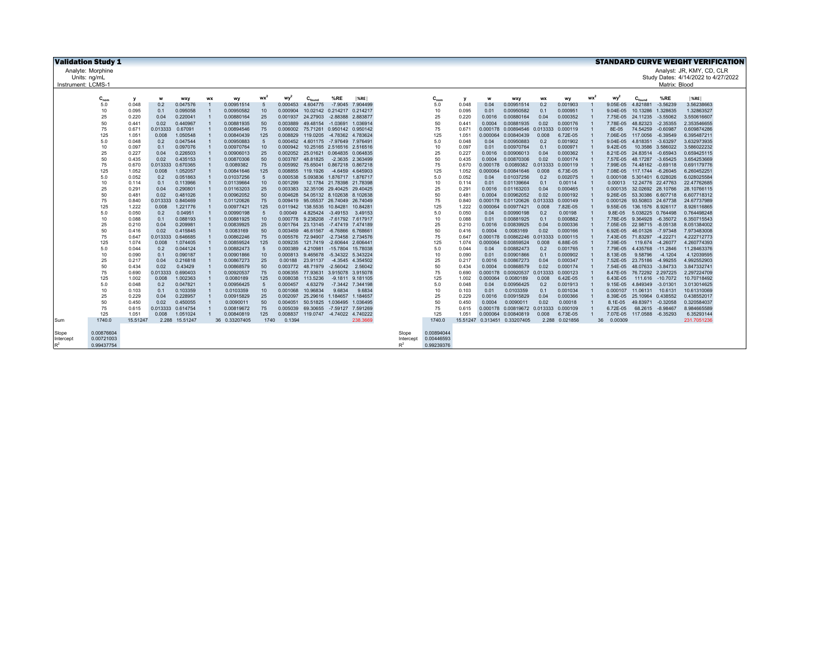|                   | <b>Validation Study 1</b> |                   |                   |                      |           |                          |            |                      |                                     |                                                          |                  |                |            |                   |                      |                          |                   |                      |           |                      |                                        |                  | <b>STANDARD CURVE WEIGHT VERIFICATION</b> |
|-------------------|---------------------------|-------------------|-------------------|----------------------|-----------|--------------------------|------------|----------------------|-------------------------------------|----------------------------------------------------------|------------------|----------------|------------|-------------------|----------------------|--------------------------|-------------------|----------------------|-----------|----------------------|----------------------------------------|------------------|-------------------------------------------|
|                   | Analyte: Morphine         |                   |                   |                      |           |                          |            |                      |                                     |                                                          |                  |                |            |                   |                      |                          |                   |                      |           |                      |                                        |                  | Analyst: JR, KMY, CD, CLR                 |
|                   | Units: ng/mL              |                   |                   |                      |           |                          |            |                      |                                     |                                                          |                  |                |            |                   |                      |                          |                   |                      |           |                      |                                        |                  | Study Dates: 4/14/2022 to 4/27/2022       |
| Instrument: LCMS- |                           |                   |                   |                      |           |                          |            |                      |                                     |                                                          |                  |                |            |                   |                      |                          |                   |                      |           |                      |                                        | Matrix: Blood    |                                           |
|                   |                           |                   |                   |                      |           |                          |            |                      |                                     |                                                          |                  |                |            |                   |                      |                          |                   |                      |           |                      |                                        |                  |                                           |
|                   | $C_{nom}$                 | y                 | w                 | <b>WXV</b>           | <b>WX</b> | wy                       | <b>wx</b>  | wy                   | $C_{found}$                         | %RE                                                      | $ \%RE $         |                | $C_{nom}$  | v                 | w                    | <b>WXV</b>               | <b>WX</b>         | <b>WV</b>            | <b>WX</b> | $wv^2$               | $C_{\text{four}}$                      | %RE              | $ \%RE $                                  |
|                   | 5.0                       | 0.048             | 0.2               | 0.047576             |           | 0.00951514               | -5         | 0.000453             | 4.604775                            |                                                          | -7.9045 7.904499 |                | 5.0        | 0.048             | 0.04                 | 0.00951514               | 0.2               | 0.001903             |           | 9.05E-05             | 4.821881                               | $-3.56239$       | 3.56238663                                |
|                   | 10                        | 0.095             | 0.1               | 0.095058             |           | 0.00950582               | 10         | 0.000904             | 10.02142                            | 0.214217                                                 | 0.214217         |                | 10         | 0.095             | 0.01                 | 0.00950582               | 0.1               | 0.000951             |           | 9.04E-05             | 10.13286                               | 1.328635         | 1.32863527                                |
|                   | 25                        | 0.220             | 0.04              | 0.220041             |           | 0.00880164               | 25         | 0.001937             | 24.27903                            | $-2.88388$                                               | 2.883877         |                | 25         | 0.220             | 0.0016               | 0.00880164               | 0.04              | 0.000352             |           | 7.75E-05             | 24.11235                               | $-3.55062$       | 3.550616607                               |
|                   | 50                        | 0.441             | 0.02              | 0.440967             |           | 0.00881935               | 50         | 0.003889             |                                     | 49.48154 -1.03691                                        | 1.036914         |                | 50         | 0.441             | 0.0004               | 0.00881935               | 0.02              | 0.000176             |           | 7.78E-05             | 48.82323                               | $-2.35355$       | 2.353546655                               |
|                   | 75                        | 0.67 <sup>°</sup> | 0.013333          | 0.67091              |           | 0.00894546               | 75         | 0.006002             | 75.71261                            | 0.950142 0.950142                                        |                  |                | 75         | 0.671             | 0.000178             | 0.00894546               | 0.013333          | 0.000119             |           | 8E-05                | 74.54259                               | $-0.60987$       | 0.609874286                               |
|                   | 125                       | 1.051             | 0.008             | 1.050548             |           | 0.00840439               | 125        | 0.008829             | 119.0205 -4.78362 4.783624          |                                                          |                  |                | 125        | 1.051             | 0.000064             | 0.00840439               | 0.008             | 6.72E-05             |           | 7.06E-05             | 117,0056                               | $-6.39549$       | 6.395487211                               |
|                   | 5.0                       | 0.048             | 0.2               | 0.047544             |           | 0.00950883               | 5          | 0.000452             |                                     | 4.601175 -7.97649 7.976491                               |                  |                | 5.0        | 0.048             | 0.04                 | 0.00950883               | 0.2               | 0.001902             |           | 9.04E-05             | 4.818351                               | $-3.63297$       | 3.632973935                               |
|                   | 10                        | 0.097             | 0.1               | 0.097076             |           | 0.00970764               | 10         | 0.000942             |                                     | 10.25165 2.516516 2.516516                               |                  |                | 10         | 0.097             | 0.01                 | 0.00970764               | 0.1               | 0.000971             |           | 9.42E-05             |                                        | 10.3586 3.586022 | 3.586022232                               |
|                   | 25                        | 0.227             | 0.04              | 0.226503             |           | 0.00906013               | 25         | 0.002052             |                                     | 25.01621 0.064835 0.064835                               |                  |                | 25         | 0.227             | 0.0016               | 0.00906013               | 0.04              | 0.000362             |           | 8.21E-05             | 24.83514 -0.65943                      |                  | 0.659425115                               |
|                   | 50                        | 0.435             | 0.02              | 0.435153             |           | 0.00870306               | 50         | 0.003787             | 48.81825                            |                                                          | -2.3635 2.363499 |                | 50         | 0.435             | 0.0004               | 0.00870306               | 0.02              | 0.000174             |           | 7.57E-05             | 48.17287 -3.65425                      |                  | 3.654253669                               |
|                   | 75                        | 0.670             | 0.013333          | 0.670365             |           | 0.0089382                | 75         | 0.005992             |                                     | 75.65041 0.867218 0.867218                               |                  |                | 75         | 0.670             | 0.000178             | 0.0089382                | 0.013333          | 0.000119             |           | 7.99E-05             | 74.48162 -0.69118                      |                  | 0.691179776                               |
|                   | 125                       | 1.052             | 0.008             | 1.052057             |           | 0.00841646               | 125        | 0.008855             | 119,1926                            |                                                          | -4.6459 4.645903 |                | 125        | 1.052             | 0.000064             | 0.00841646               | 0.008             | 6.73E-05             |           | 7.08E-05             | 117,1744                               | $-6.26045$       | 6.260452251                               |
|                   | 5.0                       | 0.052             | 0.2               | 0.051863             |           | 0.01037256               | -5         | 0.000538             |                                     | 5.093836 1.876717 1.876717                               |                  |                | 5.0        | 0.052             | 0.04                 | 0.01037256               | 0.2               | 0.002075             |           | 0.000108             | 5.301401 6.028026                      |                  | 6.028025584                               |
|                   | 10                        | 0.114             | 0.1               | 0.113966             |           | 0.01139664               | 10         | 0.001299             |                                     | 12.1784 21.78398 21.78398                                |                  |                | 10         | 0.114             | 0.01                 | 0.01139664               | 0.1               | 0.00114              |           | 0.00013              | 12.24776 22.47763                      |                  | 22.47762685                               |
|                   | 25<br>50                  | 0.291             | 0.04<br>0.02      | 0.290801<br>0.481026 |           | 0.01163203<br>0.00962052 | 25<br>50   | 0.003383             |                                     | 32.35106 29.40425 29.40425<br>54.05132 8.102638 8.102638 |                  |                | 25<br>50   | 0.291<br>0.481    | 0.0016               | 0.01163203<br>0.00962052 | 0.04<br>0.02      | 0.000465<br>0.000192 |           | 0.000135             | 32.02692 28.10766<br>53.30386 6.607718 |                  | 28.10766115<br>6.607718312                |
|                   | 75                        | 0.481<br>0.840    | 0.013333          | 0.840469             |           | 0.01120626               | 75         | 0.004628<br>0.009419 |                                     | 95.05537 26.74049 26.74049                               |                  |                | 75         | 0.840             | 0.0004<br>0.000178   | 0.01120626 0.013333      |                   | 0.000149             |           | 9.26E-05<br>0.000126 | 93.50803 24.67738                      |                  | 24.67737989                               |
|                   | 125                       | 1.222             | 0.008             | 1.221776             |           | 0.00977421               | 125        | 0.011942             |                                     | 138.5535 10.84281                                        | 10.84281         |                | 125        | 1.222             | 0.000064             | 0.00977421               | 0.008             | 7.82E-05             |           | $9.55E-05$           | 136.1576 8.926117                      |                  | 8.926116865                               |
|                   | 5.0                       | 0.050             | 0.2               | 0.04951              |           | 0.00990198               | $\sqrt{5}$ | 0.00049              |                                     | 4.825424 -3.49153                                        | 3.49153          |                | 5.0        | 0.050             | 0.04                 | 0.00990198               | 0.2               | 0.00198              |           | 9.8E-05              | 5.038225 0.764498                      |                  | 0.764498248                               |
|                   | 10                        | 0.088             | 0.1               | 0.088193             |           | 0.00881925               | 10         | 0.000778             | 9.238208                            | -7.61792 7.617917                                        |                  |                | 10         | 0.088             | 0.01                 | 0.00881925               | 0.1               | 0.000882             |           | 7.78E-05             | 9.364928                               | $-6.35072$       | 6.350715543                               |
|                   | 25                        | 0.210             | 0.04              | 0.209981             |           | 0.00839925               | 25         | 0.001764             |                                     | 23.13145 -7.47419 7.474189                               |                  |                | 25         | 0.210             | 0.0016               | 0.00839925               | 0.04              | 0.000336             |           | 7.05E-05             | 22.98715 -8.05138                      |                  | 8.051384002                               |
|                   | 50                        | 0.416             | 0.02              | 0.415845             |           | 0.0083169                | 50         | 0.003459             | 46.61567                            | -6.76866 6.768661                                        |                  |                | 50         | 0.416             | 0.0004               | 0.0083169                | 0.02              | 0.000166             |           | 6.92E-05             | 46.01326                               | $-7.97348$       | 7.973483008                               |
|                   | 75                        | 0.647             | 0.013333          | 0.646685             |           | 0.00862246               | 75         |                      | 0.005576 72.94907 -2.73458 2.734576 |                                                          |                  |                | 75         | 0.647             | 0.000178             | 0.00862246 0.013333      |                   | 0.000115             |           | 7.43E-05             | 71.83297 -4.22271                      |                  | 4.222712773                               |
|                   | 125                       | 1.074             | 0.008             | 1.074405             |           | 0.00859524               | 125        | 0.009235             | 121,7419                            | $-2.60644$                                               | 2.60644          |                | 125        | 1.074             | 0.000064             | 0.00859524               | 0.008             | 6.88E-05             |           | 7.39E-05             | 119,674                                | $-4.26077$       | 4.260774393                               |
|                   | 5.0                       | 0.044             | 0.2               | 0.044124             |           | 0.00882473               | 5          | 0.000389             | 4.210981                            | -15.7804 15.78038                                        |                  |                | 5.0        | 0.044             | 0.04                 | 0.00882473               | 0.2               | 0.001765             |           | 7.79E-05             | 4.435768 -11.2846                      |                  | 11.28463376                               |
|                   | 10                        | 0.090             | 0.1               | 0.090187             |           | 0.00901866               | 10         | 0.000813             | 9.465678                            | -5.34322 5.343224                                        |                  |                | 10         | 0.090             | 0.01                 | 0.00901866               | 0.1               | 0.000902             |           | 8.13E-05             | 9.58796                                | $-4.1204$        | 4.12039595                                |
|                   | 25                        | 0.217             | 0.04              | 0.216818             |           | 0.00867273               | 25         | 0.00188              | 23.91137                            |                                                          | -4.3545 4.354502 |                | 25         | 0.217             | 0.0016               | 0.00867273               | 0.04              | 0.000347             |           | 7.52E-05             | 23.75186                               | $-4.99255$       | 4.992552903                               |
|                   | 50                        | 0.434             | 0.02              | 0.43429              |           | 0.00868579               | 50         | 0.003772             | 48.71979                            | $-2.56042$                                               | 2.56042          |                | 50         | 0.434             | 0.0004               | 0.00868579               | 0.02              | 0.000174             |           | 7.54E-05             | 48.07633 -3.84733                      |                  | 3.847332741                               |
|                   | 75                        | 0.690             | 0.013333          | 0.690403             |           | 0.00920537               | 75         | 0.006355             |                                     | 77.93631 3.915078 3.915078                               |                  |                | 75         | 0.690             | 0.000178             | 0.00920537               | 0.013333          | 0.000123             |           | 8.47E-05             | 76.72292 2.297225                      |                  | 2.297224709                               |
|                   | 125                       | 1.002             | 0.008             | 1.002363             |           | 0.0080189                | 125        | 0.008038             | 113.5236                            |                                                          | -9.1811 9.181105 |                | 125        | 1.002             | 0.000064             | 0.0080189                | 0.008             | 6.42E-05             |           | 6.43E-05             |                                        | 111.616 -10.7072 | 10.70718492                               |
|                   | 5.0                       | 0.048             | 0.2               | 0.047821             |           | 0.00956425               | -5         | 0.000457             | 4.63279                             |                                                          | -7.3442 7.344198 |                | 5.0        | 0.048             | 0.04                 | 0.00956425               | 0.2               | 0.001913             |           | $9.15E-05$           | 4.849349                               | $-3.01301$       | 3.013014625                               |
|                   | 10                        | 0.103             | 0.1               | 0.103359             |           | 0.0103359                | 10         | 0.001068             | 10.96834                            | 9.6834                                                   | 9.6834           |                | 10         | 0.103             | 0.01                 | 0.0103359                | 0.1               | 0.001034             |           |                      | 0.000107 11.06131                      | 10.6131          | 10.61310069                               |
|                   | 25                        | 0.229             | 0.04              | 0.228957             |           | 0.00915829               | 25         | 0.002097             |                                     | 25.29616 1.184657                                        | 1.184657         |                | 25         | 0.229             | 0.0016               | 0.00915829               | 0.04              | 0.000366             |           | 8.39E-05             | 25.10964 0.438552                      |                  | 0.438552017                               |
|                   | 50                        | 0.450             | 0.02              | 0.450055             |           | 0.0090011                | 50         | 0.004051             |                                     | 50.51825 1.036495 1.036495                               |                  |                | 50         | 0.450             | 0.0004               | 0.0090011                | 0.02              | 0.00018              |           | 8.1E-05              | 49.83971 -0.32058                      |                  | 0.320584037                               |
|                   | 75<br>125                 | 0.615             | 0.013333<br>0.008 | 0.614754<br>1.051024 |           | 0.00819672<br>0.00840819 | 75<br>125  | 0.005039<br>0.008837 |                                     | 69.30655 -7.59127<br>119.0747 -4.74022 4.740222          | 7.591269         |                | 75<br>125  | 0.615             | 0.000178<br>0.000064 | 0.00819672<br>0.00840819 | 0.013333<br>0.008 | 0.000109<br>6.73E-05 |           | 6.72E-05<br>7.07E-05 |                                        | 68.2615 -8.98467 | 8.984665589<br>6.35293144                 |
| Sum               | 1740.0                    | 1.051<br>15.51247 |                   | 2.288 15.51247       |           | 36 0.33207405            | 1740       | 0.1394               |                                     |                                                          | 238.3669         |                | 1740.0     | 1.051<br>15.51247 |                      | 0.313451 0.33207405      |                   | 2.288 0.021856       | 36        | 0.00309              | 117.0588 -6.35293                      |                  | 231.7051236                               |
|                   |                           |                   |                   |                      |           |                          |            |                      |                                     |                                                          |                  |                |            |                   |                      |                          |                   |                      |           |                      |                                        |                  |                                           |
| Slope             | 0.00876604                |                   |                   |                      |           |                          |            |                      |                                     |                                                          |                  | Slope          | 0.00894044 |                   |                      |                          |                   |                      |           |                      |                                        |                  |                                           |
| Intercept         | 0.00721003                |                   |                   |                      |           |                          |            |                      |                                     |                                                          |                  | Intercept      | 0.00446593 |                   |                      |                          |                   |                      |           |                      |                                        |                  |                                           |
| $R^2$             | 0.99437754                |                   |                   |                      |           |                          |            |                      |                                     |                                                          |                  | $\mathsf{D}^2$ | 0.99239376 |                   |                      |                          |                   |                      |           |                      |                                        |                  |                                           |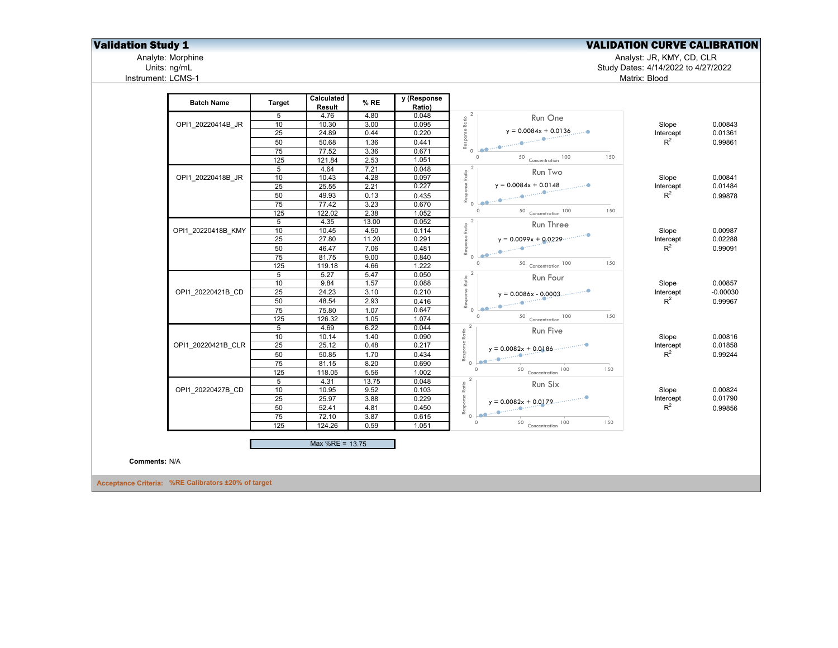## **Validation Study 1** Validation Study 1 Validation Study 1 Validation CURVE CALIBRATION

Analyte: Morphine Analyst: JR, KMY, CD, CLR

Units: ng/mL Study Dates: 4/14/2022 to 4/27/2022 Matrix: Blood

Analyte: Morphine<br>
Units: ng/mL<br>
Instrument: LCMS-1

|               |                                                     |                  | Calculated      |              | y (Response    |                                                                                                                                                                                                                                                                                                                                                                                                                                                                   |                    |            |
|---------------|-----------------------------------------------------|------------------|-----------------|--------------|----------------|-------------------------------------------------------------------------------------------------------------------------------------------------------------------------------------------------------------------------------------------------------------------------------------------------------------------------------------------------------------------------------------------------------------------------------------------------------------------|--------------------|------------|
|               | <b>Batch Name</b>                                   | <b>Target</b>    | Result          | % RE         | Ratio)         |                                                                                                                                                                                                                                                                                                                                                                                                                                                                   |                    |            |
|               |                                                     | 5                | 4.76            | 4.80         | 0.048          | Run One                                                                                                                                                                                                                                                                                                                                                                                                                                                           |                    |            |
|               | OPI1 20220414B JR                                   | 10               | 10.30           | 3.00         | 0.095          |                                                                                                                                                                                                                                                                                                                                                                                                                                                                   | Slope              | 0.00843    |
|               |                                                     | 25               | 24.89           | 0.44         | 0.220          | $y = 0.0084x + 0.0136$                                                                                                                                                                                                                                                                                                                                                                                                                                            | Intercept          | 0.01361    |
|               |                                                     | 50               | 50.68           | 1.36         | 0.441          | Response Ratio<br>P                                                                                                                                                                                                                                                                                                                                                                                                                                               | $R^2$              | 0.99861    |
|               |                                                     | 75               | 77.52           | 3.36         | 0.671          |                                                                                                                                                                                                                                                                                                                                                                                                                                                                   |                    |            |
|               |                                                     | 125              | 121.84          | 2.53         | 1.051          | $\circ$<br>150<br>50 Concentration 100                                                                                                                                                                                                                                                                                                                                                                                                                            |                    |            |
|               |                                                     | 5                | 4.64            | 7.21         | 0.048          | $\overline{2}$<br>Run Two                                                                                                                                                                                                                                                                                                                                                                                                                                         |                    |            |
|               | OPI1 20220418B JR                                   | 10               | 10.43           | 4.28         | 0.097          | Ratio                                                                                                                                                                                                                                                                                                                                                                                                                                                             | Slope              | 0.00841    |
|               |                                                     | 25               | 25.55           | 2.21         | 0.227          | $y = 0.0084x + 0.0148$                                                                                                                                                                                                                                                                                                                                                                                                                                            | Intercept          | 0.01484    |
|               |                                                     | 50               | 49.93           | 0.13         | 0.435          |                                                                                                                                                                                                                                                                                                                                                                                                                                                                   | $R^2$              | 0.99878    |
|               |                                                     | 75               | 77.42           | 3.23         | 0.670          | $\circ$<br>150                                                                                                                                                                                                                                                                                                                                                                                                                                                    |                    |            |
|               |                                                     | 125              | 122.02          | 2.38         | 1.052          | $50$ Concentration $100$                                                                                                                                                                                                                                                                                                                                                                                                                                          |                    |            |
|               |                                                     | 5                | 4.35            | 13.00        | 0.052          | $\overline{2}$<br>Run Three                                                                                                                                                                                                                                                                                                                                                                                                                                       |                    |            |
|               | OPI1 20220418B KMY                                  | 10               | 10.45           | 4.50         | 0.114          |                                                                                                                                                                                                                                                                                                                                                                                                                                                                   | Slope              | 0.00987    |
|               |                                                     | 25               | 27.80           | 11.20        | 0.291          | $y = 0.0099x + 0.0229$                                                                                                                                                                                                                                                                                                                                                                                                                                            | Intercept<br>$R^2$ | 0.02288    |
|               |                                                     | 50               | 46.47           | 7.06         | 0.481          |                                                                                                                                                                                                                                                                                                                                                                                                                                                                   |                    | 0.99091    |
|               |                                                     | 75<br>125        | 81.75<br>119.18 | 9.00<br>4.66 | 0.840<br>1.222 | 150<br>50 Concentration 100                                                                                                                                                                                                                                                                                                                                                                                                                                       |                    |            |
|               |                                                     | 5                | 5.27            | 5.47         | 0.050          | $\overline{2}$                                                                                                                                                                                                                                                                                                                                                                                                                                                    |                    |            |
|               |                                                     | 10               | 9.84            | 1.57         | 0.088          | Run Four<br>Ratio                                                                                                                                                                                                                                                                                                                                                                                                                                                 | Slope              | 0.00857    |
|               | OPI1 20220421B CD                                   | $\overline{25}$  | 24.23           | 3.10         | 0.210          | $y = 0.0086x - 0.0003$                                                                                                                                                                                                                                                                                                                                                                                                                                            | Intercept          | $-0.00030$ |
|               |                                                     | 50               | 48.54           | 2.93         | 0.416          | Response<br>یا - میں<br><sup>پانسیس</sup> ®سسو <mark>سیوم</mark> ان                                                                                                                                                                                                                                                                                                                                                                                               | $R^2$              | 0.99967    |
|               |                                                     | 75               | 75.80           | 1.07         | 0.647          |                                                                                                                                                                                                                                                                                                                                                                                                                                                                   |                    |            |
|               |                                                     | $\overline{125}$ | 126.32          | 1.05         | 1.074          | $\Omega$<br>150<br>50 Concentration 100                                                                                                                                                                                                                                                                                                                                                                                                                           |                    |            |
|               |                                                     | $5\overline{)}$  | 4.69            | 6.22         | 0.044          |                                                                                                                                                                                                                                                                                                                                                                                                                                                                   |                    |            |
|               |                                                     | 10               | 10.14           | 1.40         | 0.090          | Response Ratio<br>Run Five                                                                                                                                                                                                                                                                                                                                                                                                                                        | Slope              | 0.00816    |
|               | OPI1 20220421B CLR                                  | 25               | 25.12           | 0.48         | 0.217          | $y = 0.0082x + 0.0186$                                                                                                                                                                                                                                                                                                                                                                                                                                            | Intercept          | 0.01858    |
|               |                                                     | 50               | 50.85           | 1.70         | 0.434          |                                                                                                                                                                                                                                                                                                                                                                                                                                                                   | $R^2$              | 0.99244    |
|               |                                                     | 75               | 81.15           | 8.20         | 0.690          |                                                                                                                                                                                                                                                                                                                                                                                                                                                                   |                    |            |
|               |                                                     | $\overline{125}$ | 118.05          | 5.56         | 1.002          | $\Omega$<br>50 Concentration 100<br>150                                                                                                                                                                                                                                                                                                                                                                                                                           |                    |            |
|               |                                                     | 5                | 4.31            | 13.75        | 0.048          | Run Six                                                                                                                                                                                                                                                                                                                                                                                                                                                           |                    |            |
|               | OPI1 20220427B CD                                   | 10               | 10.95           | 9.52         | 0.103          | Ratio                                                                                                                                                                                                                                                                                                                                                                                                                                                             | Slope              | 0.00824    |
|               |                                                     | 25               | 25.97           | 3.88         | 0.229          | Response<br>$y = 0.0082x + 0.0179$                                                                                                                                                                                                                                                                                                                                                                                                                                | Intercept          | 0.01790    |
|               |                                                     | 50               | 52.41           | 4.81         | 0.450          | $\begin{array}{c c c c} & & & \text{if} & \text{if} & \text{if} & \text{if} & \text{if} \\ \hline & & & & \text{if} & \text{if} & \text{if} & \text{if} & \text{if} \\ \hline & & & & & \text{if} & \text{if} & \text{if} & \text{if} & \text{if} \\ \hline & & & & & \text{if} & \text{if} & \text{if} & \text{if} & \text{if} & \text{if} \\ \hline & & & & & \text{if} & \text{if} & \text{if} & \text{if} & \text{if} & \text{if} & \text{if} \\ \hline \end$ | $R^2$              | 0.99856    |
|               |                                                     | 75               | 72.10           | 3.87         | 0.615          | $\circ$<br>150                                                                                                                                                                                                                                                                                                                                                                                                                                                    |                    |            |
|               |                                                     | 125              | 124.26          | 0.59         | 1.051          | 50 Concentration 100                                                                                                                                                                                                                                                                                                                                                                                                                                              |                    |            |
|               |                                                     |                  | Max %RE = 13.75 |              |                |                                                                                                                                                                                                                                                                                                                                                                                                                                                                   |                    |            |
|               |                                                     |                  |                 |              |                |                                                                                                                                                                                                                                                                                                                                                                                                                                                                   |                    |            |
| Comments: N/A |                                                     |                  |                 |              |                |                                                                                                                                                                                                                                                                                                                                                                                                                                                                   |                    |            |
|               | Acceptance Criteria: %RE Calibrators ±20% of target |                  |                 |              |                |                                                                                                                                                                                                                                                                                                                                                                                                                                                                   |                    |            |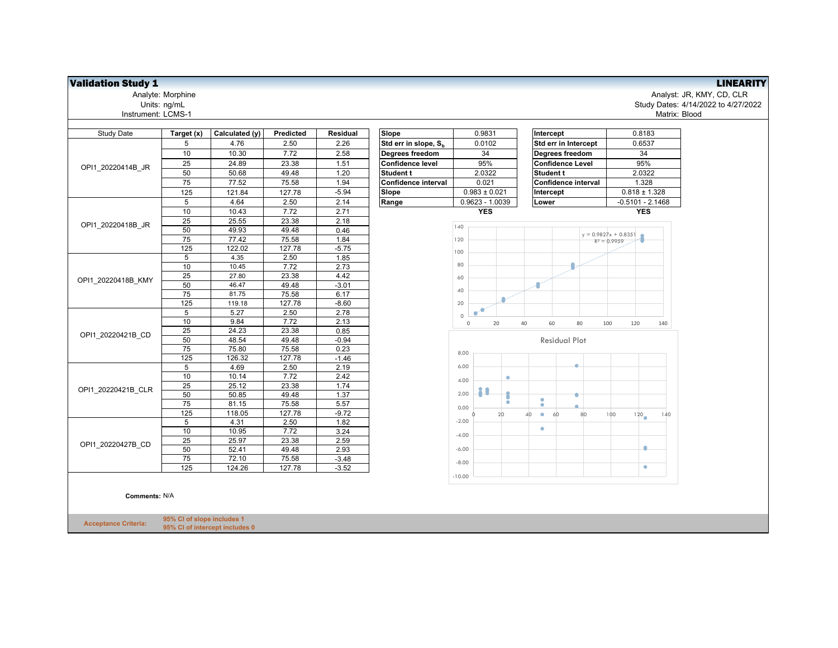| <b>Study Date</b>                                                                                                            | Target (x)     | Calculated (y) | Predicted | <b>Residual</b> | Slope                            | 0.9831                    | Intercept                                                                                                                                                                                               | 0.8183           |  |  |
|------------------------------------------------------------------------------------------------------------------------------|----------------|----------------|-----------|-----------------|----------------------------------|---------------------------|---------------------------------------------------------------------------------------------------------------------------------------------------------------------------------------------------------|------------------|--|--|
|                                                                                                                              | 5              | 4.76           | 2.50      | 2.26            | Std err in slope, S <sub>h</sub> | 0.0102                    | Std err in Intercept                                                                                                                                                                                    | 0.6537           |  |  |
|                                                                                                                              | 10             | 10.30          | 7.72      | 2.58            | <b>Degrees freedom</b>           | 34                        | Degrees freedom                                                                                                                                                                                         | 34               |  |  |
|                                                                                                                              | 25             | 24.89          | 23.38     | 1.51            | <b>Confidence level</b>          | 95%                       | <b>Confidence Level</b>                                                                                                                                                                                 | 95%              |  |  |
|                                                                                                                              | 50             | 50.68          | 49.48     | 1.20            | <b>Student t</b>                 | 2.0322                    | <b>Student t</b>                                                                                                                                                                                        | 2.0322           |  |  |
|                                                                                                                              | 75             | 77.52          | 75.58     | 1.94            | <b>Confidence interval</b>       | 0.021                     | <b>Confidence interval</b><br>Intercept<br>Lower<br>$y = 0.9827x + 0.8351$<br>$R^2 = 0.9959$<br>60<br>80<br>40<br>100<br><b>Residual Plot</b><br>٠<br>$\bullet$<br>۰<br>100<br>60<br>80<br>40<br>۰<br>۰ | 1.328            |  |  |
|                                                                                                                              | 125            | 121.84         | 127.78    | $-5.94$         | Slope                            | $0.983 \pm 0.021$         |                                                                                                                                                                                                         | $0.818 \pm 1.$   |  |  |
|                                                                                                                              | 5              | 4.64           | 2.50      | 2.14            | Range                            | 0.9623 - 1.0039           |                                                                                                                                                                                                         | $-0.5101 - 2.$   |  |  |
|                                                                                                                              | 10             | 10.43          | 7.72      | 2.71            |                                  | <b>YES</b>                |                                                                                                                                                                                                         | <b>YES</b>       |  |  |
|                                                                                                                              | 25             | 25.55          | 23.38     | 2.18            |                                  |                           |                                                                                                                                                                                                         |                  |  |  |
|                                                                                                                              | 50             | 49.93          | 49.48     | 0.46            |                                  | 140                       |                                                                                                                                                                                                         |                  |  |  |
|                                                                                                                              | 75             | 77.42          | 75.58     | 1.84            |                                  | 120                       |                                                                                                                                                                                                         |                  |  |  |
|                                                                                                                              | 125            | 122.02         | 127.78    | $-5.75$         |                                  | 100                       |                                                                                                                                                                                                         |                  |  |  |
|                                                                                                                              | $\overline{5}$ | 4.35           | 2.50      | 1.85            |                                  |                           |                                                                                                                                                                                                         |                  |  |  |
|                                                                                                                              | 10             | 10.45          | 7.72      | 2.73            |                                  | 80                        |                                                                                                                                                                                                         |                  |  |  |
|                                                                                                                              | 25             | 27.80          | 23.38     | 4.42            |                                  | 60                        |                                                                                                                                                                                                         |                  |  |  |
|                                                                                                                              | 50             | 46.47          | 49.48     | $-3.01$         |                                  | 40                        |                                                                                                                                                                                                         |                  |  |  |
| OPI1 20220414B JR<br>OPI1 20220418B JR<br>OPI1 20220418B KMY<br>OPI1 20220421B CD<br>OPI1 20220421B CLR<br>OPI1 20220427B CD | 75             | 81.75          | 75.58     | 6.17            |                                  |                           |                                                                                                                                                                                                         |                  |  |  |
|                                                                                                                              | 125            | 119.18         | 127.78    | $-8.60$         |                                  | 20                        |                                                                                                                                                                                                         |                  |  |  |
|                                                                                                                              | 5              | 5.27           | 2.50      | 2.78            |                                  | Ō<br>$\bullet$<br>$\circ$ |                                                                                                                                                                                                         |                  |  |  |
|                                                                                                                              | 10             | 9.84           | 7.72      | 2.13            |                                  | 20<br>$\mathbb O$         |                                                                                                                                                                                                         | 120              |  |  |
|                                                                                                                              | 25             | 24.23          | 23.38     | 0.85            |                                  |                           |                                                                                                                                                                                                         |                  |  |  |
|                                                                                                                              | 50             | 48.54          | 49.48     | $-0.94$         |                                  |                           |                                                                                                                                                                                                         |                  |  |  |
|                                                                                                                              | 75             | 75.80          | 75.58     | 0.23            |                                  | 8.00                      |                                                                                                                                                                                                         |                  |  |  |
|                                                                                                                              | 125            | 126.32         | 127.78    | $-1.46$         |                                  |                           |                                                                                                                                                                                                         |                  |  |  |
|                                                                                                                              | 5              | 4.69           | 2.50      | 2.19            |                                  | 6.00                      |                                                                                                                                                                                                         |                  |  |  |
|                                                                                                                              | 10             | 10.14          | 7.72      | 2.42            |                                  | ۰<br>4.00                 |                                                                                                                                                                                                         |                  |  |  |
|                                                                                                                              | 25             | 25.12          | 23.38     | 1.74            |                                  | 11                        |                                                                                                                                                                                                         |                  |  |  |
|                                                                                                                              | 50             | 50.85          | 49.48     | 1.37            |                                  | 2.00                      |                                                                                                                                                                                                         |                  |  |  |
|                                                                                                                              | 75             | 81.15          | 75.58     | 5.57            |                                  | ó<br>0.00                 |                                                                                                                                                                                                         |                  |  |  |
|                                                                                                                              | 125            | 118.05         | 127.78    | $-9.72$         |                                  | 20                        |                                                                                                                                                                                                         | 120 <sub>o</sub> |  |  |
|                                                                                                                              | 5              | 4.31           | 2.50      | 1.82            |                                  | $-2.00$                   |                                                                                                                                                                                                         |                  |  |  |
|                                                                                                                              | 10             | 10.95          | 7.72      | 3.24            |                                  | $-4.00$                   |                                                                                                                                                                                                         |                  |  |  |
|                                                                                                                              | 25             | 25.97          | 23.38     | 2.59            |                                  |                           |                                                                                                                                                                                                         |                  |  |  |
|                                                                                                                              | 50             | 52.41          | 49.48     | 2.93            |                                  | $-6.00$                   |                                                                                                                                                                                                         | ۰                |  |  |
|                                                                                                                              | 75             | 72.10          | 75.58     | $-3.48$         |                                  | $-8.00$                   |                                                                                                                                                                                                         |                  |  |  |
|                                                                                                                              | 125            | 124.26         | 127.78    | $-3.52$         |                                  |                           |                                                                                                                                                                                                         | $\bullet$        |  |  |
|                                                                                                                              |                |                |           |                 |                                  | $-10.00$                  |                                                                                                                                                                                                         |                  |  |  |

## **Comments:** N/A

**Acceptance Criteria: 95% CI of slope includes 1 95% CI of intercept includes 0**

**Validation Study 1**<br>Analyst: JR, KMY, CD, CLR<br>Units: ng/mL<br>Units: ng/mL<br>Units: ng/mL Analyte: Morphine Analyst: JR, KMY, CD, CLR Units: ng/mL Study Dates: 4/14/2022 to 4/27/2022 Matrix: Blood

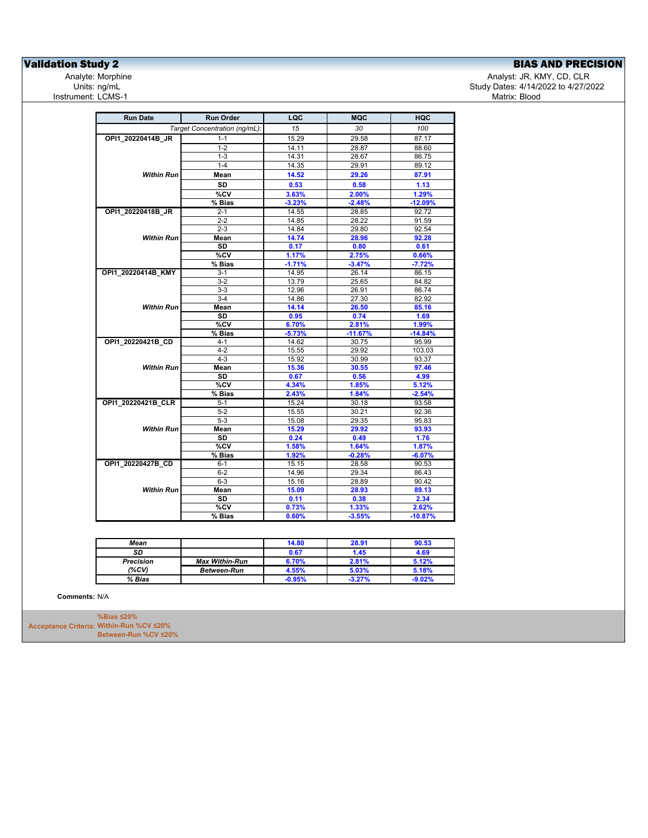## **Validation Study 2**<br>
Analyte: Morphine **Analyte: Morphine** Analyte: Morphine **Analyte: Morphine** Analyte: Morphine **Analyte: Morphine**

Analyst: JR, KMY, CD, CLR Study Dates: 4/14/2022 to 4/27/2022<br>Matrix: Blood

| <b>Run Date</b>    | <b>Run Order</b>              | LQC      | <b>MQC</b> | HQC       |
|--------------------|-------------------------------|----------|------------|-----------|
|                    | Target Concentration (ng/mL): | 15       | 30         | 100       |
| OPI1 20220414B JR  | $1 - 1$                       | 15.29    | 29.58      | 87.17     |
|                    | $1 - 2$                       | 14.11    | 28.87      | 88.60     |
|                    | $1 - 3$                       | 14.31    | 28.67      | 86.75     |
|                    | $1 - 4$                       | 14.35    | 29.91      | 89.12     |
| <b>Within Run</b>  | Mean                          | 14.52    | 29.26      | 87.91     |
|                    | SD                            | 0.53     | 0.58       | 1.13      |
|                    | $\overline{\text{°CV}}$       | 3.63%    | 2.00%      | 1.29%     |
|                    | % Bias                        | $-3.23%$ | $-2.48%$   | $-12.09%$ |
| OPI1_20220418B_JR  | $2 - 1$                       | 14.55    | 28.85      | 92.72     |
|                    | $2 - 2$                       | 14.85    | 28.22      | 91.59     |
|                    | $2 - 3$                       | 14.84    | 29.80      | 92.54     |
| <b>Within Run</b>  | Mean                          | 14.74    | 28.96      | 92.28     |
|                    | SD                            | 0.17     | 0.80       | 0.61      |
|                    | %CV                           | 1.17%    | 2.75%      | 0.66%     |
|                    | % Bias                        | $-1.71%$ | $-3.47%$   | $-7.72%$  |
| OPI1_20220414B_KMY | $3 - 1$                       | 14.95    | 26.14      | 86.15     |
|                    | 3-2                           | 13.79    | 25.65      | 84.82     |
|                    | $3-3$                         | 12.96    | 26.91      | 86.74     |
|                    | $3-4$                         | 14.86    | 27.30      | 82.92     |
| <b>Within Run</b>  | Mean                          | 14.14    | 26.50      | 85.16     |
|                    | SD                            | 0.95     | 0.74       | 1.69      |
|                    | %CV                           | 6.70%    | 2.81%      | 1.99%     |
|                    | % Bias                        | $-5.73%$ | $-11.67%$  | $-14.84%$ |
| OPI1 20220421B CD  | $4 - 1$                       | 14.62    | 30.75      | 95.99     |
|                    | $4 - 2$                       | 15.55    | 29.92      | 103.03    |
|                    | $4 - 3$                       | 15.92    | 30.99      | 93.37     |
| <b>Within Run</b>  | Mean                          | 15.36    | 30.55      | 97.46     |
|                    | SD                            | 0.67     | 0.56       | 4.99      |
|                    | %CV                           | 4.34%    | 1.85%      | 5.12%     |
|                    | % Bias                        | 2.43%    | 1.84%      | $-2.54%$  |
| OPI1_20220421B_CLR | $5-1$                         | 15.24    | 30.18      | 93.58     |
|                    | $5 - 2$                       | 15.55    | 30.21      | 92.36     |
|                    | $5 - 3$                       | 15.08    | 29.35      | 95.83     |
| <b>Within Run</b>  | Mean                          | 15.29    | 29.92      | 93.93     |
|                    | SD                            | 0.24     | 0.49       | 1.76      |
|                    | %CV                           | 1.58%    | 1.64%      | 1.87%     |
|                    | % Bias                        | 1.92%    | $-0.28%$   | $-6.07%$  |
| OPI1 20220427B CD  | $6 - 1$                       | 15.15    | 28.58      | 90.53     |
|                    | $6-2$                         | 14.96    | 29.34      | 86.43     |
|                    | $6-3$                         | 15.16    | 28.89      | 90.42     |
| <b>Within Run</b>  | Mean                          | 15.09    | 28.93      | 89.13     |
|                    | SD                            | 0.11     | 0.38       | 2.34      |
|                    | %CV                           | 0.73%    | 1.33%      | 2.62%     |
|                    | % Bias                        | 0.60%    | $-3.55%$   | $-10.87%$ |

| Mean             |                       | 14.80        | 28.91    | 90.53    |
|------------------|-----------------------|--------------|----------|----------|
| SD               |                       | 0.67         | 1.45     | 4.69     |
| <b>Precision</b> | <b>Max Within-Run</b> | <b>S.70%</b> | 2.81%    | 5.12%    |
| (%CV)            | <b>Between-Run</b>    | 4.55%        | 5.03%    | 5.18%    |
| % Bias           |                       | $-0.95%$     | $-3.27%$ | $-9.02%$ |

**Comments:** N/A

**Acceptance Criteria: Within-Run %CV ≤20% %Bias ≤20% Between-Run %CV ≤20%**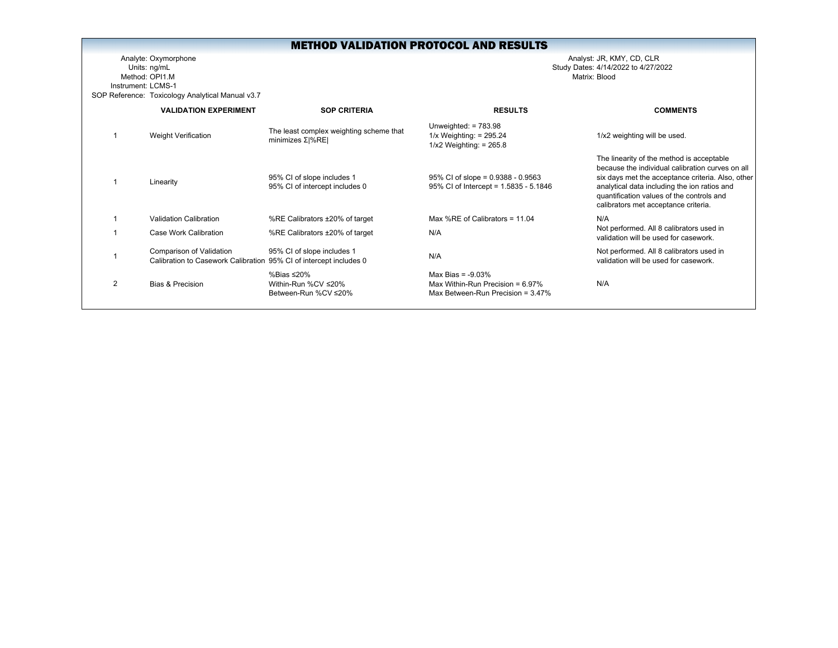Analyte: Oxymorphone Analyst: JR, KMY, CD, CLR Units: ng/mL Study Dates: 4/14/2022 to 4/27/2022 Method: OPI1.MInstrument: LCMS-1SOP Reference: Toxicology Analytical Manual v3.7

|   | <b>VALIDATION EXPERIMENT</b>                                                                   | <b>SOP CRITERIA</b>                                           | <b>RESULTS</b>                                                                                      | <b>COMMENTS</b>                                                                                                                                                                                                                                                                         |
|---|------------------------------------------------------------------------------------------------|---------------------------------------------------------------|-----------------------------------------------------------------------------------------------------|-----------------------------------------------------------------------------------------------------------------------------------------------------------------------------------------------------------------------------------------------------------------------------------------|
|   | Weight Verification                                                                            | The least complex weighting scheme that<br>minimizes $Σ$  %RE | Unweighted: $= 783.98$<br>$1/x$ Weighting: = 295.24<br>$1/x2$ Weighting: = 265.8                    | 1/x2 weighting will be used.                                                                                                                                                                                                                                                            |
|   | Linearity                                                                                      | 95% CI of slope includes 1<br>95% CI of intercept includes 0  | $95\%$ CI of slope = 0.9388 - 0.9563<br>95% CI of Intercept = 1.5835 - 5.1846                       | The linearity of the method is acceptable<br>because the individual calibration curves on all<br>six days met the acceptance criteria. Also, other<br>analytical data including the ion ratios and<br>quantification values of the controls and<br>calibrators met acceptance criteria. |
|   | Validation Calibration                                                                         | %RE Calibrators ±20% of target                                | Max %RE of Calibrators = $11.04$                                                                    | N/A                                                                                                                                                                                                                                                                                     |
|   | Case Work Calibration                                                                          | %RE Calibrators ±20% of target                                | N/A                                                                                                 | Not performed. All 8 calibrators used in<br>validation will be used for casework.                                                                                                                                                                                                       |
|   | Comparison of Validation<br>Calibration to Casework Calibration 95% CI of intercept includes 0 | 95% CI of slope includes 1                                    | N/A                                                                                                 | Not performed. All 8 calibrators used in<br>validation will be used for casework.                                                                                                                                                                                                       |
| 2 | Bias & Precision                                                                               | %Bias ≤20%<br>Within-Run %CV ≤20%<br>Between-Run %CV ≤20%     | Max Bias = $-9.03\%$<br>Max Within-Run Precision = $6.97\%$<br>Max Between-Run Precision = $3.47\%$ | N/A                                                                                                                                                                                                                                                                                     |
|   |                                                                                                |                                                               |                                                                                                     |                                                                                                                                                                                                                                                                                         |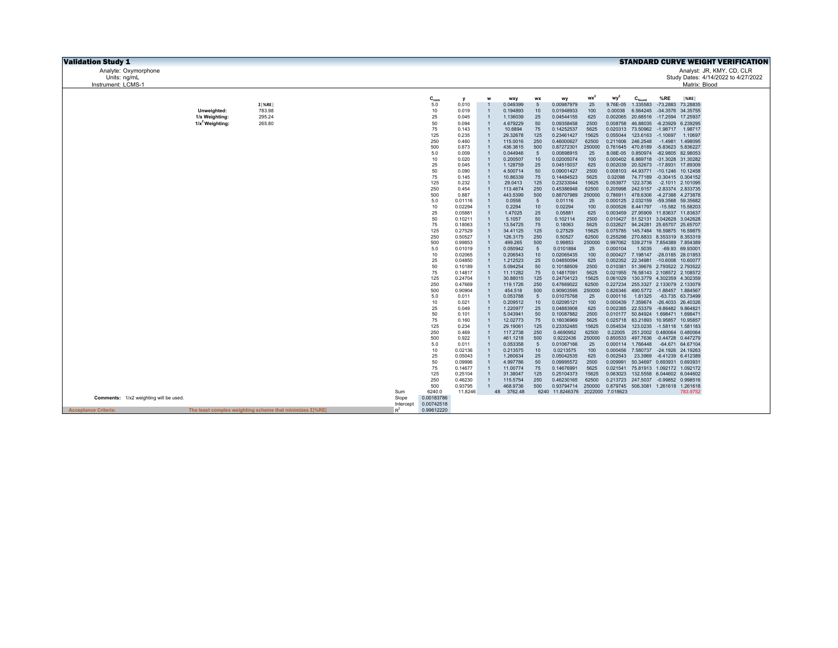| <b>Validation Study 1</b>             |                                      |                                                                |           |            |                    |                                  |                      |            |                                  |                |                                     |                                                                            |            |                            | <b>STANDARD CURVE WEIGHT VERIFICATION</b> |
|---------------------------------------|--------------------------------------|----------------------------------------------------------------|-----------|------------|--------------------|----------------------------------|----------------------|------------|----------------------------------|----------------|-------------------------------------|----------------------------------------------------------------------------|------------|----------------------------|-------------------------------------------|
| Analyte: Oxymorphone                  |                                      |                                                                |           |            |                    |                                  |                      |            |                                  |                |                                     |                                                                            |            |                            | Analyst: JR, KMY, CD, CLR                 |
| Units: ng/mL                          |                                      |                                                                |           |            |                    |                                  |                      |            |                                  |                |                                     |                                                                            |            |                            | Study Dates: 4/14/2022 to 4/27/2022       |
| Instrument: LCMS-1                    |                                      |                                                                |           |            |                    |                                  |                      |            |                                  |                |                                     |                                                                            |            | Matrix: Blood              |                                           |
|                                       |                                      |                                                                |           |            |                    |                                  |                      |            |                                  |                |                                     |                                                                            |            |                            |                                           |
|                                       |                                      |                                                                |           | $C_{nom}$  | v                  |                                  | <b>WXV</b>           | WX         | wy                               | $wx^2$         | wy <sup>2</sup>                     | $C_{\text{found}}$                                                         | %RE        | $ \%$ RE                   |                                           |
|                                       |                                      | $\Sigma$   %RE                                                 |           | 5.0        | 0.010              |                                  | 0.049399             | 5          | 0.00987979                       | 25             | 9.76E-05                            | 1.335583                                                                   |            | -73.2883 73.28835          |                                           |
|                                       | Unweighted:                          | 783.98                                                         |           | 10         | 0.019              | $\mathbf{1}$<br>$\overline{1}$   | 0.194893             | 10         | 0.01948933                       | 100            | 0.00038                             | 6.564245                                                                   |            | -34.3576 34.35755          |                                           |
|                                       | 1/x Weighting:<br>$1/x^2$ Weighting: | 295.24<br>265.80                                               |           | 25<br>50   | 0.045<br>0.094     |                                  | 1.136039<br>4.679229 | 25<br>50   | 0.04544155<br>0.09358458         | 625<br>2500    | 0.008758                            | 0.002065 20.68516 -17.2594 17.25937<br>46.88035                            | $-6.23929$ | 6.239295                   |                                           |
|                                       |                                      |                                                                |           | 75         | 0.143              | $\overline{1}$                   | 10.6894              | 75         | 0.14252537                       | 5625           | 0.020313                            | 73.50962 -1.98717 1.98717                                                  |            |                            |                                           |
|                                       |                                      |                                                                |           | 125        | 0.235              |                                  | 29.32678             | 125        | 0.23461427                       | 15625          | 0.055044                            | 123.6163 -1.10697                                                          |            | 1.10697                    |                                           |
|                                       |                                      |                                                                |           | 250        | 0.460              | $\overline{1}$                   | 115,0016             | 250        | 0.46000627                       | 62500          | 0.211606                            | 246.2548                                                                   | $-1.4981$  | 1.498095                   |                                           |
|                                       |                                      |                                                                |           | 500        | 0.873              | $\overline{1}$                   | 436.3615             | 500        | 0.87272301                       | 250000         |                                     | 0.761645 470.8189                                                          |            | -5.83623 5.836227          |                                           |
|                                       |                                      |                                                                |           | 5.0        | 0.009              | $\overline{1}$                   | 0.044946             | 5          | 0.00898915                       | 25             |                                     | 8.08E-05  0.850974  -82.9805  82.98053                                     |            |                            |                                           |
|                                       |                                      |                                                                |           | 10         | 0.020              | $\overline{1}$<br>$\overline{1}$ | 0.200507             | 10<br>25   | 0.02005074                       | 100            |                                     | 0.000402 6.869718 -31.3028 31.30282                                        |            |                            |                                           |
|                                       |                                      |                                                                |           | 25<br>50   | 0.045<br>0.090     | $\overline{1}$                   | 1.128759<br>4.500714 | 50         | 0.04515037<br>0.09001427         | 625<br>2500    |                                     | 0.002039 20.52673 -17.8931 17.89309<br>0.008103 44.93771 -10.1246 10.12458 |            |                            |                                           |
|                                       |                                      |                                                                |           | 75         | 0.145              | $\overline{1}$                   | 10.86339             | 75         | 0.14484523                       | 5625           | 0.02098                             | 74.77189 -0.30415 0.304152                                                 |            |                            |                                           |
|                                       |                                      |                                                                |           | 125        | 0.232              | $\overline{1}$                   | 29.0413              | 125        | 0.23233044                       | 15625          |                                     | 0.053977 122.3736                                                          |            | -2.1011 2.101095           |                                           |
|                                       |                                      |                                                                |           | 250        | 0.454              | $\overline{1}$                   | 113.4674             | 250        | 0.45386948                       | 62500          | 0.205998                            | 242.9157 -2.83374 2.833735                                                 |            |                            |                                           |
|                                       |                                      |                                                                |           | 500        | 0.887              | $\overline{1}$                   | 443.5399             | 500        | 0.88707989                       | 250000         |                                     | 0.786911 478.6306 -4.27388 4.273878                                        |            |                            |                                           |
|                                       |                                      |                                                                |           | 5.0<br>10  | 0.01116            | $\overline{1}$<br>$\overline{1}$ | 0.0558               | 5          | 0.01116                          | 25<br>100      |                                     | 0.000125 2.032159                                                          |            | -59.3568 59.35682          |                                           |
|                                       |                                      |                                                                |           | 25         | 0.02294<br>0.05881 | $\overline{1}$                   | 0.2294<br>1.47025    | 10<br>25   | 0.02294<br>0.05881               | 625            | 0.000526                            | 8.441797<br>0.003459 27.95909 11.83637 11.83637                            |            | -15.582 15.58203           |                                           |
|                                       |                                      |                                                                |           | 50         | 0.10211            | $\mathbf{1}$                     | 5.1057               | 50         | 0.102114                         | 2500           |                                     | 0.010427 51.52131 3.042628 3.042628                                        |            |                            |                                           |
|                                       |                                      |                                                                |           | 75         | 0.18063            | $\overline{1}$                   | 13.54725             | 75         | 0.18063                          | 5625           |                                     | 0.032627 94.24281 25.65707 25.65707                                        |            |                            |                                           |
|                                       |                                      |                                                                |           | 125        | 0.27529            | $\overline{1}$                   | 34.41125             | 125        | 0.27529                          | 15625          |                                     | 0.075785 145.7484 16.59875 16.59875                                        |            |                            |                                           |
|                                       |                                      |                                                                |           | 250        | 0.50527            |                                  | 126.3175             | 250        | 0.50527                          | 62500          | 0.255298                            | 270.8833 8.353319 8.353319                                                 |            |                            |                                           |
|                                       |                                      |                                                                |           | 500        | 0.99853            | $\blacksquare$<br>$\overline{1}$ | 499.265              | 500        | 0.99853                          | 250000         | 0.997062                            | 539.2719 7.854389 7.854389                                                 |            |                            |                                           |
|                                       |                                      |                                                                |           | 5.0<br>10  | 0.01019<br>0.02065 | $\overline{1}$                   | 0.050942<br>0.206543 | 5<br>10    | 0.0101884<br>0.02065435          | 25<br>100      | 0.000104                            | 1.5035<br>0.000427 7.198147 -28.0185 28.01853                              |            | -69.93 69.93001            |                                           |
|                                       |                                      |                                                                |           | 25         | 0.04850            | $\mathbf{1}$                     | 1.212523             | 25         | 0.04850094                       | 625            |                                     | 0.002352 22.34981 -10.6008 10.60077                                        |            |                            |                                           |
|                                       |                                      |                                                                |           | 50         | 0.10189            | $\overline{1}$                   | 5.094254             | 50         | 0.10188509                       | 2500           | 0.010381                            | 51.39676 2.793522 2.793522                                                 |            |                            |                                           |
|                                       |                                      |                                                                |           | 75         | 0.14817            | $\overline{1}$                   | 11.11282             | 75         | 0.14817091                       | 5625           |                                     | 0.021955 76.58143 2.108572 2.108572                                        |            |                            |                                           |
|                                       |                                      |                                                                |           | 125        | 0.24704            | $\overline{1}$                   | 30.88015             | 125        | 0.24704123                       | 15625          |                                     | 0.061029 130.3779 4.302359 4.302359                                        |            |                            |                                           |
|                                       |                                      |                                                                |           | 250        | 0.47669            | $\overline{1}$                   | 119.1726             | 250        | 0.47669022                       | 62500          | 0.227234                            | 255.3327 2.133079 2.133079                                                 |            |                            |                                           |
|                                       |                                      |                                                                |           | 500<br>5.0 | 0.90904<br>0.011   | $\blacksquare$<br>$\overline{1}$ | 454.518<br>0.053788  | 500<br>5   | 0.90903595<br>0.01075768         | 250000<br>25   | 0.826346<br>0.000116                | 490.5772 -1.88457 1.884567<br>1.81325                                      |            | -63.735 63.73499           |                                           |
|                                       |                                      |                                                                |           | 10         | 0.021              | $\blacksquare$                   | 0.209512             | 10         | 0.02095121                       | 100            | 0.000439                            | 7.359674 -26.4033 26.40326                                                 |            |                            |                                           |
|                                       |                                      |                                                                |           | 25         | 0.049              | $\overline{1}$                   | 1.220977             | 25         | 0.04883908                       | 625            |                                     | 0.002385 22.53379 -9.86482 9.864821                                        |            |                            |                                           |
|                                       |                                      |                                                                |           | 50         | 0.101              | $\blacksquare$                   | 5.043941             | 50         | 0.10087882                       | 2500           | 0.010177                            | 50.84924 1.698471 1.698471                                                 |            |                            |                                           |
|                                       |                                      |                                                                |           | 75         | 0.160              | $\overline{1}$                   | 12.02773             | 75         | 0.16036969                       | 5625           |                                     | 0.025718 83.21893 10.95857 10.95857                                        |            |                            |                                           |
|                                       |                                      |                                                                |           | 125<br>250 | 0.234<br>0.469     | $\overline{1}$<br>$\overline{1}$ | 29.19061<br>117.2738 | 125<br>250 | 0.23352485<br>0.4690952          | 15625<br>62500 | 0.054534<br>0.22005                 | 123.0235 -1.58118 1.581183<br>251.2002 0.480064 0.480064                   |            |                            |                                           |
|                                       |                                      |                                                                |           | 500        | 0.922              | $\overline{1}$                   | 461.1218             | 500        | 0.9222436                        | 250000         |                                     | 0.850533 497.7636 -0.44728 0.447279                                        |            |                            |                                           |
|                                       |                                      |                                                                |           | 5.0        | 0.011              | $\overline{1}$                   | 0.053358             | 5          | 0.01067166                       | 25             |                                     | 0.000114 1.766448                                                          |            | -64.671 64.67104           |                                           |
|                                       |                                      |                                                                |           | 10         | 0.02136            | $\overline{1}$                   | 0.213575             | 10         | 0.0213575                        | 100            | 0.000456                            | 7.580737                                                                   |            | -24.1926 24.19263          |                                           |
|                                       |                                      |                                                                |           | 25         | 0.05043            | $\blacksquare$                   | 1.260634             | 25         | 0.05042535                       | 625            | 0.002543                            |                                                                            |            | 23.3969 -6.41239 6.412389  |                                           |
|                                       |                                      |                                                                |           | 50         | 0.09996            | $\overline{1}$                   | 4.997786             | 50         | 0.09995572                       | 2500           | 0.009991                            | 50.34697 0.693931 0.693931                                                 |            |                            |                                           |
|                                       |                                      |                                                                |           | 75<br>125  | 0.14677            | $\overline{1}$<br>$\overline{1}$ | 11.00774             | 75         | 0.14676991                       | 5625           | 0.021541                            |                                                                            |            | 75.81913 1.092172 1.092172 |                                           |
|                                       |                                      |                                                                |           | 250        | 0.25104<br>0.46230 | $\overline{1}$                   | 31.38047<br>115.5754 | 125<br>250 | 0.25104373<br>0.46230165         | 15625<br>62500 | 0.063023                            | 132.5558 6.044602 6.044602<br>0.213723 247.5037 -0.99852 0.998516          |            |                            |                                           |
|                                       |                                      |                                                                |           | 500        | 0.93795            | $\mathbf{1}$                     | 468.9736             | 500        | 0.93794714 250000                |                | 0.879745 506.3081 1.261618 1.261618 |                                                                            |            |                            |                                           |
|                                       |                                      |                                                                | Sum       | 6240.0     | 11.8246            |                                  | 3762.48<br>48        |            | 6240 11.8246376 2022000 7.018623 |                |                                     |                                                                            |            | 783.9752                   |                                           |
| Comments: 1/x2 weighting will be used |                                      |                                                                | Slope     | 0.00183786 |                    |                                  |                      |            |                                  |                |                                     |                                                                            |            |                            |                                           |
|                                       |                                      |                                                                | Intercept | 0.00742518 |                    |                                  |                      |            |                                  |                |                                     |                                                                            |            |                            |                                           |
| <b>Acceptance Criteria:</b>           |                                      | The least complex weighting scheme that minimizes $\Sigma$ %RE | $R^2$     | 0.99612220 |                    |                                  |                      |            |                                  |                |                                     |                                                                            |            |                            |                                           |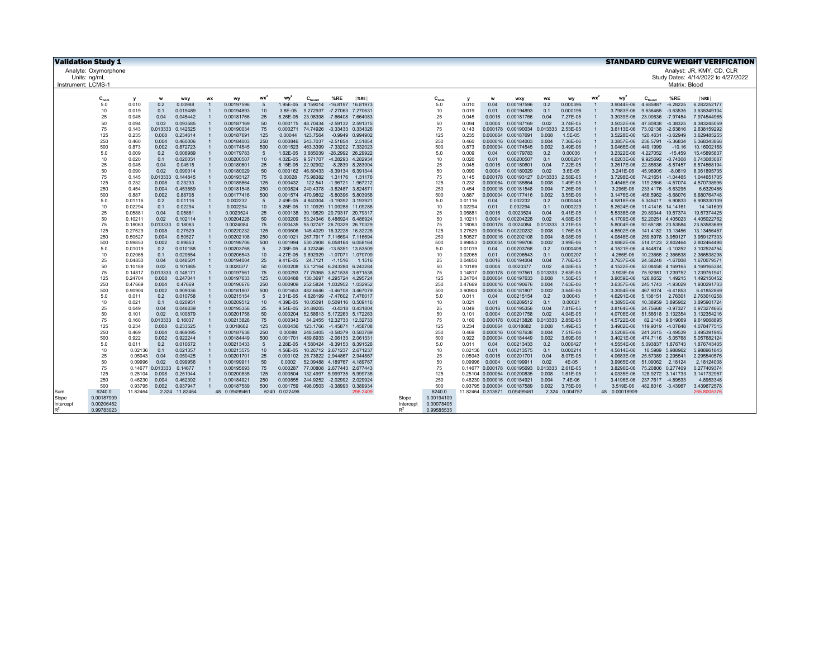| <b>Validation Study 1</b> |                    |            |                      |                |                          |                       |                      |                               |                                                          |                      |           |            |                    |              |                                      |            |                      |                 |                             |                                        |                         | <b>STANDARD CURVE WEIGHT VERIFICATION</b> |
|---------------------------|--------------------|------------|----------------------|----------------|--------------------------|-----------------------|----------------------|-------------------------------|----------------------------------------------------------|----------------------|-----------|------------|--------------------|--------------|--------------------------------------|------------|----------------------|-----------------|-----------------------------|----------------------------------------|-------------------------|-------------------------------------------|
| Analyte: Oxymorphone      |                    |            |                      |                |                          |                       |                      |                               |                                                          |                      |           |            |                    |              |                                      |            |                      |                 |                             |                                        |                         | Analyst: JR, KMY, CD, CLR                 |
| Units: ng/mL              |                    |            |                      |                |                          |                       |                      |                               |                                                          |                      |           |            |                    |              |                                      |            |                      |                 |                             |                                        |                         | Study Dates: 4/14/2022 to 4/27/2022       |
| Instrument: LCMS-         |                    |            |                      |                |                          |                       |                      |                               |                                                          |                      |           |            |                    |              |                                      |            |                      |                 |                             |                                        | Matrix: Blood           |                                           |
|                           |                    |            |                      |                |                          |                       |                      |                               |                                                          |                      |           |            |                    |              |                                      |            |                      |                 |                             |                                        |                         |                                           |
| $C_{\text{non}}$          | y                  | w          | wxy                  | <b>WX</b>      | wv                       | $wx^2$                | wy <sup>2</sup>      | $\mathbf{C}_{\mathsf{found}}$ | %RE                                                      | <sub>%RE</sub>       |           | $C_{nom}$  | v                  | w            | wxy                                  | <b>WX</b>  | wv                   | wx <sup>2</sup> | wy <sup>2</sup>             | $C_{\mathsf{found}}$                   | %RE                     | $ \%$ RE                                  |
| 5.0                       | 0.010              | 0.2        | 0.00988              |                | 0.00197596               | $\sqrt{5}$            | 1.95E-05             |                               | 4.159014 -16.8197 16.81973                               |                      |           | 5.0        | 0.010              | 0.04         | 0.00197596                           | 0.2        | 0.000395             |                 | 3.9044E-06                  | 4.685887                               | $-6.28225$              | 6.282252177                               |
| 10                        | 0.019              | 0.1        | 0.019489             |                | 0.00194893               | 10                    | 3.8E-05              |                               | 9.272937 -7.27063 7.270631                               |                      |           | 10         | 0.019              | 0.01         | 0.00194893                           | 0.1        | 0.000195             |                 | 3.7983E-06                  | 9.636465                               | $-3.63535$              | 3.635349104                               |
| 25                        | 0.045              | 0.04       | 0.045442             |                | 0.00181766               | 25                    | 8.26E-05             | 23.08398                      | -7.66408 7.664083                                        |                      |           | 25         | 0.045              | 0.0016       | 0.00181766                           | 0.04       | 7.27E-05             |                 | 3.3039E-06                  | 23.00636 -7.97454                      |                         | 7.974544965                               |
| 50                        | 0.094              | 0.02       | 0.093585             |                | 0.00187169               | 50                    | 0.000175             | 48.70434                      | -2.59132 2.591315                                        |                      |           | 50         | 0.094              | 0.0004       | 0.00187169                           | 0.02       | 3.74E-05             |                 | 3.5032E-06                  | 47.80838                               | -4.38325                | 4.383245059                               |
| 75                        | 0.143              | 0.013333   | 0.142525             |                | 0.00190034               | 75                    | 0.000271             |                               | 74.74926 -0.33433 0.334326                               |                      |           | 75         | 0.143              |              | 0.000178 0.00190034 0.013333         |            | 2.53E-05             |                 | 3.6113E-06                  | 73.02138 -2.63816                      |                         | 2.638159292                               |
| 125                       | 0.235              | 0.008      | 0.234614             |                | 0.00187691               | 125                   | 0.00044              | 123.7564                      |                                                          | $-0.9949$ $0.994902$ |           | 125        | 0.235              |              | 0.000064 0.00187691                  | 0.008      | 1.5E-05              |                 | 3.5228E-06                  | 120.4631                               | $-3.62949$              | 3.629485255                               |
| 250                       | 0.460              | 0.004      | 0.460006             |                | 0.00184003               | 250                   | 0.000846             |                               | 243.7037 -2.51854 2.51854                                |                      |           | 250        | 0.460              |              | 0.000016 0.00184003                  | 0.004      | 7.36E-06             |                 | 3.3857E-06                  | 236.5791                               | $-5.36834$              | 5.368343866                               |
| 500                       | 0.873              | 0.002      | 0.872723             |                | 0.00174545               | 500<br>$\overline{5}$ | 0.001523             |                               | 463.3399 -7.33202 7.332023                               |                      |           | 500        | 0.873              |              | 0.000004 0.00174545                  | 0.002      | 3.49E-06             | $\overline{1}$  | 3.0466E-06                  | 449.1999                               | $-10.16$                | 10.16002168                               |
| 5.0<br>10                 | 0.009<br>0.020     | 0.2<br>0.1 | 0.008989<br>0.020051 | $\overline{1}$ | 0.00179783<br>0.00200507 | 10                    | 1.62E-05<br>4.02E-05 |                               | 3.685039 -26.2992 26.29922<br>9.571707 -4.28293 4.282934 |                      |           | 5.0<br>10  | 0.009<br>0.020     | 0.04<br>0.01 | 0.00179783<br>0.00200507             | 0.2<br>0.1 | 0.00036<br>0.000201  | $\overline{1}$  | 3.2322E-06<br>4.0203E-06    | 4.227052<br>9.925692                   | $-15.459$<br>$-0.74308$ | 15.45895837<br>0.743083087                |
| 25                        | 0.045              | 0.04       | 0.04515              |                | 0.00180601               | 25                    | 8.15E-05             | 22.92902                      | -8.2839 8.283904                                         |                      |           | 25         | 0.045              | 0.0016       | 0.00180601                           | 0.04       | 7.22E-05             |                 | 3.2617E-06                  | 22.85636                               | $-8.57457$              | 8.574568194                               |
| 50                        | 0.090              | 0.02       | 0.090014             |                | 0.00180029               | 50                    | 0.000162             |                               | 46.80433 -6.39134 6.391344                               |                      |           | 50         | 0.090              | 0.0004       | 0.00180029                           | 0.02       | 3.6E-05              |                 | 3.241E-06                   | 45.96905                               | $-8.0619$               | 8.061895735                               |
| 75                        | 0.145              | 0.013333   | 0.144845             |                | 0.00193127               | 75                    | 0.00028              |                               | 75.98382 1.31176 1.31176                                 |                      |           | 75         | 0.145              |              | 0.000178 0.00193127 0.013333         |            | 2.58E-05             |                 | 3.7298E-06                  | 74.21651 -1.04465                      |                         | 1.044651705                               |
| 125                       | 0.232              | 0.008      | 0.23233              |                | 0.00185864               | 125                   | 0.000432             |                               | 122.541 -1.96721 1.967212                                |                      |           | 125        | 0.232              |              | 0.000064 0.00185864                  | 0.008      | 1.49E-05             |                 | 3.4546E-06                  | 119.2866                               | $-4.57074$              | 4.570738596                               |
| 250                       | 0.454              | 0.004      | 0.453869             | $\overline{1}$ | 0.00181548               | 250                   | 0.000824             |                               | 240.4378 -3.82487 3.824871                               |                      |           | 250        | 0.454              |              | 0.000016 0.00181548                  | 0.004      | 7.26E-06             |                 | 3.296E-06                   | 233.4176 -6.63295                      |                         | 6.6329486                                 |
| 500                       | 0.887              | 0.002      | 0.88708              |                | 0.00177416               | 500                   | 0.001574             |                               | 470.9802 -5.80396 5.803958                               |                      |           | 500        | 0.887              |              | 0.000004 0.00177416                  | 0.002      | 3.55E-06             |                 | 3.1476E-06                  | 456.5962 -8.68076                      |                         | 8.680764748                               |
| 5.0                       | 0.01116            | 0.2        | 0.01116              |                | 0.002232                 | 5                     | 2.49E-05             |                               | 4.840304 -3.19392 3.193921                               |                      |           | 5.0        | 0.01116            | 0.04         | 0.002232                             | 0.2        | 0.000446             | $\overline{1}$  | 4.9818E-06                  | 5.345417 6.90833                       |                         | 6.908330109                               |
| 10                        | 0.02294            | 0.1        | 0.02294              |                | 0.002294                 | 10                    | 5.26E-05             |                               | 11.10929 11.09288 11.09288                               |                      |           | 10         | 0.02294            | 0.01         | 0.002294                             | 0.1        | 0.000229             |                 | 5.2624E-06                  | 11.41416 14.14161                      |                         | 14.141609                                 |
| 25                        | 0.05881            | 0.04       | 0.05881              |                | 0.0023524                | 25                    | 0.000138             |                               | 30.19829 20.79317 20.79317                               |                      |           | 25         | 0.05881            | 0.0016       | 0.0023524                            | 0.04       | 9.41E-05             |                 | 5.5338E-06                  | 29.89344 19.57374                      |                         | 19.57374425                               |
| 50                        | 0.10211            | 0.02       | 0.102114             | $\overline{1}$ | 0.00204228               | 50                    | 0.000209             |                               | 53.24346 6.486924 6.486924                               |                      |           | 50         | 0.10211            | 0.0004       | 0.00204228                           | 0.02       | 4.08E-05             |                 | 4.1709E-06                  | 52.20251 4.405023                      |                         | 4.405022762                               |
| 75                        | 0.18063            | 0.013333   | 0.18063              |                | 0.0024084                | 75                    | 0.000435             |                               | 95.02747 26.70329 26.70329                               |                      |           | 75         | 0.18063            |              | 0.000178 0.0024084                   | 0.013333   | 3.21E-05             |                 | 5.8004E-06                  | 92.65188 23.53584                      |                         | 23.53583689                               |
| 125                       | 0.27529            | 0.008      | 0.27529              | $\overline{1}$ | 0.00220232               | 125                   | 0.000606             |                               | 145.4029 16.32228 16.32228                               |                      |           | 125        | 0.27529            |              | 0.000064 0.00220232                  | 0.008      | 1.76E-05             |                 | 4.8502E-06                  | 141.4182 13.13456                      |                         | 13.13456457                               |
| 250                       | 0.50527            | 0.004      | 0.50527              |                | 0.00202108               | 250                   | 0.001021             |                               | 267.7917 7.116694 7.116694                               |                      |           | 250        | 0.50527            |              | 0.000016 0.00202108                  | 0.004      | 8.08E-06             |                 | 4.0848E-06                  | 259.8978 3.959127                      |                         | 3.959127303                               |
| 500                       | 0.99853            | 0.002      | 0.99853              |                | 0.00199706               | 500                   | 0.001994             |                               | 530.2908 6.058164 6.058164                               |                      |           | 500        | 0.99853            |              | 0.000004 0.00199706                  | 0.002      | 3.99E-06             | $\overline{1}$  | 3.9882E-06                  | 514.0123 2.802464                      |                         | 2.802464498                               |
| 5.0<br>10                 | 0.01019<br>0.02065 | 0.2<br>0.1 | 0.010188<br>0.020654 | $\overline{1}$ | 0.00203768<br>0.00206543 | $\overline{5}$<br>10  | 2.08E-05<br>4.27E-05 |                               | 4.323246 -13.5351 13.53509<br>9.892929 -1.07071 1.070709 |                      |           | 5.0<br>10  | 0.01019<br>0.02065 | 0.04<br>0.01 | 0.00203768<br>0.00206543             | 0.2<br>0.1 | 0.000408<br>0.000207 |                 | 4.1521E-06<br>4.266E-06     | 4.844874 -3.10252<br>10.23665 2.366538 |                         | 3.102524754<br>2.366538298                |
| 25                        | 0.04850            | 0.04       | 0.048501             |                | 0.00194004               | 25                    | 9.41E-05             |                               | 24.7121 -1.1516                                          | 1.1516               |           | 25         | 0.04850            | 0.0016       | 0.00194004                           | 0.04       | 7.76E-05             |                 | 3.7637E-06                  | 24.58248 -1.67008                      |                         | 1.670079571                               |
| 50                        | 0.10189            | 0.02       | 0.101885             |                | 0.0020377                | 50                    | 0.000208             |                               | 53.12164 6.243284 6.243284                               |                      |           | 50         | 0.10189            | 0.0004       | 0.0020377                            | 0.02       | 4.08E-05             |                 | 4.1522E-06                  | 52.08458 4.169165                      |                         | 4.169165384                               |
| 75                        | 0.14817            | 0.013333   | 0.148171             |                | 0.00197561               | 75                    | 0.000293             |                               | 77.75365 3.671538 3.671538                               |                      |           | 75         | 0.14817            |              | 0.000178 0.00197561 0.013333         |            | 2.63E-05             |                 | 3.903E-06                   | 75.92981 1.239752                      |                         | 1.239751941                               |
| 125                       | 0.24704            | 0.008      | 0.247041             |                | 0.00197633               | 125                   | 0.000488             |                               | 130.3697 4.295724 4.295724                               |                      |           | 125        | 0.24704            |              | 0.000064 0.00197633                  | 0.008      | 1.58E-05             |                 | 3.9059E-06                  | 126.8652                               | 1.49215                 | 1.492150452                               |
| 250                       | 0.47669            | 0.004      | 0.47669              |                | 0.00190676               | 250                   | 0.000909             |                               | 252.5824 1.032952 1.032952                               |                      |           | 250        | 0.47669            |              | 0.000016 0.00190676                  | 0.004      | 7.63E-06             |                 | 3.6357E-06                  | 245.1743 -1.93029                      |                         | 1.930291703                               |
| 500                       | 0.90904            | 0.002      | 0.909036             |                | 0.00181807               | 500                   | 0.001653             |                               | 482.6646 -3.46708 3.467079                               |                      |           | 500        | 0.90904            |              | 0.000004 0.00181807                  | 0.002      | 3.64E-06             |                 | 3.3054E-06                  | 467.9074 -6.41853                      |                         | 6.41852869                                |
| 5.0                       | 0.011              | 0.2        | 0.010758             |                | 0.00215154               | 5                     | 2.31E-05             |                               | 4.626199 -7.47602 7.476017                               |                      |           | 5.0        | 0.011              | 0.04         | 0.00215154                           | 0.2        | 0.00043              |                 | 4.6291E-06 5.138151 2.76301 |                                        |                         | 2.763010258                               |
| 10                        | 0.021              | 0.1        | 0.020951             | $\overline{1}$ | 0.00209512               | 10                    | 4.39E-05             |                               | 10.05091 0.509116 0.509116                               |                      |           | 10         | 0.021              | 0.01         | 0.00209512                           | 0.1        | 0.00021              |                 | 4.3895E-06                  | 10.38959 3.895902                      |                         | 3.895901724                               |
| 25                        | 0.049              | 0.04       | 0.048839             | $\overline{1}$ | 0.00195356               | 25                    | 9.54E-05             |                               | 24.89205 -0.4318 0.431804                                |                      |           | 25         | 0.049              |              | 0.0016 0.00195356                    | 0.04       | 7.81E-05             |                 | 3.8164E-06                  | 24.75668 -0.97327                      |                         | 0.973274665                               |
| 50                        | 0.101              | 0.02       | 0.100879             |                | 0.00201758               | 50                    | 0.000204             |                               | 52.58613 5.172263 5.172263                               |                      |           | 50         | 0.101              | 0.0004       | 0.00201758                           | 0.02       | 4.04E-05             |                 | 4.0706E-06                  | 51.56618 3.132354                      |                         | 3.132354216                               |
| 75                        | 0.160              | 0.013333   | 0.16037              |                | 0.00213826               | 75                    | 0.000343             |                               | 84.2455 12.32733 12.32733                                |                      |           | 75         | 0.160              |              | 0.000178 0.00213826 0.013333         |            | 2.85E-05             |                 | 4.5722E-06                  | 82.2143 9.619069                       |                         | 9.619068895                               |
| 125                       | 0.234              | 0.008      | 0.233525             |                | 0.0018682                | 125                   | 0.000436             |                               | 123.1766 -1.45871 1.458708                               |                      |           | 125        | 0.234              |              | 0.000064 0.0018682                   | 0.008      | 1.49E-05             |                 | 3.4902E-06                  | 119.9019 -4.07848                      |                         | 4.078477515                               |
| 250                       | 0.469              | 0.004      | 0.469095             |                | 0.00187638               | 250                   | 0.00088              |                               | 248.5405 -0.58379 0.583789                               |                      |           | 250        | 0.469              |              | 0.000016 0.00187638                  | 0.004      | 7.51E-06             |                 | 3.5208E-06                  | 241.2615 -3.49539                      |                         | 3.495391945                               |
| 500<br>5.0                | 0.922              | 0.002      | 0.922244<br>0.010672 |                | 0.00184449<br>0.00213433 | 500<br>$\overline{5}$ | 0.001701             |                               | 489.6933 -2.06133 2.061331<br>4.580424 -8.39153 8.391526 |                      |           | 500        | 0.922              | 0.04         | 0.000004 0.00184449<br>0.00213433    | 0.002      | 3.69E-06             |                 | 3.4021E-06<br>4.5554E-06    | 474.7116 -5.05768<br>5.093837 1.876743 |                         | 5.057682124                               |
| 10                        | 0.011<br>0.02136   | 0.2<br>0.1 | 0.021357             |                | 0.00213575               | 10                    | 2.28E-05<br>4.56E-05 |                               | 10.26712 2.671237 2.671237                               |                      |           | 5.0<br>10  | 0.011<br>0.02136   | 0.01         | 0.00213575                           | 0.2<br>0.1 | 0.000427<br>0.000214 | $\overline{1}$  | 4.5614E-06                  |                                        | 10.5989 5.988962        | 1.876743405<br>5.988961843                |
| 25                        | 0.05043            | 0.04       | 0.050425             |                | 0.00201701               | 25                    | 0.000102             |                               | 25.73622 2.944867 2.944867                               |                      |           | 25         | 0.05043            | 0.0016       | 0.00201701                           | 0.04       | 8.07E-05             |                 | 4.0683E-06                  | 25.57389 2.295541                      |                         | 2.295540576                               |
| 50                        | 0.09996            | 0.02       | 0.099956             |                | 0.00199911               | 50                    | 0.0002               |                               | 52.09488 4.189767 4.189767                               |                      |           | 50         | 0.09996            | 0.0004       | 0.00199911                           | 0.02       | 4E-05                |                 | 3.9965E-06                  | 51.09062 2.18124                       |                         | 2.18124008                                |
| 75                        | 0.14677            | 0.013333   | 0.14677              |                | 0.00195693               | 75                    | 0.000287             |                               | 77.00808 2.677443 2.677443                               |                      |           | 75         |                    |              | 0.14677 0.000178 0.00195693 0.013333 |            | 2.61E-05             |                 | 3.8296E-06                  | 75.20806 0.277409                      |                         | 0.277409374                               |
| 125                       | 0.25104            | 0.008      | 0.251044             |                | 0.00200835               | 125                   | 0.000504             |                               | 132.4997 5.999735 5.999735                               |                      |           | 125        |                    |              | 0.25104 0.000064 0.00200835          | 0.008      | 1.61E-05             |                 | 4.0335E-06                  | 128.9272 3.141733                      |                         | 3.141732957                               |
| 250                       | 0.46230            | 0.004      | 0.462302             | $\overline{1}$ | 0.00184921               | 250                   | 0.000855             |                               | 244.9252 -2.02992 2.029924                               |                      |           | 250        |                    |              | 0.46230 0.000016 0.00184921          | 0.004      | 7.4E-06              | $\mathbf{1}$    | 3.4196E-06                  | 237.7617 -4.89533                      |                         | 4.8953348                                 |
| 500                       | 0.93795            | 0.002      | 0.937947             | $\overline{1}$ | 0.00187589               | 500                   | 0.001759             |                               | 498.0503 -0.38993 0.389934                               |                      |           | 500        |                    |              | 0.93795 0.000004 0.00187589          | 0.002      | 3.75E-06             | $\mathbf{1}$    | 3.519E-06                   | 482.8016 -3.43967                      |                         | 3.439672578                               |
| 6240.0<br>Sum             | 11.82464           |            | 2.324 11.82464       |                | 48 0.09499461            |                       | 6240 0.022496        |                               |                                                          | 295,2409             |           | 6240.0     |                    |              | 11.82464 0.313571 0.09499461         |            | 2.324 0.004757       |                 | 48 0.00018909               |                                        |                         | 265.8005376                               |
| 0.00187909<br>Slope       |                    |            |                      |                |                          |                       |                      |                               |                                                          |                      | Slope     | 0.00194109 |                    |              |                                      |            |                      |                 |                             |                                        |                         |                                           |
| 0.00206462<br>Intercept   |                    |            |                      |                |                          |                       |                      |                               |                                                          |                      | Intercept | 0.00078405 |                    |              |                                      |            |                      |                 |                             |                                        |                         |                                           |
| $R^2$<br>0.99783023       |                    |            |                      |                |                          |                       |                      |                               |                                                          |                      | $R^2$     | 0.99585535 |                    |              |                                      |            |                      |                 |                             |                                        |                         |                                           |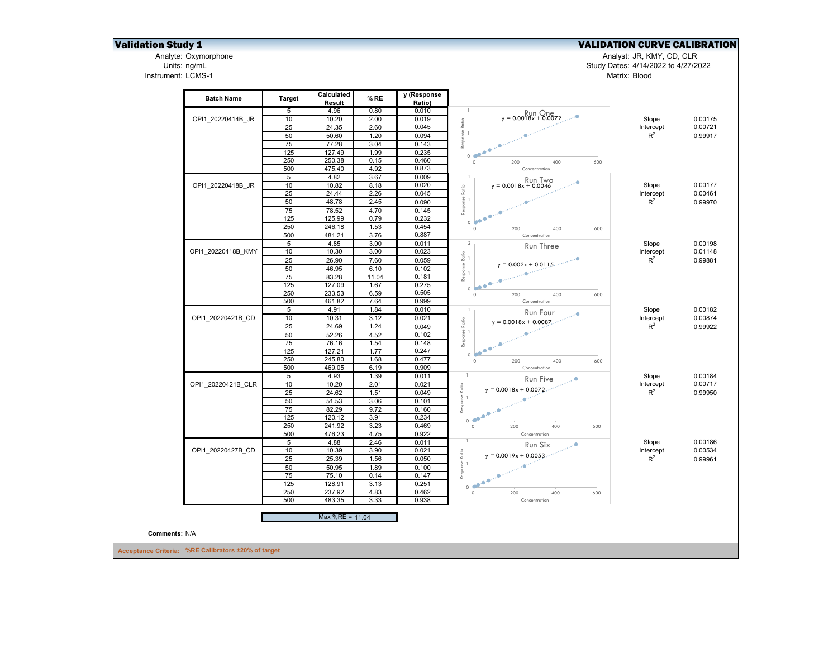## **Validation Study 1** Validation Study 1

Analyte: Oxymorphone Analyst: JR, KMY, CD, CLR

Units: ng/mL Study Dates: 4/14/2022 to 4/27/2022 Matrix: Blood

Analyte: Oxymorphone<br>Units: ng/mL<br>Instrument: LCMS-1

| <b>Batch Name</b>  | <b>Target</b>  | Calculated<br>Result | $%$ RE | y (Response<br>Ratio) |                                   |           |  |
|--------------------|----------------|----------------------|--------|-----------------------|-----------------------------------|-----------|--|
|                    | 5              | 4.96                 | 0.80   | 0.010                 | $\overline{1}$                    |           |  |
| OPI1 20220414B JR  | 10             | 10.20                | 2.00   | 0.019                 | $y = 0.0018x + 0.0072$            | Slope     |  |
|                    | 25             | 24.35                | 2.60   | 0.045                 |                                   | Intercept |  |
|                    | 50             | 50.60                | 1.20   | 0.094                 | Response Ratio<br>--              | $R^2$     |  |
|                    | 75             | 77.28                | 3.04   | 0.143                 |                                   |           |  |
|                    | 125            | 127.49               | 1.99   | 0.235                 | ٠<br>0 <sup>4</sup>               |           |  |
|                    | 250            | 250.38               | 0.15   | 0.460                 | $\circ$<br>400<br>600<br>200      |           |  |
|                    | 500            | 475.40               | 4.92   | 0.873                 | Concentration                     |           |  |
|                    | 5              | 4.82                 | 3.67   | 0.009                 | $\overline{1}$<br>Run Two         |           |  |
| OPI1 20220418B JR  | 10             | 10.82                | 8.18   | 0.020                 | $y = 0.0018x + 0.0046$            | Slope     |  |
|                    | 25             | 24.44                | 2.26   | 0.045                 | Response Ratio                    | Intercept |  |
|                    | 50             | 48.78                | 2.45   | 0.090                 |                                   | $R^2$     |  |
|                    | 75             | 78.52                | 4.70   | 0.145                 |                                   |           |  |
|                    | 125            | 125.99               | 0.79   | 0.232                 | 0 <sup>o</sup>                    |           |  |
|                    | 250            | 246.18               | 1.53   | 0.454                 | $\circ$<br>600<br>200<br>400      |           |  |
|                    | 500            | 481.21               | 3.76   | 0.887                 | Concentration                     |           |  |
|                    | $\overline{5}$ | 4.85                 | 3.00   | 0.011                 | $\overline{2}$<br>Run Three       | Slope     |  |
| OPI1 20220418B KMY | 10             | 10.30                | 3.00   | 0.023                 |                                   | Intercept |  |
|                    | 25             | 26.90                | 7.60   | 0.059                 | $y = 0.002x + 0.0115$             | $R^2$     |  |
|                    | 50             | 46.95                | 6.10   | 0.102                 | Response Ratio<br>--              |           |  |
|                    | 75             | 83.28                | 11.04  | 0.181                 |                                   |           |  |
|                    | 125            | 127.09               | 1.67   | 0.275                 |                                   |           |  |
|                    | 250            | 233.53               | 6.59   | 0.505                 | $\circ$<br>400<br>600<br>200      |           |  |
|                    | 500            | 461.82               | 7.64   | 0.999                 | Concentration                     |           |  |
|                    | 5              | 4.91                 | 1.84   | 0.010                 | $\overline{1}$<br>Run Four<br>    | Slope     |  |
| OPI1 20220421B CD  | 10             | 10.31                | 3.12   | 0.021                 | $y = 0.0018x + 0.0087$ .          | Intercept |  |
|                    | 25             | 24.69                | 1.24   | 0.049                 | Response Ratio                    | $R^2$     |  |
|                    | 50             | 52.26                | 4.52   | 0.102                 |                                   |           |  |
|                    | 75             | 76.16                | 1.54   | 0.148                 | ٠                                 |           |  |
|                    | 125            | 127.21               | 1.77   | 0.247                 | 0 <sup>4</sup>                    |           |  |
|                    | 250            | 245.80               | 1.68   | 0.477                 | $\circ$<br>200<br>400<br>600      |           |  |
|                    | 500            | 469.05               | 6.19   | 0.909                 | Concentration                     |           |  |
|                    | 5              | 4.93                 | 1.39   | 0.011                 | 1<br>Run Five                     | Slope     |  |
| OPI1 20220421B CLR | 10             | 10.20                | 2.01   | 0.021                 | Ratio<br>$y = 0.0018x + 0.0072$ . | Intercept |  |
|                    | 25             | 24.62                | 1.51   | 0.049                 |                                   | $R^2$     |  |
|                    | 50             | 51.53                | 3.06   | 0.101                 | Response F                        |           |  |
|                    | 75             | 82.29                | 9.72   | 0.160                 | ۰<br>$\bullet$<br>۰               |           |  |
|                    | 125            | 120.12               | 3.91   | 0.234                 | $\circ$                           |           |  |
|                    | 250            | 241.92               | 3.23   | 0.469                 | 400<br>$\circ$<br>200<br>600      |           |  |
|                    | 500            | 476.23               | 4.75   | 0.922                 | Concentration<br>-1               |           |  |
|                    | $\overline{5}$ | 4.88                 | 2.46   | 0.011                 | Run Six                           | Slope     |  |
| OPI1 20220427B CD  | 10             | 10.39                | 3.90   | 0.021                 | Ratio<br>$y = 0.0019x + 0.0053$   | Intercept |  |
|                    | 25             | 25.39                | 1.56   | 0.050                 |                                   | $R^2$     |  |
|                    | 50             | 50.95                | 1.89   | 0.100                 | Response I                        |           |  |
|                    | 75             | 75.10                | 0.14   | 0.147                 | $\bullet^\bullet$                 |           |  |
|                    | 125            | 128.91               | 3.13   | 0.251                 | $\circ$                           |           |  |
|                    | 250            | 237.92               | 4.83   | 0.462                 | $\circ$<br>200<br>600<br>400      |           |  |
|                    | 500            | 483.35               | 3.33   | 0.938                 | Concentration                     |           |  |
|                    |                | Max %RE = 11.04      |        |                       |                                   |           |  |
|                    |                |                      |        |                       |                                   |           |  |
|                    |                |                      |        |                       |                                   |           |  |

Accept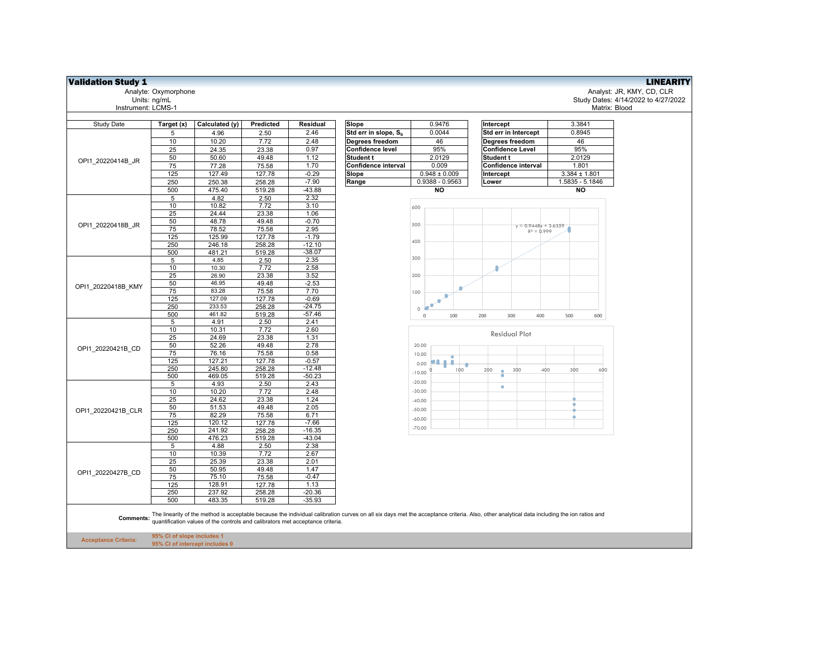| <b>Validation Study 1</b>   |                                                              |                                                                                |                   |                      |                                           |                              |                                                                                                                                                                                           |                   | <b>LINEARITY</b>                    |
|-----------------------------|--------------------------------------------------------------|--------------------------------------------------------------------------------|-------------------|----------------------|-------------------------------------------|------------------------------|-------------------------------------------------------------------------------------------------------------------------------------------------------------------------------------------|-------------------|-------------------------------------|
|                             | Analyte: Oxymorphone                                         |                                                                                |                   |                      |                                           |                              |                                                                                                                                                                                           |                   | Analyst: JR, KMY, CD, CLR           |
|                             | Units: ng/mL                                                 |                                                                                |                   |                      |                                           |                              |                                                                                                                                                                                           |                   | Study Dates: 4/14/2022 to 4/27/2022 |
| Instrument: LCMS-1          |                                                              |                                                                                |                   |                      |                                           |                              |                                                                                                                                                                                           | Matrix: Blood     |                                     |
|                             |                                                              |                                                                                |                   |                      |                                           | 0.9476                       |                                                                                                                                                                                           | 3.3841            |                                     |
| Study Date                  | Target (x)<br>5                                              | Calculated (y)<br>4.96                                                         | Predicted<br>2.50 | Residual<br>2.46     | Slope<br>Std err in slope, S <sub>h</sub> | 0.0044                       | Intercept<br>Std err in Intercept                                                                                                                                                         | 0.8945            |                                     |
|                             | 10                                                           | 10.20                                                                          | 7.72              | 2.48                 | Degrees freedom                           | 46                           | Degrees freedom                                                                                                                                                                           | 46                |                                     |
|                             | 25                                                           | 24.35                                                                          | 23.38             | 0.97                 | Confidence level                          | 95%                          | <b>Confidence Level</b>                                                                                                                                                                   | 95%               |                                     |
|                             | 50                                                           | 50.60                                                                          | 49.48             | 1.12                 | Student t                                 | 2.0129                       | Student t                                                                                                                                                                                 | 2.0129            |                                     |
| OPI1 20220414B JR           | 75                                                           | 77.28                                                                          | 75.58             | 1.70                 | Confidence interval                       | 0.009                        | Confidence interval                                                                                                                                                                       | 1.801             |                                     |
|                             | 125                                                          | 127.49                                                                         | 127.78            | $-0.29$              | Slope                                     | $\overline{0.948} \pm 0.009$ | Intercept                                                                                                                                                                                 | $3.384 \pm 1.801$ |                                     |
|                             | 250                                                          | 250.38                                                                         | 258.28            | $-7.90$              | Range                                     | $0.9388 - 0.9563$            | Lower                                                                                                                                                                                     | 1.5835 - 5.1846   |                                     |
|                             | 500                                                          | 475.40                                                                         | 519.28            | $-43.88$             |                                           | <b>NO</b>                    |                                                                                                                                                                                           | NO                |                                     |
|                             | 5                                                            | 4.82                                                                           | 2.50              | 2.32                 |                                           |                              |                                                                                                                                                                                           |                   |                                     |
|                             | 10                                                           | 10.82                                                                          | 7.72              | 3.10                 |                                           | 600                          |                                                                                                                                                                                           |                   |                                     |
|                             | 25                                                           | 24.44                                                                          | 23.38             | 1.06                 |                                           |                              |                                                                                                                                                                                           |                   |                                     |
| OPI1 20220418B JR           | 50                                                           | 48.78                                                                          | 49.48             | $-0.70$              |                                           | 500                          | $y = 0.9448x + 3.6359$                                                                                                                                                                    |                   |                                     |
|                             | 75                                                           | 78.52                                                                          | 75.58             | 2.95<br>$-1.79$      |                                           |                              | $R^2 = 0.999$                                                                                                                                                                             |                   |                                     |
|                             | 125<br>250                                                   | 125.99<br>246.18                                                               | 127.78<br>258.28  | $-12.10$             |                                           | 400                          |                                                                                                                                                                                           |                   |                                     |
|                             | 500                                                          | 481.21                                                                         | 519.28            | $-38.07$             |                                           |                              |                                                                                                                                                                                           |                   |                                     |
|                             | $\sqrt{5}$                                                   | 4.85                                                                           | 2.50              | 2.35                 |                                           | 300                          |                                                                                                                                                                                           |                   |                                     |
|                             | 10                                                           | 10.30                                                                          | 7.72              | 2.58                 |                                           |                              | ۰                                                                                                                                                                                         |                   |                                     |
|                             | 25                                                           | 26.90                                                                          | 23.38             | 3.52                 |                                           | 200                          |                                                                                                                                                                                           |                   |                                     |
| OPI1 20220418B KMY          | 50                                                           | 46.95                                                                          | 49.48             | $-2.53$              |                                           |                              |                                                                                                                                                                                           |                   |                                     |
|                             | 75                                                           | 83.28                                                                          | 75.58             | 7.70                 |                                           | 100                          |                                                                                                                                                                                           |                   |                                     |
|                             | 125                                                          | 127.09                                                                         | 127.78            | $-0.69$              |                                           |                              |                                                                                                                                                                                           |                   |                                     |
|                             | 250<br>500                                                   | 233.53<br>461.82                                                               | 258.28<br>519.28  | $-24.75$<br>$-57.46$ |                                           | $\circ$                      |                                                                                                                                                                                           |                   |                                     |
|                             | 5                                                            | 4.91                                                                           | 2.50              | 2.41                 |                                           | 100<br>$\mathbb O$           | 200<br>400<br>300                                                                                                                                                                         | 500<br>600        |                                     |
|                             | 10                                                           | 10.31                                                                          | 7.72              | 2.60                 |                                           |                              |                                                                                                                                                                                           |                   |                                     |
|                             | 25                                                           | 24.69                                                                          | 23.38             | 1.31                 |                                           |                              | <b>Residual Plot</b>                                                                                                                                                                      |                   |                                     |
| OPI1 20220421B CD           | 50                                                           | 52.26                                                                          | 49.48             | 2.78                 |                                           | 20.00                        |                                                                                                                                                                                           |                   |                                     |
|                             | 75                                                           | 76.16                                                                          | 75.58             | 0.58                 |                                           | 10.00                        |                                                                                                                                                                                           |                   |                                     |
|                             | 125                                                          | 127.21                                                                         | 127.78            | $-0.57$              |                                           | <b>.</b><br>0.00<br>٠        |                                                                                                                                                                                           |                   |                                     |
|                             | 250                                                          | 245.80                                                                         | 258.28            | $-12.48$             |                                           | 100<br>$-10.00$              | 200<br>300<br>400<br>۰                                                                                                                                                                    | 500<br>600        |                                     |
|                             | 500<br>5                                                     | 469.05<br>4.93                                                                 | 519.28<br>2.50    | $-50.23$<br>2.43     |                                           | $-20.00$                     |                                                                                                                                                                                           |                   |                                     |
|                             | 10                                                           | 10.20                                                                          | 7.72              | 2.48                 |                                           | $-30.00$                     | ۰                                                                                                                                                                                         |                   |                                     |
|                             | 25                                                           | 24.62                                                                          | 23.38             | 1.24                 |                                           | $-40.00$                     |                                                                                                                                                                                           |                   |                                     |
|                             | 50                                                           | 51.53                                                                          | 49.48             | 2.05                 |                                           | $-50.00$                     |                                                                                                                                                                                           |                   |                                     |
| OPI1 20220421B CLR          | 75                                                           | 82.29                                                                          | 75.58             | 6.71                 |                                           | $-60.00$                     |                                                                                                                                                                                           |                   |                                     |
|                             | 125                                                          | 120.12                                                                         | 127.78            | $-7.66$              |                                           | $-70.00$                     |                                                                                                                                                                                           |                   |                                     |
|                             | 250                                                          | 241.92                                                                         | 258.28            | $-16.35$             |                                           |                              |                                                                                                                                                                                           |                   |                                     |
|                             | 500<br>5                                                     | 476.23<br>4.88                                                                 | 519.28<br>2.50    | $-43.04$<br>2.38     |                                           |                              |                                                                                                                                                                                           |                   |                                     |
|                             | 10                                                           | 10.39                                                                          | 7.72              | 2.67                 |                                           |                              |                                                                                                                                                                                           |                   |                                     |
|                             | 25                                                           | 25.39                                                                          | 23.38             | 2.01                 |                                           |                              |                                                                                                                                                                                           |                   |                                     |
|                             | 50                                                           | 50.95                                                                          | 49.48             | 1.47                 |                                           |                              |                                                                                                                                                                                           |                   |                                     |
| OPI1_20220427B_CD           | 75                                                           | 75.10                                                                          | 75.58             | $-0.47$              |                                           |                              |                                                                                                                                                                                           |                   |                                     |
|                             | 125                                                          | 128.91                                                                         | 127.78            | 1.13                 |                                           |                              |                                                                                                                                                                                           |                   |                                     |
|                             | 250                                                          | 237.92                                                                         | 258.28            | $-20.36$             |                                           |                              |                                                                                                                                                                                           |                   |                                     |
|                             | 500                                                          | 483.35                                                                         | 519.28            | $-35.93$             |                                           |                              |                                                                                                                                                                                           |                   |                                     |
| Comments:                   |                                                              | quantification values of the controls and calibrators met acceptance criteria. |                   |                      |                                           |                              | The linearity of the method is acceptable because the individual calibration curves on all six days met the acceptance criteria. Also, other analytical data including the ion ratios and |                   |                                     |
| <b>Acceptance Criteria:</b> | 95% CI of slope includes 1<br>95% CI of intercept includes 0 |                                                                                |                   |                      |                                           |                              |                                                                                                                                                                                           |                   |                                     |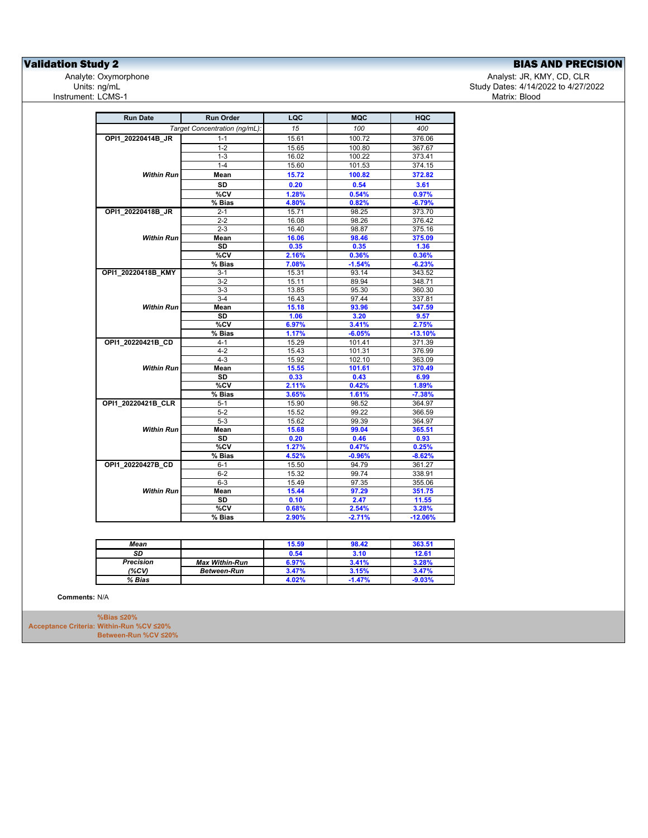**Validation Study 2**<br>
Analyte: Oxymorphone **BIAS AND PRECISION**<br>
Analyte: Oxymorphone **BIAS Analyte: Oxymorphone** Instrument: LCMS-1

Analyte: Oxymorphone و Analyst: JR, KMY, CD, CLR<br>4/2022 to 4/27/20 تاريخ المسابق المستخدم المستخدم المستخدم المستخدم المستخدم المستخدم المستخدم المستخدم المستخدم المستخدم المستخدم المستخدم المستخدم المستخدم المستخدم المست Study Dates: 4/14/2022 to 4/27/2022<br>Matrix: Blood

| <b>Run Date</b>    | <b>Run Order</b>              | LQC            | <b>MQC</b> | HQC       |
|--------------------|-------------------------------|----------------|------------|-----------|
|                    | Target Concentration (ng/mL): | 15             | 100        | 400       |
| OPI1 20220414B JR  | $1 - 1$                       | 15.61          | 100.72     | 376.06    |
|                    | $1 - 2$                       | 15.65          | 100.80     | 367.67    |
|                    | $1 - 3$                       | 16.02          | 100.22     | 373.41    |
|                    | $1 - 4$                       | 15.60          | 101.53     | 374.15    |
| Within Run         | Mean                          | 15.72          | 100.82     | 372.82    |
|                    | <b>SD</b>                     | 0.20           | 0.54       | 3.61      |
|                    | %CV                           | 1.28%          | 0.54%      | 0.97%     |
|                    | % Bias                        | 4.80%          | 0.82%      | $-6.79%$  |
| OPI1_20220418B_JR  | $2 - 1$                       | 15.71          | 98.25      | 373.70    |
|                    | $2 - 2$                       | 16.08          | 98.26      | 376.42    |
|                    | $2 - 3$                       | 16.40          | 98.87      | 375.16    |
| <b>Within Run</b>  | Mean                          | 16.06          | 98.46      | 375.09    |
|                    | <b>SD</b>                     | 0.35           | 0.35       | 1.36      |
|                    | $\overline{\text{°SCV}}$      | 2.16%          | 0.36%      | 0.36%     |
|                    | % Bias                        | 7.08%          | $-1.54%$   | $-6.23%$  |
| OPI1_20220418B_KMY | $3 - 1$                       | 15.31          | 93.14      | 343.52    |
|                    | $3-2$                         | 15.11          | 89.94      | 348.71    |
|                    | $3 - 3$                       | 13.85          | 95.30      | 360.30    |
|                    | $3-4$                         | 16.43          | 97.44      | 337.81    |
| <b>Within Run</b>  | Mean                          | 15.18          | 93.96      | 347.59    |
|                    | <b>SD</b>                     | 1.06           | 3.20       | 9.57      |
|                    | %CV                           | 6.97%          | 3.41%      | 2.75%     |
|                    | % Bias                        | 1.17%          | $-6.05%$   | $-13.10%$ |
| OPI1_20220421B_CD  | $4 - 1$                       | 15.29          | 101.41     | 371.39    |
|                    | $4 - 2$                       | 15.43          | 101.31     | 376.99    |
|                    | $4 - 3$                       | 15.92          | 102.10     | 363.09    |
| <b>Within Run</b>  | Mean                          | 15.55          | 101.61     | 370.49    |
|                    | SD                            | 0.33           | 0.43       | 6.99      |
|                    | %CV                           | 2.11%          | 0.42%      | 1.89%     |
|                    | % Bias                        | 3.65%          | 1.61%      | $-7.38%$  |
| OPI1 20220421B CLR | $5 - 1$                       | 15.90          | 98.52      | 364.97    |
|                    | $5 - 2$                       | 15.52          | 99.22      | 366.59    |
|                    | $5 - 3$                       | 15.62          | 99.39      | 364.97    |
| <b>Within Run</b>  | Mean                          | 15.68          | 99.04      | 365.51    |
|                    | SD                            | 0.20           | 0.46       | 0.93      |
|                    | %CV                           | 1.27%          | 0.47%      | 0.25%     |
|                    | % Bias                        | 4.52%          | $-0.96%$   | $-8.62%$  |
| OPI1 20220427B CD  | $6 - 1$                       | 15.50          | 94.79      | 361.27    |
|                    | $6 - 2$                       | 15.32          | 99.74      | 338.91    |
|                    | $6-3$                         | 15.49          | 97.35      | 355.06    |
| <b>Within Run</b>  | Mean                          | 15.44          | 97.29      | 351.75    |
|                    | <b>SD</b>                     | 0.10           | 2.47       | 11.55     |
|                    | %CV<br>% Bias                 | 0.68%<br>2.90% | 2.54%      | 3.28%     |
|                    |                               |                | $-2.71%$   | $-12.06%$ |

| Mean             |                       | 15.59 | 98.42    | 363.51   |
|------------------|-----------------------|-------|----------|----------|
| SD               |                       | 0.54  | 3.10     | 12.61    |
| <b>Precision</b> | <b>Max Within-Run</b> | 6.97% | 3.41%    | 3.28%    |
| (%CV)            | <b>Between-Run</b>    | 3.47% | 3.15%    | 3.47%    |
| % Bias           |                       | 4.02% | $-1.47%$ | $-9.03%$ |

**Comments:** N/A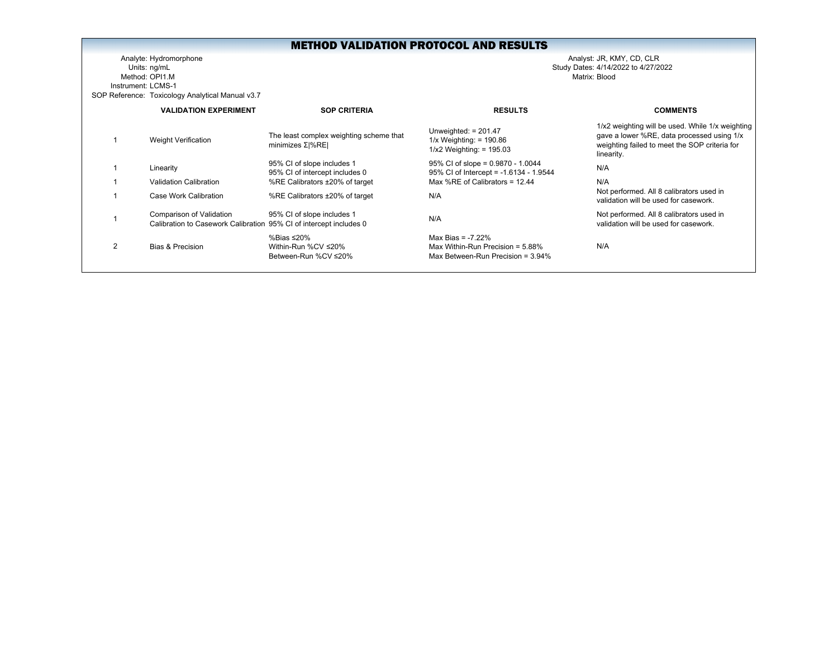Analyte: Hydromorphone Analyst: JR, KMY, CD, CLR Units: ng/mL Study Dates: 4/14/2022 to 4/27/2022 Method: OPI1.M Matrix: Blood Instrument: LCMS-1SOP Reference: Toxicology Analytical Manual v3.7

|                | <b>VALIDATION EXPERIMENT</b>                                                                   | <b>SOP CRITERIA</b>                                             | <b>RESULTS</b>                                                                                     | <b>COMMENTS</b>                                                                                                                                               |
|----------------|------------------------------------------------------------------------------------------------|-----------------------------------------------------------------|----------------------------------------------------------------------------------------------------|---------------------------------------------------------------------------------------------------------------------------------------------------------------|
|                | <b>Weight Verification</b>                                                                     | The least complex weighting scheme that<br>minimizes Σ %RE      | Unweighted: $= 201.47$<br>$1/x$ Weighting: = 190.86<br>$1/x2$ Weighting: = 195.03                  | 1/x2 weighting will be used. While 1/x weighting<br>gave a lower %RE, data processed using 1/x<br>weighting failed to meet the SOP criteria for<br>linearity. |
|                | Linearity                                                                                      | 95% CI of slope includes 1<br>95% CI of intercept includes 0    | $95\%$ CI of slope = 0.9870 - 1.0044<br>95% CI of Intercept = -1.6134 - 1.9544                     | N/A                                                                                                                                                           |
|                | Validation Calibration                                                                         | %RE Calibrators ±20% of target                                  | Max %RE of Calibrators = $12.44$                                                                   | N/A                                                                                                                                                           |
|                | Case Work Calibration                                                                          | %RE Calibrators ±20% of target                                  | N/A                                                                                                | Not performed. All 8 calibrators used in<br>validation will be used for casework.                                                                             |
|                | Comparison of Validation<br>Calibration to Casework Calibration 95% CI of intercept includes 0 | 95% CI of slope includes 1                                      | N/A                                                                                                | Not performed. All 8 calibrators used in<br>validation will be used for casework.                                                                             |
| $\mathfrak{p}$ | Bias & Precision                                                                               | %Bias $\leq$ 20%<br>Within-Run %CV ≤20%<br>Between-Run %CV ≤20% | Max Bias = $-7.22%$<br>Max Within-Run Precision = $5.88\%$<br>Max Between-Run Precision = $3.94\%$ | N/A                                                                                                                                                           |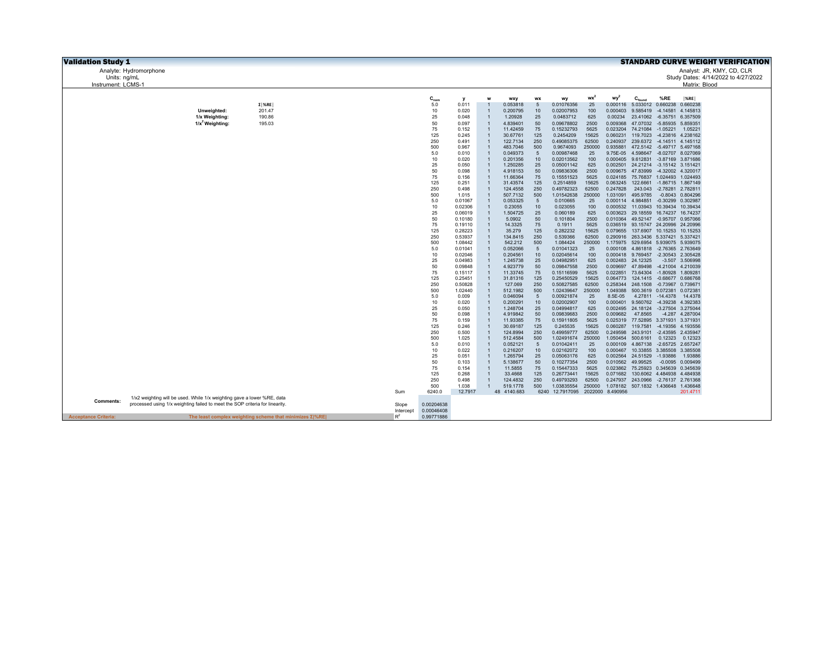| <b>Validation Study 1</b>   |                                                                             |                                                                           |           |                  |                    |                                  |                         |                  |                                  |                       |                      |                                                                               |                  |                                        | <b>STANDARD CURVE WEIGHT VERIFICATION</b> |
|-----------------------------|-----------------------------------------------------------------------------|---------------------------------------------------------------------------|-----------|------------------|--------------------|----------------------------------|-------------------------|------------------|----------------------------------|-----------------------|----------------------|-------------------------------------------------------------------------------|------------------|----------------------------------------|-------------------------------------------|
|                             | Analyte: Hydromorphone                                                      |                                                                           |           |                  |                    |                                  |                         |                  |                                  |                       |                      |                                                                               |                  |                                        | Analyst: JR, KMY, CD, CLR                 |
| Units: ng/mL                |                                                                             |                                                                           |           |                  |                    |                                  |                         |                  |                                  |                       |                      |                                                                               |                  |                                        | Study Dates: 4/14/2022 to 4/27/2022       |
| Instrument: LCMS-1          |                                                                             |                                                                           |           |                  |                    |                                  |                         |                  |                                  |                       |                      |                                                                               |                  | Matrix: Blood                          |                                           |
|                             |                                                                             |                                                                           |           |                  |                    |                                  |                         |                  |                                  |                       |                      |                                                                               |                  |                                        |                                           |
|                             |                                                                             |                                                                           |           | $C_{nom}$<br>5.0 | 0.011              | w                                | wxy<br>0.053818         | <b>WX</b><br>5   | wv<br>0.01076356                 | wx <sup>2</sup><br>25 | wy<br>0.000116       | $C_{\text{found}}$<br>5.033012 0.660238                                       | %RE              | $ \%$ RE<br>0.660238                   |                                           |
|                             | Unweighted:                                                                 | $\Sigma$ %RE<br>201.47                                                    |           | $10$             | 0.020              | $\overline{1}$                   | 0.200795                | 10 <sup>10</sup> | 0.02007953                       | 100                   | 0.000403             | 9.585419                                                                      | $-4.14581$       | 4.145813                               |                                           |
|                             | 1/x Weighting:                                                              | 190.86                                                                    |           | 25               | 0.048              | $\mathbf{1}$                     | 1.20928                 | 25               | 0.0483712                        | 625                   | 0.00234              | 23.41062                                                                      | $-6.35751$       | 6.357509                               |                                           |
|                             | $1/x^2$ Weighting:                                                          | 195.03                                                                    |           | 50               | 0.097              | $\overline{1}$                   | 4.839401                | 50               | 0.09678802                       | 2500                  | 0.009368             | 47.07032                                                                      | $-5.85935$       | 5.859351                               |                                           |
|                             |                                                                             |                                                                           |           | 75               | 0.152              | $\mathbf{1}$                     | 11.42459                | 75               | 0.15232793                       | 5625                  | 0.023204             | 74.21084                                                                      | $-1.05221$       | 1.05221                                |                                           |
|                             |                                                                             |                                                                           |           | 125              | 0.245              | $\overline{1}$                   | 30.67761                | 125              | 0.2454209                        | 15625                 | 0.060231             | 119.7023                                                                      |                  | -4.23816 4.238162                      |                                           |
|                             |                                                                             |                                                                           |           | 250<br>500       | 0.491<br>0.967     | $\overline{1}$<br>$\mathbf{1}$   | 122.7134<br>483.7046    | 250<br>500       | 0.49085375<br>0.9674093          | 62500<br>250000       | 0.240937<br>0.935881 | 239.6372<br>472.5142                                                          |                  | -4.14511 4.145112<br>-5.49717 5.497168 |                                           |
|                             |                                                                             |                                                                           |           | 5.0              | 0.010              | $\overline{1}$                   | 0.049373                | 5                | 0.00987468                       | 25                    | 9.75E-05             | 4.598647                                                                      |                  | -8.02707 8.027069                      |                                           |
|                             |                                                                             |                                                                           |           | 10               | 0.020              | $\overline{1}$                   | 0.201356                | 10               | 0.02013562                       | 100                   |                      | 0.000405 9.612831                                                             |                  | -3.87169 3.871686                      |                                           |
|                             |                                                                             |                                                                           |           | 25               | 0.050              | $\overline{1}$                   | 1.250285                | 25               | 0.05001142                       | 625                   |                      | 0.002501 24.21214 -3.15142 3.151421                                           |                  |                                        |                                           |
|                             |                                                                             |                                                                           |           | 50               | 0.098              | $\overline{1}$                   | 4.918153                | 50               | 0.09836306                       | 2500                  |                      | 0.009675 47.83999                                                             |                  | -4.32002 4.320017                      |                                           |
|                             |                                                                             |                                                                           |           | 75<br>125        | 0.156<br>0.251     | $\overline{1}$<br>$\overline{1}$ | 11.66364<br>31.43574    | 75<br>125        | 0.15551523<br>0.2514859          | 5625<br>15625         | 0.024185             | 75.76837 1.024493<br>0.063245 122.6661                                        | $-1.86715$       | 1.024493<br>1.867149                   |                                           |
|                             |                                                                             |                                                                           |           | 250              | 0.498              | $\overline{1}$                   | 124.4558                | 250              | 0.49782323                       | 62500                 | 0.247828             | 243.043                                                                       |                  | -2.78281 2.782811                      |                                           |
|                             |                                                                             |                                                                           |           | 500              | 1.015              | $\overline{1}$                   | 507.7132                | 500              | 1.01542638                       | 250000                | 1.031091             | 495.9785                                                                      |                  | -0.8043 0.804296                       |                                           |
|                             |                                                                             |                                                                           |           | 5.0              | 0.01067            | $\overline{1}$                   | 0.053325                | 5                | 0.010665                         | 25                    |                      | 0.000114 4.984851                                                             | $-0.30299$       | 0.302987                               |                                           |
|                             |                                                                             |                                                                           |           | 10               | 0.02306            | $\overline{1}$                   | 0.23055                 | 10               | 0.023055                         | 100                   |                      | 0.000532 11.03943 10.39434                                                    |                  | 10.39434                               |                                           |
|                             |                                                                             |                                                                           |           | 25<br>50         | 0.06019<br>0.10180 | $\overline{1}$<br>$\overline{1}$ | 1.504725<br>5.0902      | 25<br>50         | 0.060189<br>0.101804             | 625<br>2500           |                      | 0.003623 29.18559<br>0.010364 49.52147 -0.95707 0.957066                      |                  | 16.74237 16.74237                      |                                           |
|                             |                                                                             |                                                                           |           | 75               | 0.19110            | $\mathbf{1}$                     | 14.3325                 | 75               | 0.1911                           | 5625                  |                      | 0.036519 93.15747 24.20996 24.20996                                           |                  |                                        |                                           |
|                             |                                                                             |                                                                           |           | 125              | 0.28223            | $\mathbf{1}$                     | 35.279                  | 125              | 0.282232                         | 15625                 |                      | 0.079655 137.6907                                                             |                  | 10.15253 10.15253                      |                                           |
|                             |                                                                             |                                                                           |           | 250              | 0.53937            | $\overline{1}$                   | 134.8415                | 250              | 0.539366                         | 62500                 |                      | 0.290916 263.3436 5.337421 5.337421                                           |                  |                                        |                                           |
|                             |                                                                             |                                                                           |           | 500              | 1.08442            | $\mathbf{1}$                     | 542.212                 | 500              | 1.084424                         | 250000                |                      | 1.175975 529.6954 5.939075 5.939075                                           |                  |                                        |                                           |
|                             |                                                                             |                                                                           |           | 5.0<br>10        | 0.01041<br>0.02046 | $\overline{1}$<br>$\mathbf{1}$   | 0.052066<br>0.204561    | 5<br>10          | 0.01041323<br>0.02045614         | 25<br>100             |                      | 0.000108 4.861818 -2.76365 2.763649<br>0.000418  9.769457  -2.30543  2.305428 |                  |                                        |                                           |
|                             |                                                                             |                                                                           |           | 25               | 0.04983            |                                  | 1.245738                | 25               | 0.04982951                       | 625                   |                      | 0.002483 24.12325                                                             |                  | -3.507 3.506998                        |                                           |
|                             |                                                                             |                                                                           |           | 50               | 0.09848            | $\overline{1}$                   | 4.923779                | 50               | 0.09847558                       | 2500                  | 0.009697             | 47.89498                                                                      |                  | -4.21004 4.210039                      |                                           |
|                             |                                                                             |                                                                           |           | 75               | 0.15117            | $\overline{1}$                   | 11.33745                | 75               | 0.15116599                       | 5625                  | 0.022851             | 73.64304                                                                      | $-1.80928$       | 1.809281                               |                                           |
|                             |                                                                             |                                                                           |           | 125              | 0.25451            | $\mathbf{1}$                     | 31.81316                | 125              | 0.25450529                       | 15625                 |                      | 0.064773 124.1415 -0.68677 0.686768                                           |                  |                                        |                                           |
|                             |                                                                             |                                                                           |           | 250<br>500       | 0.50828<br>1.02440 | $\overline{1}$<br>$\mathbf{1}$   | 127.069<br>512.1982     | 250<br>500       | 0.50827585<br>1.02439647         | 62500<br>250000       | 0.258344<br>1.049388 | 248.1508<br>500.3619 0.072381 0.072381                                        |                  | -0.73967 0.739671                      |                                           |
|                             |                                                                             |                                                                           |           | 5.0              | 0.009              | $\overline{1}$                   | 0.046094                | 5                | 0.00921874                       | 25                    | 8.5E-05              |                                                                               | 4.27811 -14.4378 | 14,4378                                |                                           |
|                             |                                                                             |                                                                           |           | $10$             | 0.020              | $\overline{1}$                   | 0.200291                | 10               | 0.02002907                       | 100                   | 0.000401             | 9.560762 -4.39238 4.392383                                                    |                  |                                        |                                           |
|                             |                                                                             |                                                                           |           | 25               | 0.050              | $\mathbf{1}$                     | 1.248704                | 25               | 0.04994817                       | 625                   |                      | 0.002495 24.18124 -3.27504 3.275044                                           |                  |                                        |                                           |
|                             |                                                                             |                                                                           |           | 50<br>75         | 0.098              | $\overline{1}$<br>$\overline{1}$ | 4.919842                | 50               | 0.09839683                       | 2500                  | 0.009682             | 47.8565                                                                       |                  | -4.287 4.287004                        |                                           |
|                             |                                                                             |                                                                           |           | 125              | 0.159<br>0.246     | $\overline{1}$                   | 11.93385<br>30.69187    | 75<br>125        | 0.15911805<br>0.245535           | 5625<br>15625         | 0.060287             | 0.025319 77.52895 3.371931<br>119.7581                                        |                  | 3.371931<br>-4.19356 4.193556          |                                           |
|                             |                                                                             |                                                                           |           | 250              | 0.500              | $\overline{1}$                   | 124.8994                | 250              | 0.49959777                       | 62500                 | 0.249598             | 243.9101 -2.43595 2.435947                                                    |                  |                                        |                                           |
|                             |                                                                             |                                                                           |           | 500              | 1.025              | $\overline{1}$                   | 512.4584                | 500              | 1.02491674                       | 250000                |                      | 1.050454 500.6161                                                             | 0.12323          | 0.12323                                |                                           |
|                             |                                                                             |                                                                           |           | 5.0              | 0.010              | $\overline{1}$                   | 0.052121                | 5                | 0.01042411                       | 25                    |                      | 0.000109 4.867138                                                             |                  | -2.65725 2.657247                      |                                           |
|                             |                                                                             |                                                                           |           | 10<br>25         | 0.022<br>0.051     | $\overline{1}$<br>$\overline{1}$ | 0.216207<br>1.265794    | 10<br>25         | 0.02162072<br>0.05063176         | 100<br>625            | 0.002564             | 0.000467 10.33855 3.385508<br>24.51529                                        | $-1.93886$       | 3.385508<br>1.93886                    |                                           |
|                             |                                                                             |                                                                           |           | 50               | 0.103              | $\overline{1}$                   | 5.138677                | 50               | 0.10277354                       | 2500                  |                      | 0.010562 49.99525                                                             | $-0.0095$        | 0.009499                               |                                           |
|                             |                                                                             |                                                                           |           | 75               | 0.154              | $\overline{1}$                   | 11.5855                 | 75               | 0.15447333                       | 5625                  |                      | 0.023862 75.25923 0.345639 0.345639                                           |                  |                                        |                                           |
|                             |                                                                             |                                                                           |           | 125              | 0.268              | $\overline{1}$                   | 33.4668                 | 125              | 0.26773441                       | 15625                 | 0.071682             | 130.6062 4.484938                                                             |                  | 4.484938                               |                                           |
|                             |                                                                             |                                                                           |           | 250              | 0.498              | $\overline{1}$                   | 124.4832                | 250              | 0.49793293                       | 62500                 | 0.247937             | 243.0966                                                                      |                  | -2.76137 2.761368                      |                                           |
|                             |                                                                             |                                                                           |           | 500              | 1.038<br>12.7917   | $\overline{1}$                   | 519.1778<br>48 4140.683 | 500              | 1.03835554                       | 250000                |                      | 1.078182 507.1832 1.436648 1.436648                                           |                  |                                        |                                           |
|                             | 1/x2 weighting will be used. While 1/x weighting gave a lower %RE, data     |                                                                           | Sum       | 6240.0           |                    |                                  |                         |                  | 6240 12.7917095 2022000 8.490956 |                       |                      |                                                                               |                  | 201.4711                               |                                           |
| <b>Comments:</b>            | processed using 1/x weighting failed to meet the SOP criteria for linearity |                                                                           | Slope     | 0.00204638       |                    |                                  |                         |                  |                                  |                       |                      |                                                                               |                  |                                        |                                           |
|                             |                                                                             |                                                                           | Intercept | 0.00046408       |                    |                                  |                         |                  |                                  |                       |                      |                                                                               |                  |                                        |                                           |
| <b>Acceptance Criteria:</b> |                                                                             | The least complex weighting scheme that minimizes $\Sigma$ <sup>%RE</sup> | $R^2$     | 0.99771886       |                    |                                  |                         |                  |                                  |                       |                      |                                                                               |                  |                                        |                                           |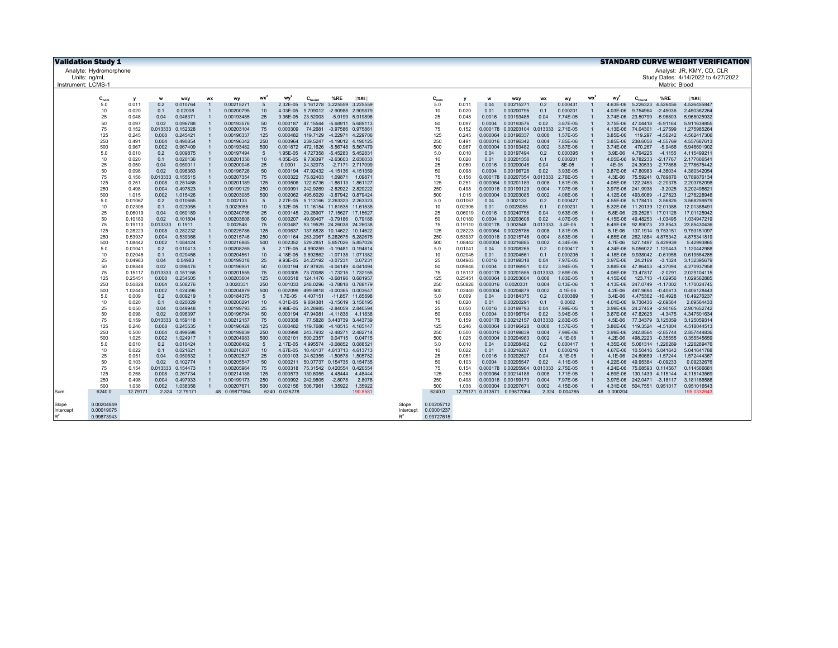|                    | <b>Validation Study 1</b><br><b>STANDARD CURVE WEIGHT VERIFICATION</b> |                    |                   |                               |                                  |                          |                 |                      |                                                          |                           |                  |                    |                          |                    |              |                                            |                   |                      |                |                      |                                        |                         |                                     |
|--------------------|------------------------------------------------------------------------|--------------------|-------------------|-------------------------------|----------------------------------|--------------------------|-----------------|----------------------|----------------------------------------------------------|---------------------------|------------------|--------------------|--------------------------|--------------------|--------------|--------------------------------------------|-------------------|----------------------|----------------|----------------------|----------------------------------------|-------------------------|-------------------------------------|
|                    | Analyte: Hydromorphone                                                 |                    |                   |                               |                                  |                          |                 |                      |                                                          |                           |                  |                    |                          |                    |              |                                            |                   |                      |                |                      |                                        |                         | Analyst: JR, KMY, CD, CLR           |
|                    | Units: na/mL                                                           |                    |                   |                               |                                  |                          |                 |                      |                                                          |                           |                  |                    |                          |                    |              |                                            |                   |                      |                |                      |                                        |                         | Study Dates: 4/14/2022 to 4/27/2022 |
| Instrument: LCMS-1 |                                                                        |                    |                   |                               |                                  |                          |                 |                      |                                                          |                           |                  |                    |                          |                    |              |                                            |                   |                      |                |                      |                                        | Matrix: Blood           |                                     |
|                    |                                                                        |                    |                   |                               |                                  |                          |                 |                      |                                                          |                           |                  |                    |                          |                    |              |                                            |                   |                      |                |                      |                                        |                         |                                     |
|                    | $C_{nom}$                                                              | $\mathbf{v}$       | w                 | wxy                           | <b>WX</b>                        | wy                       | wx <sup>2</sup> | wy <sup>2</sup>      | $C_{\text{found}}$                                       | %RE                       | %RE              |                    | $C_{nom}$                | v                  | w            | <b>WXY</b>                                 | <b>WX</b>         | wy                   | <b>WX</b>      | wy                   | $C_{\text{found}}$                     | %RE                     | %RE                                 |
|                    | 5.0<br>10                                                              | 0.011<br>0.020     | 0.2<br>0.1        | 0.010764<br>0.02008           | $\overline{1}$                   | 0.00215271<br>0.00200795 | 5<br>10         | 2.32E-05<br>4.03E-05 | 5.161278 3.225559 3.225559<br>9.709012 -2.90988 2.909879 |                           |                  |                    | 5.0<br>10                | 0.011<br>0.020     | 0.04<br>0.01 | 0.00215271<br>0.00200795                   | 0.2<br>0.1        | 0.000431<br>0.000201 |                | 4.63E-06<br>4.03E-06 | 5.226323 4.526456<br>9.754964          | $-2.45036$              | 4.526455847<br>2.450362264          |
|                    | 25                                                                     | 0.048              | 0.04              | 0.048371                      |                                  | 0.00193485               | 25              | 9.36E-05             | 23.52003                                                 |                           | -5.9199 5.919896 |                    | 25                       | 0.048              | 0.0016       | 0.00193485                                 | 0.04              | 7.74E-05             |                | 3.74E-06             | 23.50799                               | $-5.96803$              | 5.968025932                         |
|                    | 50                                                                     | 0.097              | 0.02              | 0.096788                      |                                  | 0.00193576               | 50              | 0.000187             | 47.15544                                                 | -5.68911 5.689113         |                  |                    | 50                       | 0.097              | 0.0004       | 0.00193576                                 | 0.02              | 3.87E-05             |                | 3.75E-06             | 47.04418                               | $-5.91164$              | 5.911639855                         |
|                    | 75                                                                     | 0.152              | 0.013333          | 0.152328                      |                                  | 0.00203104               | 75              | 0.000309             | 74.2681                                                  | -0.97586 0.975861         |                  |                    | 75                       | 0.152              |              | 0.000178 0.00203104                        | 0.013333          | 2.71E-05             |                | 4.13E-06             | 74.04301                               | $-1.27599$              | 1.275985264                         |
|                    | 125                                                                    | 0.245              | 0.008             | 0.245421                      |                                  | 0.00196337               | 125             | 0.000482             | 119.7129                                                 | -4.22971 4.229706         |                  |                    | 125                      | 0.245              |              | 0.000064 0.00196337                        | 0.008             | 1.57E-05             |                | 3.85E-06             | 119.297                                | $-4.56242$              | 4.562417306                         |
|                    | 250                                                                    | 0.491              | 0.004             | 0.490854                      |                                  | 0.00196342               | 250             | 0.000964             | 239.5247 -4.19012 4.190125                               |                           |                  |                    | 250                      | 0.491              |              | 0.000016 0.00196342                        | 0.004             | 7.85E-06             |                | 3.85E-06             | 238,6058                               | $-4.55769$              | 4.557687613                         |
|                    | 500<br>5.0                                                             | 0.967<br>0.010     | 0.002<br>0.2      | 0.967409<br>0.009875          |                                  | 0.00193482<br>0.00197494 | 500<br>5        | 1.95E-05             | 0.001872 472.1626<br>4.727358 -5.45283 5.45283           | -5.56748 5.567479         |                  |                    | 500<br>5.0               | 0.967<br>0.010     | 0.04         | 0.000004 0.00193482<br>0.00197494          | 0.002<br>0.2      | 3.87E-06<br>0.000395 |                | 3.74E-06<br>3.9E-06  | 470.267<br>4.794225                    | $-5.9466$<br>$-4.1155$  | 5.946601902<br>4.11549921           |
|                    | 10                                                                     | 0.020              | 0.1               | 0.020136                      | $\overline{1}$                   | 0.00201356               | 10              | 4.05E-05             | 9.736397                                                 | -2.63603 2.636033         |                  |                    | 10                       | 0.020              | 0.01         | 0.00201356                                 | 0.1               | 0.000201             | $\overline{1}$ | 4.05E-06             | 9.782233                               | $-2.17767$              | 2.17766654                          |
|                    | 25                                                                     | 0.050              | 0.04              | 0.050011                      | $\overline{1}$                   | 0.00200046               | 25              | 0.0001               | 24.32073                                                 | -2.7171 2.717099          |                  |                    | 25                       | 0.050              | 0.0016       | 0.00200046                                 | 0.04              | 8E-05                |                | 4E-06                | 24.30533                               | $-2.77868$              | 2.778675442                         |
|                    | 50                                                                     | 0.098              | 0.02              | 0.098363                      | $\overline{1}$                   | 0.00196726               | 50              | 0.000194             | 47.92432 -4.15136 4.151359                               |                           |                  |                    | 50                       | 0.098              | 0.0004       | 0.00196726                                 | 0.02              | 3.93E-05             |                | 3.87E-06             | 47.80983                               | $-4.38034$              | 4.380342054                         |
|                    | 75                                                                     | 0.156              | 0.013333          | 0.155515                      |                                  | 0.00207354               | 75              | 0.000322             | 75.82403                                                 | 1.09871                   | 1.0987           |                    | 75                       | 0.156              |              | 0.000178 0.00207354                        | 0.013333          | 2.76E-05             |                | $4.3E - 06$          | 75.59241 0.789876                      |                         | 0.789876134                         |
|                    | 125                                                                    | 0.251              | 0.008             | 0.251486                      | $\overline{1}$                   | 0.00201189               | 125             | 0.000506             | 122.6736 -1.86113 1.861127                               |                           |                  |                    | 125                      | 0.251              |              | 0.000064 0.00201189                        | 0.008             | 1.61E-05             |                | 4.05E-06             | 122.2453 -2.20378                      |                         | 2.203782098                         |
|                    | 250<br>500                                                             | 0.498              | 0.004<br>0.002    | 0.497823                      | $\overline{1}$<br>$\overline{1}$ | 0.00199129               | 250<br>500      | 0.000991<br>0.002062 | 242,9269<br>495,6029                                     | -2.82922 2.829222         |                  |                    | 250<br>500               | 0.498              |              | 0.000016 0.00199129                        | 0.004<br>0.002    | 7.97E-06<br>4.06E-06 | $\overline{1}$ | 3.97E-06             | 241.9938<br>493.6089                   | $-3.2025$<br>$-1.27823$ | 3.202498621                         |
|                    | 5.0                                                                    | 1.015<br>0.01067   | 0.2               | 1.015426<br>0.010665          | $\overline{1}$                   | 0.00203085<br>0.002133   | 5               | 2.27E-05             | 5.113166 2.263323 2.263323                               | -0.87942 0.879424         |                  |                    | 5.0                      | 1.015<br>0.01067   | 0.04         | 0.000004 0.00203085<br>0.002133            | 0.2               | 0.000427             | $\blacksquare$ | 4.12E-06<br>4.55E-06 | 5.178413                               | 3.56826                 | 1.278228946<br>3.568259579          |
|                    | 10                                                                     | 0.02306            | 0.1               | 0.023055                      |                                  | 0.0023055                | 10              | 5.32E-05             | 11.16154 11.61535 11.61535                               |                           |                  |                    | 10                       | 0.02306            | 0.01         | 0.0023055                                  | 0.1               | 0.000231             | $\overline{1}$ | 5.32E-06             | 11.20139 12.01388                      |                         | 12.0138849                          |
|                    | 25                                                                     | 0.06019            | 0.04              | 0.060189                      | $\overline{1}$                   | 0.00240756               | 25              | 0.000145             | 29.28907 17.15627 17.15627                               |                           |                  |                    | 25                       | 0.06019            | 0.0016       | 0.00240756                                 | 0.04              | 9.63E-05             |                | 5.8E-06              | 29.25281 17.01126                      |                         | 17.01125942                         |
|                    | 50                                                                     | 0.10180            | 0.02              | 0.101804                      |                                  | 0.00203608               | 50              | 0.000207             | 49.60407 -0.79186                                        |                           | 0.79186          |                    | 50                       | 0.10180            | 0.0004       | 0.00203608                                 | 0.02              | 4.07E-05             |                | 4.15E-06             | 49.48253                               | $-1.03495$              | 1.034947219                         |
|                    | 75                                                                     | 0.19110            | 0.013333          | 0.1911                        |                                  | 0.002548                 | 75              | 0.000487             | 93.19529 24.26038 24.26038                               |                           |                  |                    | 75                       | 0.19110            | 0.000178     | 0.002548                                   | 0.013333          | 3.4E-05              |                | 6.49E-06             | 92.89073 23.8543                       |                         | 23.85430436                         |
|                    | 125                                                                    | 0.28223            | 0.008             | 0.282232                      | $\overline{1}$                   | 0.00225786               | 125             | 0.000637             | 137.6828 10.14622 10.14622                               |                           |                  |                    | 125                      | 0.28223            |              | 0.000064 0.00225786                        | 0.008             | 1.81E-05             |                | $5.1E-06$            | 137.1914 9.753151                      |                         | 9.753151097                         |
|                    | 250<br>500                                                             | 0.53937<br>1.08442 | 0.004<br>0.002    | 0.539366<br>1.084424          |                                  | 0.00215746<br>0.00216885 | 250<br>500      | 0.001164<br>0.002352 | 263.2067 5.282675 5.282675<br>529.2851 5.857026 5.857026 |                           |                  |                    | 250<br>500               | 0.53937<br>1.08442 |              | 0.000016 0.00215746<br>0.000004 0.00216885 | 0.004<br>0.002    | 8.63E-06<br>4.34E-06 | $\overline{1}$ | 4.65E-06<br>4.7E-06  | 262.1884 4.875342<br>527.1497 5.429939 |                         | 4.875341819<br>5.42993865           |
|                    | 5.0                                                                    | 0.01041            | 0.2               | 0.010413                      |                                  | 0.00208265               | 5               | 2.17E-05             | 4.990259 -0.19481 0.194814                               |                           |                  |                    | 5.0                      | 0.01041            | 0.04         | 0.00208265                                 | 0.2               | 0.000417             | $\overline{1}$ | 4.34E-06             | 5.056022 1.120443                      |                         | 1.120442988                         |
|                    | 10                                                                     | 0.02046            | 0.1               | 0.020456                      | $\overline{1}$                   | 0.00204561               | 10              | 4.18E-05             | 9.892862                                                 | $-1.07138$                | 1.071382         |                    | 10                       | 0.02046            | 0.01         | 0.00204561                                 | 0.1               | 0.000205             | $\overline{1}$ | 4.18E-06             | 9.938042                               | $-0.61958$              | 0.619584285                         |
|                    | 25                                                                     | 0.04983            | 0.04              | 0.04983                       |                                  | 0.00199318               | 25              | 9.93E-05             | 24.23192 -3.07231                                        |                           | 3.0723           |                    | 25                       | 0.04983            | 0.0016       | 0.00199318                                 | 0.04              | 7.97E-05             |                | 3.97E-06             | 24.2169                                | $-3.1324$               | 3.132395679                         |
|                    | 50                                                                     | 0.09848            | 0.02              | 0.098476                      |                                  | 0.00196951               | 50              | 0.000194             | 47.97925 -4.04149 4.041494                               |                           |                  |                    | 50                       | 0.09848            | 0.0004       | 0.00196951                                 | 0.02              | 3.94E-05             |                | 3.88E-06             | 47.86453                               | $-4.27094$              | 4.270937958                         |
|                    | 75                                                                     | 0.15117            | 0.013333          | 0.151166                      |                                  | 0.00201555               | 75              | 0.000305             | 73.70088 -1.73215 1.732155                               |                           |                  |                    | 75                       | 0.15117            |              | 0.000178 0.00201555 0.013333               |                   | 2.69E-05             |                | 4.06E-06             | 73,47817                               | $-2.0291$               | 2.029104115                         |
|                    | 125<br>250                                                             | 0.25451<br>0.50828 | 0.008<br>0.004    | 0.254505<br>0.508276          | $\overline{1}$                   | 0.00203604<br>0.0020331  | 125<br>250      | 0.000518<br>0.001033 | 124.1476 -0.68196 0.681957<br>248.0296                   | -0.78818 0.788179         |                  |                    | 125<br>250               | 0.25451<br>0.50828 | 0.000016     | 0.000064 0.00203604<br>0.0020331           | 0.008<br>0.004    | 1.63E-05<br>8.13E-06 |                | 4.15E-06<br>4.13E-06 | 123,713<br>247.0749 -1.17002           | $-1.02956$              | 1.029562885<br>1.170024745          |
|                    | 500                                                                    | 1.02440            | 0.002             | 1.024396                      | $\overline{1}$                   | 0.00204879               | 500             | 0.002099             | 499.9818                                                 | $-0.00365$ 0.003647       |                  |                    | 500                      | 1.02440            |              | 0.000004 0.00204879                        | 0.002             | 4.1E-06              | $\overline{1}$ | $4.2E - 06$          | 497.9694                               | $-0.40613$              | 0.406128443                         |
|                    | 5.0                                                                    | 0.009              | 0.2               | 0.009219                      | $\overline{1}$                   | 0.00184375               | $\sqrt{5}$      | 1.7E-05              | 4.407151                                                 | -11.857 11.85698          |                  |                    | 5.0                      | 0.009              | 0.04         | 0.00184375                                 | 0.2               | 0.000369             | $\overline{1}$ | $3.4E - 06$          | 4.475362                               | $-10.4928$              | 10.49276237                         |
|                    | 10                                                                     | 0.020              | 0.1               | 0.020029                      | $\overline{1}$                   | 0.00200291               | 10              | 4.01E-05             | 9.684381                                                 | -3.15619 3.156195         |                  |                    | 10                       | 0.020              | 0.01         | 0.00200291                                 | 0.1               | 0.0002               | $\overline{1}$ | 4.01E-06             | 9.730436                               | $-2.69564$              | 2.69564433                          |
|                    | 25                                                                     | 0.050              | 0.04              | 0.049948                      |                                  | 0.00199793               | 25              | 9.98E-05             | 24.28985                                                 | -2.84059 2.840594         |                  |                    | 25                       | 0.050              | 0.0016       | 0.00199793                                 | 0.04              | 7.99E-05             | $\overline{1}$ | 3.99E-06             | 24.27459                               | $-2.90165$              | 2.901652742                         |
|                    | 50                                                                     | 0.098              | 0.02              | 0.098397                      |                                  | 0.00196794               | 50              | 0.000194             | 47.94081                                                 | $-4.11838$                | 4.11838          |                    | 50                       | 0.098              | 0.0004       | 0.00196794                                 | 0.02              | 3.94E-05             |                | 3.87E-06             | 47.82625                               | $-4.3475$               | 4.347501634                         |
|                    | 75<br>125                                                              | 0.159<br>0.246     | 0.013333<br>0.008 | 0.159118<br>0.245535          |                                  | 0.00212157<br>0.00196428 | 75<br>125       | 0.000338<br>0.000482 | 119.7686 -4.18515 4.185147                               | 77.5828 3.443739 3.443739 |                  |                    | 75<br>125                | 0.159<br>0.246     |              | 0.000178 0.00212157<br>0.000064 0.00196428 | 0.013333<br>0.008 | 2.83E-05<br>1.57E-05 |                | 4.5E-06<br>3.86E-06  | 77.34379 3.125059<br>119,3524          | $-4.51804$              | 3.125059314<br>4.518044513          |
|                    | 250                                                                    | 0.500              | 0.004             | 0.499598                      |                                  | 0.00199839               | 250             | 0.000998             | 243.7932 -2.48271 2.482714                               |                           |                  |                    | 250                      | 0.500              |              | 0.000016 0.00199839                        | 0.004             | 7.99E-06             |                | 3.99E-06             | 242.8564                               | $-2.85744$              | 2.857444836                         |
|                    | 500                                                                    | 1.025              | 0.002             | 1.024917                      |                                  | 0.00204983               | 500             | 0.002101             | 500.2357                                                 | 0.04715                   | 0.04715          |                    | 500                      | 1.025              |              | 0.000004 0.00204983                        | 0.002             | 4.1E-06              |                | $4.2E - 06$          | 498.2223                               | $-0.35555$              | 0.355545659                         |
|                    | 5.0                                                                    | 0.010              | 0.2               | 0.010424                      |                                  | 0.00208482               | $\overline{5}$  | 2.17E-05             | 4.995574 -0.08852 0.08852                                |                           |                  |                    | 5.0                      | 0.010              | 0.04         | 0.00208482                                 | 0.2               | 0.000417             | $\overline{1}$ | 4.35E-06             | 5.061314 1.226289                      |                         | 1.226289476                         |
|                    | 10                                                                     | 0.022              | 0.1               | 0.021621                      | $\overline{1}$                   | 0.00216207               | 10              | 4.67E-05             | 10.46137 4.613713 4.613713                               |                           |                  |                    | 10                       | 0.022              | 0.01         | 0.00216207                                 | 0.1               | 0.000216             | $\overline{1}$ | 4.67E-06             | 10.50416 5.041642                      |                         | 5.041641788                         |
|                    | 25                                                                     | 0.051              | 0.04              | 0.050632                      |                                  | 0.00202527               | 25              | 0.000103             | 24.62355 -1.50578 1.505782                               |                           |                  |                    | 25                       | 0.051              | 0.0016       | 0.00202527                                 | 0.04              | 8.1E-05              |                | $4.1E - 06$          | 24.60689                               | $-1.57244$              | 1.572444367                         |
|                    | 50<br>75                                                               | 0.103<br>0.154     | 0.02              | 0.102774<br>0.013333 0.154473 |                                  | 0.00205547<br>0.00205964 | 50<br>75        | 0.000211<br>0.000318 | 50.07737 0.154735 0.154735<br>75.31542 0.420554          |                           | 0.420554         |                    | 50<br>75                 | 0.103<br>0.154     | 0.0004       | 0.00205547<br>0.000178 0.00205964          | 0.02<br>0.013333  | 4.11E-05<br>2.75E-05 |                | 4.22E-06<br>4.24E-06 | 49.95384<br>75.08593 0.114567          | $-0.09233$              | 0.09232676<br>0.11456668            |
|                    | 125                                                                    | 0.268              | 0.008             | 0.267734                      |                                  | 0.00214188               | 125             | 0.000573             | 130,6055                                                 | 4.48444                   | 4.48444          |                    | 125                      | 0.268              |              | 0.000064 0.00214188                        | 0.008             | 1.71E-05             |                | 4.59E-06             | 130.1439 4.115144                      |                         | 4.115143569                         |
|                    | 250                                                                    | 0.498              | 0.004             | 0.497933                      | $\overline{1}$                   | 0.00199173               | 250             | 0.000992             | 242.9805                                                 | $-2.8078$                 | 2.8078           |                    | 250                      | 0.498              |              | 0.000016 0.00199173                        | 0.004             | 7.97E-06             | $\overline{1}$ | 3.97E-06             | 242.0471 -3.18117                      |                         | 3.181166588                         |
|                    | 500                                                                    | 1.038              | 0.002             | 1.038356                      | $\overline{1}$                   | 0.00207671               | 500             | 0.002156             | 506.7961                                                 | 1.35922                   | 1.35922          |                    | 500                      | 1.038              |              | 0.000004 0.00207671                        | 0.002             | 4.15E-06             | $\mathbf{1}$   | 4.31E-06             |                                        |                         | 504.7551 0.951017 0.951016543       |
| Sum                | 6240.0                                                                 | 12.79171           |                   | 2.324 12.79171                |                                  | 48 0.09877064            |                 | 6240 0.026278        |                                                          |                           | 190.8581         |                    | 6240.0                   |                    |              | 12.79171 0.313571 0.09877064               |                   | 2.324 0.004785       | 48             | 0.000204             |                                        |                         | 195.0332643                         |
|                    | 0.00204849                                                             |                    |                   |                               |                                  |                          |                 |                      |                                                          |                           |                  |                    |                          |                    |              |                                            |                   |                      |                |                      |                                        |                         |                                     |
| Slope<br>Intercept | 0.00019075                                                             |                    |                   |                               |                                  |                          |                 |                      |                                                          |                           |                  | Slope<br>Intercept | 0.00205712<br>0.00001237 |                    |              |                                            |                   |                      |                |                      |                                        |                         |                                     |
| $R^2$              | 0.99873943                                                             |                    |                   |                               |                                  |                          |                 |                      |                                                          |                           |                  | $R^2$              | 0.99727615               |                    |              |                                            |                   |                      |                |                      |                                        |                         |                                     |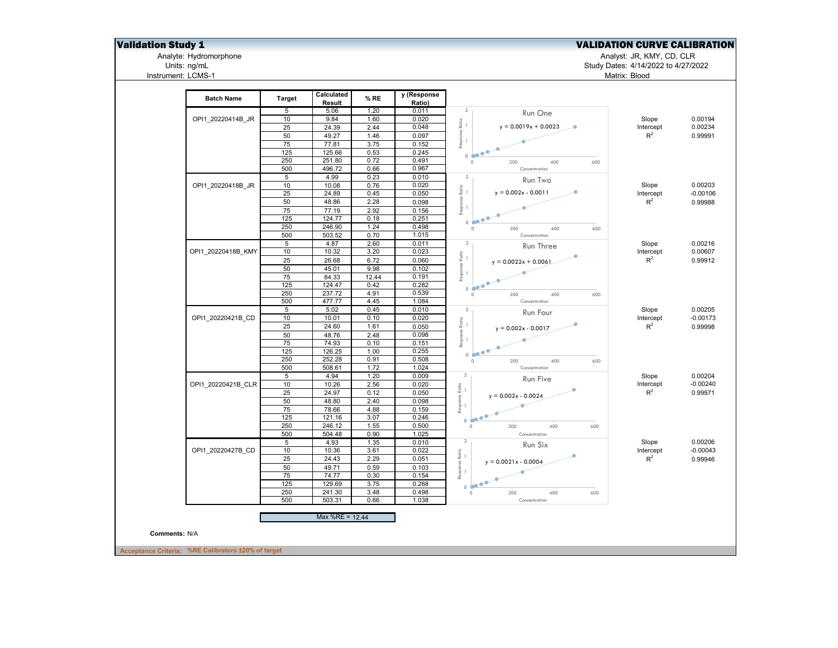# Analyte: Hydromorphone<br>Units: ng/mL<br>Instrument: LCMS-1

## **Validation Study 1** Validation Study 1

Analyte: Hydromorphone Analyst: JR, KMY, CD, CLR

| <b>Batch Name</b>  | <b>Target</b>   | Calculated<br>Result | % RE  | y (Response<br>Ratio) |                                                             |           |            |
|--------------------|-----------------|----------------------|-------|-----------------------|-------------------------------------------------------------|-----------|------------|
|                    | 5               | 5.06                 | 1.20  | 0.011                 | $\overline{2}$<br>Run One                                   |           |            |
| OPI1 20220414B JR  | 10              | 9.84                 | 1.60  | 0.020                 |                                                             | Slope     | 0.00194    |
|                    | 25              | 24.39                | 2.44  | 0.048                 | $\stackrel{\text{co}}{\approx}$ 1<br>$y = 0.0019x + 0.0023$ | Intercept | 0.00234    |
|                    | 50              | 49.27                | 1.46  | 0.097                 | Response F                                                  | $R^2$     | 0.99991    |
|                    | 75              | 77.81                | 3.75  | 0.152                 |                                                             |           |            |
|                    | 125             | 125.66               | 0.53  | 0.245                 | 0.600                                                       |           |            |
|                    | 250             | 251.80               | 0.72  | 0.491                 | 200<br>400<br>600<br>$\circ$                                |           |            |
|                    | 500             | 496.72               | 0.66  | 0.967                 | Concentration                                               |           |            |
|                    | 5               | 4.99                 | 0.23  | 0.010                 | $\overline{2}$<br>Run Two                                   |           |            |
| OPI1_20220418B_JR  | 10              | 10.08                | 0.76  | 0.020                 | $\frac{1}{R}$ $\frac{1}{R}$                                 | Slope     | 0.00203    |
|                    | 25              | 24.89                | 0.45  | 0.050                 | $y = 0.002x - 0.0011$                                       | Intercept | $-0.00106$ |
|                    | 50              | 48.86                | 2.28  | 0.098                 | Response I                                                  | $R^2$     | 0.99988    |
|                    | 75              | 77.19                | 2.92  | 0.156                 |                                                             |           |            |
|                    | 125             | 124.77               | 0.18  | 0.251                 | 0.0000                                                      |           |            |
|                    | 250             | 246.90               | 1.24  | 0.498                 | $\circ$<br>200<br>400<br>600                                |           |            |
|                    | 500             | 503.52               | 0.70  | 1.015                 | Concentration                                               |           |            |
|                    | $5\overline{)}$ | 4.87                 | 2.60  | 0.011                 | $\overline{2}$<br>Run Three                                 | Slope     | 0.00216    |
| OPI1 20220418B KMY | 10              | 10.32                | 3.20  | 0.023                 |                                                             | Intercept | 0.00607    |
|                    | 25              | 26.68                | 6.72  | 0.060                 | $y = 0.0022x + 0.0061$                                      | $R^2$     | 0.99912    |
|                    | 50              | 45.01                | 9.98  | 0.102                 | Response Ratio $\frac{1}{2}$                                |           |            |
|                    | 75              | 84.33                | 12.44 | 0.191                 | <b>Communication</b>                                        |           |            |
|                    | 125             | 124.47               | 0.42  | 0.282                 |                                                             |           |            |
|                    | 250             | 237.72               | 4.91  | 0.539                 | 0 <sup>1</sup><br>$\circ$<br>200<br>400<br>600              |           |            |
|                    | 500             | 477.77               | 4.45  | 1.084                 | Concentration                                               |           |            |
|                    | 5               | 5.02                 | 0.45  | 0.010                 | $\overline{2}$                                              | Slope     | 0.00205    |
| OPI1 20220421B CD  | 10              | 10.01                | 0.10  | 0.020                 | Run Four                                                    | Intercept | $-0.00173$ |
|                    | 25              | 24.60                | 1.61  | 0.050                 | Response Ratio<br>--                                        | $R^2$     | 0.99998    |
|                    | 50              | 48.76                | 2.48  | 0.098                 | $y = 0.002x - 0.0017$                                       |           |            |
|                    | 75              | 74.93                | 0.10  | 0.151                 |                                                             |           |            |
|                    | 125             | 126.25               | 1.00  | 0.255                 | $\mathbf{A}$                                                |           |            |
|                    | 250             | 252.28               | 0.91  | 0.508                 | 0.000                                                       |           |            |
|                    |                 |                      |       |                       | $\circ$<br>200<br>400<br>600                                |           |            |
|                    | 500             | 508.61               | 1.72  | 1.024                 | Concentration<br>$\overline{2}$                             |           |            |
|                    | 5               | 4.94                 | 1.20  | 0.009                 | Run Five                                                    | Slope     | 0.00204    |
| OPI1 20220421B CLR | 10              | 10.26                | 2.56  | 0.020                 |                                                             | Intercept | $-0.00240$ |
|                    | 25              | 24.97                | 0.12  | 0.050                 | sponse Ratio<br>--<br>$y = 0.002x - 0.0024$                 | $R^2$     | 0.99971    |
|                    | 50              | 48.80                | 2.40  | 0.098                 |                                                             |           |            |
|                    | 75              | 78.66                | 4.88  | 0.159                 | ë                                                           |           |            |
|                    | 125             | 121.16               | 3.07  | 0.246                 | 0.000                                                       |           |            |
|                    | 250             | 246.12               | 1.55  | 0.500                 | 400<br>$\circ$<br>200<br>600                                |           |            |
|                    | 500             | 504.48               | 0.90  | 1.025                 | Concentration                                               |           |            |
|                    | 5               | 4.93                 | 1.35  | 0.010                 | $\overline{2}$<br>Run Six                                   | Slope     | 0.00206    |
| OPI1 20220427B CD  | 10              | 10.36                | 3.61  | 0.022                 | $\xi$ esponse Ratio<br>$\xrightarrow{\phantom{a}}$          | Intercept | $-0.00043$ |
|                    | 25              | 24.43                | 2.29  | 0.051                 | $y = 0.0021x - 0.0004$                                      | $R^2$     | 0.99946    |
|                    | 50              | 49.71                | 0.59  | 0.103                 |                                                             |           |            |
|                    | 75              | 74.77                | 0.30  | 0.154                 |                                                             |           |            |
|                    | 125             | 129.69               | 3.75  | 0.268                 | 0.000                                                       |           |            |
|                    | 250             | 241.30               | 3.48  | 0.498                 | $\circ$<br>200<br>400<br>600                                |           |            |
|                    | 500             | 503.31               | 0.66  | 1.038                 | Concentration                                               |           |            |
|                    |                 | Max %RE = 12.44      |       |                       |                                                             |           |            |
| Comments: N/A      |                 |                      |       |                       |                                                             |           |            |
|                    |                 |                      |       |                       |                                                             |           |            |

Units: ng/mL Study Dates: 4/14/2022 to 4/27/2022 Matrix: Blood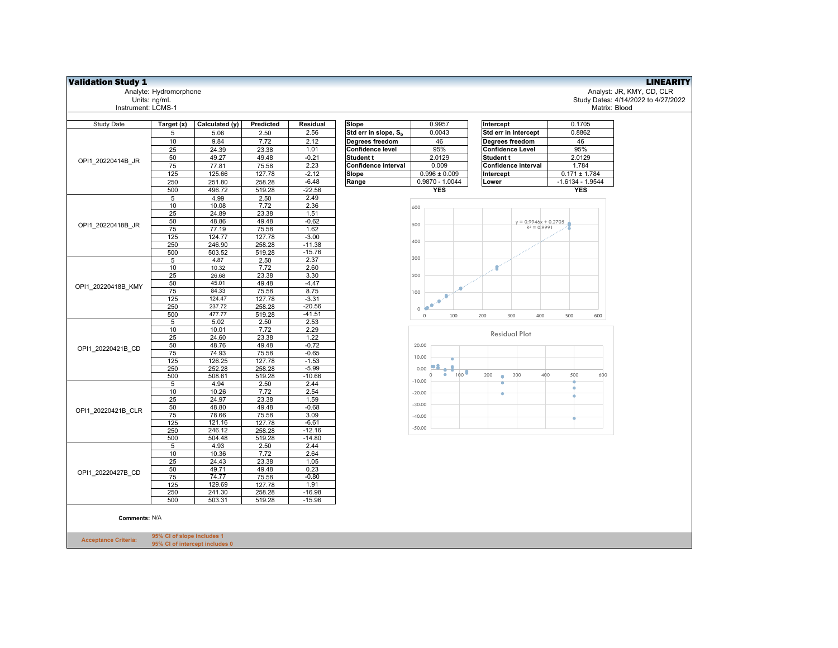| <b>Validation Study 1</b>   |                            |                                |                  |                      |                                  |                      |                         |                                     |
|-----------------------------|----------------------------|--------------------------------|------------------|----------------------|----------------------------------|----------------------|-------------------------|-------------------------------------|
|                             | Analyte: Hydromorphone     |                                |                  |                      |                                  |                      |                         | Analyst: JR, KMY, CD, CLR           |
|                             | Units: ng/mL               |                                |                  |                      |                                  |                      |                         | Study Dates: 4/14/2022 to 4/27/2022 |
| Instrument: LCMS-1          |                            |                                |                  |                      |                                  |                      |                         | Matrix: Blood                       |
| Study Date                  | Target (x)                 | Calculated (y)                 | Predicted        | Residual             | Slope                            | 0.9957               | Intercept               | 0.1705                              |
|                             | 5                          | 5.06                           | 2.50             | 2.56                 | Std err in slope, S <sub>b</sub> | 0.0043               | Std err in Intercept    | 0.8862                              |
|                             | 10                         | 9.84                           | 7.72             | 2.12                 | Degrees freedom                  | 46                   | Degrees freedom         | 46                                  |
|                             | 25                         | 24.39                          | 23.38            | 1.01                 | <b>Confidence level</b>          | 95%                  | <b>Confidence Level</b> | 95%                                 |
|                             | 50                         | 49.27                          | 49.48            | $-0.21$              | <b>Student t</b>                 | 2.0129               | <b>Student t</b>        | 2.0129                              |
| OPI1 20220414B JR           | 75                         | 77.81                          | 75.58            | 2.23                 | Confidence interval              | 0.009                | Confidence interval     | 1.784                               |
|                             | 125                        | 125.66                         | 127.78           | $-2.12$              | Slope                            | $0.996 \pm 0.009$    | Intercept               | $0.171 \pm 1.784$                   |
|                             | 250                        | 251.80                         | 258.28           | $-6.48$              | Range                            | $0.9870 - 1.0044$    | Lower                   | $-1.6134 - 1.9544$                  |
|                             | 500                        | 496.72                         | 519.28           | $-22.56$             |                                  | <b>YES</b>           |                         | <b>YES</b>                          |
|                             | $\sqrt{5}$                 | 4.99                           | 2.50             | 2.49                 |                                  |                      |                         |                                     |
|                             | 10                         | 10.08                          | 7.72             | 2.36                 |                                  | 600                  |                         |                                     |
|                             | 25                         | 24.89                          | 23.38            | 1.51                 |                                  |                      |                         |                                     |
|                             | 50                         | 48.86                          | 49.48            | $-0.62$              |                                  |                      | $y = 0.9946x + 0.2705$  |                                     |
| OPI1 20220418B JR           | 75                         | 77.19                          | 75.58            | 1.62                 |                                  | 500                  | $R^2 = 0.9991$          |                                     |
|                             | 125                        | 124.77                         | 127.78           | $-3.00$              |                                  |                      |                         |                                     |
|                             | 250                        | 246.90                         | 258.28           | $-11.38$             |                                  | 400                  |                         |                                     |
|                             | 500                        | 503.52                         | 519.28           | $-15.76$             |                                  |                      |                         |                                     |
|                             | 5                          | 4.87                           | 2.50             | 2.37                 |                                  | 300                  |                         |                                     |
|                             | 10                         | 10.32                          | 7.72             | 2.60                 |                                  |                      | a.                      |                                     |
|                             | 25                         | 26.68                          | 23.38            | 3.30                 |                                  | 200                  |                         |                                     |
| OPI1 20220418B KMY          | 50                         | 45.01                          | 49.48            | $-4.47$              |                                  |                      |                         |                                     |
|                             | 75                         | 84.33                          | 75.58            | 8.75                 |                                  | 100                  |                         |                                     |
|                             | 125                        | 124.47                         | 127.78           | $-3.31$              |                                  | ۰<br>œ               |                         |                                     |
|                             | 250<br>500                 | 237.72<br>477.77               | 258.28<br>519.28 | $-20.56$<br>$-41.51$ |                                  | $\circ$              |                         |                                     |
|                             | $\overline{5}$             | 5.02                           | 2.50             | 2.53                 |                                  | 100<br>$\mathbb O$   | 200<br>300<br>400       | 500<br>600                          |
|                             | 10                         | 10.01                          | 7.72             | 2.29                 |                                  |                      |                         |                                     |
|                             | 25                         | 24.60                          | 23.38            | 1.22                 |                                  |                      | <b>Residual Plot</b>    |                                     |
|                             | 50                         | 48.76                          | 49.48            | $-0.72$              |                                  | 20.00                |                         |                                     |
| OPI1 20220421B CD           | 75                         | 74.93                          | 75.58            | $-0.65$              |                                  |                      |                         |                                     |
|                             | 125                        | 126.25                         | 127.78           | $-1.53$              |                                  | 10.00                |                         |                                     |
|                             | 250                        | 252.28                         | 258.28           | $-5.99$              |                                  | $-1$<br>0.00         |                         |                                     |
|                             | 500                        | 508.61                         | 519.28           | $-10.66$             |                                  | 100<br>۰<br>$-10.00$ | 200<br>300<br>۰         | 400<br>500<br>600                   |
|                             | 5                          | 4.94                           | 2.50             | 2.44                 |                                  |                      |                         |                                     |
|                             | 10                         | 10.26                          | 7.72             | 2.54                 |                                  | $-20.00$             |                         |                                     |
|                             | 25                         | 24.97                          | 23.38            | 1.59                 |                                  | $-30.00$             |                         |                                     |
| OPI1 20220421B CLR          | 50<br>75                   | 48.80                          | 49.48            | $-0.68$<br>3.09      |                                  |                      |                         |                                     |
|                             | 125                        | 78.66<br>121.16                | 75.58            | $-6.61$              |                                  | $-40.00$             |                         |                                     |
|                             | 250                        | 246.12                         | 127.78<br>258.28 | $-12.16$             |                                  | $-50.00$             |                         |                                     |
|                             | 500                        | 504.48                         | 519.28           | $-14.80$             |                                  |                      |                         |                                     |
|                             | $\overline{5}$             | 4.93                           | 2.50             | 2.44                 |                                  |                      |                         |                                     |
|                             | 10                         | 10.36                          | 7.72             | 2.64                 |                                  |                      |                         |                                     |
|                             | 25                         | 24.43                          | 23.38            | 1.05                 |                                  |                      |                         |                                     |
|                             | 50                         | 49.71                          | 49.48            | 0.23                 |                                  |                      |                         |                                     |
| OPI1 20220427B CD           | 75                         | 74.77                          | 75.58            | $-0.80$              |                                  |                      |                         |                                     |
|                             | 125                        | 129.69                         | 127.78           | 1.91                 |                                  |                      |                         |                                     |
|                             | 250                        | 241.30                         | 258.28           | $-16.98$             |                                  |                      |                         |                                     |
|                             | 500                        | 503.31                         | 519.28           | $-15.96$             |                                  |                      |                         |                                     |
|                             |                            |                                |                  |                      |                                  |                      |                         |                                     |
| Comments: N/A               |                            |                                |                  |                      |                                  |                      |                         |                                     |
|                             |                            |                                |                  |                      |                                  |                      |                         |                                     |
|                             | 95% CI of slope includes 1 |                                |                  |                      |                                  |                      |                         |                                     |
| <b>Acceptance Criteria:</b> |                            | 95% CI of intercept includes 0 |                  |                      |                                  |                      |                         |                                     |
|                             |                            |                                |                  |                      |                                  |                      |                         |                                     |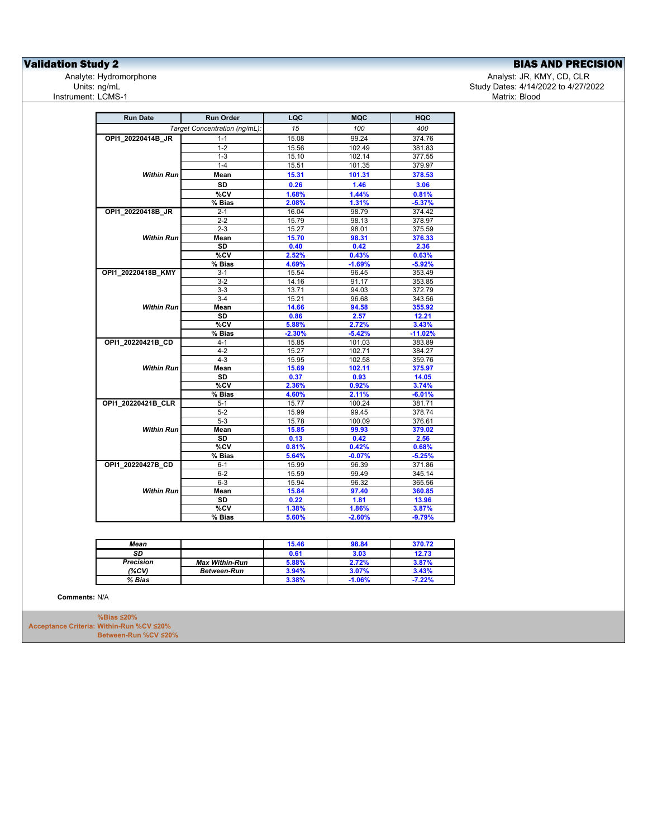**Validation Study 2**<br>
Analyte: Hydromorphone **BIAS AND PRECISION**<br>
Analyte: Hydromorphone **Analyte: Hydromorphone** Units: ng/mL<br>Instrument: LCMS-1

Analyst: JR, KMY, CD, CLR Study Dates: 4/14/2022 to 4/27/2022<br>Matrix: Blood

| <b>Run Date</b>    | <b>Run Order</b>              | LQC      | <b>MQC</b> | HQC       |
|--------------------|-------------------------------|----------|------------|-----------|
|                    | Target Concentration (ng/mL): | 15       | 100        | 400       |
| OPI1 20220414B JR  | $1 - 1$                       | 15.08    | 99.24      | 374.76    |
|                    | $1 - 2$                       | 15.56    | 102.49     | 381.83    |
|                    | $1 - 3$                       | 15.10    | 102.14     | 377.55    |
|                    | $1 - 4$                       | 15.51    | 101.35     | 379.97    |
| Within Run I       | Mean                          | 15.31    | 101.31     | 378.53    |
|                    | <b>SD</b>                     | 0.26     | 1.46       | 3.06      |
|                    | %CV                           | 1.68%    | 1.44%      | 0.81%     |
|                    | % Bias                        | 2.08%    | 1.31%      | $-5.37%$  |
| OPI1_20220418B_JR  | $2 - 1$                       | 16.04    | 98.79      | 374.42    |
|                    | $2 - 2$                       | 15.79    | 98.13      | 378.97    |
|                    | $2 - 3$                       | 15.27    | 98.01      | 375.59    |
| <b>Within Run</b>  | Mean                          | 15.70    | 98.31      | 376.33    |
|                    | <b>SD</b>                     | 0.40     | 0.42       | 2.36      |
|                    | %CV                           | 2.52%    | 0.43%      | 0.63%     |
|                    | % Bias                        | 4.69%    | $-1.69%$   | $-5.92%$  |
| OPI1 20220418B KMY | 3-1                           | 15.54    | 96.45      | 353.49    |
|                    | $3 - 2$                       | 14.16    | 91.17      | 353.85    |
|                    | $3-3$                         | 13.71    | 94.03      | 372.79    |
|                    | $3 - 4$                       | 15.21    | 96.68      | 343.56    |
| Within Run         | Mean                          | 14.66    | 94.58      | 355.92    |
|                    | SD                            | 0.86     | 2.57       | 12.21     |
|                    | %CV                           | 5.88%    | 2.72%      | 3.43%     |
|                    | % Bias                        | $-2.30%$ | $-5.42%$   | $-11.02%$ |
| OPI1 20220421B CD  | $4 - 1$                       | 15.85    | 101.03     | 383.89    |
|                    | $4 - 2$                       | 15.27    | 102.71     | 384.27    |
|                    | $4 - 3$                       | 15.95    | 102.58     | 359.76    |
| <b>Within Run</b>  | Mean                          | 15.69    | 102.11     | 375.97    |
|                    | SD                            | 0.37     | 0.93       | 14.05     |
|                    | %CV                           | 2.36%    | 0.92%      | 3.74%     |
|                    | % Bias                        | 4.60%    | 2.11%      | $-6.01%$  |
| OPI1 20220421B CLR | $5 - 1$                       | 15.77    | 100.24     | 381.71    |
|                    | $5 - 2$                       | 15.99    | 99.45      | 378.74    |
|                    | $5 - 3$                       | 15.78    | 100.09     | 376.61    |
| <b>Within Run</b>  | Mean                          | 15.85    | 99.93      | 379.02    |
|                    | SD                            | 0.13     | 0.42       | 2.56      |
|                    | %CV                           | 0.81%    | 0.42%      | 0.68%     |
|                    | % Bias                        | 5.64%    | $-0.07%$   | $-5.25%$  |
| OPI1 20220427B CD  | $6 - 1$                       | 15.99    | 96.39      | 371.86    |
|                    | $6 - 2$                       | 15.59    | 99.49      | 345.14    |
|                    | $6-3$                         | 15.94    | 96.32      | 365.56    |
| Within Run         | Mean                          | 15.84    | 97.40      | 360.85    |
|                    | <b>SD</b>                     | 0.22     | 1.81       | 13.96     |
|                    | %CV                           | 1.38%    | 1.86%      | 3.87%     |
|                    | % Bias                        | 5.60%    | $-2.60%$   | $-9.79%$  |

| Mean             |                       | 15.46 | 98.84    | 370.72   |
|------------------|-----------------------|-------|----------|----------|
| SD               |                       | 0.61  | 3.03     | 12.73    |
| <b>Precision</b> | <b>Max Within-Run</b> | 5.88% | 2.72%    | 3.87%    |
| (%CV)            | <b>Between-Run</b>    | 3.94% | 3.07%    | 3.43%    |
| % Bias           |                       | 3.38% | $-1.06%$ | $-7.22%$ |

**Comments:** N/A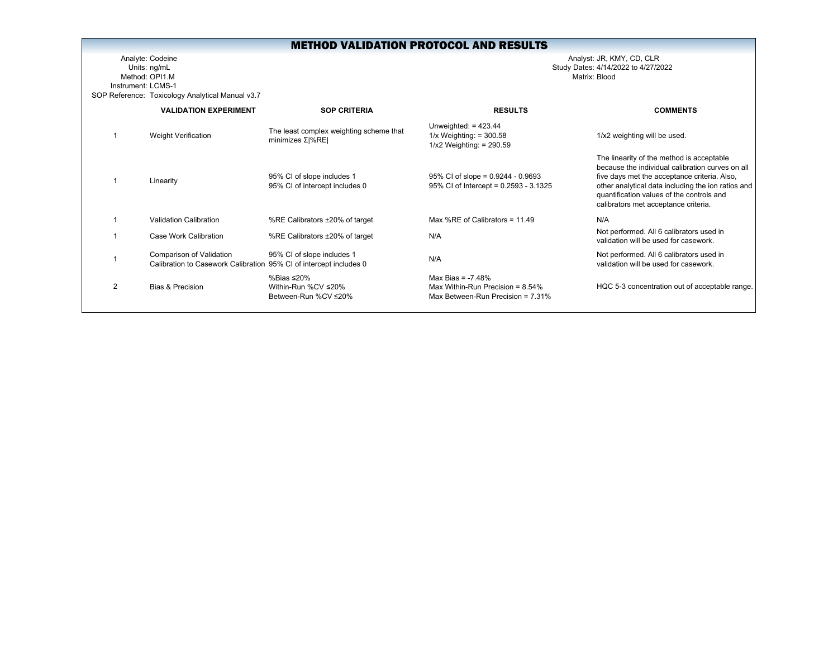Analyte: Codeine Analyst: JR, KMY, CD, CLR Units: ng/mL Study Dates: 4/14/2022 to 4/27/2022 Method: OPI1.MInstrument: LCMS-1SOP Reference: Toxicology Analytical Manual v3.7

|                | <b>VALIDATION EXPERIMENT</b>                                    | <b>SOP CRITERIA</b>                                            | <b>RESULTS</b>                                                                                     | <b>COMMENTS</b>                                                                                                                                                                                                                                                                          |
|----------------|-----------------------------------------------------------------|----------------------------------------------------------------|----------------------------------------------------------------------------------------------------|------------------------------------------------------------------------------------------------------------------------------------------------------------------------------------------------------------------------------------------------------------------------------------------|
|                | Weight Verification                                             | The least complex weighting scheme that<br>minimizes $Σ  %RE $ | Unweighted: $= 423.44$<br>$1/x$ Weighting: = 300.58<br>$1/x2$ Weighting: = 290.59                  | 1/x2 weighting will be used.                                                                                                                                                                                                                                                             |
|                | Linearity                                                       | 95% CI of slope includes 1<br>95% CI of intercept includes 0   | $95\%$ CI of slope = 0.9244 - 0.9693<br>95% CI of Intercept = 0.2593 - 3.1325                      | The linearity of the method is acceptable<br>because the individual calibration curves on all<br>five days met the acceptance criteria. Also,<br>other analytical data including the ion ratios and<br>quantification values of the controls and<br>calibrators met acceptance criteria. |
|                | Validation Calibration                                          | %RE Calibrators ±20% of target                                 | Max %RE of Calibrators = $11.49$                                                                   | N/A                                                                                                                                                                                                                                                                                      |
|                | Case Work Calibration                                           | %RE Calibrators ±20% of target                                 | N/A                                                                                                | Not performed. All 6 calibrators used in<br>validation will be used for casework.                                                                                                                                                                                                        |
|                | Comparison of Validation<br>Calibration to Casework Calibration | 95% CI of slope includes 1<br>95% CI of intercept includes 0   | N/A                                                                                                | Not performed. All 6 calibrators used in<br>validation will be used for casework.                                                                                                                                                                                                        |
| $\mathfrak{p}$ | Bias & Precision                                                | %Bias ≤20%<br>Within-Run %CV ≤20%<br>Between-Run %CV ≤20%      | Max Bias = $-7.48%$<br>Max Within-Run Precision = $8.54\%$<br>Max Between-Run Precision = $7.31\%$ | HQC 5-3 concentration out of acceptable range.                                                                                                                                                                                                                                           |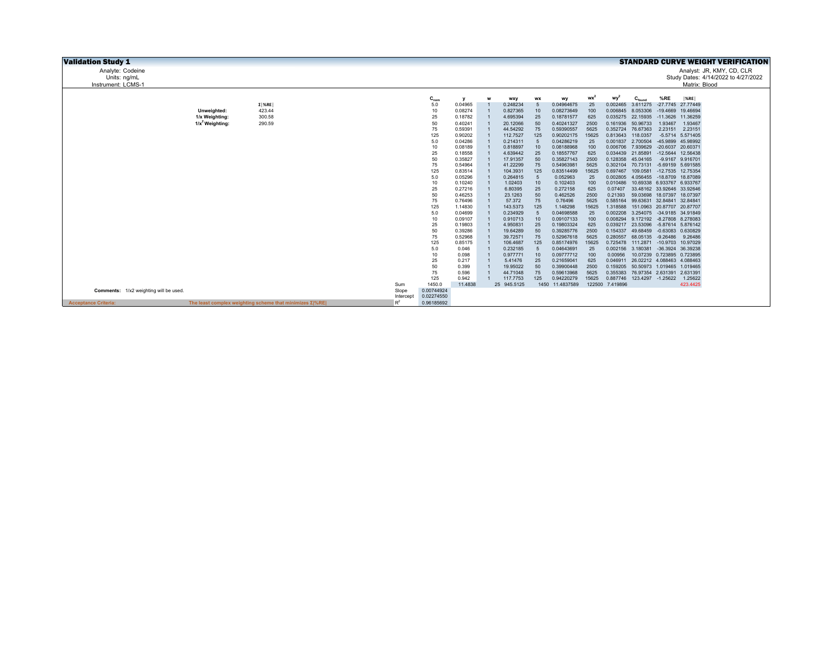| <b>Validation Study 1</b>              |                    |                                                                 |              |               |                    |   |                         |           |                          |             |                             |                                        |                   |                   | <b>STANDARD CURVE WEIGHT VERIFICATION</b> |
|----------------------------------------|--------------------|-----------------------------------------------------------------|--------------|---------------|--------------------|---|-------------------------|-----------|--------------------------|-------------|-----------------------------|----------------------------------------|-------------------|-------------------|-------------------------------------------|
| Analyte: Codeine                       |                    |                                                                 |              |               |                    |   |                         |           |                          |             |                             |                                        |                   |                   | Analyst: JR, KMY, CD, CLR                 |
| Units: ng/mL                           |                    |                                                                 |              |               |                    |   |                         |           |                          |             |                             |                                        |                   |                   | Study Dates: 4/14/2022 to 4/27/2022       |
| Instrument: LCMS-1                     |                    |                                                                 |              |               |                    |   |                         |           |                          |             |                             |                                        |                   | Matrix: Blood     |                                           |
|                                        |                    |                                                                 |              |               |                    |   |                         |           |                          |             |                             |                                        |                   |                   |                                           |
|                                        |                    |                                                                 |              | $C_{nom}$     |                    | W | wxy                     | <b>WX</b> | wy                       | $wx^2$      | wy                          | $\mathbf{C}_{\mathsf{found}}$          | %RE               | $ \%$ RE          |                                           |
|                                        |                    | $\Sigma$   %RE                                                  |              | 5.0           | 0.04965            |   | 0.248234                |           | 0.04964675               | 25          | 0.002465                    | 3.611275                               |                   | -27.7745 27.77449 |                                           |
|                                        | Unweighted:        | 423.44                                                          |              | 10            | 0.08274            |   | 0.827365                | 10        | 0.08273649               | 100         | 0.006845                    | 8.053306                               |                   | -19.4669 19.46694 |                                           |
|                                        | 1/x Weighting:     | 300.58                                                          |              | 25            | 0.18782            |   | 4.695394                | 25        | 0.18781577               | 625         |                             | 0.035275 22.15935                      |                   | -11.3626 11.36259 |                                           |
|                                        | $1/x^2$ Weighting: | 290.59                                                          |              | 50            | 0.40241            |   | 20.12066                | 50        | 0.40241327               | 2500        |                             | 0.161936 50.96733                      | 1.93467           | 1.93467           |                                           |
|                                        |                    |                                                                 |              | 75            | 0.59391            |   | 44.54292                | 75        | 0.59390557               | 5625        | 0.352724                    | 76.67363                               | 2.23151           | 2.23151           |                                           |
|                                        |                    |                                                                 |              | 125           | 0.90202            |   | 112.7527                | 125       | 0.90202175               | 15625       | 0.813643 118.0357           |                                        |                   | -5.5714 5.571405  |                                           |
|                                        |                    |                                                                 |              | 5.0           | 0.04286            |   | 0.214311                |           | 0.04286219               | 25          | 0.001837                    | 2.700504                               |                   | -45.9899 45.98992 |                                           |
|                                        |                    |                                                                 |              | 10            | 0.08189            |   | 0.818897                | 10        | 0.08188968               | 100         |                             | 0.006706 7.939629 -20.6037 20.60371    |                   |                   |                                           |
|                                        |                    |                                                                 |              | 25            | 0.18558            |   | 4.639442<br>17.91357    | 25        | 0.18557767<br>0.35827143 | 625<br>2500 | 0.128358                    | 0.034439 21.85891                      |                   | -12.5644 12.56438 |                                           |
|                                        |                    |                                                                 |              | 50<br>75      | 0.35827            |   | 41.22299                | 50        | 0.54963981               | 5625        |                             | 45.04165<br>70.73131 -5.69159 5.691585 |                   | -9.9167 9.916701  |                                           |
|                                        |                    |                                                                 |              | 125           | 0.54964<br>0.83514 |   | 104.3931                | 75<br>125 | 0.83514499               | 15625       | 0.302104<br>0.697467        | 109.0581                               | -12.7535 12.75354 |                   |                                           |
|                                        |                    |                                                                 |              | 5.0           | 0.05296            |   | 0.264815                | 5         | 0.052963                 | 25          | 0.002805                    | 4.056455 -18.8709 18.87089             |                   |                   |                                           |
|                                        |                    |                                                                 |              | 10            | 0.10240            |   | 1.02403                 | 10        | 0.102403                 | 100         | 0.010486                    | 10.69338 6.933767 6.933767             |                   |                   |                                           |
|                                        |                    |                                                                 |              | 25            | 0.27216            |   | 6.80395                 | 25        | 0.272158                 | 625         | 0.07407                     | 33.48162 33.92646 33.92646             |                   |                   |                                           |
|                                        |                    |                                                                 |              | 50            | 0.46253            |   | 23.1263                 | 50        | 0.462526                 | 2500        | 0.21393                     | 59.03698 18.07397 18.07397             |                   |                   |                                           |
|                                        |                    |                                                                 |              | 75            | 0.76496            |   | 57.372                  | 75        | 0.76496                  | 5625        | 0.585164                    | 99.63631 32.84841 32.84841             |                   |                   |                                           |
|                                        |                    |                                                                 |              | 125           | 1.14830            |   | 143.5373                | 125       | 1.148298                 | 15625       | 1.318588                    | 151.0963 20.87707 20.87707             |                   |                   |                                           |
|                                        |                    |                                                                 |              | 5.0           | 0.04699            |   | 0.234929                | 5         | 0.04698588               | 25          | 0.002208                    | 3.254075 -34.9185 34.91849             |                   |                   |                                           |
|                                        |                    |                                                                 |              | 10            | 0.09107            |   | 0.910713                | 10        | 0.09107133               | 100         | 0.008294                    | 9.172192 -8.27808 8.278083             |                   |                   |                                           |
|                                        |                    |                                                                 |              | 25            | 0.19803            |   | 4.950831                | 25        | 0.19803324               | 625         | 0.039217                    | 23.53096 -5.87614 5.876142             |                   |                   |                                           |
|                                        |                    |                                                                 |              | 50            | 0.39286            |   | 19.64289                | 50        | 0.39285776               | 2500        |                             | 0.154337 49.68459 -0.63083 0.630829    |                   |                   |                                           |
|                                        |                    |                                                                 |              | 75            | 0.52968            |   | 39.72571                | 75        | 0.52967618               | 5625        |                             | 0.280557 68.05135 -9.26486             |                   | 9.26486           |                                           |
|                                        |                    |                                                                 |              | 125           | 0.85175            |   | 106.4687                | 125       | 0.85174976               | 15625       |                             | 0.725478 111.2871 -10.9703 10.97029    |                   |                   |                                           |
|                                        |                    |                                                                 |              | 5.0           | 0.046              |   | 0.232185                |           | 0.04643691               | 25          | 0.002156                    | 3.180381 -36.3924 36.39238             |                   |                   |                                           |
|                                        |                    |                                                                 |              | 10            | 0.098              |   | 0.977771                | 10        | 0.09777712               | 100         | 0.00956                     | 10.07239 0.723895 0.723895             |                   |                   |                                           |
|                                        |                    |                                                                 |              | 25            | 0.217              |   | 5.41476                 | 25        | 0.21659041               | 625         | 0.046911                    | 26.02212 4.088463 4.088463             |                   |                   |                                           |
|                                        |                    |                                                                 |              | 50            | 0.399              |   | 19.95022                | 50        | 0.39900448               | 2500        | 0.159205                    | 50.50973 1.019465 1.019465             |                   |                   |                                           |
|                                        |                    |                                                                 |              | 75            | 0.596              |   | 44.71048                | 75        | 0.59613968               | 5625        | 0.355383                    | 76.97354 2.631391 2.631391             |                   |                   |                                           |
|                                        |                    |                                                                 |              | 125<br>1450.0 | 0.942<br>11.4838   |   | 117,7753<br>25 945.5125 | 125       | 0.94220279               | 15625       | 0.887746<br>122500 7.419896 | 123.4297 -1.25622                      |                   | 1.25622           |                                           |
| Comments: 1/x2 weighting will be used. |                    |                                                                 | Sum<br>Slope | 0.00744924    |                    |   |                         |           | 1450 11.4837589          |             |                             |                                        |                   | 423.4425          |                                           |
|                                        |                    |                                                                 | Intercept    | 0.02274550    |                    |   |                         |           |                          |             |                             |                                        |                   |                   |                                           |
| <b>Acceptance Criteria:</b>            |                    | The least complex weighting scheme that minimizes $\Sigma$  %RE | $R^2$        | 0.96185692    |                    |   |                         |           |                          |             |                             |                                        |                   |                   |                                           |
|                                        |                    |                                                                 |              |               |                    |   |                         |           |                          |             |                             |                                        |                   |                   |                                           |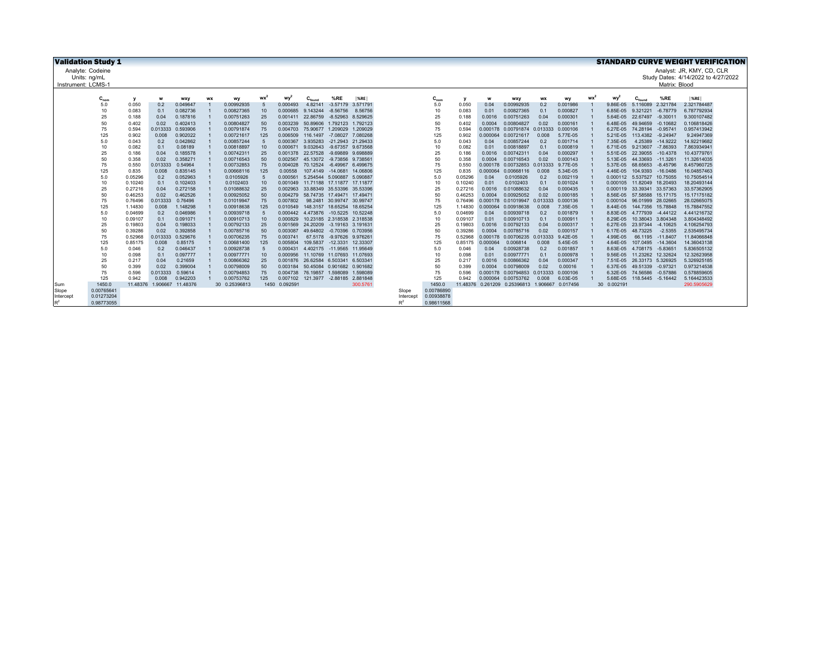| <b>Validation Study 1</b> |            |                |                   |                      |           |                          |                 |                      |                                                          |                            |          |          |                  |                |                      |                                                    |             |                      |                         |                            |               | <b>STANDARD CURVE WEIGHT VERIFICATION</b> |
|---------------------------|------------|----------------|-------------------|----------------------|-----------|--------------------------|-----------------|----------------------|----------------------------------------------------------|----------------------------|----------|----------|------------------|----------------|----------------------|----------------------------------------------------|-------------|----------------------|-------------------------|----------------------------|---------------|-------------------------------------------|
| Analyte: Codeine          |            |                |                   |                      |           |                          |                 |                      |                                                          |                            |          |          |                  |                |                      |                                                    |             |                      |                         |                            |               | Analyst: JR. KMY, CD, CLR                 |
| Units: ng/mL              |            |                |                   |                      |           |                          |                 |                      |                                                          |                            |          |          |                  |                |                      |                                                    |             |                      |                         |                            |               | Study Dates: 4/14/2022 to 4/27/2022       |
| Instrument: LCMS-1        |            |                |                   |                      |           |                          |                 |                      |                                                          |                            |          |          |                  |                |                      |                                                    |             |                      |                         |                            | Matrix: Blood |                                           |
|                           |            |                |                   |                      |           |                          |                 |                      |                                                          |                            |          |          |                  |                |                      |                                                    |             |                      |                         |                            |               |                                           |
|                           | $C_{nom}$  |                | w                 | wxy                  | <b>WX</b> | wy                       | wx <sup>2</sup> | wy                   | $C_{found}$                                              | %RE                        | %RE      |          | $C_{\text{non}}$ |                |                      | <b>WXV</b>                                         | <b>WX</b>   | wy                   | wy                      |                            | %RE           | $ \%RE $                                  |
|                           | 5.0        | 0.050          | 0.2               | 0.049647             |           | 0.00992935               | -5              | 0.000493             | 4.82141                                                  | $-3.57179$                 | 3.571791 |          | 5.0              | 0.050          | 0.04                 | 0.00992935                                         | 0.2         | 0.001986             | 9.86E-05                | 5.116089                   | 2.321784      | 2.321784487                               |
|                           | 10         | 0.083          | 0.1               | 0.082736             |           | 0.00827365               | 10              | 0.000685             | 9.143244                                                 | $-8.56756$                 | 8.56756  |          | 10               | 0.083          | 0.01                 | 0.00827365                                         | 0.1         | 0.000827             | 6.85E-05                | 9.321221                   | $-6.78779$    | 6.787792934                               |
|                           | 25         | 0.188          | 0.04              | 0.187816             |           | 0.00751263               | 25              | 0.001411             | 22.86759                                                 | -8.52963 8.529625          |          |          | 25               | 0.188          | 0.0016               | 0.00751263                                         | 0.04        | 0.000301             | 5.64E-05                | 22.67497 -9.30011          |               | 9.300107482                               |
|                           | 50         | 0.402          | 0.02              | 0.402413             |           | 0.00804827               | 50              | 0.003239             | 50.89606                                                 | 1.792123 1.792123          |          |          | 50               | 0.402          | 0.0004               | 0.00804827                                         | 0.02        | 0.000161             | 6.48E-05                | 49.94659                   | $-0.10682$    | 0.106818426                               |
|                           | 75         | 0.594          | 0.013333          | 0.593906             |           | 0.00791874               | 75              | 0.004703             | 75.90677 1.209029                                        |                            | 1.209029 |          | 75               | 0.594          | 0.000178             | 0.00791874 0.013333                                |             | 0.000106             | 6.27E-05                | 74.28194                   | $-0.95741$    | 0.957413942                               |
|                           | 125        | 0.902          | 0.008             | 0.902022             |           | 0.00721617               | 125             | 0.006509             | 116,1497                                                 | $-7.08027$                 | 7.080268 |          | 125              | 0.902          | 0.000064             | 0.00721617                                         | 0.008       | 5.77E-05             | 5.21E-05                | 113,4382                   | $-9.24947$    | 9.24947369                                |
|                           | 5.0        | 0.043          | 0.2               | 0.042862             |           | 0.00857244               | $-5$            | 0.000367             | 3.935283                                                 | -21.2943 21.29433          |          |          | 5.0              | 0.043          | 0.04                 | 0.00857244                                         | 0.2         | 0.001714             | 7.35E-05                | 4.25389                    | $-14.9222$    | 14.92219682                               |
|                           | 10         | 0.082          | 0.1               | 0.08189              |           | 0.00818897               | 10              | 0.00067              |                                                          | 9.032643 -9.67357 9.673568 |          |          | 10               | 0.082          | 0.01                 | 0.00818897                                         | 0.1         | 0.000819             | 6.71E-05                | 9.213607 -7.86393          |               | 7.863934941                               |
|                           | 25         | 0.186          | 0.04              | 0.185578             |           | 0.00742311               | 25              | 0.001378             | 22.57528 -9.69889 9.698889                               |                            |          |          | 25               | 0.186          | 0.0016               | 0.00742311                                         | 0.04        | 0.000297             | 5.51E-05                | 22.39055 -10.4378          |               | 10.43779761                               |
|                           | 50         | 0.358          | 0.02              | 0.358271             |           | 0.00716543               | 50              | 0.002567             | 45.13072 -9.73856 9.738561                               |                            |          |          | 50               | 0.358          | 0.0004               | 0.00716543                                         | 0.02        | 0.000143             | 5.13E-05                | 44.33693 -11.3261          |               | 11.32614035                               |
|                           | 75         | 0.550          | 0.013333          | 0.54964              |           | 0.00732853               | 75              | 0.004028             | 70.12524 -6.49967                                        |                            | 6.499675 |          | 75               | 0.550          | 0.000178             | 0.00732853                                         | 0.013333    | 9.77E-05             | 5.37E-05                | 68.65653                   | $-8.45796$    | 8.457960725                               |
|                           | 125        | 0.835          | 0.008             | 0.835145             |           | 0.00668116               | 125             | 0.00558              |                                                          | 107.4149 -14.0681          | 14,06806 |          | 125              | 0.835          | 0.000064             | 0.00668116                                         | 0.008       | 5.34E-05             | 4.46E-05                | 104.9393                   | $-16.0486$    | 16.04857463                               |
|                           | 5.0        | 0.05296        | 0.2               | 0.052963             |           | 0.0105926                | $5^{\circ}$     | 0.000561             |                                                          | 5.254544 5.090887 5.090887 |          |          | 5.0              | 0.05296        | 0.04                 | 0.0105926                                          | 0.2         | 0.002119             |                         | 0.000112 5.537527 10.75055 |               | 10.75054514                               |
|                           | 10         | 0.10240        | 0.1               | 0.102403             |           | 0.0102403                | 10              | 0.001049             | 11.71188 17.11877 17.11877                               |                            |          |          | 10               | 0.10240        | 0.01                 | 0.0102403                                          | 0.1         | 0.001024             | 0.000105                | 11.82049 18.20493          |               | 18.20493144                               |
|                           | 25         | 0.27216        | 0.04              | 0.272158             |           | 0.01088632               | 25              | 0.002963             |                                                          | 33.88349 35.53396 35.53396 |          |          | 25               | 0.27216        | 0.0016               | 0.01088632                                         | 0.04        | 0.000435             | 0.000119                | 33.39341                   | 33.57363      | 33.57362905                               |
|                           | 50         | 0.46253        | 0.02              | 0.462526             |           | 0.00925052               | 50              | 0.004279             |                                                          | 58.74735 17.49471 17.4947  |          |          | 50               | 0.46253        | 0.0004               | 0.00925052                                         | 0.02        | 0.000185             | 8.56E-05                | 57,58588 15,17175          |               | 15.17175182                               |
|                           | 75         | 0.76496        | 0.013333          | 0.76496              |           | 0.01019947               | 75              | 0.007802             |                                                          | 98.2481 30.99747 30.99747  |          |          | 75               | 0.76496        | 0.000178             | 0.01019947                                         | 0.013333    | 0.000136             | 0.000104                | 96.01999 28.02665          |               | 28.02665075                               |
|                           | 125        | 1.14830        | 0.008             | 1.148298             |           | 0.00918638               | 125             | 0.010549             | 148.3157 18.65254 18.65254                               |                            |          |          | 125              | 1.14830        | 0.000064             | 0.00918638                                         | 0.008       | 7.35E-05             | 8.44E-05                | 144.7356 15.78848          |               | 15.78847552                               |
|                           | 5.0        | 0.04699        | 0.2               | 0.046986             |           | 0.00939718               | $-5$            | 0.000442             | 4.473876 -10.5225                                        |                            | 10.52248 |          | 5.0              | 0.04699        | 0.04                 | 0.00939718                                         | 0.2         | 0.001879             | 8.83E-05                | 4.777939 -4.44122          |               | 4.441216732                               |
|                           | 10         | 0.09107        | 0.1               | 0.091071             |           | 0.00910713               | 10              | 0.000829             |                                                          | 10.23185 2.318538 2.318538 |          |          | 10               | 0.09107        | 0.01                 | 0.00910713                                         | 0.1         | 0.000911             | 8.29E-05                | 10.38043 3.804348          |               | 3.804348492                               |
|                           | 25         | 0.19803        | 0.04              | 0.198033             |           | 0.00792133               | 25              | 0.001569             | 24.20209                                                 | -3.19163 3.191631          |          |          | 25               | 0.19803        | 0.0016               | 0.00792133                                         | 0.04        | 0.000317             | 6.27E-05                | 23.97344                   | $-4.10625$    | 4.106254793                               |
|                           | 50         | 0.39286        | 0.02              | 0.392858             |           | 0.00785716               | 50              | 0.003087             | 49.64802                                                 | -0.70396 0.703956          |          |          | 50               | 0.39286        | 0.0004               | 0.00785716                                         | 0.02        | 0.000157             | 6.17E-05                | 48.73225                   | $-2.5355$     | 2.535495734                               |
|                           | 75         | 0.52968        | 0.013333          | 0.529676             |           | 0.00706235               | 75              | 0.003741             |                                                          | 67.5178 -9.97626 9.976261  |          |          | 75               | 0.52968        | 0.000178             | 0.00706235                                         | 0.013333    | 9.42E-05             | 4.99E-05                | 66.1195 -11.8407           |               | 11.84066848                               |
|                           | 125        | 0.85175        | 0.008             | 0.85175              |           | 0.00681400               | 125             | 0.005804             | 109.5837                                                 | $-12.3331$                 | 12,33307 |          | 125              | 0.85175        | 0.000064             | 0.006814                                           | 0.008       | 5.45E-05             | 4.64E-05                | 107,0495                   | $-14.3604$    | 14.36043138                               |
|                           | 5.0<br>10  | 0.046          | 0.2               | 0.046437<br>0.097777 |           | 0.00928738<br>0.00977771 | $-5$            | 0.000431             | 4.402175                                                 | -11.9565 11.95649          |          |          | 5.0              | 0.046          | 0.04                 | 0.00928738<br>0.00977771                           | 0.2         | 0.001857<br>0.000978 | 8.63E-05                | 4.708175 -5.83651          |               | 5.836505132<br>12.32623958                |
|                           | 25         | 0.098          | 0.1               |                      |           |                          | 10<br>25        | 0.000956<br>0.001876 | 11.10769 11.07693 11.07693<br>26.62584 6.503341 6.503341 |                            |          |          | 10               | 0.098          | 0.01<br>0.0016       |                                                    | 0.1<br>0.04 | 0.000347             | 9.56E-05<br>7.51E-05    | 11.23262 12.32624          |               | 5.326925185                               |
|                           |            | 0.217          | 0.04              | 0.21659              |           | 0.00866362               |                 |                      |                                                          |                            |          |          | 25               | 0.217          |                      | 0.00866362                                         |             |                      |                         | 26.33173 5.326925          |               |                                           |
|                           | 50<br>75   | 0.399          | 0.02              | 0.399004             |           | 0.00798009               | 50              | 0.003184             | 50.45084 0.901682 0.901682<br>76.19857 1.598089          |                            | 1.598089 |          | 50<br>75         | 0.399<br>0.596 | 0.0004               | 0.00798009<br>0.00794853 0.013333                  | 0.02        | 0.00016<br>0.000106  | 6.37E-05                | 49.51339 -0.97321          | $-0.57886$    | 0.973214538<br>0.578859605                |
|                           | 125        | 0.596<br>0.942 | 0.013333<br>0.008 | 0.59614<br>0.942203  |           | 0.00794853               | 75<br>125       | 0.004738<br>0.007102 |                                                          |                            |          |          | 125              | 0.942          | 0.000178<br>0.000064 | 0.00753762                                         | 0.008       | 6.03E-05             | 6.32E-05                | 74.56586                   |               |                                           |
|                           | 1450.0     | 11.48376       | 1.906667          | 11,48376             |           | 0.00753762               |                 | 1450 0.092591        | 121.3977 -2.88185 2.881848                               |                            | 300.5761 |          | 1450.0           |                |                      | 11.48376  0.261209  0.25396813  1.906667  0.017456 |             |                      | 5.68E-05<br>30 0.002191 | 118.5445 -5.16442          |               | 5.164423533<br>290.5905629                |
| Sum<br>Slope              | 0.00765641 |                |                   |                      |           | 30 0.25396813            |                 |                      |                                                          |                            |          | Slope    | 0.00786890       |                |                      |                                                    |             |                      |                         |                            |               |                                           |
| Intercept                 | 0.01273204 |                |                   |                      |           |                          |                 |                      |                                                          |                            |          | Intercep | 0.00938878       |                |                      |                                                    |             |                      |                         |                            |               |                                           |
|                           |            |                |                   |                      |           |                          |                 |                      |                                                          |                            |          |          |                  |                |                      |                                                    |             |                      |                         |                            |               |                                           |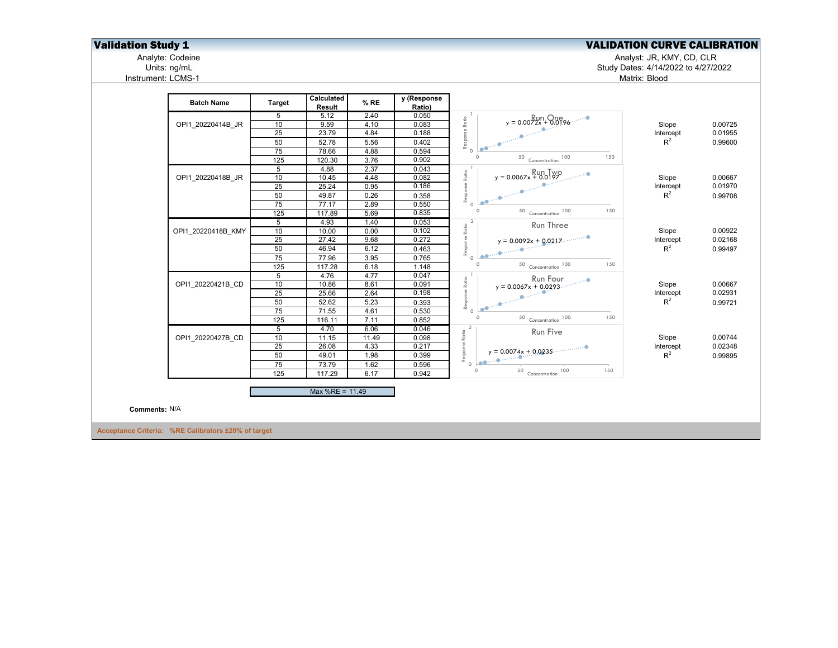## **Validation Study 1** Validation Study 1 Validation Study 1 Validation CURVE CALIBRATION

Analyte: Codeine Analyst: JR, KMY, CD, CLR

Units: ng/mL Study Dates: 4/14/2022 to 4/27/2022

Analyte: Codeine<br>
Units: ng/mL<br>
Instrument: LCMS-1

|               | <b>Batch Name</b>                                   | <b>Target</b>   | Calculated<br>Result | % RE         | y (Response<br>Ratio) | $y = 0.0072x + 0.0196$                           |                    |         |
|---------------|-----------------------------------------------------|-----------------|----------------------|--------------|-----------------------|--------------------------------------------------|--------------------|---------|
|               |                                                     | 5               | 5.12                 | 2.40         | 0.050                 |                                                  |                    |         |
|               | OPI1 20220414B JR                                   | 10              | 9.59                 | 4.10         | 0.083                 |                                                  | Slope              | 0.00725 |
|               |                                                     | 25              | 23.79                | 4.84         | 0.188                 | Response Ratio                                   | Intercept          | 0.01955 |
|               |                                                     | 50              | 52.78                | 5.56         | 0.402                 |                                                  | $R^2$              | 0.99600 |
|               |                                                     | 75              | 78.66                | 4.88         | 0.594                 | -0<br>$\Omega$                                   |                    |         |
|               |                                                     | 125             | 120.30               | 3.76         | 0.902                 | 150<br>$\Omega$<br>$50$ Concentration $100$      |                    |         |
|               |                                                     | 5               | 4.88                 | 2.37         | 0.043                 | $y = 0.0067x + 0.0197$                           |                    |         |
|               | OPI1 20220418B JR                                   | 10              | 10.45                | 4.48         | 0.082                 | Response Ratio                                   | Slope              | 0.00667 |
|               |                                                     | 25              | 25.24                | 0.95         | 0.186                 |                                                  | Intercept          | 0.01970 |
|               |                                                     | 50              | 49.87                | 0.26         | 0.358                 | <b>CONTRACTOR</b>                                | $R^2$              | 0.99708 |
|               |                                                     | 75              | 77.17                | 2.89         | 0.550                 | $\Omega$<br>150                                  |                    |         |
|               |                                                     | 125             | 117.89               | 5.69         | 0.835                 | $50$ Concentration 100                           |                    |         |
|               |                                                     | $\overline{5}$  | 4.93                 | 1.40         | 0.053                 | $\overline{2}$<br>Run Three                      |                    |         |
|               | OPI1 20220418B KMY                                  | 10              | 10.00                | 0.00         | 0.102                 |                                                  | Slope              | 0.00922 |
|               |                                                     | 25              | 27.42                | 9.68         | 0.272                 | Response Ratio<br>$y = 0.0092x + 0.0217$         | Intercept<br>$R^2$ | 0.02168 |
|               |                                                     | 50              | 46.94                | 6.12         | 0.463                 | $\mathbf{r}$ , $\mathbf{r}$                      |                    | 0.99497 |
|               |                                                     | 75<br>125       | 77.96<br>117.28      | 3.95<br>6.18 | 0.765<br>1.148        | $\Omega$<br>150<br>50 Concentration 100          |                    |         |
|               |                                                     | 5               | 4.76                 | 4.77         | 0.047                 |                                                  |                    |         |
|               | OPI1 20220421B CD                                   | 10              | 10.86                | 8.61         | 0.091                 | $x = 0.0067x + 0.0293$<br>Response Ratio         | Slope              | 0.00667 |
|               |                                                     | $\overline{25}$ | 25.66                | 2.64         | 0.198                 |                                                  | Intercept          | 0.02931 |
|               |                                                     | 50              | 52.62                | 5.23         | 0.393                 |                                                  | $R^2$              | 0.99721 |
|               |                                                     | 75              | 71.55                | 4.61         | 0.530                 |                                                  |                    |         |
|               |                                                     | 125             | 116.11               | 7.11         | 0.852                 | $\circ$<br>$50$ Concentration 100<br>150         |                    |         |
|               |                                                     | 5               | 4.70                 | 6.06         | 0.046                 |                                                  |                    |         |
|               | OPI1 20220427B CD                                   | 10              | 11.15                | 11.49        | 0.098                 | $\frac{2}{3}$ Run Five<br>$y = 0.0074x + 0.0235$ | Slope              | 0.00744 |
|               |                                                     | 25              | 26.08                | 4.33         | 0.217                 |                                                  | Intercept          | 0.02348 |
|               |                                                     | 50              | 49.01                | 1.98         | 0.399                 |                                                  | $R^2$              | 0.99895 |
|               |                                                     | 75              | 73.79                | 1.62         | 0.596                 |                                                  |                    |         |
|               |                                                     | 125             | 117.29               | 6.17         | 0.942                 | $\circ$<br>$50$ Concentration 100<br>150         |                    |         |
|               |                                                     |                 | Max %RE = 11.49      |              |                       |                                                  |                    |         |
|               |                                                     |                 |                      |              |                       |                                                  |                    |         |
| Comments: N/A |                                                     |                 |                      |              |                       |                                                  |                    |         |
|               | Acceptance Criteria: %RE Calibrators ±20% of target |                 |                      |              |                       |                                                  |                    |         |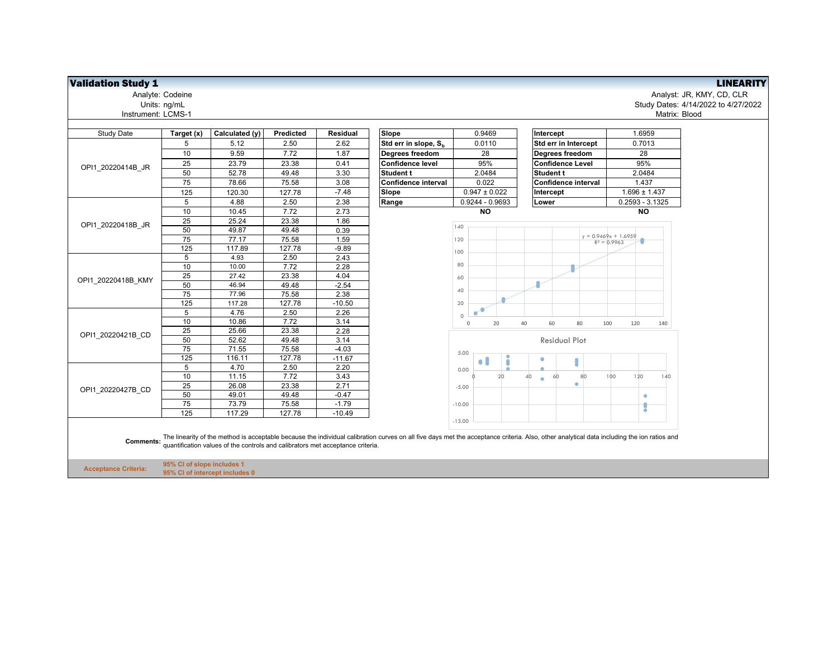## **Validation Study 1** LINEARITY

Analyte: Codeine<br>Units: ng/mL<br>Instrument: LCMS-1

Analyte: Codeine Analyst: JR, KMY, CD, CLR Units: ng/mL Study Dates: 4/14/2022 to 4/27/2022 Matrix: Blood

| Target (x)       | Calculated (y) | Predicted                  | <b>Residual</b> | Slope                            | 0.9469                                                                         | Intercept                   | 1.6959                                                                                                                                                                                     |
|------------------|----------------|----------------------------|-----------------|----------------------------------|--------------------------------------------------------------------------------|-----------------------------|--------------------------------------------------------------------------------------------------------------------------------------------------------------------------------------------|
| 5                | 5.12           | 2.50                       | 2.62            | Std err in slope, S <sub>h</sub> | 0.0110                                                                         | Std err in Intercept        | 0.7013                                                                                                                                                                                     |
| 10               | 9.59           | 7.72                       | 1.87            | Degrees freedom                  | 28                                                                             | Degrees freedom             | 28                                                                                                                                                                                         |
| 25               | 23.79          | 23.38                      | 0.41            | <b>Confidence level</b>          | 95%                                                                            | <b>Confidence Level</b>     | 95%                                                                                                                                                                                        |
| 50               | 52.78          | 49.48                      | 3.30            | Student t                        | 2.0484                                                                         | <b>Student t</b>            | 2.0484                                                                                                                                                                                     |
| 75               | 78.66          | 75.58                      | 3.08            | Confidence interval              | 0.022                                                                          | Confidence interval         | 1.437                                                                                                                                                                                      |
| 125              | 120.30         | 127.78                     | $-7.48$         | Slope                            | $0.947 \pm 0.022$                                                              | Intercept                   | $1.696 \pm 1.437$                                                                                                                                                                          |
| 5                | 4.88           | 2.50                       | 2.38            | Range                            | 0.9244 - 0.9693                                                                | Lower                       | $0.2593 - 3.1325$                                                                                                                                                                          |
| 10               | 10.45          | 7.72                       | 2.73            |                                  | <b>NO</b>                                                                      |                             | <b>NO</b>                                                                                                                                                                                  |
| 25               | 25.24          | 23.38                      | 1.86            |                                  |                                                                                |                             |                                                                                                                                                                                            |
| 50               | 49.87          | 49.48                      | 0.39            |                                  | 140                                                                            |                             |                                                                                                                                                                                            |
| 75               | 77.17          | 75.58                      | 1.59            |                                  | 120                                                                            |                             | $y = 0.9469x + 1.6959$<br>$R^2 = 0.9963$                                                                                                                                                   |
| 125              | 117.89         | 127.78                     | $-9.89$         |                                  | 100                                                                            |                             |                                                                                                                                                                                            |
| 5                | 4.93           | 2.50                       | 2.43            |                                  |                                                                                |                             |                                                                                                                                                                                            |
| 10               | 10.00          | 7.72                       | 2.28            |                                  | 80                                                                             |                             |                                                                                                                                                                                            |
| 25               | 27.42          | 23.38                      | 4.04            |                                  | 60                                                                             |                             |                                                                                                                                                                                            |
| 50               | 46.94          | 49.48                      | $-2.54$         |                                  |                                                                                |                             |                                                                                                                                                                                            |
| 75               | 77.96          | 75.58                      | 2.38            |                                  | 40                                                                             |                             |                                                                                                                                                                                            |
| 125              | 117.28         | 127.78                     | $-10.50$        |                                  | 20                                                                             |                             |                                                                                                                                                                                            |
| 5                | 4.76           | 2.50                       | 2.26            |                                  | œ<br>$\circ$                                                                   |                             |                                                                                                                                                                                            |
| 10               | 10.86          | 7.72                       | 3.14            |                                  | $\mathsf{O}\xspace$<br>20<br>40                                                | 80<br>60                    | 100<br>120<br>140                                                                                                                                                                          |
| 25               | 25.66          | 23.38                      | 2.28            |                                  |                                                                                |                             |                                                                                                                                                                                            |
| 50               | 52.62          | 49.48                      | 3.14            |                                  |                                                                                | <b>Residual Plot</b>        |                                                                                                                                                                                            |
| 75               | 71.55          | 75.58                      | $-4.03$         |                                  | 5.00                                                                           |                             |                                                                                                                                                                                            |
| $\frac{125}{25}$ | 116.11         | 127.78                     | $-11.67$        |                                  | $\bullet$ .                                                                    |                             |                                                                                                                                                                                            |
| 5                | 4.70           | 2.50                       | 2.20            |                                  | 0.00                                                                           |                             |                                                                                                                                                                                            |
| 10               | 11.15          | 7.72                       | 3.43            |                                  | 20                                                                             | 60<br>80<br>40<br>$\bullet$ | 100<br>120<br>140                                                                                                                                                                          |
| 25               | 26.08          | 23.38                      | 2.71            |                                  | $-5.00$                                                                        | ۰                           |                                                                                                                                                                                            |
| 50               | 49.01          | 49.48                      | $-0.47$         |                                  |                                                                                |                             | ۰                                                                                                                                                                                          |
| 75               | 73.79          | 75.58                      | $-1.79$         |                                  | $-10.00$                                                                       |                             |                                                                                                                                                                                            |
| 125              | 117.29         | 127.78                     | $-10.49$        |                                  |                                                                                |                             |                                                                                                                                                                                            |
|                  |                |                            |                 |                                  |                                                                                |                             |                                                                                                                                                                                            |
|                  |                | 95% CI of slope includes 1 |                 |                                  | quantification values of the controls and calibrators met acceptance criteria. | $-15.00$                    | The linearity of the method is acceptable because the individual calibration curves on all five days met the acceptance criteria. Also, other analytical data including the ion ratios and |

**Acceptance Criteria: 95% CI of intercept includes 0**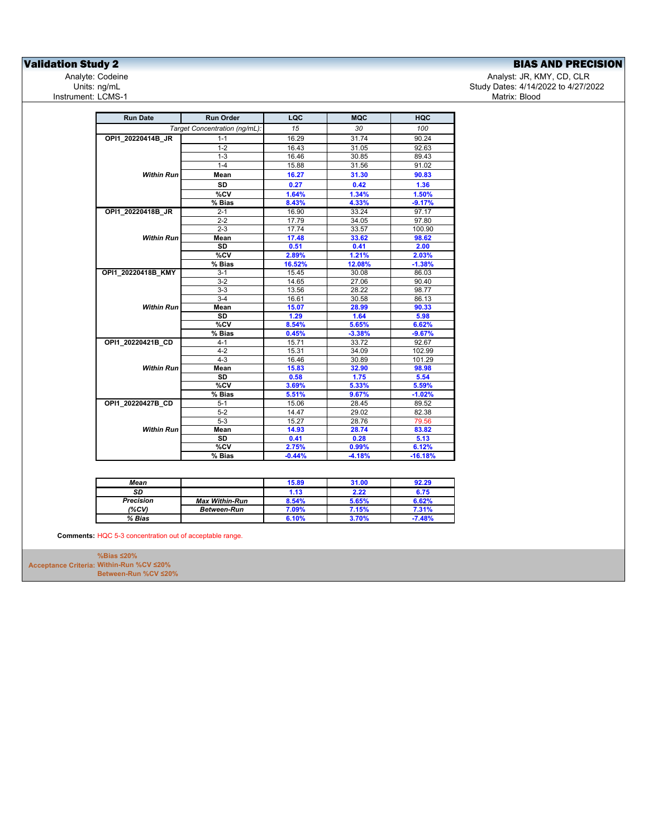## **Validation Study 2**<br>
Analyte: Codeine **Exercision Analyte: Codeine** Analyte: Codeine **Analyte: Codeine**

Analyte: Codeine المستخدم المستخدم المستخدم المستخدم المستخدم المستخدم المستخدم المستخدم المستخدم المستخدم المس<br>Study Dates: 4/14/2022 to 4/27/20 المستخدم المستخدم المستخدم المستخدم المستخدم المستخدم المستخدم المستخدم الم Study Dates: 4/14/2022 to 4/27/2022<br>Matrix: Blood

| <b>Run Date</b>    | <b>Run Order</b>              | LQC      | <b>MQC</b> | HQC       |
|--------------------|-------------------------------|----------|------------|-----------|
|                    | Target Concentration (ng/mL): | 15       | 30         | 100       |
| OPI1_20220414B_JR  | $1 - 1$                       | 16.29    | 31.74      | 90.24     |
|                    | $1 - 2$                       | 16.43    | 31.05      | 92.63     |
|                    | $1 - 3$                       | 16.46    | 30.85      | 89.43     |
|                    | $1 - 4$                       | 15.88    | 31.56      | 91.02     |
| <b>Within Run</b>  | Mean                          | 16.27    | 31.30      | 90.83     |
|                    | <b>SD</b>                     | 0.27     | 0.42       | 1.36      |
|                    | $\overline{\text{°CV}}$       | 1.64%    | 1.34%      | 1.50%     |
|                    | % Bias                        | 8.43%    | 4.33%      | $-9.17%$  |
| OPI1 20220418B JR  | $2 - 1$                       | 16.90    | 33.24      | 97.17     |
|                    | $2 - 2$                       | 17.79    | 34.05      | 97.80     |
|                    | $2 - 3$                       | 17.74    | 33.57      | 100.90    |
| <b>Within Run</b>  | Mean                          | 17.48    | 33.62      | 98.62     |
|                    | <b>SD</b>                     | 0.51     | 0.41       | 2.00      |
|                    | %CV                           | 2.89%    | 1.21%      | 2.03%     |
|                    | % Bias                        | 16.52%   | 12.08%     | $-1.38%$  |
| OPI1 20220418B KMY | $3 - 1$                       | 15.45    | 30.08      | 86.03     |
|                    | $3-2$                         | 14.65    | 27.06      | 90.40     |
|                    | $3-3$                         | 13.56    | 28.22      | 98.77     |
|                    | $3-4$                         | 16.61    | 30.58      | 86.13     |
| <b>Within Run</b>  | Mean                          | 15.07    | 28.99      | 90.33     |
|                    | <b>SD</b>                     | 1.29     | 1.64       | 5.98      |
|                    | %CV                           | 8.54%    | 5.65%      | 6.62%     |
|                    | % Bias                        | 0.45%    | $-3.38%$   | $-9.67%$  |
| OPI1 20220421B CD  | $4 - 1$                       | 15.71    | 33.72      | 92.67     |
|                    | $4 - 2$                       | 15.31    | 34.09      | 102.99    |
|                    | $4 - 3$                       | 16.46    | 30.89      | 101.29    |
| <b>Within Run</b>  | Mean                          | 15.83    | 32.90      | 98.98     |
|                    | SD                            | 0.58     | 1.75       | 5.54      |
|                    | $\overline{\text{°CV}}$       | 3.69%    | 5.33%      | 5.59%     |
|                    | % Bias                        | 5.51%    | 9.67%      | $-1.02%$  |
| OPI1 20220427B CD  | $5 - 1$                       | 15.06    | 28.45      | 89.52     |
|                    | $5 - 2$                       | 14.47    | 29.02      | 82.38     |
|                    | $5-3$                         | 15.27    | 28.76      | 79.56     |
| <b>Within Run</b>  | Mean                          | 14.93    | 28.74      | 83.82     |
|                    | <b>SD</b>                     | 0.41     | 0.28       | 5.13      |
|                    | %CV                           | 2.75%    | 0.99%      | 6.12%     |
|                    | % Bias                        | $-0.44%$ | $-4.18%$   | $-16.18%$ |

| Mean             |                       | 15.89 | 31.00 | 92.29    |
|------------------|-----------------------|-------|-------|----------|
| SD               |                       | 1.13  | 2.22  | 6.75     |
| <b>Precision</b> | <b>Max Within-Run</b> | 8.54% | 5.65% | 6.62%    |
| (%CV)            | <b>Between-Run</b>    | 7.09% | 7.15% | 7.31%    |
| % Bias           |                       | 6.10% | 3.70% | $-7.48%$ |

**Comments:** HQC 5-3 concentration out of acceptable range.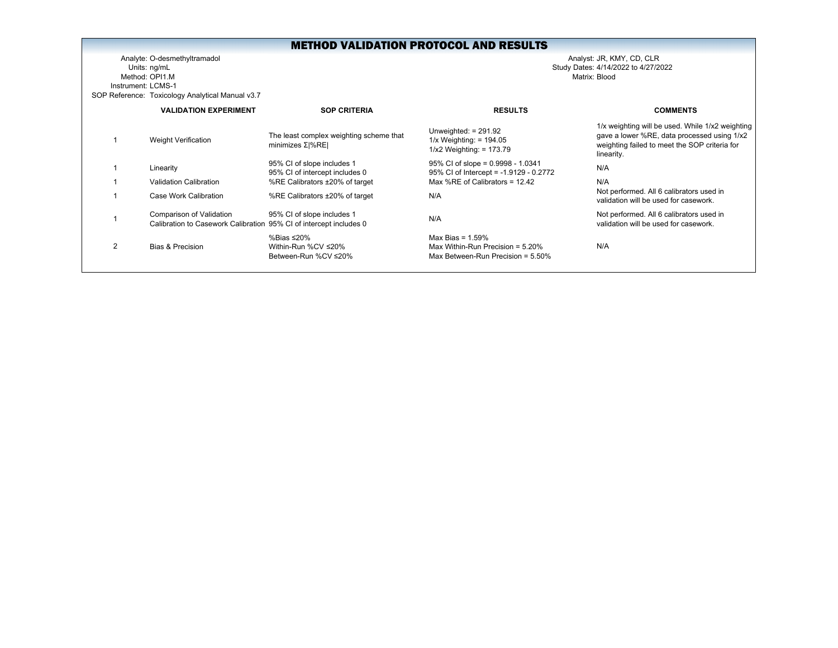Analyte: O-desmethyltramadol Analyst: JR, KMY, CD, CLR Units: ng/mL Study Dates: 4/14/2022 to 4/27/2022 Method: OPI1.MInstrument: LCMS-1SOP Reference: Toxicology Analytical Manual v3.7

|                | <b>VALIDATION EXPERIMENT</b>                                                                   | <b>SOP CRITERIA</b>                                          | <b>RESULTS</b>                                                                                     | <b>COMMENTS</b>                                                                                                                                                |
|----------------|------------------------------------------------------------------------------------------------|--------------------------------------------------------------|----------------------------------------------------------------------------------------------------|----------------------------------------------------------------------------------------------------------------------------------------------------------------|
|                | <b>Weight Verification</b>                                                                     | The least complex weighting scheme that<br>minimizes Σ %RE   | Unweighted: $= 291.92$<br>$1/x$ Weighting: = 194.05<br>$1/x2$ Weighting: = 173.79                  | 1/x weighting will be used. While 1/x2 weighting<br>gave a lower %RE, data processed using 1/x2<br>weighting failed to meet the SOP criteria for<br>linearity. |
|                | Linearity                                                                                      | 95% CI of slope includes 1<br>95% CI of intercept includes 0 | $95\%$ CI of slope = 0.9998 - 1.0341<br>95% CI of Intercept = -1.9129 - 0.2772                     | N/A                                                                                                                                                            |
|                | Validation Calibration                                                                         | %RE Calibrators ±20% of target                               | Max %RE of Calibrators = 12.42                                                                     | N/A                                                                                                                                                            |
|                | Case Work Calibration                                                                          | %RE Calibrators ±20% of target                               | N/A                                                                                                | Not performed. All 6 calibrators used in<br>validation will be used for casework.                                                                              |
|                | Comparison of Validation<br>Calibration to Casework Calibration 95% CI of intercept includes 0 | 95% CI of slope includes 1                                   | N/A                                                                                                | Not performed. All 6 calibrators used in<br>validation will be used for casework.                                                                              |
| $\overline{2}$ | Bias & Precision                                                                               | %Bias ≤20%<br>Within-Run %CV ≤20%<br>Between-Run %CV ≤20%    | Max Bias = $1.59\%$<br>Max Within-Run Precision = $5.20\%$<br>Max Between-Run Precision = $5.50\%$ | N/A                                                                                                                                                            |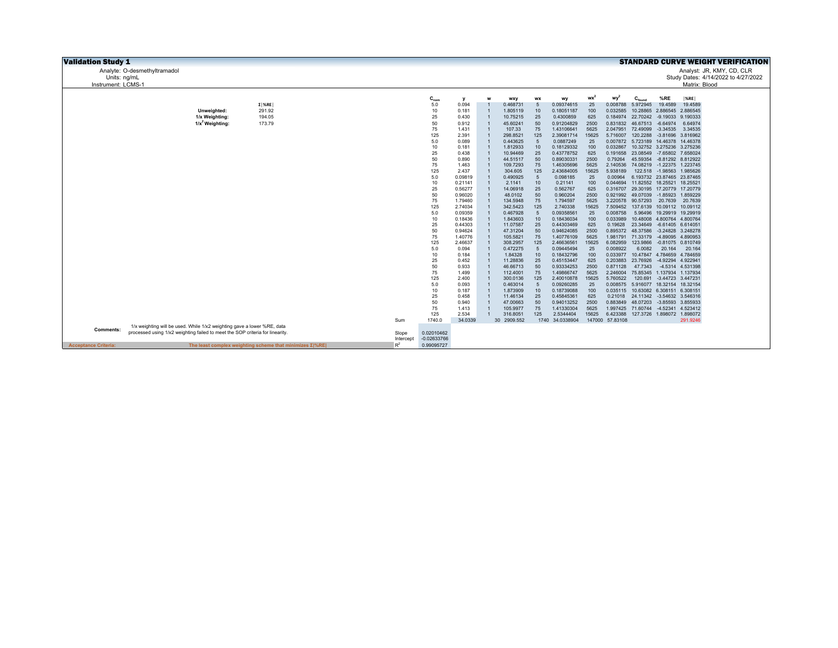| <b>Validation Study 1</b>   |                                                                               |                                                                |           |               |                    |                                  |                         |                       |                              |             |                             |                                                 |                            |                                        | <b>STANDARD CURVE WEIGHT VERIFICATION</b> |
|-----------------------------|-------------------------------------------------------------------------------|----------------------------------------------------------------|-----------|---------------|--------------------|----------------------------------|-------------------------|-----------------------|------------------------------|-------------|-----------------------------|-------------------------------------------------|----------------------------|----------------------------------------|-------------------------------------------|
|                             | Analyte: O-desmethyltramadol                                                  |                                                                |           |               |                    |                                  |                         |                       |                              |             |                             |                                                 |                            |                                        | Analyst: JR, KMY, CD, CLR                 |
| Units: ng/mL                |                                                                               |                                                                |           |               |                    |                                  |                         |                       |                              |             |                             |                                                 |                            |                                        | Study Dates: 4/14/2022 to 4/27/2022       |
| Instrument: LCMS-1          |                                                                               |                                                                |           |               |                    |                                  |                         |                       |                              |             |                             |                                                 |                            | Matrix: Blood                          |                                           |
|                             |                                                                               |                                                                |           |               |                    |                                  |                         |                       |                              |             |                             |                                                 |                            |                                        |                                           |
|                             |                                                                               |                                                                |           | $C_{nom}$     | v                  | W                                | wxy                     | <b>WX</b>             | wy                           | $wx^2$      | wy <sup>2</sup>             | $C_{\text{found}}$                              | %RE                        | $ \%$ RE                               |                                           |
|                             |                                                                               | $\Sigma$ %RE                                                   |           | 5.0           | 0.094              |                                  | 0.468731                | 5                     | 0.09374615                   | 25          | 0.008788                    | 5.972945                                        | 19.4589                    | 19.4589                                |                                           |
|                             | Unweighted:<br>1/x Weighting:                                                 | 291.92<br>194.05                                               |           | 10<br>25      | 0.181              |                                  | 1.805119<br>10.75215    | 10<br>25              | 0.18051187<br>0.4300859      | 100<br>625  | 0.032585                    | 10.28865<br>0.184974 22.70242 -9.19033 9.190333 |                            | 2.886545 2.886545                      |                                           |
|                             | $1/x^2$ Weighting:                                                            | 173.79                                                         |           | 50            | 0.430<br>0.912     |                                  | 45.60241                | 50                    | 0.91204829                   | 2500        |                             | 0.831832 46.67513 -6.64974                      |                            | 6.64974                                |                                           |
|                             |                                                                               |                                                                |           | 75            | 1.431              | $\overline{1}$                   | 107.33                  | 75                    | 1.43106641                   | 5625        | 2.047951                    | 72.49099 -3.34535                               |                            | 3.34535                                |                                           |
|                             |                                                                               |                                                                |           | 125           | 2.391              |                                  | 298.8521                | 125                   | 2.39081714                   | 15625       | 5.716007                    |                                                 | 120.2288 -3.81696 3.816962 |                                        |                                           |
|                             |                                                                               |                                                                |           | 5.0           | 0.089              |                                  | 0.443625                | 5                     | 0.0887249                    | 25          |                             | 0.007872 5.723189 14.46378 14.46378             |                            |                                        |                                           |
|                             |                                                                               |                                                                |           | 10            | 0.181              |                                  | 1.812933                | 10                    | 0.18129332                   | 100         | 0.032867                    |                                                 |                            | 10.32752 3.275236 3.275236             |                                           |
|                             |                                                                               |                                                                |           | 25            | 0.438              |                                  | 10.94469                | 25                    | 0.43778752                   | 625         | 0.191658                    | 23.08549 -7.65802 7.658024                      |                            |                                        |                                           |
|                             |                                                                               |                                                                |           | 50            | 0.890              |                                  | 44.51517                | 50                    | 0.89030331                   | 2500        | 0.79264                     |                                                 |                            | 45.59354 -8.81292 8.812922             |                                           |
|                             |                                                                               |                                                                |           | 75            | 1.463              | $\overline{1}$                   | 109.7293                | 75                    | 1.46305696                   | 5625        | 2.140536                    |                                                 |                            | 74.08219 -1.22375 1.223745             |                                           |
|                             |                                                                               |                                                                |           | 125           | 2.437              | $\overline{1}$                   | 304.605                 | 125                   | 2.43684005                   | 15625       | 5.938189                    |                                                 |                            | 122.518 -1.98563 1.985626              |                                           |
|                             |                                                                               |                                                                |           | 5.0<br>10     | 0.09819            |                                  | 0.490925                | $5\phantom{.0}$<br>10 | 0.098185                     | 25          | 0.00964<br>0.044694         |                                                 | 11.82552 18.25521 18.25521 | 6.193732 23.87465 23.87465             |                                           |
|                             |                                                                               |                                                                |           | 25            | 0.21141<br>0.56277 |                                  | 2.1141<br>14.06918      | 25                    | 0.21141<br>0.562767          | 100<br>625  |                             | 0.316707 29.30195 17.20779 17.20779             |                            |                                        |                                           |
|                             |                                                                               |                                                                |           | 50            | 0.96020            |                                  | 48.0102                 | 50                    | 0.960204                     | 2500        |                             | 0.921992 49.07039 -1.85923 1.859229             |                            |                                        |                                           |
|                             |                                                                               |                                                                |           | 75            | 1.79460            |                                  | 134.5948                | 75                    | 1.794597                     | 5625        |                             | 3.220578 90.57293 20.7639 20.7639               |                            |                                        |                                           |
|                             |                                                                               |                                                                |           | 125           | 2.74034            |                                  | 342.5423                | 125                   | 2.740338                     | 15625       |                             | 7.509452 137.6139 10.09112 10.09112             |                            |                                        |                                           |
|                             |                                                                               |                                                                |           | 5.0           | 0.09359            |                                  | 0.467928                | 5                     | 0.09358561                   | 25          | 0.008758                    |                                                 |                            | 5.96496 19.29919 19.29919              |                                           |
|                             |                                                                               |                                                                |           | 10            | 0.18436            |                                  | 1.843603                | 10                    | 0.18436034                   | 100         | 0.033989                    |                                                 | 10.48008 4.800764 4.800764 |                                        |                                           |
|                             |                                                                               |                                                                |           | 25            | 0.44303            |                                  | 11.07587                | 25                    | 0.44303469                   | 625         | 0.19628                     | 23.34649 -6.61405 6.614051                      |                            |                                        |                                           |
|                             |                                                                               |                                                                |           | 50            | 0.94624            |                                  | 47.31204                | 50                    | 0.94624085                   | 2500        |                             | 0.895372 48.37586 -3.24828 3.248278             |                            |                                        |                                           |
|                             |                                                                               |                                                                |           | 75            | 1.40776            |                                  | 105.5821                | 75                    | 1.40776109                   | 5625        |                             | 1.981791 71.33179 -4.89095 4.890953             |                            |                                        |                                           |
|                             |                                                                               |                                                                |           | 125<br>5.0    | 2.46637<br>0.094   |                                  | 308.2957<br>0.472275    | 125<br>$\sqrt{5}$     | 2.46636561<br>0.09445494     | 15625<br>25 | 6.082959<br>0.008922        | 6.0082                                          | 20.164                     | 123.9866 -0.81075 0.810749<br>20.164   |                                           |
|                             |                                                                               |                                                                |           | 10            | 0.184              | $\overline{1}$                   | 1.84328                 | 10                    | 0.18432796                   | 100         | 0.033977                    |                                                 |                            | 10.47847 4.784659 4.784659             |                                           |
|                             |                                                                               |                                                                |           | 25            | 0.452              |                                  | 11.28836                | 25                    | 0.45153447                   | 625         | 0.203883                    | 23.76926 -4.92294 4.922941                      |                            |                                        |                                           |
|                             |                                                                               |                                                                |           | 50            | 0.933              |                                  | 46.66713                | 50                    | 0.93334253                   | 2500        | 0.871128                    | 47.7343                                         |                            | -4.5314 4.531398                       |                                           |
|                             |                                                                               |                                                                |           | 75            | 1.499              |                                  | 112.4001                | 75                    | 1.49866747                   | 5625        | 2.246004                    | 75.85345 1.137934 1.137934                      |                            |                                        |                                           |
|                             |                                                                               |                                                                |           | 125           | 2.400              |                                  | 300.0136                | 125                   | 2.40010878                   | 15625       | 5.760522                    |                                                 | 120.691 -3.44723 3.447231  |                                        |                                           |
|                             |                                                                               |                                                                |           | 5.0           | 0.093              |                                  | 0.463014                | $\sqrt{5}$            | 0.09260285                   | 25          | 0.008575                    |                                                 | 5.916077 18.32154 18.32154 |                                        |                                           |
|                             |                                                                               |                                                                |           | 10            | 0.187              |                                  | 1.873909                | 10                    | 0.18739088                   | 100         | 0.035115                    | 10.63082 6.308151 6.308151                      |                            |                                        |                                           |
|                             |                                                                               |                                                                |           | 25            | 0.458              |                                  | 11.46134                | 25                    | 0.45845361                   | 625         |                             | 0.21018 24.11342 -3.54632 3.546316              |                            |                                        |                                           |
|                             |                                                                               |                                                                |           | 50            | 0.940              |                                  | 47.00663                | 50                    | 0.94013252                   | 2500        | 0.883849                    |                                                 | 48.07203 -3.85593 3.855933 |                                        |                                           |
|                             |                                                                               |                                                                |           | 75            | 1.413              | $\overline{1}$<br>$\overline{1}$ | 105.9977                | 75                    | 1.41330304                   | 5625        | 1.997425                    | 71.60744 -4.52341 4.523412                      |                            |                                        |                                           |
|                             |                                                                               |                                                                | Sum       | 125<br>1740.0 | 2.534<br>34.0339   |                                  | 316.8051<br>30 2909.552 | 125                   | 2.5344404<br>1740 34.0338904 | 15625       | 6.423388<br>147000 57.83108 |                                                 |                            | 127.3726 1.898072 1.898072<br>291.9246 |                                           |
|                             | 1/x weighting will be used. While 1/x2 weighting gave a lower %RE, data       |                                                                |           |               |                    |                                  |                         |                       |                              |             |                             |                                                 |                            |                                        |                                           |
| <b>Comments:</b>            | processed using 1/x2 weighting failed to meet the SOP criteria for linearity. |                                                                | Slope     | 0.02010462    |                    |                                  |                         |                       |                              |             |                             |                                                 |                            |                                        |                                           |
|                             |                                                                               |                                                                | Intercept | $-0.02633766$ |                    |                                  |                         |                       |                              |             |                             |                                                 |                            |                                        |                                           |
| <b>Acceptance Criteria:</b> |                                                                               | The least complex weighting scheme that minimizes $\Sigma$ %RE | $R^2$     | 0.99095727    |                    |                                  |                         |                       |                              |             |                             |                                                 |                            |                                        |                                           |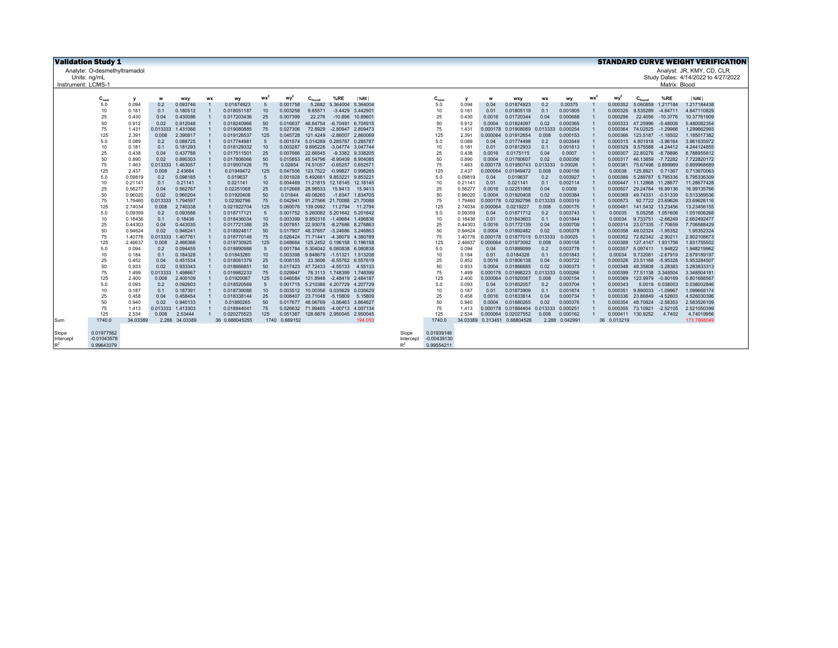|                    | <b>Validation Study 1</b><br><b>STANDARD CURVE WEIGHT VERIFICATION</b> |                    |              |                      |           |                           |           |                     |                      |                                     |                             |                |               |                    |                    |                          |              |                      |    |                      |                               |                  |                                     |
|--------------------|------------------------------------------------------------------------|--------------------|--------------|----------------------|-----------|---------------------------|-----------|---------------------|----------------------|-------------------------------------|-----------------------------|----------------|---------------|--------------------|--------------------|--------------------------|--------------|----------------------|----|----------------------|-------------------------------|------------------|-------------------------------------|
|                    | Analyte: O-desmethyltramadol                                           |                    |              |                      |           |                           |           |                     |                      |                                     |                             |                |               |                    |                    |                          |              |                      |    |                      |                               |                  | Analyst: JR, KMY, CD, CLR           |
|                    | Units: ng/mL                                                           |                    |              |                      |           |                           |           |                     |                      |                                     |                             |                |               |                    |                    |                          |              |                      |    |                      |                               |                  | Study Dates: 4/14/2022 to 4/27/2022 |
| Instrument: LCMS-1 |                                                                        |                    |              |                      |           |                           |           |                     |                      |                                     |                             |                |               |                    |                    |                          |              |                      |    |                      |                               | Matrix: Blood    |                                     |
|                    |                                                                        |                    |              |                      |           |                           |           |                     |                      |                                     |                             |                |               |                    |                    |                          |              |                      |    |                      |                               |                  |                                     |
|                    | $C_{nom}$                                                              | y                  | W            | wxy                  | <b>WX</b> | wy                        | <b>WX</b> | wy <sup>2</sup>     | $C_{\text{found}}$   | %RE                                 | %RE                         |                | $C_{nom}$     |                    | w                  | wxy                      | <b>WX</b>    | wy                   | wx | wy <sup>2</sup>      | $C_{\text{fourr}}$            | %RE              | %RE                                 |
|                    | 5.0                                                                    | 0.094              | 0.2          | 0.093746             |           | 0.01874923                | 5         | 0.001758            | 5.2682               | 5.364004                            | 5.364004                    |                | 5.0           | 0.094              | 0.04               | 0.01874923               | 0.2          | 0.00375              |    | 0.000352             | 5.060859                      | 1.217184         | 1.217184438                         |
|                    | 10                                                                     | 0.181              | 0.1          | 0.180512             |           | 0.018051187               | 10        | 0.003258            | 9.65571              |                                     | $-3.4429$ 3.44290           |                | 10            | 0.181              | 0.01               | 0.01805119               | 0.1          | 0.001805             |    | 0.000326             | 9.535289                      | $-4.64711$       | 4.647110829                         |
|                    | 25                                                                     | 0.430              | 0.04         | 0.430086             |           | 0.017203436               | 25        | 0.007399            | 22,276               | $-10.896$                           | 10.8960                     |                | 25            | 0.430              | 0.0016             | 0.01720344               | 0.04         | 0.000688             |    | 0.000296             | 22.4056                       | $-10.3776$       | 10.37761909                         |
|                    | 50                                                                     | 0.912              | 0.02         | 0.912048             |           | 0.018240966               | 50        | 0.016637            | 46.64754             | -6.70491 6.704915                   |                             |                | 50            | 0.912              | 0.0004             | 0.01824097               | 0.02         | 0.000365             |    | 0.000333             | 47.25996                      | $-5.48008$       | 5.480082354                         |
|                    | 75                                                                     | 1.431              | 0.013333     | 1.431066             |           | 0.019080885               | 75        | 0.027306            | 72.8929              | $-2.80947$                          | 2.809473                    |                | 75            | 1.431              | 0.000178           | 0.01908089               | 0.013333     | 0.000254             |    | 0.000364             | 74.02525                      | $-1.29966$       | 1.299662993                         |
|                    | 125                                                                    | 2.391              | 0.008        | 2.390817             |           | 0.019126537               | 125       | 0.045728            |                      | 121.4249 -2.86007 2.860069          |                             |                | 125           | 2.391              | 0.000064           | 0.01912654               | 0.008        | 0.000153             |    | 0.000366             | 123.5187 -1.18502             |                  | 1.185017382                         |
|                    | 5.0                                                                    | 0.089              | 0.2          | 0.088725             |           | 0.017744981               | .5        | 0.001574            |                      | 5.014289 0.285787 0.285787          |                             |                | 5.0           | 0.089              | 0.04               | 0.01774498               | 0.2          | 0.003549             |    | 0.000315             | 4.801918                      | $-3.96164$       | 3.961635972                         |
|                    | 10                                                                     | 0.181              | 0.1          | 0.181293             |           | 0.018129332               | 10        | 0.003287            | 9.695226             | -3.04774 3.047744                   |                             |                | 10            | 0.181              | 0.01               | 0.01812933               | 0.1          | 0.001813             |    | 0.000329             | 9.575588                      | $-4.24412$       | 4.244124855                         |
|                    | 25                                                                     | 0.438              | 0.04         | 0.437788             |           | 0.017511501               | 25        | 0.007666            | 22.66545             |                                     | -9.3382 9.338205            |                | 25            | 0.438              | 0.0016             | 0.0175115                | 0.04         | 0.0007               |    | 0.000307             | 22,80276                      | $-8.78896$       | 8.788955812                         |
|                    | 50                                                                     | 0.890              | 0.02         | 0.890303             |           | 0.017806066               | 50        | 0.015853            | 45.54796             | -8.90409 8.904085                   |                             |                | 50            | 0.890              | 0.0004             | 0.01780607               | 0.02         | 0.000356             |    | 0.000317             | 46.13859                      | $-7.72282$       | 7.722820172                         |
|                    | 75                                                                     | 1.463              | 0.013333     | 1.463057             |           | 0.019507426               | 75        | 0.02854             | 74.51057             | $-0.65257$ $0.65257$                |                             |                | 75            | 1.463              | 0.000178           | 0.01950743               | 0.013333     | 0.00026              |    | 0.000381             | 75.67498 0.899969             |                  | 0.899968689                         |
|                    | 125                                                                    | 2.437              | 0.008        | 2.43684              |           | 0.01949472                | 125       | 0.047506            |                      | 123.7522 -0.99827 0.998265          |                             |                | 125           | 2.437              | 0.000064           | 0.01949472               | 0.008        | 0.000156             |    | 0.00038              | 125.8921                      | 0.71367          | 0.713670063                         |
|                    | 5.0                                                                    | 0.09819            | 0.2          | 0.098185             |           | 0.019637                  | 5         | 0.001928            |                      | 5.492661 9.853221                   | 9.85322                     |                | 5.0           | 0.09819            | 0.04               | 0.019637                 | 0.2          | 0.003927             |    | 0.000386             | 5.289767 5.795336             |                  | 5.795336309                         |
|                    | 10                                                                     | 0.21141            | 0.1          | 0.21141<br>0.562767  |           | 0.021141<br>0.02251068    | 10        | 0.004469            |                      | 11.21815 12.18145<br>15,9413        | 12.18145                    |                | 10            | 0.21141            | 0.01               | 0.021141<br>0.02251068   | 0.1<br>0.04  | 0.002114<br>0.0009   |    | 0.000447             | 11.12868                      | 11,28677         | 11.28677428<br>16.99135766          |
|                    | 25<br>50                                                               | 0.56277<br>0.96020 | 0.04<br>0.02 | 0.960204             |           | 0.01920408                | 25<br>50  | 0.012668<br>0.01844 | 28.98533<br>49.08265 |                                     | 15.9413<br>-1.8347 1.834705 |                | 25<br>50      | 0.56277<br>0.96020 | 0.0016<br>0.0004   | 0.01920408               | 0.02         | 0.000384             |    | 0.000507<br>0.000369 | 29.24784 16.99136<br>49.74331 | $-0.51339$       | 0.513389536                         |
|                    | 75                                                                     | 1.79460            | 0.013333     | 1.794597             |           | 0.02392796                | 75        | 0.042941            |                      | 91.27566 21.70088 21.70088          |                             |                | 75            | 1.79460            | 0.000178           | 0.02392796 0.013333      |              | 0.000319             |    | 0.000573             |                               | 92.7722 23.69626 | 23.69626116                         |
|                    | 125                                                                    | 2.74034            | 0.008        | 2.740338             |           | 0.021922704               | 125       | 0.060076            | 139.0992             | 11.2794                             | 11.2794                     |                | 125           | 2.74034            | 0.000064           | 0.0219227                | 0.008        | 0.000175             |    | 0.000481             | 141.5432 13.23456             |                  | 13.23456155                         |
|                    | 5.0                                                                    | 0.09359            | 0.2          | 0.093586             |           | 0.018717121               |           | 0.001752            |                      | 5.260082 5.201642 5.201642          |                             |                | 5.0           | 0.09359            | 0.04               | 0.01871712               | 0.2          | 0.003743             |    | 0.00035              |                               | 5.05258 1.051606 | 1.051606268                         |
|                    | 10                                                                     | 0.18436            | 0.1          | 0.18436              |           | 0.018436034               | 10        | 0.003399            | 9.850316 -1.49684    |                                     | 1.496836                    |                | 10            | 0.18436            | 0.01               | 0.01843603               | 0.1          | 0.001844             |    | 0.00034              | 9.733751                      | $-2.66249$       | 2.662492477                         |
|                    | 25                                                                     | 0.44303            | 0.04         | 0.443035             |           | 0.017721388               | 25        | 0.007851            |                      | 22.93078 -8.27686 8.276863          |                             |                | 25            | 0.44303            | 0.0016             | 0.01772139               | 0.04         | 0.000709             |    | 0.000314             | 23.07335 -7.70659             |                  | 7.706588429                         |
|                    | 50                                                                     | 0.94624            | 0.02         | 0.946241             |           | 0.018924817               | 50        | 0.017907            | 48.37657             | -3.24686 3.246863                   |                             |                | 50            | 0.94624            | 0.0004             | 0.01892482               | 0.02         | 0.000378             |    | 0.000358             | 49.02324                      | $-1.95352$       | 1.95352324                          |
|                    | 75                                                                     | 1.40776            | 0.013333     | 1.407761             |           | 0.018770148               | 75        |                     |                      | 0.026424 71.71441 -4.38079 4.380789 |                             |                | 75            | 1.40776            | 0.000178           | 0.01877015 0.013333      |              | 0.00025              |    | 0.000352             | 72.82342 -2.90211             |                  | 2.902108673                         |
|                    | 125                                                                    | 2.46637            | 0.008        | 2.466366             |           | 0.019730925               | 125       | 0.048664            |                      | 125.2452 0.196158 0.196158          |                             |                | 125           | 2.46637            | 0.000064           | 0.01973092               | 0.008        | 0.000158             |    | 0.000389             | 127.4147 1.931756             |                  | 1.931755502                         |
|                    | 5.0                                                                    | 0.094              | 0.2          | 0.094455             |           | 0.018890988               | $-5$      | 0.001784            |                      | 5.304042 6.080838 6.080838          |                             |                | 5.0           | 0.094              | 0.04               | 0.01889099               | 0.2          | 0.003778             |    | 0.000357             | 5.097411                      | 1.94822          | 1.948219962                         |
|                    | 10                                                                     | 0.184              | 0.1          | 0.184328             |           | 0.01843280                | 10        | 0.003398            |                      | 9.848679 -1.51321                   | 1.513208                    |                | 10            | 0.184              | 0.01               | 0.0184328                | 0.1          | 0.001843             |    | 0.00034              | 9.732081                      | $-2.67919$       | 2.679189197                         |
|                    | 25                                                                     | 0.452              | 0.04         | 0.451534             |           | 0.018061379               | 25        | 0.008155            |                      | 23.3606 -6.55762 6.557619           |                             |                | 25            | 0.452              | 0.0016             | 0.01806138               | 0.04         | 0.000722             |    | 0.000326             | 23.51168                      | $-5.95328$       | 5.953284507                         |
|                    | 50                                                                     | 0.933              | 0.02         | 0.933343             |           | 0.018666851               | 50        | 0.017423            |                      | 47.72433 -4.55133                   | 4.55133                     |                | 50            | 0.933              | 0.0004             | 0.01866685               | 0.02         | 0.000373             |    | 0.000348             | 48.35808                      | $-3.28383$       | 3.283833313                         |
|                    | 75                                                                     | 1.499              | 0.013333     | 1.498667             |           | 0.019982233               | 75        | 0.029947            |                      | 76.3113 1.748399                    | 1.748399                    |                | 75            | 1.499              | 0.000178           | 0.01998223               | 0.013333     | 0.000266             |    | 0.000399             | 77.51138 3.348504             |                  | 3.348504181                         |
|                    | 125                                                                    | 2.400              | 0.008        | 2.400109             |           | 0.01920087                | 125       | 0.046084            |                      | 121.8948 -2.48419 2.484187          |                             |                | 125           | 2.400              | 0.000064           | 0.01920087               | 0.008        | 0.000154             |    | 0.000369             | 123.9979 -0.80169             |                  | 0.801688567                         |
|                    | 5.0                                                                    | 0.093              | 0.2          | 0.092603             |           | 0.018520569               | $-5$      | 0.001715            |                      | 5.210386 4.207729                   | 4.207729                    |                | 5.0           | 0.093              | 0.04               | 0.01852057               | 0.2          | 0.003704             |    | 0.000343             |                               | 5.0019 0.038003  | 0.038002846                         |
|                    | 10<br>25                                                               | 0.187              | 0.1          | 0.187391<br>0.458454 |           | 0.018739088               | 10<br>25  |                     |                      | 0.003512 10.00356 0.035629          | 0.035629                    |                | 10<br>25      | 0.187              | 0.01               | 0.01873909               | 0.1          | 0.001874             |    | 0.000351             | 9.890033                      | $-1.09967$       | 1.099668174                         |
|                    | 50                                                                     | 0.458<br>0.940     | 0.04<br>0.02 | 0.940133             |           | 0.018338144               | 50        | 0.008407            | 23.71048 -5.15809    | 0.017677 48.06769 -3.86463 3.864627 | 5.15809                     |                | 50            | 0.458<br>0.940     | 0.0016             | 0.01833814<br>0.01880265 | 0.04<br>0.02 | 0.000734<br>0.000376 |    | 0.000336<br>0.000354 | 23.86849<br>48.70824 -2.58353 | $-4.52603$       | 4.526030396<br>2.583526109          |
|                    | 75                                                                     | 1.413              | 0.013333     | 1.413303             |           | 0.01880265<br>0.018844041 | 75        |                     |                      | 0.026632 71.99465 -4.00713 4.007134 |                             |                | 75            | 1.413              | 0.0004<br>0.000178 | 0.01884404               | 0.013333     | 0.000251             |    | 0.000355             | 73.10921                      | $-2.52105$       | 2.521050399                         |
|                    | 125                                                                    | 2.534              | 0.008        | 2.53444              |           | 0.020275523               | 125       | 0.051387            |                      | 128.6876 2.950045 2.950045          |                             |                | 125           | 2.534              | 0.000064           | 0.02027552               | 0.008        | 0.000162             |    | 0.000411             | 130,9252                      | 4.7402           | 4.74019956                          |
| Sum                | 1740.0                                                                 | 34.03389           | 2.288        | 34.03389             |           | 36 0.688045255            | 1740      | 0.669152            |                      |                                     | 194.053                     |                | 1740.0        |                    | 34.03389 0.313451  | 0.68804526               | 2.288        | 0.042991             |    | 36 0.013219          |                               |                  | 173.7868049                         |
|                    |                                                                        |                    |              |                      |           |                           |           |                     |                      |                                     |                             |                |               |                    |                    |                          |              |                      |    |                      |                               |                  |                                     |
| Slope              | 0.01977562                                                             |                    |              |                      |           |                           |           |                     |                      |                                     |                             | Slope          | 0.01939146    |                    |                    |                          |              |                      |    |                      |                               |                  |                                     |
| Intercept          | $-0.01043578$                                                          |                    |              |                      |           |                           |           |                     |                      |                                     |                             | Intercept      | $-0.00439130$ |                    |                    |                          |              |                      |    |                      |                               |                  |                                     |
| $R^2$              | 0.99643379                                                             |                    |              |                      |           |                           |           |                     |                      |                                     |                             | $\mathsf{P}^2$ | 0.99554211    |                    |                    |                          |              |                      |    |                      |                               |                  |                                     |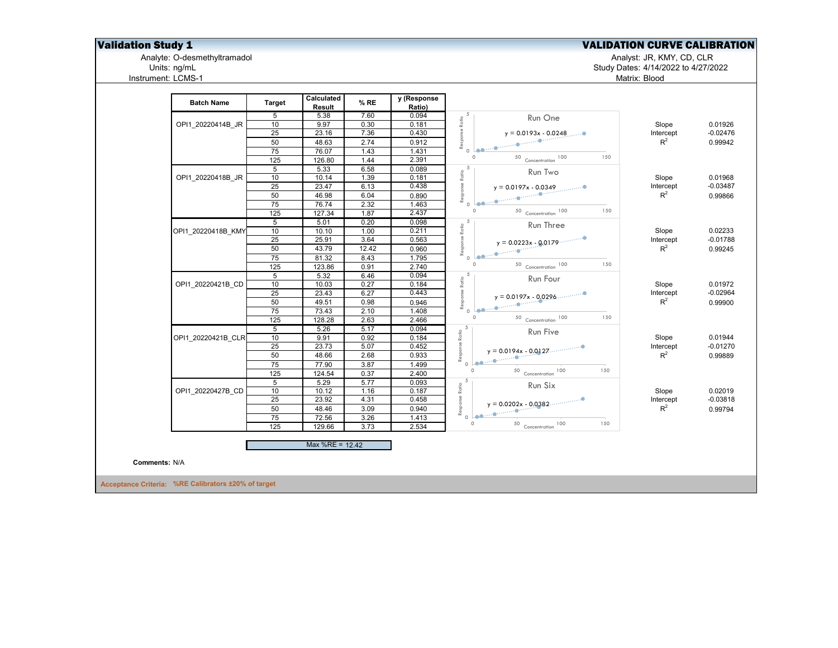**Validation Study 1**<br>Analyte: O-desmethyltramadol Analyte: O-desmethyltramadol<br>Units: ng/mL<br>Units: ng/mL<br>Dunits: ng/mL<br>Dunits: ng/mL Analyte: O-desmethyltramadol Analyst: JR, KMY, CD, CLR

Instrument: LCMS-1

Units: ng/mL Study Dates: 4/14/2022 to 4/27/2022 Matrix: Blood

| 5.38<br>5<br>10<br>9.97<br>25<br>23.16<br>50<br>48.63<br>75<br>76.07<br>125<br>126.80<br>5<br>5.33<br>10<br>10.14<br>25<br>23.47<br>50<br>46.98 | 7.60<br>0.30<br>7.36<br>2.74<br>1.43<br>1.44<br>6.58                                                                                                            | 0.094<br>0.181<br>0.430<br>0.912<br>1.431<br>2.391 | Response Ratio<br>J<br>Run One<br>$y = 0.0193x - 0.0248$<br>0 <sup>2</sup> - <del>محبب</del><br>سیستوسیستان محبب اللہ کا ا | Slope<br>Intercept<br>$R^2$                                                                                                                                                                                                                                                                                                                                                      | 0.01926<br>$-0.02476$       |
|-------------------------------------------------------------------------------------------------------------------------------------------------|-----------------------------------------------------------------------------------------------------------------------------------------------------------------|----------------------------------------------------|----------------------------------------------------------------------------------------------------------------------------|----------------------------------------------------------------------------------------------------------------------------------------------------------------------------------------------------------------------------------------------------------------------------------------------------------------------------------------------------------------------------------|-----------------------------|
|                                                                                                                                                 |                                                                                                                                                                 |                                                    |                                                                                                                            |                                                                                                                                                                                                                                                                                                                                                                                  |                             |
|                                                                                                                                                 |                                                                                                                                                                 |                                                    |                                                                                                                            |                                                                                                                                                                                                                                                                                                                                                                                  |                             |
|                                                                                                                                                 |                                                                                                                                                                 |                                                    |                                                                                                                            |                                                                                                                                                                                                                                                                                                                                                                                  |                             |
|                                                                                                                                                 |                                                                                                                                                                 |                                                    |                                                                                                                            |                                                                                                                                                                                                                                                                                                                                                                                  | 0.99942                     |
|                                                                                                                                                 |                                                                                                                                                                 |                                                    |                                                                                                                            |                                                                                                                                                                                                                                                                                                                                                                                  |                             |
|                                                                                                                                                 |                                                                                                                                                                 |                                                    | $\circ$<br>50 Concentration 100<br>150                                                                                     |                                                                                                                                                                                                                                                                                                                                                                                  |                             |
|                                                                                                                                                 |                                                                                                                                                                 | 0.089                                              | Response Ratio<br>Un<br>Run Two                                                                                            |                                                                                                                                                                                                                                                                                                                                                                                  |                             |
|                                                                                                                                                 | 1.39                                                                                                                                                            | 0.181                                              | $y = 0.0197x - 0.0349$                                                                                                     | Slope                                                                                                                                                                                                                                                                                                                                                                            | 0.01968                     |
|                                                                                                                                                 | 6.13                                                                                                                                                            | 0.438                                              |                                                                                                                            | Intercept                                                                                                                                                                                                                                                                                                                                                                        | $-0.03487$                  |
|                                                                                                                                                 | 6.04                                                                                                                                                            | 0.890                                              |                                                                                                                            | $R^2$                                                                                                                                                                                                                                                                                                                                                                            | 0.99866                     |
| 75<br>76.74                                                                                                                                     | 2.32                                                                                                                                                            | 1.463                                              | $\circ$                                                                                                                    |                                                                                                                                                                                                                                                                                                                                                                                  |                             |
| 125<br>127.34                                                                                                                                   | 1.87                                                                                                                                                            | 2.437                                              | $\circ$<br>50 Concentration 100<br>150                                                                                     |                                                                                                                                                                                                                                                                                                                                                                                  |                             |
| 5<br>5.01                                                                                                                                       | 0.20                                                                                                                                                            | 0.098                                              |                                                                                                                            |                                                                                                                                                                                                                                                                                                                                                                                  |                             |
| 10.10                                                                                                                                           | 1.00                                                                                                                                                            | 0.211                                              |                                                                                                                            | Slope                                                                                                                                                                                                                                                                                                                                                                            | 0.02233                     |
|                                                                                                                                                 |                                                                                                                                                                 |                                                    |                                                                                                                            |                                                                                                                                                                                                                                                                                                                                                                                  | $-0.01788$                  |
| 43.79                                                                                                                                           | 12.42                                                                                                                                                           | 0.960                                              |                                                                                                                            |                                                                                                                                                                                                                                                                                                                                                                                  | 0.99245                     |
| 81.32                                                                                                                                           | 8.43                                                                                                                                                            | 1.795                                              |                                                                                                                            |                                                                                                                                                                                                                                                                                                                                                                                  |                             |
|                                                                                                                                                 | 0.91                                                                                                                                                            | 2.740                                              |                                                                                                                            |                                                                                                                                                                                                                                                                                                                                                                                  |                             |
| 5.32<br>5                                                                                                                                       | 6.46                                                                                                                                                            | 0.094                                              |                                                                                                                            |                                                                                                                                                                                                                                                                                                                                                                                  |                             |
| 10.03                                                                                                                                           | 0.27                                                                                                                                                            | 0.184                                              |                                                                                                                            | Slope                                                                                                                                                                                                                                                                                                                                                                            | 0.01972                     |
| 23.43                                                                                                                                           | 6.27                                                                                                                                                            | 0.443                                              |                                                                                                                            | Intercept                                                                                                                                                                                                                                                                                                                                                                        | $-0.02964$                  |
| 49.51                                                                                                                                           | 0.98                                                                                                                                                            | 0.946                                              |                                                                                                                            | $R^2$                                                                                                                                                                                                                                                                                                                                                                            | 0.99900                     |
| 73.43                                                                                                                                           | 2.10                                                                                                                                                            | 1.408                                              | $\Omega$                                                                                                                   |                                                                                                                                                                                                                                                                                                                                                                                  |                             |
|                                                                                                                                                 | 2.63                                                                                                                                                            | 2.466                                              |                                                                                                                            |                                                                                                                                                                                                                                                                                                                                                                                  |                             |
| 5<br>5.26                                                                                                                                       | 5.17                                                                                                                                                            | 0.094                                              |                                                                                                                            |                                                                                                                                                                                                                                                                                                                                                                                  |                             |
| 9.91                                                                                                                                            | 0.92                                                                                                                                                            | 0.184                                              |                                                                                                                            | Slope                                                                                                                                                                                                                                                                                                                                                                            | 0.01944                     |
| 23.73                                                                                                                                           | 5.07                                                                                                                                                            | 0.452                                              |                                                                                                                            | Intercept                                                                                                                                                                                                                                                                                                                                                                        | $-0.01270$                  |
| 48.66                                                                                                                                           | 2.68                                                                                                                                                            | 0.933                                              |                                                                                                                            |                                                                                                                                                                                                                                                                                                                                                                                  | 0.99889                     |
| 77.90                                                                                                                                           | 3.87                                                                                                                                                            | 1.499                                              |                                                                                                                            |                                                                                                                                                                                                                                                                                                                                                                                  |                             |
| 124.54                                                                                                                                          | 0.37                                                                                                                                                            | 2.400                                              |                                                                                                                            |                                                                                                                                                                                                                                                                                                                                                                                  |                             |
| 5.29<br>5                                                                                                                                       | 5.77                                                                                                                                                            | 0.093                                              | 5                                                                                                                          |                                                                                                                                                                                                                                                                                                                                                                                  |                             |
| 10.12                                                                                                                                           | 1.16                                                                                                                                                            | 0.187                                              |                                                                                                                            | Slope                                                                                                                                                                                                                                                                                                                                                                            | 0.02019                     |
| 23.92                                                                                                                                           | 4.31                                                                                                                                                            | 0.458                                              |                                                                                                                            | Intercept                                                                                                                                                                                                                                                                                                                                                                        | $-0.03818$                  |
| 48.46                                                                                                                                           | 3.09                                                                                                                                                            | 0.940                                              |                                                                                                                            | $R^2$                                                                                                                                                                                                                                                                                                                                                                            | 0.99794                     |
| 72.56                                                                                                                                           | 3.26                                                                                                                                                            | 1.413                                              |                                                                                                                            |                                                                                                                                                                                                                                                                                                                                                                                  |                             |
|                                                                                                                                                 |                                                                                                                                                                 | 2.534                                              |                                                                                                                            |                                                                                                                                                                                                                                                                                                                                                                                  |                             |
|                                                                                                                                                 | 10<br>25<br>25.91<br>50<br>75<br>125<br>123.86<br>10<br>25<br>50<br>75<br>128.28<br>125<br>10<br>25<br>50<br>75<br>125<br>10<br>25<br>50<br>75<br>125<br>129.66 | 3.64<br>3.73                                       | 0.563                                                                                                                      | Response Ratio<br>Jo<br>Run Three<br>$y = 0.0223x - 0.0179$<br>$\circ$<br>50 Concentration 100<br>150<br>Ratio<br>Run Four<br>Response<br>$y = 0.0197x - 0.0296$<br>$\circ$<br>150<br>50 Concentration 100<br>Run Five<br>$y = 0.0194x - 0.0127$<br>50 Concentration 100<br>150<br>Response Ratio<br>Run Six<br>$y = 0.0202x - 0.0382$<br>$\circ$<br>50 Concentration 100<br>150 | Intercept<br>$R^2$<br>$R^2$ |

**Acceptance Criteria: %RE Calibrators ±20% of target**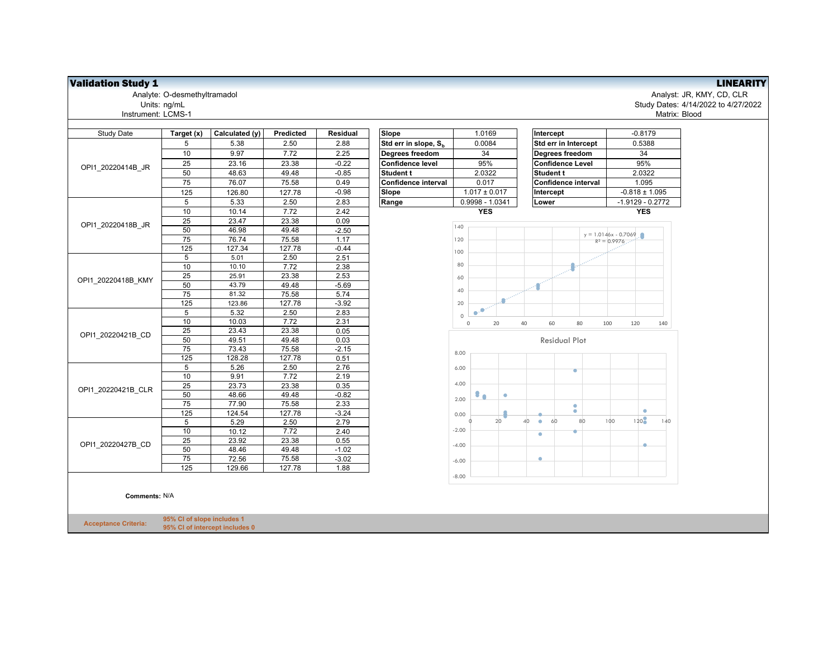## Validation Study 1 LINEARITY

Analyte: O-desmethyltramadol Analyst: JR, KMY, CD, CLR Instrument: LCMS-1

| Units: ng/mL   |                |           |                 |                                      |                  |                             |               | Study Dates: 4/14/2022 to 4/27/2022 |
|----------------|----------------|-----------|-----------------|--------------------------------------|------------------|-----------------------------|---------------|-------------------------------------|
| ment: LCMS-1   |                |           |                 |                                      |                  |                             | Matrix: Blood |                                     |
|                |                |           |                 |                                      |                  |                             |               |                                     |
| Target (x)     | Calculated (y) | Predicted | <b>Residual</b> | Slope                                | 1.0169           | Intercept                   | $-0.8179$     |                                     |
|                | 5.38           | 2.50      | 2.88            | <b>Std err in slope. S.</b>          | 0.0084           | <b>Std err in Intercept</b> | 0.5388        |                                     |
| $\overline{A}$ | 0.07           | 770       | 0.05            | <b>B</b> consequently a consequently | $\sim$ $\lambda$ | <b>N</b>                    | $\sim$        |                                     |

| Study Date         | Target (x)      | Calculated (y) | Predicted | Residual |
|--------------------|-----------------|----------------|-----------|----------|
|                    | 5               | 5.38           | 2.50      | 2.88     |
|                    | 10              | 9.97           | 7.72      | 2.25     |
|                    | 25              | 23.16          | 23.38     | $-0.22$  |
| OPI1 20220414B JR  | 50              | 48.63          | 49.48     | $-0.85$  |
|                    | $\overline{75}$ | 76.07          | 75.58     | 0.49     |
|                    | 125             | 126.80         | 127.78    | $-0.98$  |
|                    | 5               | 5.33           | 2.50      | 2.83     |
|                    | 10              | 10.14          | 7.72      | 2.42     |
|                    | 25              | 23.47          | 23.38     | 0.09     |
| OPI1_20220418B_JR  | 50              | 46.98          | 49.48     | $-2.50$  |
|                    | 75              | 76.74          | 75.58     | 1.17     |
|                    | 125             | 127.34         | 127.78    | $-0.44$  |
|                    | 5               | 5.01           | 2.50      | 2.51     |
|                    | 10              | 10.10          | 7.72      | 2.38     |
|                    | 25              | 25.91          | 23.38     | 2.53     |
| OPI1 20220418B KMY | 50              | 43.79          | 49.48     | $-5.69$  |
|                    | $\overline{75}$ | 81.32          | 75.58     | 5.74     |
|                    | 125             | 123.86         | 127.78    | $-3.92$  |
|                    | 5               | 5.32           | 2.50      | 2.83     |
|                    | 10              | 10.03          | 7.72      | 2.31     |
|                    | $\overline{25}$ | 23.43          | 23.38     | 0.05     |
| OPI1 20220421B CD  | 50              | 49.51          | 49.48     | 0.03     |
|                    | 75              | 73.43          | 75.58     | $-2.15$  |
|                    | 125             | 128.28         | 127.78    | 0.51     |
|                    | 5               | 5.26           | 2.50      | 2.76     |
|                    | 10              | 9.91           | 7.72      | 2.19     |
| OPI1 20220421B CLR | 25              | 23.73          | 23.38     | 0.35     |
|                    | 50              | 48.66          | 49.48     | $-0.82$  |
|                    | $\overline{75}$ | 77.90          | 75.58     | 2.33     |
|                    | 125             | 124.54         | 127.78    | $-3.24$  |
|                    | 5               | 5.29           | 2.50      | 2.79     |
|                    | 10              | 10.12          | 7.72      | 2.40     |
| OPI1 20220427B CD  | 25              | 23.92          | 23.38     | 0.55     |
|                    | 50              | 48.46          | 49.48     | $-1.02$  |
|                    | 75              | 72.56          | 75.58     | $-3.02$  |
|                    | 125             | 129.66         | 127.78    | 1.88     |

**Comments:** N/A

**Acceptance Criteria:**



**95% CI of slope includes 1 95% CI of intercept includes 0**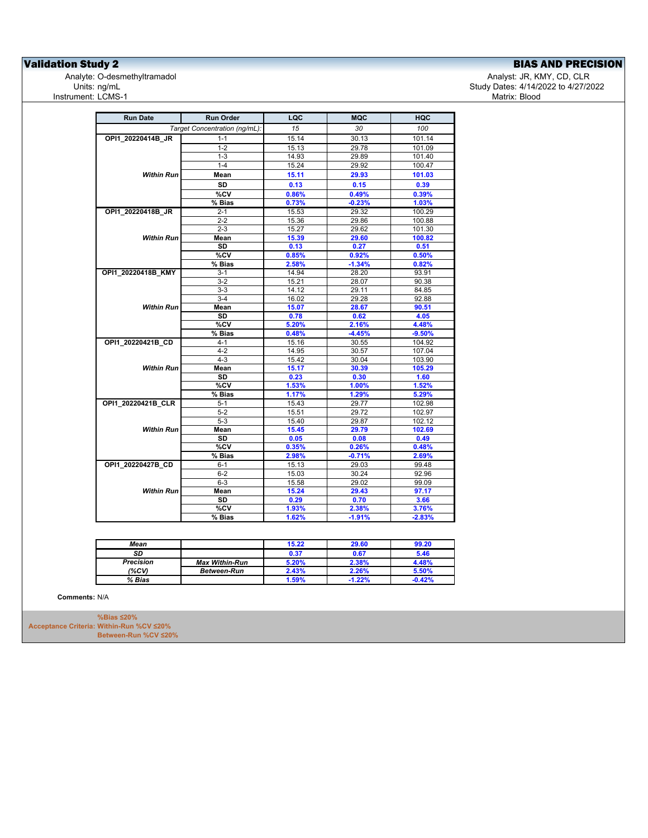**Validation Study 2**<br>
Analyte: O-desmethyltramadol<br>
Analyte: O-desmethyltramadol<br> **EXECUTE: Analyte: O-desmethyltramadol** Analyte: O-desmethyltramadol<br>Units: ng/mL Instrument: LCMS-1

Study Dates: 4/14/2022 to 4/27/2022<br>Matrix: Blood

| <b>Run Date</b>    | <b>Run Order</b>              | LQC   | <b>MQC</b> | <b>HQC</b> |
|--------------------|-------------------------------|-------|------------|------------|
|                    | Target Concentration (ng/mL): | 15    | 30         | 100        |
| OPI1 20220414B JR  | $1 - 1$                       | 15.14 | 30.13      | 101.14     |
|                    | $1 - 2$                       | 15.13 | 29.78      | 101.09     |
|                    | $1 - 3$                       | 14.93 | 29.89      | 101.40     |
|                    | $1 - 4$                       | 15.24 | 29.92      | 100.47     |
| <b>Within Run</b>  | Mean                          | 15.11 | 29.93      | 101.03     |
|                    | <b>SD</b>                     | 0.13  | 0.15       | 0.39       |
|                    | %CV                           | 0.86% | 0.49%      | 0.39%      |
|                    | % Bias                        | 0.73% | $-0.23%$   | 1.03%      |
| OPI1_20220418B_JR  | $2 - 1$                       | 15.53 | 29.32      | 100.29     |
|                    | $2 - 2$                       | 15.36 | 29.86      | 100.88     |
|                    | $2 - 3$                       | 15.27 | 29.62      | 101.30     |
| <b>Within Run</b>  | Mean                          | 15.39 | 29.60      | 100.82     |
|                    | <b>SD</b>                     | 0.13  | 0.27       | 0.51       |
|                    | %CV                           | 0.85% | 0.92%      | 0.50%      |
|                    | % Bias                        | 2.58% | $-1.34%$   | 0.82%      |
| OPI1_20220418B_KMY | 3-1                           | 14.94 | 28.20      | 93.91      |
|                    | $3-2$                         | 15.21 | 28.07      | 90.38      |
|                    | $3-3$                         | 14.12 | 29.11      | 84.85      |
|                    | $3-4$                         | 16.02 | 29.28      | 92.88      |
| Within Run         | Mean                          | 15.07 | 28.67      | 90.51      |
|                    | <b>SD</b>                     | 0.78  | 0.62       | 4.05       |
|                    | $\%$ CV                       | 5.20% | 2.16%      | 4.48%      |
|                    | % Bias                        | 0.48% | $-4.45%$   | $-9.50%$   |
| OPI1_20220421B_CD  | $4 - 1$                       | 15.16 | 30.55      | 104.92     |
|                    | $4 - 2$                       | 14.95 | 30.57      | 107.04     |
|                    | $4 - 3$                       | 15.42 | 30.04      | 103.90     |
| <b>Within Run</b>  | Mean                          | 15.17 | 30.39      | 105.29     |
|                    | <b>SD</b>                     | 0.23  | 0.30       | 1.60       |
|                    | %CV                           | 1.53% | 1.00%      | 1.52%      |
|                    | % Bias                        | 1.17% | 1.29%      | 5.29%      |
| OPI1 20220421B CLR | $5 - 1$                       | 15.43 | 29.77      | 102.98     |
|                    | $5 - 2$                       | 15.51 | 29.72      | 102.97     |
|                    | $5-3$                         | 15.40 | 29.87      | 102.12     |
| Within Run         | Mean                          | 15.45 | 29.79      | 102.69     |
|                    | <b>SD</b>                     | 0.05  | 0.08       | 0.49       |
|                    | %CV                           | 0.35% | 0.26%      | 0.48%      |
|                    | % Bias                        | 2.98% | $-0.71%$   | 2.69%      |
| OPI1 20220427B CD  | $6 - 1$                       | 15.13 | 29.03      | 99.48      |
|                    | $6 - 2$                       | 15.03 | 30.24      | 92.96      |
|                    | $6 - 3$                       | 15.58 | 29.02      | 99.09      |
| <b>Within Run</b>  | Mean                          | 15.24 | 29.43      | 97.17      |
|                    | <b>SD</b>                     | 0.29  | 0.70       | 3.66       |
|                    | %CV                           | 1.93% | 2.38%      | 3.76%      |
|                    | % Bias                        | 1.62% | $-1.91%$   | $-2.83%$   |

| Mean             |                       | 15.22 | 29.60    | 99.20 |
|------------------|-----------------------|-------|----------|-------|
| SD               |                       | 0.37  | 0.67     | 5.46  |
| <b>Precision</b> | <b>Max Within-Run</b> | 5.20% | 2.38%    | 1.48% |
| (%CV)            | <b>Between-Run</b>    | 2.43% | 2.26%    | 5.50% |
| % Bias           |                       | 1.59% | $-1.22%$ | 0.42% |

**Comments:** N/A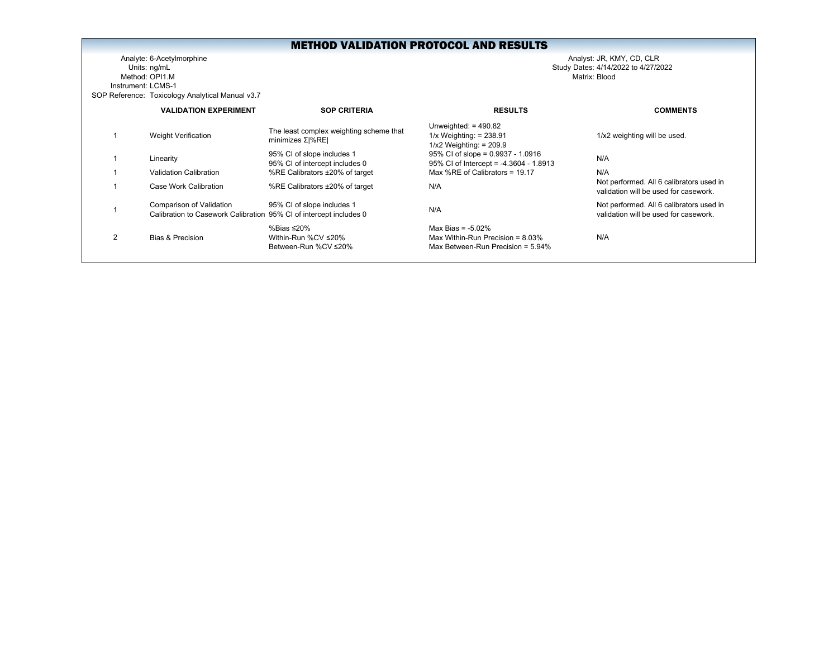Analyte: 6-Acetylmorphine Analyst: JR, KMY, CD, CLR Units: ng/mL Study Dates: 4/14/2022 to 4/27/2022 Method: OPI1.MInstrument: LCMS-1SOP Reference: Toxicology Analytical Manual v3.7

|                | <b>VALIDATION EXPERIMENT</b>                                                                   | <b>SOP CRITERIA</b>                                            | <b>RESULTS</b>                                                                                      | <b>COMMENTS</b>                                                                   |
|----------------|------------------------------------------------------------------------------------------------|----------------------------------------------------------------|-----------------------------------------------------------------------------------------------------|-----------------------------------------------------------------------------------|
|                | <b>Weight Verification</b>                                                                     | The least complex weighting scheme that<br>minimizes $Σ  %RE $ | Unweighted: $= 490.82$<br>$1/x$ Weighting: = 238.91<br>$1/x2$ Weighting: = 209.9                    | 1/x2 weighting will be used.                                                      |
|                | Linearity                                                                                      | 95% CI of slope includes 1<br>95% CI of intercept includes 0   | 95% CI of slope = 0.9937 - 1.0916<br>95% CI of Intercept = -4.3604 - 1.8913                         | N/A                                                                               |
|                | <b>Validation Calibration</b>                                                                  | %RE Calibrators ±20% of target                                 | Max %RE of Calibrators = $19.17$                                                                    | N/A                                                                               |
|                | Case Work Calibration                                                                          | %RE Calibrators ±20% of target                                 | N/A                                                                                                 | Not performed. All 6 calibrators used in<br>validation will be used for casework. |
|                | Comparison of Validation<br>Calibration to Casework Calibration 95% CI of intercept includes 0 | 95% CI of slope includes 1                                     | N/A                                                                                                 | Not performed. All 6 calibrators used in<br>validation will be used for casework. |
| $\mathfrak{p}$ | <b>Bias &amp; Precision</b>                                                                    | %Bias ≤20%<br>Within-Run %CV ≤20%<br>Between-Run %CV ≤20%      | Max Bias = $-5.02\%$<br>Max Within-Run Precision = $8.03\%$<br>Max Between-Run Precision = $5.94\%$ | N/A                                                                               |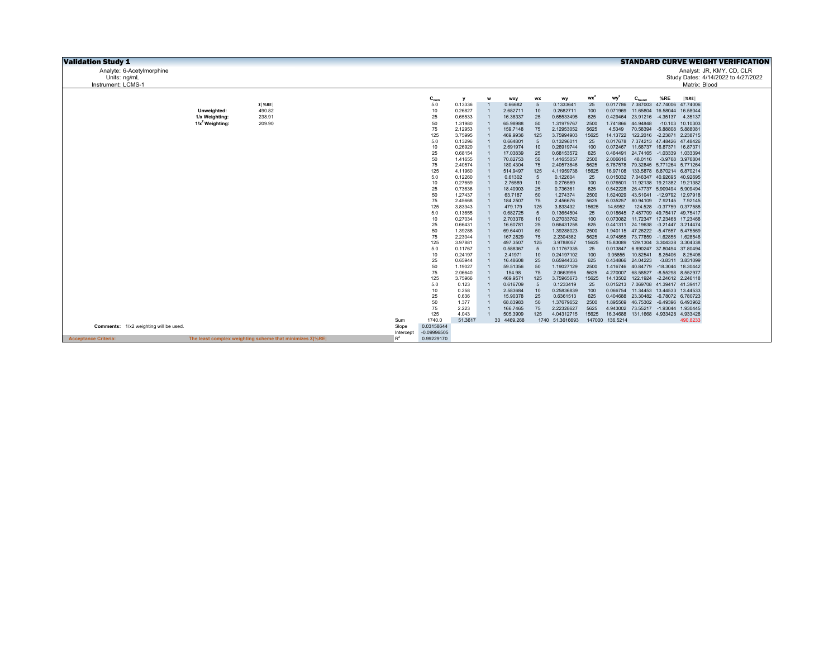| <b>Validation Study 1</b>             |                               |                                                                  |              |                             |                    |                |                      |                  |                          |               |                      |                                                                   |                   |                                       | <b>STANDARD CURVE WEIGHT VERIFICATION</b> |
|---------------------------------------|-------------------------------|------------------------------------------------------------------|--------------|-----------------------------|--------------------|----------------|----------------------|------------------|--------------------------|---------------|----------------------|-------------------------------------------------------------------|-------------------|---------------------------------------|-------------------------------------------|
| Analyte: 6-Acetylmorphine             |                               |                                                                  |              |                             |                    |                |                      |                  |                          |               |                      |                                                                   |                   |                                       | Analyst: JR, KMY, CD, CLR                 |
| Units: ng/mL                          |                               |                                                                  |              |                             |                    |                |                      |                  |                          |               |                      |                                                                   |                   |                                       | Study Dates: 4/14/2022 to 4/27/2022       |
| Instrument: LCMS-1                    |                               |                                                                  |              |                             |                    |                |                      |                  |                          |               |                      |                                                                   |                   | Matrix: Blood                         |                                           |
|                                       |                               |                                                                  |              |                             |                    |                |                      |                  |                          |               |                      |                                                                   |                   |                                       |                                           |
|                                       |                               |                                                                  |              | $\mathbf{C}_{\mathsf{nom}}$ | y                  |                | wxy                  | WX               | wy                       | $wx^2$        | $wv^2$               |                                                                   | %RE               | $ \%RE $                              |                                           |
|                                       |                               | $\Sigma$   %RE  <br>490.82                                       |              | 5.0                         | 0.13336            | $\overline{1}$ | 0.66682              | 5<br>10          | 0.1333641<br>0.2682711   | 25            | 0.017786             | 7.387003                                                          |                   | 47.74006 47.74006                     |                                           |
|                                       | Unweighted:<br>1/x Weighting: | 238.91                                                           |              | 10<br>25                    | 0.26827<br>0.65533 |                | 2.682711<br>16.38337 | 25               | 0.65533495               | 100<br>625    | 0.071969<br>0.429464 | 11.65804<br>23.91216                                              |                   | 16.58044 16.58044<br>-4.35137 4.35137 |                                           |
|                                       | $1/x^2$ Weighting:            | 209.90                                                           |              | 50                          | 1.31980            |                | 65.98988             | 50               | 1.31979767               | 2500          | 1.741866             | 44.94848                                                          |                   | $-10.103$ 10.10303                    |                                           |
|                                       |                               |                                                                  |              | 75                          | 2.12953            |                | 159,7148             | 75               | 2.12953052               | 5625          | 4.5349               | 70.58394                                                          | -5.88808 5.888081 |                                       |                                           |
|                                       |                               |                                                                  |              | 125                         | 3.75995            |                | 469.9936             | 125              | 3.75994903               | 15625         | 14.13722             | 122.2016 -2.23871 2.238715                                        |                   |                                       |                                           |
|                                       |                               |                                                                  |              | 5.0                         | 0.13296            |                | 0.664801             | $\overline{5}$   | 0.13296011               | 25            | 0.017678             | 7.374213 47.48426 47.48426                                        |                   |                                       |                                           |
|                                       |                               |                                                                  |              | 10                          | 0.26920            |                | 2.691974             | 10               | 0.26919744               | 100           | 0.072467             |                                                                   |                   | 11.68737 16.87371 16.87371            |                                           |
|                                       |                               |                                                                  |              | 25                          | 0.68154            |                | 17.03839             | 25               | 0.68153572               | 625           | 0.464491             |                                                                   |                   | 24.74165 -1.03339 1.033394            |                                           |
|                                       |                               |                                                                  |              | 50                          | 1.41655            |                | 70.82753             | 50               | 1.41655057               | 2500          | 2.006616             |                                                                   |                   | 48.0116 -3.9768 3.976804              |                                           |
|                                       |                               |                                                                  |              | 75<br>125                   | 2.40574<br>4.11960 | $\overline{1}$ | 180.4304<br>514.9497 | 75<br>125        | 2.40573846<br>4.11959738 | 5625<br>15625 | 5.787578             | 79.32845 5.771264 5.771264<br>16.97108 133.5878 6.870214 6.870214 |                   |                                       |                                           |
|                                       |                               |                                                                  |              | 5.0                         | 0.12260            | $\overline{1}$ | 0.61302              | $5\phantom{.0}$  | 0.122604                 | 25            | 0.015032             | 7.046347 40.92695 40.92695                                        |                   |                                       |                                           |
|                                       |                               |                                                                  |              | 10                          | 0.27659            |                | 2.76589              | 10               | 0.276589                 | 100           |                      | 0.076501 11.92138 19.21382 19.21382                               |                   |                                       |                                           |
|                                       |                               |                                                                  |              | 25                          | 0.73636            |                | 18,40903             | 25               | 0.736361                 | 625           | 0.542228             | 26.47737 5.909494 5.909494                                        |                   |                                       |                                           |
|                                       |                               |                                                                  |              | 50                          | 1.27437            |                | 63,7187              | 50               | 1.274374                 | 2500          | 1.624029             | 43.51041 -12.9792 12.97918                                        |                   |                                       |                                           |
|                                       |                               |                                                                  |              | 75                          | 2.45668            |                | 184.2507             | 75               | 2.456676                 | 5625          | 6.035257             | 80.94109                                                          |                   | 7.92145 7.92145                       |                                           |
|                                       |                               |                                                                  |              | 125                         | 3.83343            |                | 479.179              | 125              | 3.833432                 | 15625         | 14.6952              | 124.528                                                           |                   | -0.37759 0.377588                     |                                           |
|                                       |                               |                                                                  |              | 5.0                         | 0.13655            |                | 0.682725             | 5                | 0.13654504               | 25            |                      | 0.018645 7.487709 49.75417 49.75417                               |                   |                                       |                                           |
|                                       |                               |                                                                  |              | 10<br>25                    | 0.27034<br>0.66431 |                | 2.703376<br>16.60781 | 10<br>25         | 0.27033762<br>0.66431258 | 100<br>625    | 0.073082             | 11.72347 17.23468 17.23468<br>0.441311 24.19638 -3.21447 3.214474 |                   |                                       |                                           |
|                                       |                               |                                                                  |              | 50                          | 1.39288            |                | 69.64401             | 50               | 1.39288023               | 2500          |                      | 1.940115 47.26222                                                 |                   | -5.47557 5.475569                     |                                           |
|                                       |                               |                                                                  |              | 75                          | 2.23044            |                | 167.2829             | 75               | 2.2304382                | 5625          |                      | 4.974855 73.77859                                                 |                   | -1.62855 1.628546                     |                                           |
|                                       |                               |                                                                  |              | 125                         | 3.97881            |                | 497.3507             | 125              | 3.9788057                | 15625         | 15.83089             |                                                                   |                   | 129.1304 3.304338 3.304338            |                                           |
|                                       |                               |                                                                  |              | 5.0                         | 0.11767            |                | 0.588367             | 5                | 0.11767335               | 25            |                      | 0.013847 6.890247 37.80494 37.80494                               |                   |                                       |                                           |
|                                       |                               |                                                                  |              | 10                          | 0.24197            | $\mathbf{1}$   | 2.41971              | 10 <sup>10</sup> | 0.24197102               | 100           | 0.05855              | 10.82541                                                          |                   | 8.25406 8.25406                       |                                           |
|                                       |                               |                                                                  |              | 25                          | 0.65944            |                | 16.48608             | 25               | 0.65944333               | 625           | 0.434866             | 24.04223                                                          |                   | -3.8311 3.831099                      |                                           |
|                                       |                               |                                                                  |              | 50<br>75                    | 1.19027<br>2.06640 | $\overline{1}$ | 59.51356<br>154.98   | 50<br>75         | 1.19027129<br>2.0663996  | 2500<br>5625  | 4.270007             | 1.416746  40.84779  -18.3044  18.30442<br>68.58527                |                   | -8.55298 8.552977                     |                                           |
|                                       |                               |                                                                  |              | 125                         | 3.75966            |                | 469.9571             | 125              | 3.75965673               | 15625         | 14.13502             |                                                                   |                   | 122.1924 -2.24612 2.246118            |                                           |
|                                       |                               |                                                                  |              | 5.0                         | 0.123              |                | 0.616709             | 5                | 0.1233419                | 25            | 0.015213             | 7.069708                                                          |                   | 41.39417 41.39417                     |                                           |
|                                       |                               |                                                                  |              | 10                          | 0.258              |                | 2.583684             | 10 <sup>10</sup> | 0.25836839               | 100           | 0.066754             | 11.34453 13.44533 13.44533                                        |                   |                                       |                                           |
|                                       |                               |                                                                  |              | 25                          | 0.636              | $\overline{1}$ | 15.90378             | 25               | 0.6361513                | 625           | 0.404688             |                                                                   |                   | 23.30482 -6.78072 6.780723            |                                           |
|                                       |                               |                                                                  |              | 50                          | 1.377              | $\overline{1}$ | 68.83983             | 50               | 1.37679652               | 2500          | 1.895569             |                                                                   |                   | 46.75302 -6.49396 6.493962            |                                           |
|                                       |                               |                                                                  |              | 75                          | 2.223              | $\overline{1}$ | 166.7465             | 75               | 2.22328627               | 5625          |                      | 4.943002 73.55217 -1.93044 1.930445                               |                   |                                       |                                           |
|                                       |                               |                                                                  |              | 125                         | 4.043              | $\overline{1}$ | 505.3909             | 125              | 4.04312715               | 15625         | 16.34688             |                                                                   |                   | 131.1668 4.933428 4.933428            |                                           |
| Comments: 1/x2 weighting will be used |                               |                                                                  | Sum<br>Slope | 1740.0<br>0.03158644        | 51.3617            |                | 30 4469.268          |                  | 1740 51.3616693          |               | 147000 136.5214      |                                                                   |                   | 490.8233                              |                                           |
|                                       |                               |                                                                  | Intercept    | $-0.09996505$               |                    |                |                      |                  |                          |               |                      |                                                                   |                   |                                       |                                           |
| <b>Acceptance Criteria:</b>           |                               | The least complex weighting scheme that minimizes $\Sigma$ / REI | $R^2$        | 0.99229170                  |                    |                |                      |                  |                          |               |                      |                                                                   |                   |                                       |                                           |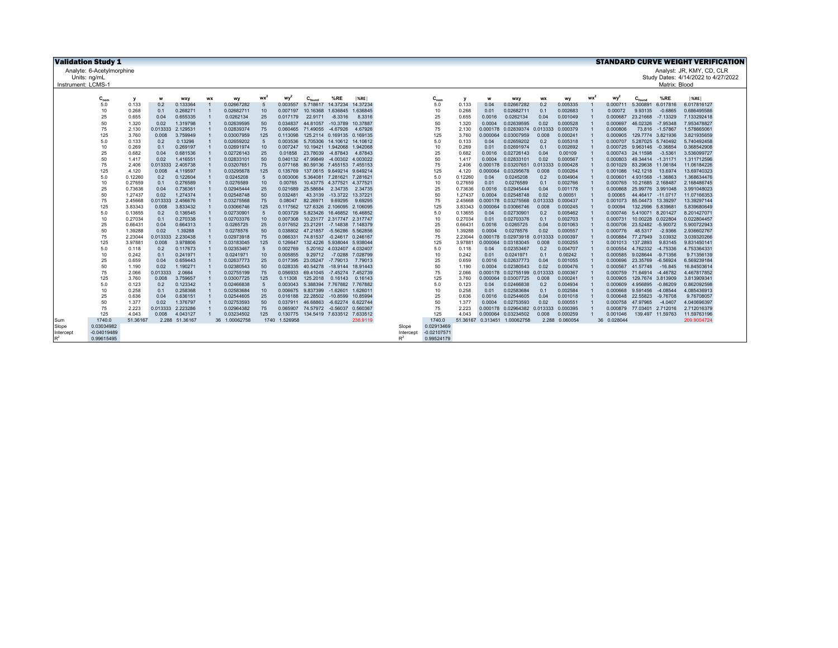|                    | <b>Validation Study 1</b> |                    |                   |                      |           |                          |                 |                      |                    |                                          |                      |                |               |                    |                      |                              |                   |                      |    |                      |                                        |                        | <b>STANDARD CURVE WEIGHT VERIFICATION</b> |
|--------------------|---------------------------|--------------------|-------------------|----------------------|-----------|--------------------------|-----------------|----------------------|--------------------|------------------------------------------|----------------------|----------------|---------------|--------------------|----------------------|------------------------------|-------------------|----------------------|----|----------------------|----------------------------------------|------------------------|-------------------------------------------|
|                    | Analyte: 6-Acetylmorphine |                    |                   |                      |           |                          |                 |                      |                    |                                          |                      |                |               |                    |                      |                              |                   |                      |    |                      |                                        |                        | Analyst: JR, KMY, CD, CLR                 |
|                    | Units: ng/mL              |                    |                   |                      |           |                          |                 |                      |                    |                                          |                      |                |               |                    |                      |                              |                   |                      |    |                      |                                        |                        | Study Dates: 4/14/2022 to 4/27/2022       |
| Instrument: LCMS-1 |                           |                    |                   |                      |           |                          |                 |                      |                    |                                          |                      |                |               |                    |                      |                              |                   |                      |    |                      |                                        | Matrix: Blood          |                                           |
|                    |                           |                    |                   |                      |           |                          |                 |                      |                    |                                          |                      |                |               |                    |                      |                              |                   |                      |    |                      |                                        |                        |                                           |
|                    | $C_{nom}$                 | у                  | w                 | <b>WXV</b>           | <b>WX</b> | wy                       | wx <sup>2</sup> | wy                   | $C_{\text{found}}$ | %RE                                      | <sub>%RE</sub>       |                | $C_{nom}$     |                    | w                    | <b>WXV</b>                   | <b>WX</b>         | wy                   | wx | $wv^2$               |                                        | %RE                    | %RE                                       |
|                    | 5.0<br>10                 | 0.133<br>0.268     | 0.2<br>0.1        | 0.133364<br>0.268271 |           | 0.02667282<br>0.02682711 | -5<br>10        | 0.003557<br>0.007197 | 10.16368           | 5.718617 14.37234<br>1.636845            | 14.37234<br>1.636845 |                | 5.0<br>10     | 0.133<br>0.268     | 0.04<br>0.01         | 0.02667282<br>0.02682711     | 0.2<br>0.1        | 0.005335<br>0.002683 |    | 0.000711<br>0.00072  | 5.300891<br>9.93135                    | 6.017816<br>$-0.6865$  | 6.017816127<br>0.686495586                |
|                    | 25                        | 0.655              | 0.04              | 0.655335             |           | 0.0262134                | 25              | 0.017179             | 22,9171            | $-8.3316$                                | 8.3316               |                | 25            | 0.655              | 0.0016               | 0.0262134                    | 0.04              | 0.001049             |    | 0.000687             | 23.21668                               | $-7.13329$             | 7.133292418                               |
|                    | 50                        | 1.320              | 0.02              | 1.319798             |           | 0.02639595               | 50              | 0.034837             | 44.81057           | $-10.3789$                               | 10.37887             |                | 50            | 1.320              | 0.0004               | 0.02639595                   | 0.02              | 0.000528             |    | 0.000697             | 46.02326                               | -7.95348               | 7.953478827                               |
|                    | 75                        | 2.130              | 0.013333          | 2.129531             |           | 0.02839374               | 75              | 0.060465             |                    | 71.49055 -4.67926                        | 4.67926              |                | 75            | 2.130              | 0.000178             | 0.02839374 0.013333          |                   | 0.000379             |    | 0.000806             |                                        | 73.816 -1.57867        | 1.578665061                               |
|                    | 125                       | 3.760              | 0.008             | 3.759949             |           | 0.03007959               | 125             | 0.113098             |                    | 125.2114 0.169135                        | 0.169135             |                | 125           | 3.760              | 0.000064             | 0.03007959                   | 0.008             | 0.000241             |    | 0.000905             |                                        | 129.7774 3.821936      | 3.821935659                               |
|                    | 5.0                       | 0.133              | 0.2               | 0.13296              |           | 0.02659202               | $\sqrt{5}$      | 0.003536             |                    | 5.705306 14.10612 14.10612               |                      |                | 5.0           | 0.133              | 0.04                 | 0.02659202                   | 0.2               | 0.005318             |    | 0.000707             | 5.287025 5.740492                      |                        | 5.740492458                               |
|                    | 10                        | 0.269              | 0.1               | 0.269197             |           | 0.02691974               | 10              | 0.007247             |                    | 10.19421 1.942068                        | 1.942068             |                | 10            | 0.269              | 0.01                 | 0.02691974                   | 0.1               | 0.002692             |    | 0.000725             | 9.963146                               | $-0.36854$             | 0.368542908                               |
|                    | 25<br>50                  | 0.682<br>1.417     | 0.04<br>0.02      | 0.681536<br>1.416551 |           | 0.02726143<br>0.02833101 | 25<br>50        | 0.01858<br>0.040132  | 23,78039           | $-4.87843$<br>47.99849 -4.00302 4.003022 | 4.87843              |                | 25<br>50      | 0.682<br>1.417     | 0.0016<br>0.0004     | 0.02726143<br>0.02833101     | 0.04<br>0.02      | 0.00109<br>0.000567  |    | 0.000743<br>0.000803 | 24,11598<br>49.34414 -1.31171          | $-3.5361$              | 3.536099727<br>1.311712596                |
|                    | 75                        | 2.406              | 0.013333          | 2.405738             |           | 0.03207651               | 75              | 0.077168             |                    | 80.59136 7.455153 7.455153               |                      |                | 75            | 2.406              | 0.000178             | 0.03207651                   | 0.013333          | 0.000428             |    | 0.001029             |                                        | 83.29638 11.06184      | 11.06184226                               |
|                    | 125                       | 4.120              | 0.008             | 4.119597             |           | 0.03295678               | 125             | 0.135769             |                    | 137.0615 9.649214 9.649214               |                      |                | 125           | 4.120              | 0.000064             | 0.03295678                   | 0.008             | 0.000264             |    | 0.001086             | 142.1218                               | 13.6974                | 13.69740323                               |
|                    | 5.0                       | 0.12260            | 0.2               | 0.122604             |           | 0.0245208                | $-5$            | 0.003006             |                    | 5.364081 7.281621                        | 7.281621             |                | 5.0           | 0.12260            | 0.04                 | 0.0245208                    | 0.2               | 0.004904             |    | 0.000601             | 4.931568                               | $-1.36863$             | 1.368634476                               |
|                    | 10                        | 0.27659            | 0.1               | 0.276589             |           | 0.0276589                | 10              | 0.00765              |                    | 10.43775 4.377521 4.377521               |                      |                | 10            | 0.27659            | 0.01                 | 0.0276589                    | 0.1               | 0.002766             |    | 0.000765             | 10.21685 2.168487                      |                        | 2.168486745                               |
|                    | 25                        | 0.73636            | 0.04              | 0.736361             |           | 0.02945444               | 25              | 0.021689             | 25.58684           | 2.34735                                  | 2.34735              |                | 25            | 0.73636            | 0.0016               | 0.02945444                   | 0.04              | 0.001178             |    | 0.000868             | 25.99776 3.991048                      |                        | 3.991048023                               |
|                    | 50                        | 1.27437            | 0.02              | 1.274374             |           | 0.02548748               | 50              | 0.032481             | 43.3139            | -13.3722 13.37221                        |                      |                | 50            | 1.27437            | 0.0004               | 0.02548748                   | 0.02              | 0.00051              |    | 0.00065              |                                        | 44.46417 -11.0717      | 11.07166353                               |
|                    | 75<br>125                 | 2.45668<br>3.83343 | 0.013333<br>0.008 | 2.456676<br>3.833432 |           | 0.03275568<br>0.03066746 | 75<br>125       | 0.08047<br>0.117562  | 82.26971           | 9.69295<br>127.6326 2.106095 2.106095    | 9.69295              |                | 75<br>125     | 2.45668<br>3.83343 | 0.000178<br>0.000064 | 0.03275568<br>0.03066746     | 0.013333<br>0.008 | 0.000437<br>0.000245 |    | 0.001073<br>0.00094  | 85.04473 13.39297                      | 132.2996 5.839681      | 13.39297144<br>5.839680649                |
|                    | 5.0                       | 0.13655            | 0.2               | 0.136545             |           | 0.02730901               | $\sqrt{5}$      | 0.003729             |                    | 5.823426 16.46852 16.46852               |                      |                | 5.0           | 0.13655            | 0.04                 | 0.02730901                   | 0.2               | 0.005462             |    |                      | 0.000746 5.410071 8.201427             |                        | 8.201427071                               |
|                    | 10                        | 0.27034            | 0.1               | 0.270338             |           | 0.02703376               | 10              | 0.007308             |                    | 10.23177 2.317747 2.317747               |                      |                | 10            | 0.27034            | 0.01                 | 0.02703376                   | 0.1               | 0.002703             |    | 0.000731             |                                        | 10.00228 0.022804      | 0.022804457                               |
|                    | 25                        | 0.66431            | 0.04              | 0.664313             |           | 0.0265725                | 25              | 0.017652             |                    | 23.21291 -7.14838 7.148379               |                      |                | 25            | 0.66431            | 0.0016               | 0.0265725                    | 0.04              | 0.001063             |    | 0.000706             | 23.52482 -5.90072                      |                        | 5.900722943                               |
|                    | 50                        | 1.39288            | 0.02              | 1.39288              |           | 0.0278576                | 50              | 0.038802             | 47.21857           | $-5.56286$                               | 5.562856             |                | 50            | 1.39288            | 0.0004               | 0.0278576                    | 0.02              | 0.000557             |    | 0.000776             | 48.5317                                | $-2.9366$              | 2.936602767                               |
|                    | 75                        | 2.23044            | 0.013333          | 2.230438             |           | 0.02973918               | 75              | 0.066331             |                    | 74.81537 -0.24617 0.246167               |                      |                | 75            | 2.23044            | 0.000178             | 0.02973918 0.013333          |                   | 0.000397             |    | 0.000884             | 77.27949                               | 3.03932                | 3.039320266                               |
|                    | 125                       | 3.97881            | 0.008             | 3.978806             |           | 0.03183045               | 125             | 0.126647             | 132,4226           | 5.938044 5.938044                        |                      |                | 125           | 3.97881            | 0.000064             | 0.03183045                   | 0.008             | 0.000255             |    | 0.001013             | 137,2893                               | 9.83145                | 9.831450141                               |
|                    | 5.0<br>10                 | 0.118<br>0.242     | 0.2<br>0.1        | 0.117673<br>0.241971 |           | 0.02353467<br>0.0241971  | -5<br>10        | 0.002769<br>0.005855 | 9.29712            | 5.20162 4.032407<br>$-7.0288$            | 4.032407<br>7.028799 |                | 5.0<br>10     | 0.118<br>0.242     | 0.04<br>0.01         | 0.02353467<br>0.0241971      | 0.2<br>0.1        | 0.004707<br>0.00242  |    | 0.000554<br>0.000585 | 4.762332<br>9.028644                   | -4.75336<br>$-9.71356$ | 4.753364331<br>9.71356139                 |
|                    | 25                        | 0.659              | 0.04              | 0.659443             |           | 0.02637773               | 25              | 0.017395             |                    | 23.05247 -7.79013                        | 7.79013              |                | 25            | 0.659              | 0.0016               | 0.02637773                   | 0.04              | 0.001055             |    | 0.000696             | 23.35769                               | $-6.56924$             | 6.569239184                               |
|                    | 50                        | 1.190              | 0.02              | 1.190271             |           | 0.02380543               | 50              | 0.028335             |                    | 40.54278 -18.9144 18.91443               |                      |                | 50            | 1.190              | 0.0004               | 0.02380543                   | 0.02              | 0.000476             |    | 0.000567             | 41.57748                               | $-16.845$              | 16.84503614                               |
|                    | 75                        | 2.066              | 0.013333          | 2.0664               |           | 0.02755199               | 75              | 0.056933             | 69.41045           | -7.45274 7.452739                        |                      |                | 75            | 2.066              | 0.000178             | 0.02755199 0.013333          |                   | 0.000367             |    | 0.000759             | 71.64914                               | $-4.46782$             | 4.467817852                               |
|                    | 125                       | 3.760              | 0.008             | 3.759657             |           | 0.03007725               | 125             | 0.11308              |                    | 125.2018  0.16143  0.16143               |                      |                | 125           | 3.760              | 0.000064             | 0.03007725                   | 0.008             | 0.000241             |    | 0.000905             |                                        | 129.7674 3.813909      | 3.813909341                               |
|                    | 5.0                       | 0.123              | 0.2               | 0.123342             |           | 0.02466838               | -5              | 0.003043             |                    | 5.388394 7.767882 7.767882               |                      |                | 5.0           | 0.123              | 0.04                 | 0.02466838                   | 0.2               | 0.004934             |    | 0.000609             | 4.956895                               | $-0.86209$             | 0.862092598                               |
|                    | 10                        | 0.258              | 0.1               | 0.258368             |           | 0.02583684               | 10              | 0.006675             | 9.837399           | $-1.62601$                               | 1.62601              |                | 10            | 0.258              | 0.01                 | 0.02583684                   | 0.1               | 0.002584             |    | 0.000668             | 9.591456                               | $-4.08544$             | 4.085436913                               |
|                    | 25<br>50                  | 0.636<br>1.377     | 0.04<br>0.02      | 0.636151<br>1.376797 |           | 0.02544605<br>0.02753593 | 25<br>50        | 0.016188             |                    | 22.28502 -10.8599                        | 10.85994<br>6.622744 |                | 25<br>50      | 0.636<br>1.377     | 0.0016               | 0.02544605<br>0.02753593     | 0.04<br>0.02      | 0.001018<br>0.000551 |    |                      | 0.000648 22.55823 -9.76708<br>47.97965 | $-4.0407$              | 9.76708057<br>4.040696397                 |
|                    | 75                        | 2.223              | 0.013333          | 2.223286             |           | 0.02964382               | 75              | 0.037911<br>0.065907 | 46.68863           | $-6.62274$<br>74.57972 -0.56037          | 0.560367             |                | 75            | 2.223              | 0.0004<br>0.000178   | 0.02964382 0.013333          |                   | 0.000395             |    | 0.000758<br>0.000879 |                                        | 77.03401 2.712016      | 2.712016379                               |
|                    | 125                       | 4.043              | 0.008             | 4.043127             |           | 0.03234502               | 125             | 0.130775             |                    | 134.5419 7.633512 7.633512               |                      |                | 125           | 4.043              | 0.000064             | 0.03234502                   | 0.008             | 0.000259             |    | 0.001046             |                                        | 139.497 11.59763       | 11.59763196                               |
| Sum                | 1740.0                    | 51.36167           |                   | 2.288 51.36167       |           | 36 1.00062758            |                 | 1740 1.526958        |                    |                                          | 238.9119             |                | 1740.0        |                    |                      | 51.36167 0.313451 1.00062758 |                   | 2.288 0.060054       |    | 36 0.028044          |                                        |                        | 209.9004724                               |
| Slope              | 0.03034982                |                    |                   |                      |           |                          |                 |                      |                    |                                          |                      | Slope          | 0.02913469    |                    |                      |                              |                   |                      |    |                      |                                        |                        |                                           |
| Intercept          | $-0.04019489$             |                    |                   |                      |           |                          |                 |                      |                    |                                          |                      | Intercept      | $-0.02107571$ |                    |                      |                              |                   |                      |    |                      |                                        |                        |                                           |
| $R^2$              | 0.99615495                |                    |                   |                      |           |                          |                 |                      |                    |                                          |                      | D <sup>2</sup> | 0.99524179    |                    |                      |                              |                   |                      |    |                      |                                        |                        |                                           |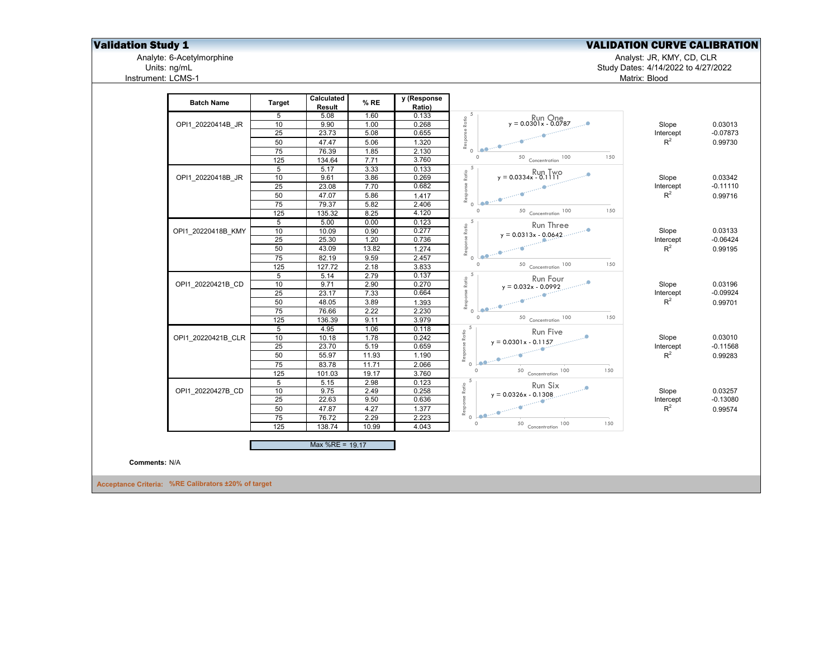# **Validation Study 1**<br>Analyte: 6-Acetylmorphine<br>Units: ng/mL<br>Units: ng/mL<br>Units: ng/mL<br>Charles: 4/14/2022 to 4/27/2022

Analyte: 6-Acetylmorphine Analyst: JR, KMY, CD, CLR

Units: ng/mL Study Dates: 4/14/2022 to 4/27/2022 Matrix: Blood

| <b>Batch Name</b>    | <b>Target</b>    | Calculated<br>Result | % RE  | y (Response<br>Ratio) |                                                                                                                                                                                                                                                                                                                                                                                                                                                              |           |            |
|----------------------|------------------|----------------------|-------|-----------------------|--------------------------------------------------------------------------------------------------------------------------------------------------------------------------------------------------------------------------------------------------------------------------------------------------------------------------------------------------------------------------------------------------------------------------------------------------------------|-----------|------------|
|                      | 5                | 5.08                 | 1.60  | 0.133                 | $Ratio$                                                                                                                                                                                                                                                                                                                                                                                                                                                      |           |            |
| OPI1 20220414B JR    | 10               | 9.90                 | 1.00  | 0.268                 | $y = 0.0301x - 0.0787$                                                                                                                                                                                                                                                                                                                                                                                                                                       | Slope     | 0.03013    |
|                      | 25               | 23.73                | 5.08  | 0.655                 | Response<br><b>Lee me</b> numering                                                                                                                                                                                                                                                                                                                                                                                                                           | Intercept | $-0.07873$ |
|                      | 50               | 47.47                | 5.06  | 1.320                 |                                                                                                                                                                                                                                                                                                                                                                                                                                                              | $R^2$     | 0.99730    |
|                      | 75               | 76.39                | 1.85  | 2.130                 | $\circ$<br>$\circ$<br>150                                                                                                                                                                                                                                                                                                                                                                                                                                    |           |            |
|                      | 125              | 134.64               | 7.71  | 3.760                 | $50$ Concentration $100$                                                                                                                                                                                                                                                                                                                                                                                                                                     |           |            |
|                      | 5                | 5.17                 | 3.33  | 0.133                 | $R$ ari $\frac{5}{6}$<br>$y = 0.0334x - 0.1$                                                                                                                                                                                                                                                                                                                                                                                                                 |           |            |
| OPI1 20220418B JR    | 10               | 9.61                 | 3.86  | 0.269                 |                                                                                                                                                                                                                                                                                                                                                                                                                                                              | Slope     | 0.03342    |
|                      | 25               | 23.08                | 7.70  | 0.682                 | Response                                                                                                                                                                                                                                                                                                                                                                                                                                                     | Intercept | $-0.11110$ |
|                      | 50               | 47.07                | 5.86  | 1.417                 |                                                                                                                                                                                                                                                                                                                                                                                                                                                              | $R^2$     | 0.99716    |
|                      | 75               | 79.37                | 5.82  | 2.406                 | <u>ao:</u><br>$\Omega$<br>$\circ$<br>150                                                                                                                                                                                                                                                                                                                                                                                                                     |           |            |
|                      | 125              | 135.32               | 8.25  | 4.120                 | 50 Concentration 100                                                                                                                                                                                                                                                                                                                                                                                                                                         |           |            |
|                      | $5\overline{)}$  | 5.00                 | 0.00  | 0.123                 | Response Ratio<br>Un<br>Run Three                                                                                                                                                                                                                                                                                                                                                                                                                            |           |            |
| OPI1 20220418B KMY   | 10               | 10.09                | 0.90  | 0.277                 | $y = 0.0313x - 0.0642$                                                                                                                                                                                                                                                                                                                                                                                                                                       | Slope     | 0.03133    |
|                      | 25               | 25.30                | 1.20  | 0.736                 |                                                                                                                                                                                                                                                                                                                                                                                                                                                              | Intercept | $-0.06424$ |
|                      | 50               | 43.09                | 13.82 | 1.274                 |                                                                                                                                                                                                                                                                                                                                                                                                                                                              | $R^2$     | 0.99195    |
|                      | 75               | 82.19                | 9.59  | 2.457                 | $\begin{array}{c}\n\mathbf{a} = \mathbf{0} \mathbf{a} \\ \mathbf{a} = \mathbf{0} \mathbf{a} + \mathbf{0} \mathbf{a} + \mathbf{0} \mathbf{a} + \mathbf{0} \mathbf{a} + \mathbf{0} \mathbf{a} + \mathbf{0} \mathbf{a} + \mathbf{0} \mathbf{a} + \mathbf{0} \mathbf{a} + \mathbf{0} \mathbf{a} + \mathbf{0} \mathbf{a} + \mathbf{0} \mathbf{a} + \mathbf{0} \mathbf{a} + \mathbf{0} \mathbf{a} + \mathbf{0} \mathbf{a} + \mathbf$<br>$\circ$<br>$\Omega$<br>150 |           |            |
|                      | 125              | 127.72               | 2.18  | 3.833                 | $50$ Concentration $100$                                                                                                                                                                                                                                                                                                                                                                                                                                     |           |            |
|                      | $5\overline{)}$  | 5.14                 | 2.79  | 0.137                 | 5                                                                                                                                                                                                                                                                                                                                                                                                                                                            |           |            |
| OPI1 20220421B CD    | 10               | 9.71                 | 2.90  | 0.270                 | <b>Run Four</b><br>$y = 0.032x - 0.0992$<br>Ratio                                                                                                                                                                                                                                                                                                                                                                                                            | Slope     | 0.03196    |
|                      | 25               | 23.17                | 7.33  | 0.664                 | Response<br><b>Leonie</b> nnie Ginner                                                                                                                                                                                                                                                                                                                                                                                                                        | Intercept | $-0.09924$ |
|                      | 50               | 48.05                | 3.89  | 1.393                 |                                                                                                                                                                                                                                                                                                                                                                                                                                                              | $R^2$     | 0.99701    |
|                      | 75               | 76.66                | 2.22  | 2.230                 | $\Omega$<br>$\circ$<br>150                                                                                                                                                                                                                                                                                                                                                                                                                                   |           |            |
|                      | 125              | 136.39               | 9.11  | 3.979                 | 50 Concentration 100                                                                                                                                                                                                                                                                                                                                                                                                                                         |           |            |
|                      | 5                | 4.95                 | 1.06  | 0.118                 | 5<br>Run Five<br>Ratio                                                                                                                                                                                                                                                                                                                                                                                                                                       |           |            |
| OPI1 20220421B CLR   | 10               | 10.18                | 1.78  | 0.242                 | $y = 0.0301x - 0.1157$                                                                                                                                                                                                                                                                                                                                                                                                                                       | Slope     | 0.03010    |
|                      | 25               | 23.70                | 5.19  | 0.659                 |                                                                                                                                                                                                                                                                                                                                                                                                                                                              | Intercept | $-0.11568$ |
|                      | 50               | 55.97                | 11.93 | 1.190                 | Response<br><b>Lee me</b> the state of the state of the state of the state of the state of the state of the state of the state of the state of the state of the state of the state of the state of the state of the state of the state of the s                                                                                                                                                                                                              | $R^2$     | 0.99283    |
|                      | 75               | 83.78                | 11.71 | 2.066                 | $\circ$<br>$\circ$<br>150                                                                                                                                                                                                                                                                                                                                                                                                                                    |           |            |
|                      | $\overline{125}$ | 101.03               | 19.17 | 3.760                 | $50$ Concentration $100$                                                                                                                                                                                                                                                                                                                                                                                                                                     |           |            |
|                      | $5\overline{)}$  | 5.15                 | 2.98  | 0.123                 | 5<br>Run Six                                                                                                                                                                                                                                                                                                                                                                                                                                                 |           |            |
| OPI1 20220427B CD    | 10               | 9.75                 | 2.49  | 0.258                 | Response Ratio<br>$y = 0.0326x - 0.1308$                                                                                                                                                                                                                                                                                                                                                                                                                     | Slope     | 0.03257    |
|                      | 25               | 22.63                | 9.50  | 0.636                 |                                                                                                                                                                                                                                                                                                                                                                                                                                                              | Intercept | $-0.13080$ |
|                      | 50               | 47.87                | 4.27  | 1.377                 |                                                                                                                                                                                                                                                                                                                                                                                                                                                              | $R^2$     | 0.99574    |
|                      | 75               | 76.72                | 2.29  | 2.223                 | $\circ$<br>$\circ$<br>150                                                                                                                                                                                                                                                                                                                                                                                                                                    |           |            |
|                      | 125              | 138.74               | 10.99 | 4.043                 | $50$ Concentration 100                                                                                                                                                                                                                                                                                                                                                                                                                                       |           |            |
|                      |                  | Max %RE = 19.17      |       |                       |                                                                                                                                                                                                                                                                                                                                                                                                                                                              |           |            |
| <b>Comments: N/A</b> |                  |                      |       |                       |                                                                                                                                                                                                                                                                                                                                                                                                                                                              |           |            |
|                      |                  |                      |       |                       |                                                                                                                                                                                                                                                                                                                                                                                                                                                              |           |            |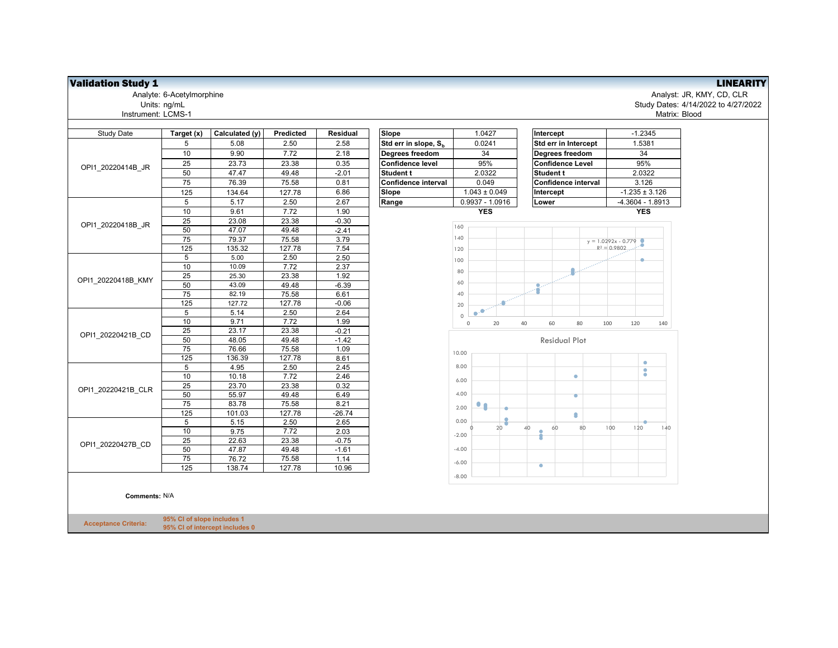| <b>Study Date</b>                                                                                                            | Target (x)     | Calculated (y) | Predicted | Residual | Slope                            | 1.0427                                                                                                                                                                                                                                                                                                      | Intercept               | $-1.2345$             |
|------------------------------------------------------------------------------------------------------------------------------|----------------|----------------|-----------|----------|----------------------------------|-------------------------------------------------------------------------------------------------------------------------------------------------------------------------------------------------------------------------------------------------------------------------------------------------------------|-------------------------|-----------------------|
|                                                                                                                              | 5              | 5.08           | 2.50      | 2.58     | Std err in slope, S <sub>b</sub> | 0.0241                                                                                                                                                                                                                                                                                                      | Std err in Intercept    | 1.5381                |
|                                                                                                                              | 10             | 9.90           | 7.72      | 2.18     | Degrees freedom                  | 34                                                                                                                                                                                                                                                                                                          | Degrees freedom         | 34                    |
|                                                                                                                              | 25             | 23.73          | 23.38     | 0.35     | <b>Confidence level</b>          | 95%                                                                                                                                                                                                                                                                                                         | <b>Confidence Level</b> | 95%                   |
|                                                                                                                              | 50             | 47.47          | 49.48     | $-2.01$  | Student t                        | 2.0322                                                                                                                                                                                                                                                                                                      | Student t               | 2.0322                |
|                                                                                                                              | 75             | 76.39          | 75.58     | 0.81     | Confidence interval              | 0.049                                                                                                                                                                                                                                                                                                       | Confidence interval     | 3.126                 |
|                                                                                                                              | 125            | 134.64         | 127.78    | 6.86     | Slope                            | $1.043 \pm 0.049$                                                                                                                                                                                                                                                                                           | Intercept               | $-1.235 \pm 3.$       |
| OPI1 20220414B JR<br>OPI1 20220418B JR<br>OPI1 20220418B KMY<br>OPI1 20220421B CD<br>OPI1 20220421B CLR<br>OPI1 20220427B CD | 5              | 5.17           | 2.50      | 2.67     | Range                            | $0.9937 - 1.0916$                                                                                                                                                                                                                                                                                           | Lower                   | $-4.3604 - 1.5$       |
|                                                                                                                              | 10             | 9.61           | 7.72      | 1.90     |                                  | <b>YES</b>                                                                                                                                                                                                                                                                                                  |                         | <b>YES</b>            |
|                                                                                                                              | 25             | 23.08          | 23.38     | $-0.30$  |                                  |                                                                                                                                                                                                                                                                                                             |                         |                       |
|                                                                                                                              | 50             | 47.07          | 49.48     | $-2.41$  |                                  |                                                                                                                                                                                                                                                                                                             |                         |                       |
|                                                                                                                              | 75             | 79.37          | 75.58     | 3.79     |                                  |                                                                                                                                                                                                                                                                                                             |                         | $y = 1.0292x - 0.779$ |
|                                                                                                                              | 125            | 135.32         | 127.78    | 7.54     |                                  | 120                                                                                                                                                                                                                                                                                                         |                         | $R^2 = 0.9802$        |
|                                                                                                                              | 5              | 5.00           | 2.50      | 2.50     |                                  | 100                                                                                                                                                                                                                                                                                                         |                         |                       |
|                                                                                                                              | 10             | 10.09          | 7.72      | 2.37     |                                  |                                                                                                                                                                                                                                                                                                             |                         |                       |
|                                                                                                                              | 25             | 25.30          | 23.38     | 1.92     |                                  |                                                                                                                                                                                                                                                                                                             |                         |                       |
|                                                                                                                              | 50             | 43.09          | 49.48     | $-6.39$  |                                  | 160<br>140<br>80<br>60<br>40<br>20<br>.o<br>$\bullet$<br>$\Omega$<br>60<br>20<br>40<br>80<br>$\mathsf{O}\xspace$<br><b>Residual Plot</b><br>10.00<br>8.00<br>۰<br>6.00<br>4.00<br>۰<br>$\bullet$<br>2.00<br>۵<br>0.00<br>80<br>20<br>40<br>60<br>ł<br>$-2.00$<br>$-4.00$<br>$-6.00$<br>$\bullet$<br>$-8.00$ |                         |                       |
|                                                                                                                              | 75             | 82.19          | 75.58     | 6.61     |                                  |                                                                                                                                                                                                                                                                                                             |                         |                       |
|                                                                                                                              | 125            | 127.72         | 127.78    | $-0.06$  |                                  |                                                                                                                                                                                                                                                                                                             |                         |                       |
|                                                                                                                              | 5              | 5.14           | 2.50      | 2.64     |                                  |                                                                                                                                                                                                                                                                                                             |                         |                       |
|                                                                                                                              | 10             | 9.71           | 7.72      | 1.99     |                                  |                                                                                                                                                                                                                                                                                                             |                         | 100<br>120            |
|                                                                                                                              | 25             | 23.17          | 23.38     | $-0.21$  |                                  |                                                                                                                                                                                                                                                                                                             |                         |                       |
|                                                                                                                              | 50             | 48.05          | 49.48     | $-1.42$  |                                  |                                                                                                                                                                                                                                                                                                             |                         |                       |
|                                                                                                                              | 75             | 76.66          | 75.58     | 1.09     |                                  |                                                                                                                                                                                                                                                                                                             |                         |                       |
|                                                                                                                              | 125            | 136.39         | 127.78    | 8.61     |                                  |                                                                                                                                                                                                                                                                                                             |                         | ۰                     |
|                                                                                                                              | 5              | 4.95           | 2.50      | 2.45     |                                  |                                                                                                                                                                                                                                                                                                             |                         | $\bullet$             |
|                                                                                                                              | 10             | 10.18          | 7.72      | 2.46     |                                  |                                                                                                                                                                                                                                                                                                             |                         |                       |
|                                                                                                                              | 25             | 23.70          | 23.38     | 0.32     |                                  |                                                                                                                                                                                                                                                                                                             |                         |                       |
|                                                                                                                              | 50             | 55.97          | 49.48     | 6.49     |                                  |                                                                                                                                                                                                                                                                                                             |                         |                       |
|                                                                                                                              | 75             | 83.78          | 75.58     | 8.21     |                                  |                                                                                                                                                                                                                                                                                                             |                         |                       |
|                                                                                                                              | 125            | 101.03         | 127.78    | $-26.74$ |                                  |                                                                                                                                                                                                                                                                                                             |                         |                       |
|                                                                                                                              | 5              | 5.15           | 2.50      | 2.65     |                                  |                                                                                                                                                                                                                                                                                                             |                         | 100<br>120            |
|                                                                                                                              | 10             | 9.75           | 7.72      | 2.03     |                                  |                                                                                                                                                                                                                                                                                                             |                         |                       |
|                                                                                                                              | 25             | 22.63          | 23.38     | $-0.75$  |                                  |                                                                                                                                                                                                                                                                                                             |                         |                       |
|                                                                                                                              | 50             | 47.87          | 49.48     | $-1.61$  |                                  |                                                                                                                                                                                                                                                                                                             |                         |                       |
|                                                                                                                              | 75             | 76.72          | 75.58     | 1.14     |                                  |                                                                                                                                                                                                                                                                                                             |                         |                       |
|                                                                                                                              | $\frac{1}{25}$ | 138.74         | 127.78    | 10.96    |                                  |                                                                                                                                                                                                                                                                                                             |                         |                       |
|                                                                                                                              |                |                |           |          |                                  |                                                                                                                                                                                                                                                                                                             |                         |                       |

**Comments:** N/A

**Acceptance Criteria: 95% CI of slope includes 1 95% CI of intercept includes 0**

**Validation Study 1**<br>Analyst: JR, KMY, CD, CLR<br>Units: ng/mL<br>Units: ng/mL<br>Units: ng/mL Analyte: 6-Acetylmorphine Analyst: JR, KMY, CD, CLR Units: ng/mL Study Dates: 4/14/2022 to 4/27/2022 Matrix: Blood

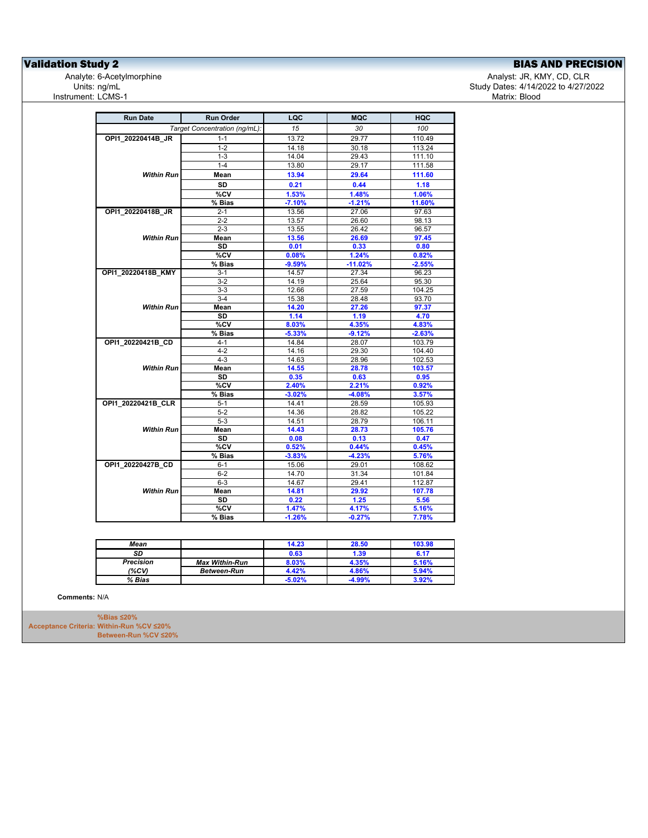**Validation Study 2**<br>
Analyte: 6-Acetylmorphine<br>
Units: ng/mL<br>
Units: ng/mL<br>
BIAS AND PRECISION<br>
BIAS AND PRECISION<br>
Study Dates: 4/14/2022 to 4/27/2022 Instrument: LCMS-1

Analyst: JR, KMY, CD, CLR Study Dates: 4/14/2022 to 4/27/2022<br>Matrix: Blood

| <b>Run Date</b>    | <b>Run Order</b>              | LQC      | <b>MQC</b> | HQC      |
|--------------------|-------------------------------|----------|------------|----------|
|                    | Target Concentration (ng/mL): | 15       | 30         | 100      |
| OPI1 20220414B JR  | $1 - 1$                       | 13.72    | 29.77      | 110.49   |
|                    | $1 - 2$                       | 14.18    | 30.18      | 113.24   |
|                    | $1 - 3$                       | 14.04    | 29.43      | 111.10   |
|                    | $1 - 4$                       | 13.80    | 29.17      | 111.58   |
| <b>Within Run</b>  | Mean                          | 13.94    | 29.64      | 111.60   |
|                    | <b>SD</b>                     | 0.21     | 0.44       | 1.18     |
|                    | %CV                           | 1.53%    | 1.48%      | 1.06%    |
|                    | % Bias                        | $-7.10%$ | $-1.21%$   | 11.60%   |
| OPI1 20220418B JR  | $2 - 1$                       | 13.56    | 27.06      | 97.63    |
|                    | $2 - 2$                       | 13.57    | 26.60      | 98.13    |
|                    | $2 - 3$                       | 13.55    | 26.42      | 96.57    |
| Within Run         | Mean                          | 13.56    | 26.69      | 97.45    |
|                    | <b>SD</b>                     | 0.01     | 0.33       | 0.80     |
|                    | %CV                           | 0.08%    | 1.24%      | 0.82%    |
|                    | % Bias                        | $-9.59%$ | $-11.02%$  | $-2.55%$ |
| OPI1_20220418B_KMY | $3 - 1$                       | 14.57    | 27.34      | 96.23    |
|                    | $3-2$                         | 14.19    | 25.64      | 95.30    |
|                    | $3 - 3$                       | 12.66    | 27.59      | 104.25   |
|                    | $3-4$                         | 15.38    | 28.48      | 93.70    |
| <b>Within Run</b>  | Mean                          | 14.20    | 27.26      | 97.37    |
|                    | <b>SD</b>                     | 1.14     | 1.19       | 4.70     |
|                    | %CV                           | 8.03%    | 4.35%      | 4.83%    |
|                    | % Bias                        | $-5.33%$ | $-9.12%$   | $-2.63%$ |
| OPI1_20220421B_CD  | $4 - 1$                       | 14.84    | 28.07      | 103.79   |
|                    | $4 - 2$                       | 14.16    | 29.30      | 104.40   |
|                    | $4 - 3$                       | 14.63    | 28.96      | 102.53   |
| Within Run         | Mean                          | 14.55    | 28.78      | 103.57   |
|                    | <b>SD</b>                     | 0.35     | 0.63       | 0.95     |
|                    | %CV                           | 2.40%    | 2.21%      | 0.92%    |
|                    | % Bias                        | $-3.02%$ | $-4.08%$   | 3.57%    |
| OPI1_20220421B_CLR | $5 - 1$                       | 14.41    | 28.59      | 105.93   |
|                    | $5-2$                         | 14.36    | 28.82      | 105.22   |
|                    | $5-3$                         | 14.51    | 28.79      | 106.11   |
| <b>Within Run</b>  | Mean                          | 14.43    | 28.73      | 105.76   |
|                    | <b>SD</b>                     | 0.08     | 0.13       | 0.47     |
|                    | %CV                           | 0.52%    | 0.44%      | 0.45%    |
|                    | % Bias                        | $-3.83%$ | $-4.23%$   | 5.76%    |
| OPI1 20220427B CD  | $6 - 1$                       | 15.06    | 29.01      | 108.62   |
|                    | $6-2$                         | 14.70    | 31.34      | 101.84   |
|                    | $6 - 3$                       | 14.67    | 29.41      | 112.87   |
| Within Run         | Mean                          | 14.81    | 29.92      | 107.78   |
|                    | <b>SD</b>                     | 0.22     | 1.25       | 5.56     |
|                    | %CV                           | 1.47%    | 4.17%      | 5.16%    |
|                    | % Bias                        | $-1.26%$ | $-0.27%$   | 7.78%    |

| Mean             |                       | 14.23    | 28.50 | 103.98 |
|------------------|-----------------------|----------|-------|--------|
| SD               |                       | 0.63     | 1.39  | 6.17   |
| <b>Precision</b> | <b>Max Within-Run</b> | 8.03%    | 4.35% | 5.16%  |
| (%CV)            | <b>Between-Run</b>    | 4.42%    | 4.86% | 5.94%  |
| % Bias           |                       | $-5.02%$ | 4.99% | 3.92%  |

**Comments:** N/A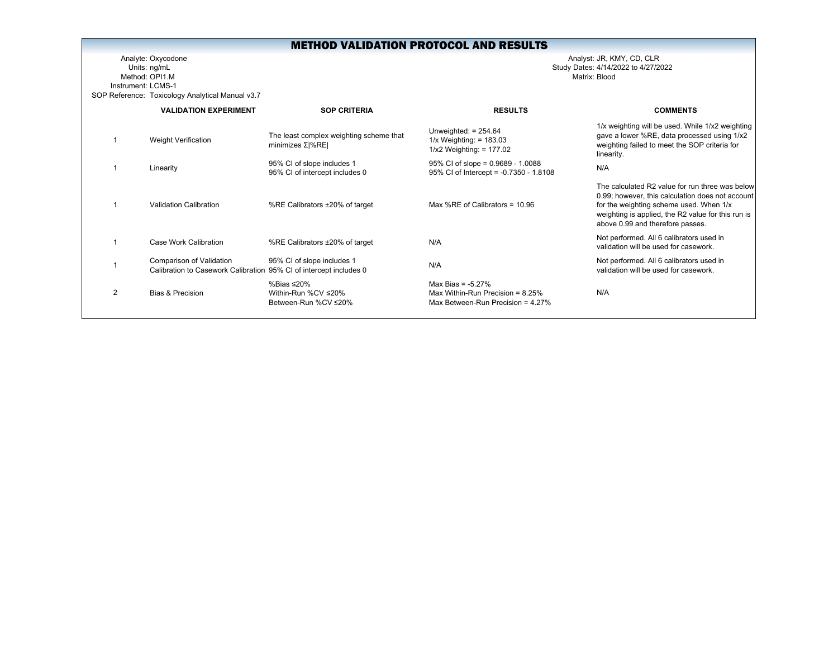Analyte: Oxycodone Analyst: JR, KMY, CD, CLR Units: ng/mL Study Dates: 4/14/2022 to 4/27/2022 Method: OPI1.MInstrument: LCMS-1SOP Reference: Toxicology Analytical Manual v3.7

|                | <b>VALIDATION EXPERIMENT</b>                                                                   | <b>SOP CRITERIA</b>                                           | <b>RESULTS</b>                                                                                      | <b>COMMENTS</b>                                                                                                                                                                                                                          |
|----------------|------------------------------------------------------------------------------------------------|---------------------------------------------------------------|-----------------------------------------------------------------------------------------------------|------------------------------------------------------------------------------------------------------------------------------------------------------------------------------------------------------------------------------------------|
|                | Weight Verification                                                                            | The least complex weighting scheme that<br>minimizes $Σ$  %RE | Unweighted: $= 254.64$<br>$1/x$ Weighting: = 183.03<br>$1/x2$ Weighting: = 177.02                   | 1/x weighting will be used. While 1/x2 weighting<br>gave a lower %RE, data processed using 1/x2<br>weighting failed to meet the SOP criteria for<br>linearity.                                                                           |
|                | Linearity                                                                                      | 95% CI of slope includes 1<br>95% CI of intercept includes 0  | $95\%$ CI of slope = 0.9689 - 1.0088<br>95% CI of Intercept = -0.7350 - 1.8108                      | N/A                                                                                                                                                                                                                                      |
|                | Validation Calibration                                                                         | %RE Calibrators ±20% of target                                | Max %RE of Calibrators = $10.96$                                                                    | The calculated R2 value for run three was below<br>0.99; however, this calculation does not account<br>for the weighting scheme used. When 1/x<br>weighting is applied, the R2 value for this run is<br>above 0.99 and therefore passes. |
|                | Case Work Calibration                                                                          | %RE Calibrators ±20% of target                                | N/A                                                                                                 | Not performed. All 6 calibrators used in<br>validation will be used for casework.                                                                                                                                                        |
|                | Comparison of Validation<br>Calibration to Casework Calibration 95% CI of intercept includes 0 | 95% CI of slope includes 1                                    | N/A                                                                                                 | Not performed. All 6 calibrators used in<br>validation will be used for casework.                                                                                                                                                        |
| $\mathfrak{p}$ | Bias & Precision                                                                               | %Bias ≤20%<br>Within-Run %CV ≤20%<br>Between-Run %CV ≤20%     | Max Bias = $-5.27\%$<br>Max Within-Run Precision = $8.25\%$<br>Max Between-Run Precision = $4.27\%$ | N/A                                                                                                                                                                                                                                      |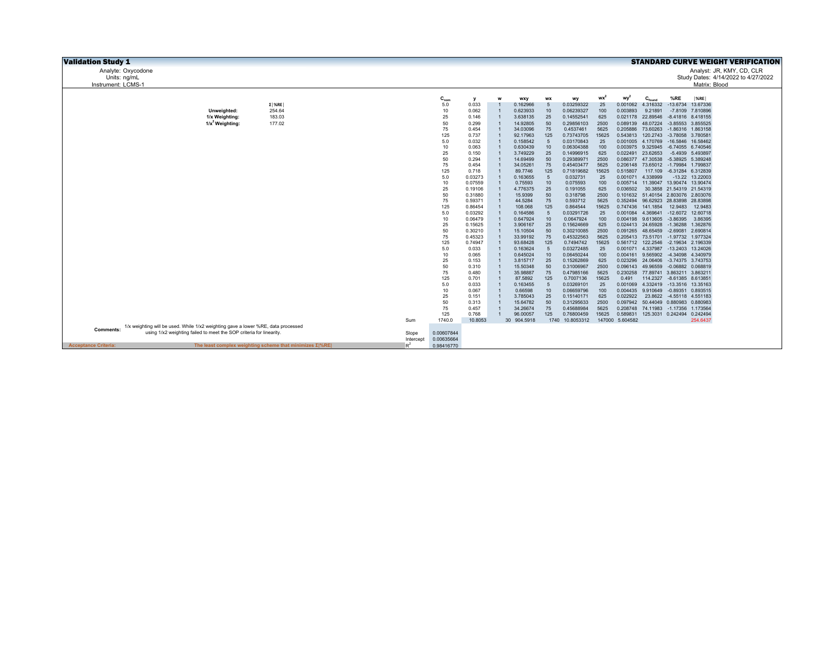| <b>Validation Study 1</b>   |                                                                                                                                                         |                                                                |                    |                          |                    |              |                      |                |                          |              |                             |                                                                      |         |                               | <b>STANDARD CURVE WEIGHT VERIFICATION</b> |
|-----------------------------|---------------------------------------------------------------------------------------------------------------------------------------------------------|----------------------------------------------------------------|--------------------|--------------------------|--------------------|--------------|----------------------|----------------|--------------------------|--------------|-----------------------------|----------------------------------------------------------------------|---------|-------------------------------|-------------------------------------------|
|                             | Analyte: Oxycodone                                                                                                                                      |                                                                |                    |                          |                    |              |                      |                |                          |              |                             |                                                                      |         |                               | Analyst: JR, KMY, CD, CLR                 |
| Units: ng/mL                |                                                                                                                                                         |                                                                |                    |                          |                    |              |                      |                |                          |              |                             |                                                                      |         |                               | Study Dates: 4/14/2022 to 4/27/2022       |
| Instrument: LCMS-1          |                                                                                                                                                         |                                                                |                    |                          |                    |              |                      |                |                          |              |                             |                                                                      |         | Matrix: Blood                 |                                           |
|                             |                                                                                                                                                         |                                                                |                    |                          |                    |              |                      |                |                          |              |                             |                                                                      |         |                               |                                           |
|                             |                                                                                                                                                         | $\Sigma$   %RE                                                 |                    | $C_{nom}$<br>5.0         | <b>V</b><br>0.033  | W            | wxy<br>0.162966      | <b>WX</b><br>5 | wy<br>0.03259322         | $wx^2$<br>25 | wy <sup>2</sup><br>0.001062 | $C_{\text{found}}$<br>4.316332                                       | %RE     | $ \%RE $<br>-13.6734 13.67336 |                                           |
|                             | Unweighted:                                                                                                                                             | 254.64                                                         |                    | 10                       | 0.062              |              | 0.623933             | 10             | 0.06239327               | 100          | 0.003893                    | 9.21891                                                              |         | -7.8109 7.810896              |                                           |
|                             | 1/x Weighting:                                                                                                                                          | 183.03                                                         |                    | 25                       | 0.146              |              | 3.638135             | 25             | 0.14552541               | 625          |                             | 0.021178 22.89546                                                    |         | -8.41816 8.418155             |                                           |
|                             | $1/x^2$ Weighting:                                                                                                                                      | 177.02                                                         |                    | 50                       | 0.299              |              | 14.92805             | 50             | 0.29856103               | 2500         | 0.089139                    | 48.07224 -3.85553 3.855525                                           |         |                               |                                           |
|                             |                                                                                                                                                         |                                                                |                    | 75                       | 0.454              |              | 34.03096             | 75             | 0.4537461                | 5625         | 0.205886                    | 73.60263                                                             |         | -1.86316 1.863158             |                                           |
|                             |                                                                                                                                                         |                                                                |                    | 125                      | 0.737              |              | 92.17963             | 125            | 0.73743705               | 15625        |                             | 0.543813 120.2743 -3.78058 3.780581                                  |         |                               |                                           |
|                             |                                                                                                                                                         |                                                                |                    | 5.0                      | 0.032              |              | 0.158542             | 5              | 0.03170843               | 25           | 0.001005                    | 4.170769 -16.5846 16.58462                                           |         |                               |                                           |
|                             |                                                                                                                                                         |                                                                |                    | 10                       | 0.063              |              | 0.630439             | 10             | 0.06304388               | 100          |                             | 0.003975 9.325945 -6.74055 6.740546                                  |         |                               |                                           |
|                             |                                                                                                                                                         |                                                                |                    | 25                       | 0.150              |              | 3.749229             | 25             | 0.14996915               | 625          | 0.022491                    | 23.62653                                                             |         | -5.4939 5.493897              |                                           |
|                             |                                                                                                                                                         |                                                                |                    | 50                       | 0.294              |              | 14.69499             | 50             | 0.29389971               | 2500         |                             | 0.086377 47.30538 -5.38925 5.389248                                  |         |                               |                                           |
|                             |                                                                                                                                                         |                                                                |                    | 75                       | 0.454              |              | 34.05261             | 75             | 0.45403477               | 5625         | 0.206148                    | 73.65012 -1.79984 1.799837                                           |         |                               |                                           |
|                             |                                                                                                                                                         |                                                                |                    | 125                      | 0.718              |              | 89.7746              | 125            | 0.71819682               | 15625        | 0.515807                    |                                                                      |         | 117.109 -6.31284 6.312839     |                                           |
|                             |                                                                                                                                                         |                                                                |                    | 5.0<br>10                | 0.03273<br>0.07559 |              | 0.163655<br>0.75593  | 5<br>10        | 0.032731<br>0.075593     | 25<br>100    | 0.001071                    | 4.338999<br>0.005714 11.39047 13.90474 13.90474                      |         | -13.22 13.22003               |                                           |
|                             |                                                                                                                                                         |                                                                |                    | 25                       | 0.19106            |              | 4.776375             | 25             | 0.191055                 | 625          | 0.036502                    |                                                                      |         | 30.3858 21.54319 21.54319     |                                           |
|                             |                                                                                                                                                         |                                                                |                    | 50                       | 0.31880            |              | 15.9399              | 50             | 0.318798                 | 2500         |                             | 0.101632 51.40154 2.803076 2.803076                                  |         |                               |                                           |
|                             |                                                                                                                                                         |                                                                |                    | 75                       | 0.59371            |              | 44.5284              | 75             | 0.593712                 | 5625         | 0.352494                    | 96.62923 28.83898 28.83898                                           |         |                               |                                           |
|                             |                                                                                                                                                         |                                                                |                    | 125                      | 0.86454            |              | 108.068              | 125            | 0.864544                 | 15625        |                             | 0.747436 141.1854                                                    | 12.9483 | 12.9483                       |                                           |
|                             |                                                                                                                                                         |                                                                |                    | 5.0                      | 0.03292            |              | 0.164586             | 5              | 0.03291726               | 25           | 0.001084                    | 4.369641 -12.6072 12.60718                                           |         |                               |                                           |
|                             |                                                                                                                                                         |                                                                |                    | 10                       | 0.06479            |              | 0.647924             | 10             | 0.0647924                | 100          |                             | 0.004198 9.613605 -3.86395 3.86395                                   |         |                               |                                           |
|                             |                                                                                                                                                         |                                                                |                    | 25                       | 0.15625            |              | 3.906167             | 25             | 0.15624669               | 625          |                             | 0.024413 24.65928                                                    |         | -1.36288 1.362876             |                                           |
|                             |                                                                                                                                                         |                                                                |                    | 50                       | 0.30210            |              | 15.10504             | 50             | 0.30210085               | 2500         | 0.091265                    | 48.65459 -2.69081 2.690814                                           |         |                               |                                           |
|                             |                                                                                                                                                         |                                                                |                    | 75                       | 0.45323            |              | 33.99192             | 75             | 0.45322563               | 5625         |                             | 0.205413 73.51701 -1.97732 1.977324                                  |         |                               |                                           |
|                             |                                                                                                                                                         |                                                                |                    | 125                      | 0.74947            |              | 93.68428             | 125            | 0.7494742                | 15625        |                             | 0.561712 122.2546 -2.19634 2.196339                                  |         |                               |                                           |
|                             |                                                                                                                                                         |                                                                |                    | 5.0                      | 0.033              |              | 0.163624<br>0.645024 | 5              | 0.03272485               | 25<br>100    |                             | 0.001071 4.337987 -13.2403 13.24026                                  |         |                               |                                           |
|                             |                                                                                                                                                         |                                                                |                    | 10<br>25                 | 0.065<br>0.153     |              | 3.815717             | 10<br>25       | 0.06450244<br>0.15262869 | 625          | 0.023296                    | 0.004161  9.565902  -4.34098  4.340979<br>24.06406 -3.74375 3.743753 |         |                               |                                           |
|                             |                                                                                                                                                         |                                                                |                    | 50                       | 0.310              |              | 15.50348             | 50             | 0.31006967               | 2500         |                             | 0.096143 49.96559                                                    |         | $-0.06882$ $0.068819$         |                                           |
|                             |                                                                                                                                                         |                                                                |                    | 75                       | 0.480              |              | 35.98887             | 75             | 0.47985166               | 5625         |                             | 0.230258 77.89741 3.863211 3.863211                                  |         |                               |                                           |
|                             |                                                                                                                                                         |                                                                |                    | 125                      | 0.701              |              | 87.5892              | 125            | 0.7007136                | 15625        | 0.491                       | 114.2327 -8.61385 8.613851                                           |         |                               |                                           |
|                             |                                                                                                                                                         |                                                                |                    | 5.0                      | 0.033              |              | 0.163455             | 5              | 0.03269101               | 25           |                             | 0.001069 4.332419 -13.3516 13.35163                                  |         |                               |                                           |
|                             |                                                                                                                                                         |                                                                |                    | 10                       | 0.067              |              | 0.66598              | 10             | 0.06659796               | 100          | 0.004435                    | 9.910649 -0.89351 0.893515                                           |         |                               |                                           |
|                             |                                                                                                                                                         |                                                                |                    | 25                       | 0.151              |              | 3.785043             | 25             | 0.15140171               | 625          | 0.022922                    | 23.8622 -4.55118 4.551183                                            |         |                               |                                           |
|                             |                                                                                                                                                         |                                                                |                    | 50                       | 0.313              |              | 15.64782             | 50             | 0.31295633               | 2500         |                             | 0.097942 50.44049 0.880983 0.880983                                  |         |                               |                                           |
|                             |                                                                                                                                                         |                                                                |                    | 75                       | 0.457              |              | 34.26674             | 75             | 0.45688984               | 5625         |                             | 0.208748 74.11983 -1.17356 1.173564                                  |         |                               |                                           |
|                             |                                                                                                                                                         |                                                                |                    | 125                      | 0.768              | $\mathbf{1}$ | 96,00057             | 125            | 0.76800459               | 15625        | 0.589831                    | 125.3031 0.242494 0.242494                                           |         |                               |                                           |
|                             |                                                                                                                                                         |                                                                | Sum                | 1740.0                   | 10.8053            |              | 30 904.5918          |                | 1740 10.8053312          |              | 147000 5.604582             |                                                                      |         | 254.6437                      |                                           |
| Comments:                   | 1/x weighting will be used. While 1/x2 weighting gave a lower %RE, data processed<br>using 1/x2 weighting failed to meet the SOP criteria for linearity |                                                                |                    |                          |                    |              |                      |                |                          |              |                             |                                                                      |         |                               |                                           |
|                             |                                                                                                                                                         |                                                                | Slope              | 0.00607844               |                    |              |                      |                |                          |              |                             |                                                                      |         |                               |                                           |
|                             |                                                                                                                                                         |                                                                | Intercept<br>$R^2$ | 0.00635664<br>0.98416770 |                    |              |                      |                |                          |              |                             |                                                                      |         |                               |                                           |
| <b>Acceptance Criteria:</b> |                                                                                                                                                         | The least complex weighting scheme that minimizes $\Sigma$ %RE |                    |                          |                    |              |                      |                |                          |              |                             |                                                                      |         |                               |                                           |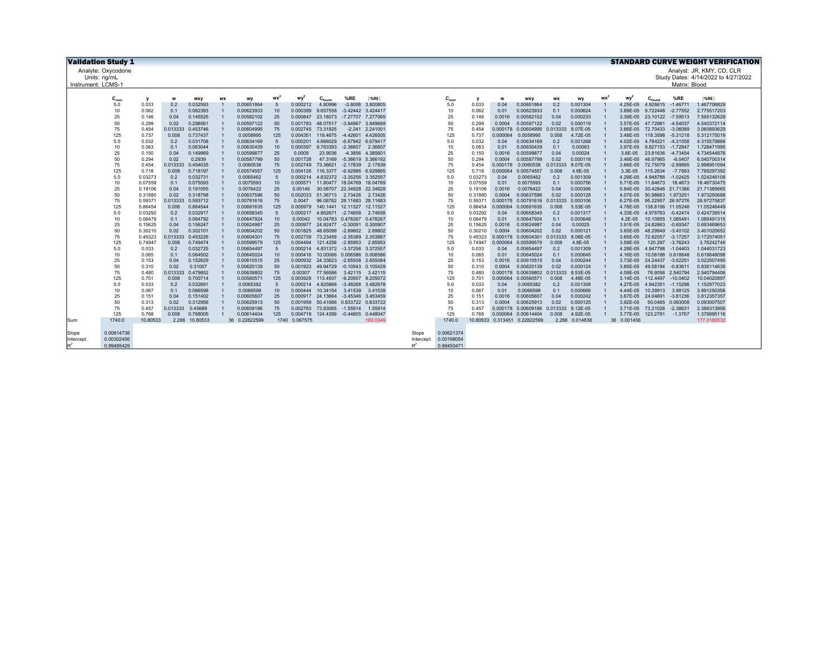| <b>Validation Study 1</b> |                          |                   |                |            |           |                             |             |          |                    |                            |          |                    |                          |                   |          |                              |                |                      |                 |             |                    |                  | <b>STANDARD CURVE WEIGHT VERIFICATION</b> |
|---------------------------|--------------------------|-------------------|----------------|------------|-----------|-----------------------------|-------------|----------|--------------------|----------------------------|----------|--------------------|--------------------------|-------------------|----------|------------------------------|----------------|----------------------|-----------------|-------------|--------------------|------------------|-------------------------------------------|
| Analyte: Oxycodone        |                          |                   |                |            |           |                             |             |          |                    |                            |          |                    |                          |                   |          |                              |                |                      |                 |             |                    |                  | Analyst: JR, KMY, CD, CLR                 |
| Units: ng/mL              |                          |                   |                |            |           |                             |             |          |                    |                            |          |                    |                          |                   |          |                              |                |                      |                 |             |                    |                  | Study Dates: 4/14/2022 to 4/27/2022       |
| Instrument: LCMS-1        |                          |                   |                |            |           |                             |             |          |                    |                            |          |                    |                          |                   |          |                              |                |                      |                 |             |                    | Matrix: Blood    |                                           |
|                           |                          |                   |                |            |           |                             |             |          |                    |                            |          |                    |                          |                   |          |                              |                |                      |                 |             |                    |                  |                                           |
|                           | $C_{nom}$                | у                 | W              | <b>WXV</b> | <b>WX</b> | wy                          | wx'         | wy       | $C_{\text{found}}$ | %RE                        | %RE      |                    | $C_{nom}$                | y                 |          | wxy                          | <b>WX</b>      | wv                   | wx <sup>2</sup> | wv          | $C_{\text{found}}$ | %RE              | %RE                                       |
|                           | 5.0                      | 0.033             | 0.2            | 0.032593   |           | 0.00651864                  | -5          | 0.000212 | 4.80996            | $-3.8008$                  | 3.800805 |                    | 5.0                      | 0.033             | 0.04     | 0.00651864                   | 0.2            | 0.001304             |                 | 4.25E-05    | 4.926615           | $-1.46771$       | 1.467706829                               |
|                           | 10                       | 0.062             | 0.1            | 0.062393   |           | 0.00623933                  | 10          | 0.000389 | 9.657558           | $-3.42442$ 3.424417        |          |                    | 10                       | 0.062             | 0.01     | 0.00623933                   | 0.1            | 0.000624             |                 | 3.89E-05    | 9.722448           | $-2.77552$       | 2.775517203                               |
|                           | 25                       | 0.146             | 0.04           | 0.145525   |           | 0.00582102                  | 25          | 0.000847 | 23.18073           | -7.27707 7.277065          |          |                    | 25                       | 0.146             | 0.0016   | 0.00582102                   | 0.04           | 0.000233             |                 | 3.39E-05    | 23.10122           | $-7.59513$       | 7.595132629                               |
|                           | 50                       | 0.299             | 0.02           | 0.298561   |           | 0.00597122                  | 50          | 0.001783 |                    | 48.07517 -3.84967 3.849669 |          |                    | 50                       | 0.299             | 0.0004   | 0.00597122                   | 0.02           | 0.000119             |                 | 3.57E-05    | 47.72981           | $-4.54037$       | 4.540372114                               |
|                           | 75                       | 0.454             | 0.013333       | 0.453746   |           | 0.00604995                  | 75          | 0.002745 | 73.31925           | $-2.241$                   | 2.241001 |                    | 75                       | 0.454             | 0.000178 | 0.00604995                   | 0.013333       | 8.07E-05             |                 | 3.66E-05    | 72.70433           | $-3.06089$       | 3.060893629                               |
|                           | 125                      | 0.737             | 0.008          | 0.737437   |           | 0.0058995                   | 125         | 0.004351 | 119,4675           | $-4.42601$                 | 4.426005 |                    | 125                      | 0.737             | 0.000064 | 0.0058995                    | 0.008          | 4.72E-05             |                 | 3.48E-05    | 118,3598           | $-5.31218$       | 5.312175019                               |
|                           | 5.0                      | 0.032             | 0.2            | 0.031708   |           | 0.00634169                  | 5           | 0.000201 | 4.666029           | $-6.67942$                 | 6.679417 |                    | 5.0                      | 0.032             | 0.04     | 0.00634169                   | 0.2            | 0.001268             |                 | 4.02E-05    | 4.784221           | $-4.31558$       | 4.315579866                               |
|                           | 10                       | 0.063             | 0.1            | 0.063044   |           | 0.00630439                  | 10          | 0.000397 | 9.763393           | $-2.36607$                 | 2.36607  |                    | 10                       | 0.063             | 0.01     | 0.00630439                   | 0.1            | 0.00063              |                 | 3.97E-05    | 9.827153 -1.72847  |                  | 1.728471995                               |
|                           | 25                       | 0.150             | 0.04           | 0.149969   |           | 0.00599877                  | 25          | 0.0009   | 23.9036            | $-4.3856$                  | 4.385601 |                    | 25                       | 0.150             | 0.0016   | 0.00599877                   | 0.04           | 0.00024              |                 | 3.6E-05     | 23.81636           | $-4.73454$       | 4.734544876                               |
|                           | 50                       | 0.294             | 0.02           | 0.2939     |           | 0.00587799                  | 50          | 0.001728 | 47,3169            | -5.36619 5.366192          |          |                    | 50                       | 0.294             | 0.0004   | 0.00587799                   | 0.02           | 0.000118             |                 | 3.46E-05    | 46.97965           | $-6.0407$        | 6.040700314                               |
|                           | 75                       | 0.454             | 0.013333       | 0.454035   |           | 0.0060538                   | 75          | 0.002749 | 73.36621           | $-2.17839$                 | 2.17839  |                    | 75                       | 0.454             | 0.000178 | 0.0060538                    | 0.013333       | 8.07E-05             |                 | 3.66E-05    | 72,75079           | $-2.99895$       | 2.998951094                               |
|                           | 125                      | 0.718             | 0.008          | 0.718197   |           | 0.00574557                  | 125         | 0.004126 | 116,3377           | -6.92986 6.929865          |          |                    | 125                      | 0.718             | 0.000064 | 0.00574557                   | 0.008          | 4.6E-05              |                 | 3.3E-05     | 115,2634           | $-7.7893$        | 7.789297392                               |
|                           | 5.0                      | 0.03273           | 0.2            | 0.032731   |           | 0.0065462                   | 5           | 0.000214 |                    | 4.832372 -3.35256 3.352557 |          |                    | 5.0                      | 0.03273           | 0.04     | 0.0065462                    | 0.2            | 0.001309             |                 | 4.29E-05    | 4.948788           | $-1.02425$       | 1.024246109                               |
|                           | 10                       | 0.07559           | 0.1            | 0.075593   |           | 0.0075593                   | 10          | 0.000571 |                    | 11.80477 18.04769 18.04769 |          |                    | 10                       | 0.07559           | 0.01     | 0.0075593                    | 0.1            | 0.000756             |                 | 5.71F-05    | 11.84673           | 18,4673          | 18.46730475                               |
|                           | 25                       | 0.19106           | 0.04           | 0.191055   |           | 0.0076422                   | 25          | 0.00146  |                    | 30.58707 22.34828 22.34828 |          |                    | 25                       | 0.19106           | 0.0016   | 0.0076422                    | 0.04           | 0.000306             |                 | 5.84E-05    | 30.42846 21.71386  |                  | 21.71385665                               |
|                           | 50                       | 0.31880           | 0.02           | 0.318798   |           | 0.00637596                  | 50          | 0.002033 |                    | 51.36713 2.73426           | 2.73426  |                    | 50                       | 0.31880           | 0.0004   | 0.00637596                   | 0.02           | 0.000128             |                 | 4.07E-05    | 50.98663 1.973251  |                  | 1.973250688                               |
|                           | 75                       | 0.59371           | 0.013333       | 0.593712   |           | 0.00791616                  | 75          | 0.0047   |                    | 96.08762 28.11683 28.11683 |          |                    | 75                       | 0.59371           |          | 0.000178 0.00791616 0.013333 |                | 0.000106             |                 | 6.27E-05    | 95.22957 26.97276  |                  | 26.97275837                               |
|                           | 125                      | 0.86454           | 0.008          | 0.864544   |           | 0.00691635                  | 125         | 0.005979 |                    | 140.1441 12.11527          | 12.11527 |                    | 125                      | 0.86454           | 0.000064 | 0.00691635                   | 0.008          | 5.53E-05             |                 | 4.78E-05    | 138.8156 11.05246  |                  | 11.05246449                               |
|                           | 5.0                      | 0.03292           | 0.2            | 0.032917   |           | 0.00658345                  | -5          | 0.000217 |                    | 4.862671 -2.74658          | 2.74658  |                    | 5.0                      | 0.03292           | 0.04     | 0.00658345                   | 0.2            | 0.001317             |                 | 4.33E-05    | 4.978763 -0.42474  |                  | 0.424739514                               |
|                           | 10                       | 0.06479           | 0.1            | 0.064792   |           | 0.00647924                  | 10          | 0.00042  |                    | 10.04783 0.478267          | 0.478267 |                    | 10                       | 0.06479           | 0.01     | 0.00647924                   | 0.1            | 0.000648             |                 | $4.2E-05$   | 10.10855 1.085491  |                  | 1.085491315                               |
|                           | 25                       | 0.15625           | 0.04           | 0.156247   |           | 0.00624987                  | 25          | 0.000977 |                    | 24.92477 -0.30091          | 0.300907 |                    | 25                       | 0.15625           | 0.0016   | 0.00624987                   | 0.04           | 0.00025              |                 | 3.91E-05    | 24.82663 -0.69347  |                  | 0.693469653                               |
|                           | 50                       | 0.30210           | 0.02           | 0.302101   |           | 0.00604202                  | 50          | 0.001825 | 48.65099           | $-2.69802$                 | 2.69802  |                    | 50                       | 0.30210           | 0.0004   | 0.00604202                   | 0.02           | 0.000121             |                 | 3.65E-05    | 48.29949           | $-3.40102$       | 3.401020652                               |
|                           | 75                       | 0.45323           | 0.013333       | 0.453226   |           | 0.00604301                  | 75          | 0.002739 | 73.23459           | $-2.35389$                 | 2.353887 |                    | 75                       | 0.45323           | 0.000178 | 0.00604301                   | 0.013333       | 8.06E-05             |                 | 3.65E-05    | 72.62057 -3.17257  |                  | 3.172574051                               |
|                           | 125                      | 0.74947           | 0.008          | 0.749474   |           | 0.00599579                  | 125         | 0.004494 | 121.4256           | $-2.85953$                 | 2.85953  |                    | 125                      | 0.74947           | 0.000064 | 0.00599579                   | 0.008          | 4.8E-05              |                 | 3.59E-05    | 120.297            | $-3.76243$       | 3.76242746                                |
|                           | 5.0                      | 0.033             | 0.2            | 0.032725   |           | 0.00654497                  | $\sqrt{5}$  | 0.000214 |                    | 4.831372 -3.37256 3.372557 |          |                    | 5.0                      | 0.033             | 0.04     | 0.00654497                   | 0.2            | 0.001309             |                 | 4.28E-05    | 4.947798 -1.04403  |                  | 1.044031723                               |
|                           | 10                       | 0.065             | 0.1            | 0.064502   |           | 0.00645024                  | 10          | 0.000416 |                    | 10.00066 0.006586 0.006586 |          |                    | 10                       | 0.065             | 0.01     | 0.00645024                   | 0.1            | 0.000645             |                 | 4.16E-05    | 10.06188 0.618848  |                  | 0.618848098                               |
|                           | 25                       | 0.153             | 0.04           | 0.152629   |           | 0.00610515                  | 25          | 0.000932 | 24.33623           | -2.65508 2.655084          |          |                    | 25                       | 0.153             | 0.0016   | 0.00610515                   | 0.04           | 0.000244             |                 | 3.73E-05    | 24.24437 -3.02251  |                  | 3.022507495                               |
|                           | 50                       | 0.310             | 0.02           | 0.31007    |           | 0.00620139                  | 50          | 0.001923 | 49.94729           | $-0.10543$ $0.105429$      |          |                    | 50                       | 0.310             | 0.0004   | 0.00620139                   | 0.02           | 0.000124             |                 | 3.85E-05    | 49.58194           | $-0.83611$       | 0.836114635                               |
|                           | 75                       | 0.480             | 0.013333       | 0.479852   |           | 0.00639802                  | 75          | 0.00307  | 77,56586           | 3.42115                    | 3.42115  |                    | 75                       | 0.480             | 0.000178 | 0.00639802                   | 0.013333       | 8.53E-05             |                 | 4.09E-05    |                    | 76.9056 2.540794 | 2.540794406                               |
|                           | 125                      | 0.701             | 0.008          | 0.700714   |           | 0.00560571                  | 125         | 0.003928 | 113,4937           | $-9.20507$                 | 9.205072 |                    | 125                      | 0.701             | 0.000064 | 0.00560571                   | 0.008          | 4.48E-05             |                 | 3.14E-05    | 112.4497 -10.0402  |                  | 10.04020897                               |
|                           | 5.0                      | 0.033             | 0.2            | 0.032691   |           | 0.0065382                   | 5           | 0.000214 | 4.825866           | $-3.48268$                 | 3.482678 |                    | 5.0                      | 0.033             | 0.04     | 0.0065382                    | 0.2            | 0.001308             |                 | 4.27E-05    | 4.942351           | $-1.15298$       | 1.152977023                               |
|                           | 10                       | 0.067             | 0.1            | 0.066598   |           | 0.0066598                   | 10          | 0.000444 | 10.34154           | 3.41539                    | 3.41539  |                    | 10                       | 0.067             | 0.01     | 0.0066598                    | 0.1            | 0.000666             |                 | 4.44E-05    | 10.39913           | 3.99125          | 3.991250358                               |
|                           | 25                       | 0.151             | 0.04           | 0.151402   |           | 0.00605607                  | 25          | 0.000917 | 24.13664           | -3.45346 3.453459          |          |                    | 25                       | 0.151             | 0.0016   | 0.00605607                   | 0.04           | 0.000242             |                 | 3.67E-05    | 24.04691           | $-3.81236$       | 3.812357357                               |
|                           | 50                       | 0.313             | 0.02           | 0.312956   |           | 0.00625913                  | 50          | 0.001959 |                    | 50.41686 0.833722 0.833722 |          |                    | 50                       | 0.313             | 0.0004   | 0.00625913                   | 0.02           | 0.000125<br>8.12E-05 |                 | 3.92E-05    |                    | 50.0465 0.093008 | 0.093007507                               |
|                           | 75                       | 0.457             | 0.013333       | 0.45689    |           | 0.00609186                  | 75          | 0.002783 |                    | 73.83065 -1.55914          | 1.55914  |                    | 75<br>125                | 0.457             | 0.000178 | 0.00609186                   | 0.013333       |                      |                 | 3.71E-05    | 73.21026           | $-2.38631$       | 2.386313906                               |
|                           | 125<br>1740.0            | 0.768<br>10.80533 | 0.008<br>2.288 | 0.768005   |           | 0.00614404<br>36 0.22822599 | 125<br>1740 | 0.004719 |                    | 124.4399 -0.44805 0.448047 | 183.0349 |                    | 1740.0                   | 0.768<br>10.80533 | 0.000064 | 0.00614404                   | 0.008<br>2.288 | 4.92E-05<br>0.014838 |                 | 3.77E-05    | 123.2791 -1.3767   |                  | 1.376695116<br>177.0180532                |
| Sum                       |                          |                   |                | 10.80533   |           |                             |             | 0.067575 |                    |                            |          |                    |                          |                   |          | 0.313451 0.22822599          |                |                      |                 | 36 0.001456 |                    |                  |                                           |
|                           |                          |                   |                |            |           |                             |             |          |                    |                            |          |                    |                          |                   |          |                              |                |                      |                 |             |                    |                  |                                           |
| Slope<br>Intercept        | 0.00614738<br>0.00302456 |                   |                |            |           |                             |             |          |                    |                            |          | Slope<br>Intercept | 0.00621374<br>0.00198054 |                   |          |                              |                |                      |                 |             |                    |                  |                                           |
| p <sup>2</sup>            | 0.99485429               |                   |                |            |           |                             |             |          |                    |                            |          | n <sup>2</sup>     | 0.99450471               |                   |          |                              |                |                      |                 |             |                    |                  |                                           |
|                           |                          |                   |                |            |           |                             |             |          |                    |                            |          |                    |                          |                   |          |                              |                |                      |                 |             |                    |                  |                                           |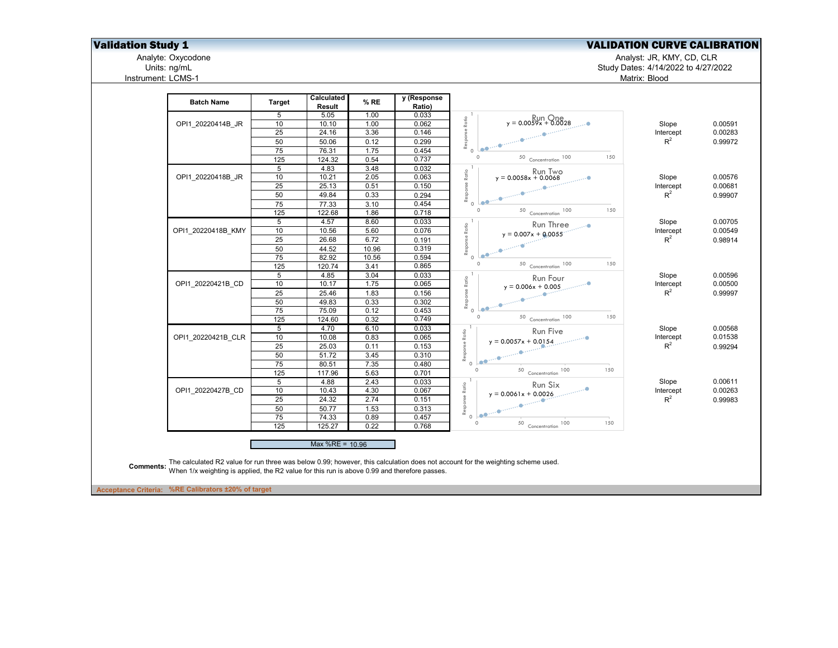## **Validation Study 1**<br>Analyte: Oxycodone **National Study 1** Analyte: Oxycodone **National Study 1** Analyte: Oxycodone

Analyte: Oxycodone Analyst: JR, KMY, CD, CLR

Units: ng/mL Study Dates: 4/14/2022 to 4/27/2022 Matrix: Blood

| <b>Batch Name</b>  | <b>Target</b>  | Calculated<br>Result | % RE  | y (Response<br>Ratio) |                                                                                                                                                       |           |         |
|--------------------|----------------|----------------------|-------|-----------------------|-------------------------------------------------------------------------------------------------------------------------------------------------------|-----------|---------|
|                    | 5              | 5.05                 | 1.00  | 0.033                 | $y = 0.0059x + 0.0028$                                                                                                                                |           |         |
| OPI1 20220414B JR  | 10             | 10.10                | 1.00  | 0.062                 |                                                                                                                                                       | Slope     | 0.00591 |
|                    | 25             | 24.16                | 3.36  | 0.146                 |                                                                                                                                                       | Intercept | 0.00283 |
|                    | 50             | 50.06                | 0.12  | 0.299                 | Response Ratio<br>Leb <sup>110</sup>                                                                                                                  | $R^2$     | 0.99972 |
|                    | 75             | 76.31                | 1.75  | 0.454                 | $\circ$<br>150<br>$\circ$                                                                                                                             |           |         |
|                    | 125            | 124.32               | 0.54  | 0.737                 | $\begin{array}{c c} \textbf{Concentration} & \textbf{100} \\ \hline \end{array}$                                                                      |           |         |
|                    | $\overline{5}$ | 4.83                 | 3.48  | 0.032                 | $y = 0.0058x + 0.0068$                                                                                                                                |           |         |
| OPI1 20220418B JR  | 10             | 10.21                | 2.05  | 0.063                 | Ratio                                                                                                                                                 | Slope     | 0.00576 |
|                    | 25             | 25.13                | 0.51  | 0.150                 | Response                                                                                                                                              | Intercept | 0.00681 |
|                    | 50             | 49.84                | 0.33  | 0.294                 | $L_{\odot}$ entre                                                                                                                                     | $R^2$     | 0.99907 |
|                    | 75             | 77.33                | 3.10  | 0.454                 | $\Omega$<br>$\circ$                                                                                                                                   |           |         |
|                    | 125            | 122.68               | 1.86  | 0.718                 | 150<br>Concentration 100<br>50                                                                                                                        |           |         |
|                    | $\overline{5}$ | 4.57                 | 8.60  | 0.033                 | Run Three                                                                                                                                             | Slope     | 0.00705 |
| OPI1 20220418B KMY | 10             | 10.56                | 5.60  | 0.076                 | $y = 0.007x + 0.0055$                                                                                                                                 | Intercept | 0.00549 |
|                    | 25             | 26.68                | 6.72  | 0.191                 | Response Ratio                                                                                                                                        | $R^2$     | 0.98914 |
|                    | 50             | 44.52                | 10.96 | 0.319                 |                                                                                                                                                       |           |         |
|                    | 75             | 82.92                | 10.56 | 0.594                 | $\circ$                                                                                                                                               |           |         |
|                    | 125            | 120.74               | 3.41  | 0.865                 | $\circ$<br>150<br>50 Concentration 100                                                                                                                |           |         |
|                    | 5              | 4.85                 | 3.04  | 0.033                 | Run Four                                                                                                                                              | Slope     | 0.00596 |
| OPI1 20220421B CD  | 10             | 10.17                | 1.75  | 0.065                 | $y = 0.006x + 0.005$                                                                                                                                  | Intercept | 0.00500 |
|                    | 25             | 25.46                | 1.83  | 0.156                 | Response Ratio                                                                                                                                        | $R^2$     | 0.99997 |
|                    | 50             | 49.83                | 0.33  | 0.302                 |                                                                                                                                                       |           |         |
|                    | 75             | 75.09                | 0.12  | 0.453                 | $\circ$                                                                                                                                               |           |         |
|                    | 125            | 124.60               | 0.32  | 0.749                 | 150<br>$\circ$<br>50 Concentration 100                                                                                                                |           |         |
|                    | 5              | 4.70                 | 6.10  | 0.033                 | Run Five                                                                                                                                              | Slope     | 0.00568 |
| OPI1 20220421B CLR | 10             | 10.08                | 0.83  | 0.065                 | Response Ratio<br>$y = 0.0057x + 0.0154$                                                                                                              | Intercept | 0.01538 |
|                    | 25             | 25.03                | 0.11  | 0.153                 |                                                                                                                                                       | $R^2$     | 0.99294 |
|                    | 50             | 51.72                | 3.45  | 0.310                 | $\begin{array}{l} \begin{array}{c} \vspace{2mm} \\ \vspace{2mm} \end{array} & \begin{array}{c} \Phi^{(1)}, \dots, \Phi^{(1)} \end{array} \end{array}$ |           |         |
|                    | 75             | 80.51                | 7.35  | 0.480                 | $\circ$                                                                                                                                               |           |         |
|                    | 125            | 117.96               | 5.63  | 0.701                 | $\circ$<br>$50$ Concentration 100<br>150                                                                                                              |           |         |
|                    | 5              | 4.88                 | 2.43  | 0.033                 | Run Six                                                                                                                                               | Slope     | 0.00611 |
| OPI1 20220427B CD  | 10             | 10.43                | 4.30  | 0.067                 | $y = 0.0061x + 0.0026$                                                                                                                                | Intercept | 0.00263 |
|                    | 25             | 24.32                | 2.74  | 0.151                 | $\mathcal{L}$                                                                                                                                         | $R^2$     | 0.99983 |
|                    | 50             | 50.77                | 1.53  | 0.313                 | Response Ratio                                                                                                                                        |           |         |
|                    | 75             | 74.33                | 0.89  | 0.457                 | $Le^{m+1}$<br>$\circ$                                                                                                                                 |           |         |
|                    | 125            | 125.27               | 0.22  | 0.768                 | $\Omega$<br>100<br>150<br>50 Concentration                                                                                                            |           |         |
|                    |                | Max $%RE = 10.96$    |       |                       |                                                                                                                                                       |           |         |

**Acceptance Criteria: %RE Calibrators ±20% of target**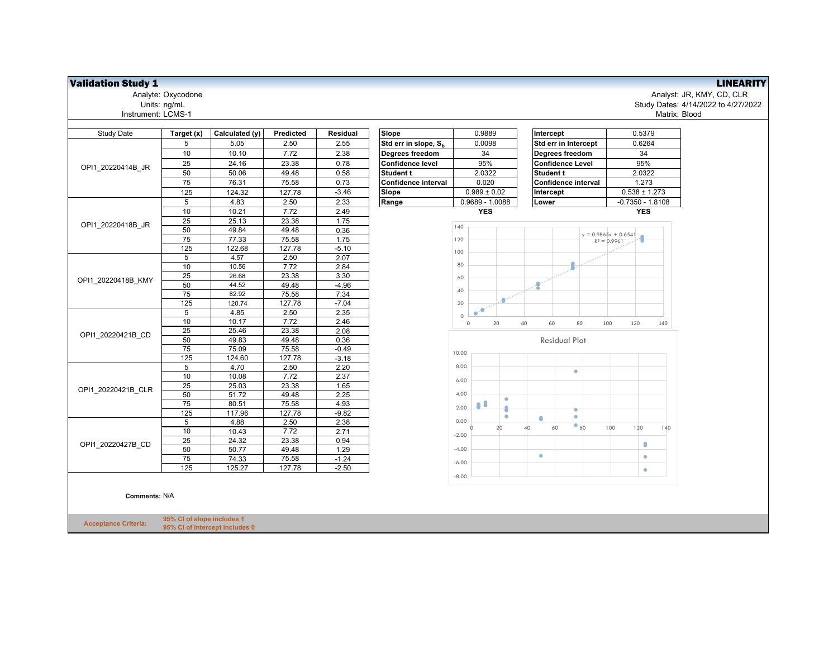| <b>Study Date</b>  | Target (x)      | Calculated (y) | Predicted | Residual | Slope                            |              | 0.9889                          |    |               | Intercept               |              |     |                                          | 0.5379         |
|--------------------|-----------------|----------------|-----------|----------|----------------------------------|--------------|---------------------------------|----|---------------|-------------------------|--------------|-----|------------------------------------------|----------------|
|                    | 5               | 5.05           | 2.50      | 2.55     | Std err in slope, S <sub>h</sub> |              | 0.0098                          |    |               | Std err in Intercept    |              |     |                                          | 0.6264         |
|                    | 10              | 10.10          | 7.72      | 2.38     | Degrees freedom                  |              | 34                              |    |               | Degrees freedom         |              |     |                                          | 34             |
| OPI1 20220414B JR  | 25              | 24.16          | 23.38     | 0.78     | Confidence level                 |              | 95%                             |    |               | <b>Confidence Level</b> |              |     |                                          | 95%            |
|                    | 50              | 50.06          | 49.48     | 0.58     | <b>Student t</b>                 |              | 2.0322                          |    |               | <b>Student t</b>        |              |     |                                          | 2.0322         |
|                    | 75              | 76.31          | 75.58     | 0.73     | Confidence interval              |              | 0.020                           |    |               | Confidence interval     |              |     |                                          | 1.273          |
|                    | 125             | 124.32         | 127.78    | $-3.46$  | Slope                            |              | $0.989 \pm 0.02$                |    |               | Intercept               |              |     |                                          | $0.538 \pm 1.$ |
|                    | 5               | 4.83           | 2.50      | 2.33     | Range                            |              | 0.9689 - 1.0088                 |    | Lower         |                         |              |     |                                          | $-0.7350 - 1.$ |
|                    | 10              | 10.21          | 7.72      | 2.49     |                                  |              | <b>YES</b>                      |    |               |                         |              |     |                                          | <b>YES</b>     |
| OPI1 20220418B JR  | 25              | 25.13          | 23.38     | 1.75     |                                  |              |                                 |    |               |                         |              |     |                                          |                |
|                    | 50              | 49.84          | 49.48     | 0.36     |                                  | 140          |                                 |    |               |                         |              |     |                                          |                |
|                    | $\overline{75}$ | 77.33          | 75.58     | 1.75     |                                  | 120          |                                 |    |               |                         |              |     | $y = 0.9865x + 0.6541$<br>$R^2 = 0.9961$ |                |
|                    | 125             | 122.68         | 127.78    | $-5.10$  |                                  | 100          |                                 |    |               |                         |              |     |                                          |                |
|                    | 5               | 4.57           | 2.50      | 2.07     |                                  |              |                                 |    |               |                         |              |     |                                          |                |
|                    | 10              | 10.56          | 7.72      | 2.84     |                                  | 80           |                                 |    |               |                         |              |     |                                          |                |
| OPI1 20220418B KMY | 25              | 26.68          | 23.38     | 3.30     |                                  | 60           |                                 |    |               |                         |              |     |                                          |                |
|                    | 50              | 44.52          | 49.48     | $-4.96$  |                                  |              |                                 |    | $\mathcal{L}$ |                         |              |     |                                          |                |
|                    | $\overline{75}$ | 82.92          | 75.58     | 7.34     |                                  | 40           |                                 |    |               |                         |              |     |                                          |                |
|                    | 125             | 120.74         | 127.78    | $-7.04$  |                                  | 20           |                                 |    |               |                         |              |     |                                          |                |
|                    | 5               | 4.85           | 2.50      | 2.35     |                                  | $\Omega$     | $\mathbf{e}^{\mu}$<br>$\bullet$ |    |               |                         |              |     |                                          |                |
|                    | 10              | 10.17          | 7.72      | 2.46     |                                  | $\mathbf{0}$ |                                 | 20 | 40            | 60                      | 80           | 100 |                                          | 120            |
| OPI1 20220421B CD  | 25              | 25.46          | 23.38     | 2.08     |                                  |              |                                 |    |               |                         |              |     |                                          |                |
|                    | 50              | 49.83          | 49.48     | 0.36     |                                  |              |                                 |    |               | <b>Residual Plot</b>    |              |     |                                          |                |
|                    | 75              | 75.09          | 75.58     | $-0.49$  |                                  | 10.00        |                                 |    |               |                         |              |     |                                          |                |
|                    | $\frac{1}{25}$  | 124.60         | 127.78    | $-3.18$  |                                  |              |                                 |    |               |                         |              |     |                                          |                |
|                    | 5               | 4.70           | 2.50      | 2.20     |                                  | 8.00         |                                 |    |               |                         | ٠            |     |                                          |                |
|                    | 10              | 10.08          | 7.72      | 2.37     |                                  | 6.00         |                                 |    |               |                         |              |     |                                          |                |
| OPI1 20220421B CLR | 25              | 25.03          | 23.38     | 1.65     |                                  |              |                                 |    |               |                         |              |     |                                          |                |
|                    | 50              | 51.72          | 49.48     | 2.25     |                                  | 4.00         |                                 | ۰  |               |                         |              |     |                                          |                |
|                    | $\overline{75}$ | 80.51          | 75.58     | 4.93     |                                  | 2.00         | 08                              |    |               |                         | ۰            |     |                                          |                |
|                    | 125             | 117.96         | 127.78    | $-9.82$  |                                  |              |                                 | ۰  | ٠             |                         | $\bullet$    |     |                                          |                |
|                    | 5               | 4.88           | 2.50      | 2.38     |                                  | 0.00         |                                 | 20 | 40            | 60                      | $\bullet$ 80 |     | 100                                      | 120            |
|                    | 10              | 10.43          | 7.72      | 2.71     |                                  | $-2.00$      |                                 |    |               |                         |              |     |                                          |                |
| OPI1 20220427B CD  | 25              | 24.32          | 23.38     | 0.94     |                                  |              |                                 |    |               |                         |              |     |                                          | ۰              |
|                    | 50              | 50.77          | 49.48     | 1.29     |                                  | $-4.00$      |                                 |    | ۰             |                         |              |     |                                          |                |
|                    | 75              | 74.33          | 75.58     | $-1.24$  |                                  | $-6.00$      |                                 |    |               |                         |              |     |                                          | ۰              |
|                    | 125             | 125.27         | 127.78    | $-2.50$  |                                  |              |                                 |    |               |                         |              |     |                                          | $\bullet$      |
|                    |                 |                |           |          |                                  | $-8.00$      |                                 |    |               |                         |              |     |                                          |                |

**Comments:** N/A

**Acceptance Criteria: 95% CI of slope includes 1 95% CI of intercept includes 0**

**Validation Study 1**<br>Analyst: JR, KMY, CD, CLR<br>Analyst: JR, KMY, CD, CLR Analyte: Oxycodone Analyst: JR, KMY, CD, CLR Units: ng/mL Study Dates: 4/14/2022 to 4/27/2022 Matrix: Blood

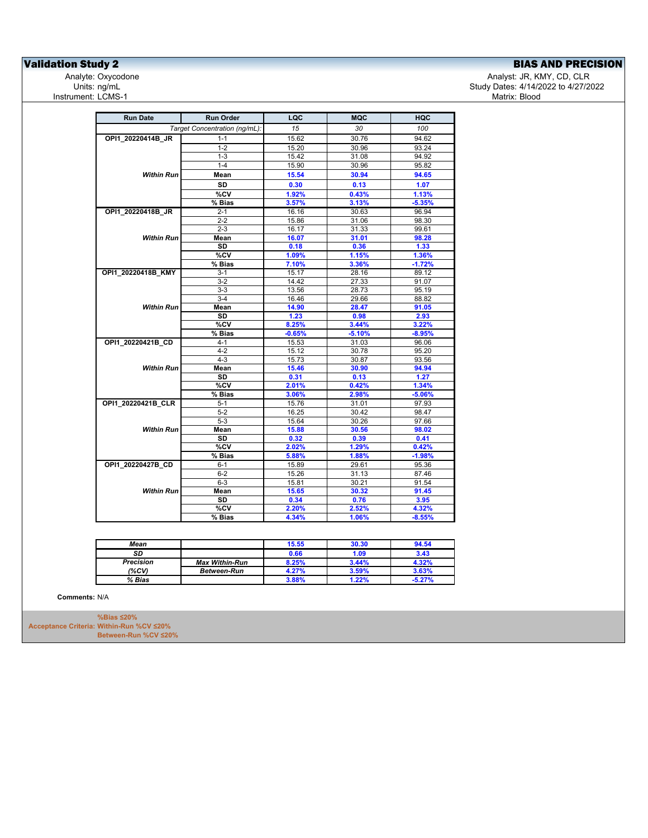## **Validation Study 2**<br>
Analyte: Oxycodone **BIAS AND PRECISION**<br>
Analyte: Oxycodone **BIAS Analyte: Oxycodone**

Analyte: Oxycodone و Analyst: JR, KMY, CD, CLR<br>4/2022 to 4/27/20 تاريخ المسابق المستخدم المستخدم المستخدم المستخدم المستخدم المستخدم المستخدم المستخدم المستخدم<br>3/2/12 Study Dates: 4/14/2022 to 4/27/20 تاريخ المستخدم المست Study Dates: 4/14/2022 to 4/27/2022<br>Matrix: Blood

| <b>Run Date</b>    | <b>Run Order</b>              | LQC      | <b>MQC</b> | <b>HQC</b> |
|--------------------|-------------------------------|----------|------------|------------|
|                    | Target Concentration (ng/mL): | 15       | 30         | 100        |
| OPI1 20220414B JR  | $1 - 1$                       | 15.62    | 30.76      | 94.62      |
|                    | $1 - 2$                       | 15.20    | 30.96      | 93.24      |
|                    | $1 - 3$                       | 15.42    | 31.08      | 94.92      |
|                    | $1 - 4$                       | 15.90    | 30.96      | 95.82      |
| <b>Within Run</b>  | Mean                          | 15.54    | 30.94      | 94.65      |
|                    | <b>SD</b>                     | 0.30     | 0.13       | 1.07       |
|                    | %CV                           | 1.92%    | 0.43%      | 1.13%      |
|                    | % Bias                        | 3.57%    | 3.13%      | $-5.35%$   |
| OPI1 20220418B JR  | $2 - 1$                       | 16.16    | 30.63      | 96.94      |
|                    | $2 - 2$                       | 15.86    | 31.06      | 98.30      |
|                    | $2 - 3$                       | 16.17    | 31.33      | 99.61      |
| <b>Within Run</b>  | Mean                          | 16.07    | 31.01      | 98.28      |
|                    | <b>SD</b>                     | 0.18     | 0.36       | 1.33       |
|                    | %CV                           | 1.09%    | 1.15%      | 1.36%      |
|                    | % Bias                        | 7.10%    | 3.36%      | $-1.72%$   |
| OPI1 20220418B KMY | 3-1                           | 15.17    | 28.16      | 89.12      |
|                    | $3-2$                         | 14.42    | 27.33      | 91.07      |
|                    | $3 - 3$                       | 13.56    | 28.73      | 95.19      |
|                    | $3-4$                         | 16.46    | 29.66      | 88.82      |
| <b>Within Run</b>  | Mean                          | 14.90    | 28.47      | 91.05      |
|                    | <b>SD</b>                     | 1.23     | 0.98       | 2.93       |
|                    | %CV                           | 8.25%    | 3.44%      | 3.22%      |
|                    | % Bias                        | $-0.65%$ | $-5.10%$   | $-8.95%$   |
| OPI1 20220421B CD  | 4-1                           | 15.53    | 31.03      | 96.06      |
|                    | $4 - 2$                       | 15.12    | 30.78      | 95.20      |
|                    | $4 - 3$                       | 15.73    | 30.87      | 93.56      |
| <b>Within Run</b>  | Mean                          | 15.46    | 30.90      | 94.94      |
|                    | <b>SD</b>                     | 0.31     | 0.13       | 1.27       |
|                    | %CV                           | 2.01%    | 0.42%      | 1.34%      |
|                    | % Bias                        | 3.06%    | 2.98%      | $-5.06%$   |
| OPI1_20220421B_CLR | $5 - 1$                       | 15.76    | 31.01      | 97.93      |
|                    | $5 - 2$                       | 16.25    | 30.42      | 98.47      |
|                    | $5-3$                         | 15.64    | 30.26      | 97.66      |
| <b>Within Run</b>  | Mean                          | 15.88    | 30.56      | 98.02      |
|                    | <b>SD</b>                     | 0.32     | 0.39       | 0.41       |
|                    | %CV                           | 2.02%    | 1.29%      | 0.42%      |
|                    | $%$ Bias                      | 5.88%    | 1.88%      | $-1.98%$   |
| OPI1_20220427B_CD  | $6 - 1$                       | 15.89    | 29.61      | 95.36      |
|                    | $6 - 2$                       | 15.26    | 31.13      | 87.46      |
|                    | $6 - 3$                       | 15.81    | 30.21      | 91.54      |
| <b>Within Run</b>  | Mean                          | 15.65    | 30.32      | 91.45      |
|                    | <b>SD</b>                     | 0.34     | 0.76       | 3.95       |
|                    | %CV                           | 2.20%    | 2.52%      | 4.32%      |
|                    | % Bias                        | 4.34%    | 1.06%      | $-8.55%$   |

| Mean      |                       | 15.55 | 30.30 | 94.54 |
|-----------|-----------------------|-------|-------|-------|
| SD        |                       | 0.66  | 1.09  | 3.43  |
| Precision | <b>Max Within-Run</b> | 8.25% | 3.44% | 4.32% |
| (%CV)     | <b>Between-Run</b>    | 1.27% | 3.59% | 3.63% |
| % Bias    |                       | 3.88% | 1.22% | 5.27% |

**Comments:** N/A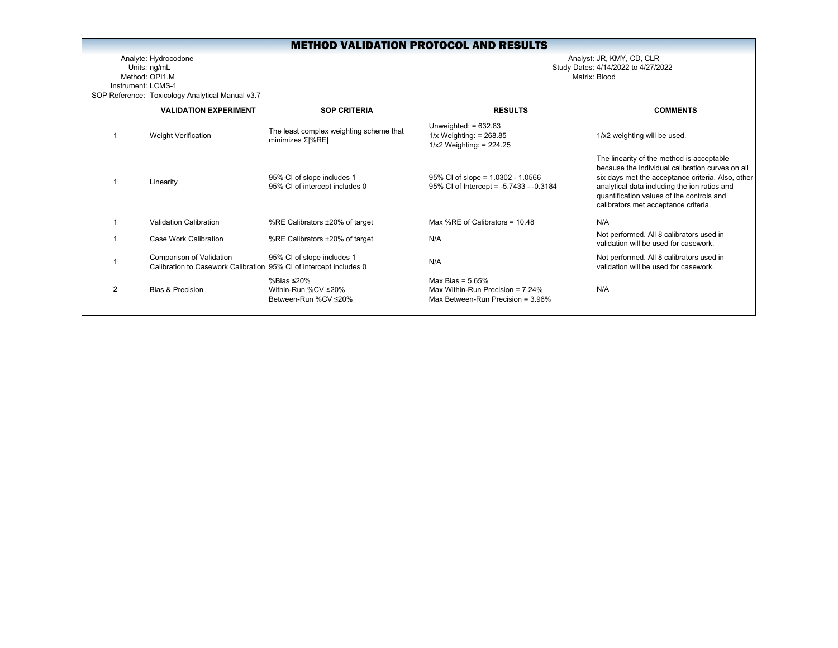Analyte: Hydrocodone Analyst: JR, KMY, CD, CLR Units: ng/mL Study Dates: 4/14/2022 to 4/27/2022 Method: OPI1.MInstrument: LCMS-1SOP Reference: Toxicology Analytical Manual v3.7

|   | <b>VALIDATION EXPERIMENT</b>                                                                   | <b>SOP CRITERIA</b>                                                | <b>RESULTS</b>                                                                                     | <b>COMMENTS</b>                                                                                                                                                                                                                                                                         |
|---|------------------------------------------------------------------------------------------------|--------------------------------------------------------------------|----------------------------------------------------------------------------------------------------|-----------------------------------------------------------------------------------------------------------------------------------------------------------------------------------------------------------------------------------------------------------------------------------------|
|   | <b>Weight Verification</b>                                                                     | The least complex weighting scheme that<br>minimizes $\Sigma$  %RE | Unweighted: $= 632.83$<br>$1/x$ Weighting: = 268.85<br>$1/x2$ Weighting: = 224.25                  | 1/x2 weighting will be used.                                                                                                                                                                                                                                                            |
|   | Linearity                                                                                      | 95% CI of slope includes 1<br>95% CI of intercept includes 0       | $95\%$ CI of slope = 1.0302 - 1.0566<br>95% CI of Intercept = -5.7433 - -0.3184                    | The linearity of the method is acceptable<br>because the individual calibration curves on all<br>six days met the acceptance criteria. Also, other<br>analytical data including the ion ratios and<br>quantification values of the controls and<br>calibrators met acceptance criteria. |
|   | <b>Validation Calibration</b>                                                                  | %RE Calibrators ±20% of target                                     | Max %RE of Calibrators = $10.48$                                                                   | N/A                                                                                                                                                                                                                                                                                     |
|   | Case Work Calibration                                                                          | %RE Calibrators ±20% of target                                     | N/A                                                                                                | Not performed. All 8 calibrators used in<br>validation will be used for casework.                                                                                                                                                                                                       |
|   | Comparison of Validation<br>Calibration to Casework Calibration 95% CI of intercept includes 0 | 95% CI of slope includes 1                                         | N/A                                                                                                | Not performed. All 8 calibrators used in<br>validation will be used for casework.                                                                                                                                                                                                       |
| 2 | Bias & Precision                                                                               | %Bias ≤20%<br>Within-Run %CV ≤20%<br>Between-Run %CV ≤20%          | Max Bias = $5.65\%$<br>Max Within-Run Precision = $7.24\%$<br>Max Between-Run Precision = $3.96\%$ | N/A                                                                                                                                                                                                                                                                                     |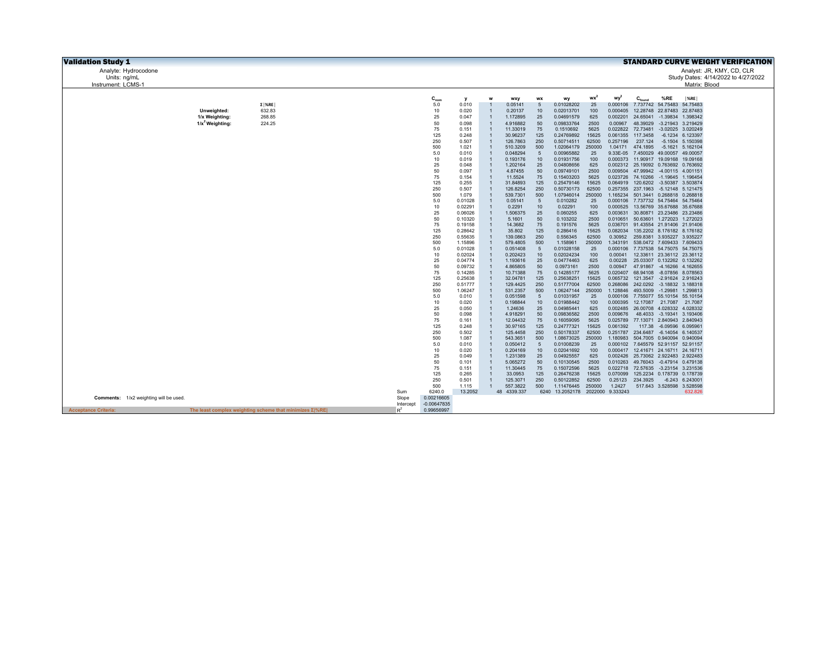| <b>Validation Study 1</b>              |                               |                                                                |           |               |                    |                                  |                      |                   |                                  |                 |                     |                                                                            |                            |                                                                            | <b>STANDARD CURVE WEIGHT VERIFICATION</b> |  |
|----------------------------------------|-------------------------------|----------------------------------------------------------------|-----------|---------------|--------------------|----------------------------------|----------------------|-------------------|----------------------------------|-----------------|---------------------|----------------------------------------------------------------------------|----------------------------|----------------------------------------------------------------------------|-------------------------------------------|--|
| Analyte: Hydrocodone                   |                               |                                                                |           |               |                    |                                  |                      |                   |                                  |                 |                     |                                                                            |                            |                                                                            | Analyst: JR, KMY, CD, CLR                 |  |
| Units: ng/mL                           |                               |                                                                |           |               |                    |                                  |                      |                   |                                  |                 |                     |                                                                            |                            |                                                                            | Study Dates: 4/14/2022 to 4/27/2022       |  |
| Instrument: LCMS-1                     |                               |                                                                |           |               |                    |                                  |                      |                   |                                  |                 |                     |                                                                            |                            | Matrix: Blood                                                              |                                           |  |
|                                        |                               |                                                                |           |               |                    |                                  |                      |                   |                                  |                 |                     |                                                                            |                            |                                                                            |                                           |  |
|                                        |                               |                                                                |           | $C_{nom}$     | у                  |                                  | wxy                  | <b>WX</b>         | wy                               | wx <sup>2</sup> | wy <sup>2</sup>     | $C_{\text{found}}$                                                         | %RE                        | $ \%RE $                                                                   |                                           |  |
|                                        |                               | $\Sigma$  %RE                                                  |           | 5.0           | 0.010              | $\overline{1}$                   | 0.05141              | 5                 | 0.01028202                       | 25              | 0.000106            |                                                                            |                            | 7.737742 54.75483 54.75483                                                 |                                           |  |
|                                        | Unweighted:<br>1/x Weighting: | 632.83<br>268.85                                               |           | 10<br>25      | 0.020<br>0.047     | $\overline{1}$<br>$\overline{1}$ | 0.20137<br>1.172895  | 10<br>25          | 0.02013701<br>0.04691579         | 100<br>625      | 0.000405            | 0.002201 24.65041                                                          |                            | 12.28748 22.87483 22.87483<br>-1.39834 1.398342                            |                                           |  |
|                                        | $1/x^2$ Weighting:            | 224.25                                                         |           | 50            | 0.098              | $\overline{1}$                   | 4.916882             | 50                | 0.09833764                       | 2500            | 0.00967             | 48.39029                                                                   |                            | -3.21943 3.219429                                                          |                                           |  |
|                                        |                               |                                                                |           | 75            | 0.151              | $\overline{1}$                   | 11.33019             | 75                | 0.1510692                        | 5625            |                     | 0.022822 72.73481                                                          |                            | -3.02025 3.020249                                                          |                                           |  |
|                                        |                               |                                                                |           | 125           | 0.248              | $\overline{1}$                   | 30.96237             | 125               | 0.24769892                       | 15625           |                     | 0.061355 117.3458                                                          |                            | -6.1234 6.123397                                                           |                                           |  |
|                                        |                               |                                                                |           | 250           | 0.507              | $\overline{1}$                   | 126.7863             | 250               | 0.50714511                       | 62500           | 0.257196            | 237.124                                                                    |                            | -5.1504 5.150398                                                           |                                           |  |
|                                        |                               |                                                                |           | 500           | 1.021              | $\overline{1}$                   | 510.3209             | 500               | 1.02064179                       | 250000          |                     | 1.04171 474.1895                                                           |                            | -5.1621 5.162104                                                           |                                           |  |
|                                        |                               |                                                                |           | 5.0           | 0.010              | $\overline{1}$                   | 0.048294             | 5                 | 0.00965882                       | 25              |                     | 9.33E-05 7.450029 49.00057 49.00057                                        |                            |                                                                            |                                           |  |
|                                        |                               |                                                                |           | 10<br>25      | 0.019<br>0.048     | $\overline{1}$<br>$\overline{1}$ | 0.193176<br>1.202164 | 10<br>25          | 0.01931756<br>0.04808656         | 100<br>625      |                     |                                                                            |                            | 0.000373 11.90917 19.09168 19.09168<br>0.002312 25.19092 0.763692 0.763692 |                                           |  |
|                                        |                               |                                                                |           | 50            | 0.097              | $\overline{1}$                   | 4.87455              | 50                | 0.09749101                       | 2500            |                     | 0.009504 47.99942 -4.00115 4.001151                                        |                            |                                                                            |                                           |  |
|                                        |                               |                                                                |           | 75            | 0.154              | $\overline{1}$                   | 11.5524              | 75                | 0.15403203                       | 5625            |                     |                                                                            |                            | 0.023726 74.10266 -1.19645 1.196454                                        |                                           |  |
|                                        |                               |                                                                |           | 125           | 0.255              | $\overline{1}$                   | 31.84893             | 125               | 0.25479146                       | 15625           | 0.064919            | 120.6202 -3.50387 3.503874                                                 |                            |                                                                            |                                           |  |
|                                        |                               |                                                                |           | 250           | 0.507              | $\overline{1}$                   | 126.8254             | 250               | 0.50730173                       | 62500           |                     |                                                                            |                            | 0.257355 237.1963 -5.12148 5.121475                                        |                                           |  |
|                                        |                               |                                                                |           | 500<br>5.0    | 1.079<br>0.01028   | $\overline{1}$<br>$\overline{1}$ | 539.7301<br>0.05141  | 500<br>5          | 1.07946014<br>0.010282           | 250000<br>25    | 1.165234            | 0.000106 7.737732 54.75464 54.75464                                        |                            | 501.3441 0.268818 0.268818                                                 |                                           |  |
|                                        |                               |                                                                |           | 10            | 0.02291            | $\overline{1}$                   | 0.2291               | 10                | 0.02291                          | 100             | 0.000525            | 13.56769 35.67688 35.67688                                                 |                            |                                                                            |                                           |  |
|                                        |                               |                                                                |           | 25            | 0.06026            | $\overline{1}$                   | 1.506375             | 25                | 0.060255                         | 625             | 0.003631            |                                                                            |                            | 30.80871 23.23486 23.23486                                                 |                                           |  |
|                                        |                               |                                                                |           | 50            | 0.10320            | $\overline{1}$                   | 5.1601               | 50                | 0.103202                         | 2500            | 0.010651            |                                                                            |                            | 50.63601 1.272023 1.272023                                                 |                                           |  |
|                                        |                               |                                                                |           | 75            | 0.19158            | $\overline{1}$                   | 14.3682              | 75                | 0.191576                         | 5625            |                     |                                                                            |                            | 0.036701 91.43554 21.91406 21.91406                                        |                                           |  |
|                                        |                               |                                                                |           | 125<br>250    | 0.28642<br>0.55635 | $\overline{1}$<br>$\overline{1}$ | 35.802<br>139.0863   | 125<br>250        | 0.286416<br>0.556345             | 15625<br>62500  | 0.082034<br>0.30952 |                                                                            | 259.8381 3.935227 3.935227 | 135.2202 8.176182 8.176182                                                 |                                           |  |
|                                        |                               |                                                                |           | 500           | 1.15896            | $\overline{1}$                   | 579.4805             | 500               | 1.158961                         | 250000          | 1.343191            |                                                                            |                            | 538.0472 7.609433 7.609433                                                 |                                           |  |
|                                        |                               |                                                                |           | 5.0           | 0.01028            | $\overline{1}$                   | 0.051408             | $5\phantom{.0}$   | 0.01028158                       | 25              |                     |                                                                            |                            | 0.000106 7.737538 54.75075 54.75075                                        |                                           |  |
|                                        |                               |                                                                |           | 10            | 0.02024            | $\overline{1}$                   | 0.202423             | 10                | 0.02024234                       | 100             | 0.00041             |                                                                            |                            | 12.33611 23.36112 23.36112                                                 |                                           |  |
|                                        |                               |                                                                |           | 25            | 0.04774            | $\overline{1}$                   | 1.193616             | 25                | 0.04774463                       | 625             | 0.00228             |                                                                            |                            | 25.03307 0.132262 0.132262                                                 |                                           |  |
|                                        |                               |                                                                |           | 50            | 0.09732            | $\overline{1}$<br>$\overline{1}$ | 4.865805             | 50<br>75          | 0.0973161                        | 2500            | 0.00947             | 47.91867                                                                   |                            | -4.16266 4.162655                                                          |                                           |  |
|                                        |                               |                                                                |           | 75<br>125     | 0.14285<br>0.25638 | $\overline{1}$                   | 10.71388<br>32.04781 | 125               | 0.14285177<br>0.25638251         | 5625<br>15625   | 0.020407            | 68.94108                                                                   |                            | -8.07856 8.078563<br>0.065732 121.3547 -2.91624 2.916243                   |                                           |  |
|                                        |                               |                                                                |           | 250           | 0.51777            | $\overline{1}$                   | 129,4425             | 250               | 0.51777004                       | 62500           |                     |                                                                            |                            | 0.268086 242.0292 -3.18832 3.188318                                        |                                           |  |
|                                        |                               |                                                                |           | 500           | 1.06247            | $\overline{1}$                   | 531.2357             | 500               | 1.06247144                       | 250000          | 1.128846            |                                                                            |                            | 493.5009 -1.29981 1.299813                                                 |                                           |  |
|                                        |                               |                                                                |           | 5.0           | 0.010              | $\overline{1}$                   | 0.051598             | $5\phantom{.0}$   | 0.01031957                       | 25              |                     | 0.000106 7.755077 55.10154 55.10154                                        |                            |                                                                            |                                           |  |
|                                        |                               |                                                                |           | 10<br>25      | 0.020              | $\overline{1}$<br>$\overline{1}$ | 0.198844             | 10                | 0.01988442                       | 100             |                     | 0.000395 12.17087 21.7087 21.7087                                          |                            |                                                                            |                                           |  |
|                                        |                               |                                                                |           | 50            | 0.050<br>0.098     | $\overline{1}$                   | 1.24636<br>4.918291  | 25<br>50          | 0.04985441<br>0.09836582         | 625<br>2500     | 0.009676            | 48,4033                                                                    |                            | 0.002485 26.00708 4.028332 4.028332<br>-3.19341 3.193406                   |                                           |  |
|                                        |                               |                                                                |           | 75            | 0.161              | $\overline{1}$                   | 12.04432             | 75                | 0.16059095                       | 5625            |                     |                                                                            |                            | 0.025789 77.13071 2.840943 2.840943                                        |                                           |  |
|                                        |                               |                                                                |           | 125           | 0.248              | $\overline{1}$                   | 30.97165             | 125               | 0.24777321                       | 15625           | 0.061392            | 117.38                                                                     | -6.09596 6.095961          |                                                                            |                                           |  |
|                                        |                               |                                                                |           | 250           | 0.502              | $\overline{1}$                   | 125.4458             | 250               | 0.50178337                       | 62500           |                     | 0.251787 234.6487 -6.14054 6.140537                                        |                            |                                                                            |                                           |  |
|                                        |                               |                                                                |           | 500           | 1.087              | $\overline{1}$<br>$\overline{1}$ | 543.3651             | 500<br>$\sqrt{5}$ | 1.08673025                       | 250000          | 1.180983            |                                                                            |                            | 504.7005 0.940094 0.940094                                                 |                                           |  |
|                                        |                               |                                                                |           | 5.0<br>10     | 0.010<br>0.020     | $\overline{1}$                   | 0.050412<br>0.204169 | 10                | 0.01008239<br>0.02041692         | 25<br>100       |                     | 0.000102 7.645579 52.91157 52.91157<br>0.000417 12.41671 24.16711 24.16711 |                            |                                                                            |                                           |  |
|                                        |                               |                                                                |           | 25            | 0.049              | $\overline{1}$                   | 1.231389             | 25                | 0.04925557                       | 625             |                     |                                                                            |                            | 0.002426 25.73062 2.922483 2.922483                                        |                                           |  |
|                                        |                               |                                                                |           | 50            | 0.101              | $\overline{1}$                   | 5.065272             | 50                | 0.10130545                       | 2500            | 0.010263            |                                                                            |                            | 49.76043 -0.47914 0.479138                                                 |                                           |  |
|                                        |                               |                                                                |           | 75            | 0.151              | $\overline{1}$                   | 11.30445             | 75                | 0.15072596                       | 5625            | 0.022718            | 72.57635                                                                   |                            | -3.23154 3.231536                                                          |                                           |  |
|                                        |                               |                                                                |           | 125           | 0.265              | $\overline{1}$                   | 33.0953              | 125               | 0.26476238                       | 15625           | 0.070099            |                                                                            |                            | 125.2234 0.178739 0.178739                                                 |                                           |  |
|                                        |                               |                                                                |           | 250<br>500    | 0.501<br>1.115     | $\overline{1}$<br>$\overline{1}$ | 125.3071<br>557.3822 | 250<br>500        | 0.50122852<br>1.11476445         | 62500<br>250000 | 0.25123<br>1.2427   | 234.3925                                                                   |                            | $-6.243$ 6.243001<br>517.643 3.528598 3.528598                             |                                           |  |
|                                        |                               |                                                                | Sum       | 6240.0        | 13.2052            |                                  | 48 4339.337          |                   | 6240 13.2052178 2022000 9.333243 |                 |                     |                                                                            |                            | 632.826                                                                    |                                           |  |
| Comments: 1/x2 weighting will be used. |                               |                                                                | Slope     | 0.00216605    |                    |                                  |                      |                   |                                  |                 |                     |                                                                            |                            |                                                                            |                                           |  |
|                                        |                               |                                                                | Intercept | $-0.00647835$ |                    |                                  |                      |                   |                                  |                 |                     |                                                                            |                            |                                                                            |                                           |  |
| <b>Acceptance Criteria:</b>            |                               | The least complex weighting scheme that minimizes $\Sigma$ %RE | $R^2$     | 0.99656997    |                    |                                  |                      |                   |                                  |                 |                     |                                                                            |                            |                                                                            |                                           |  |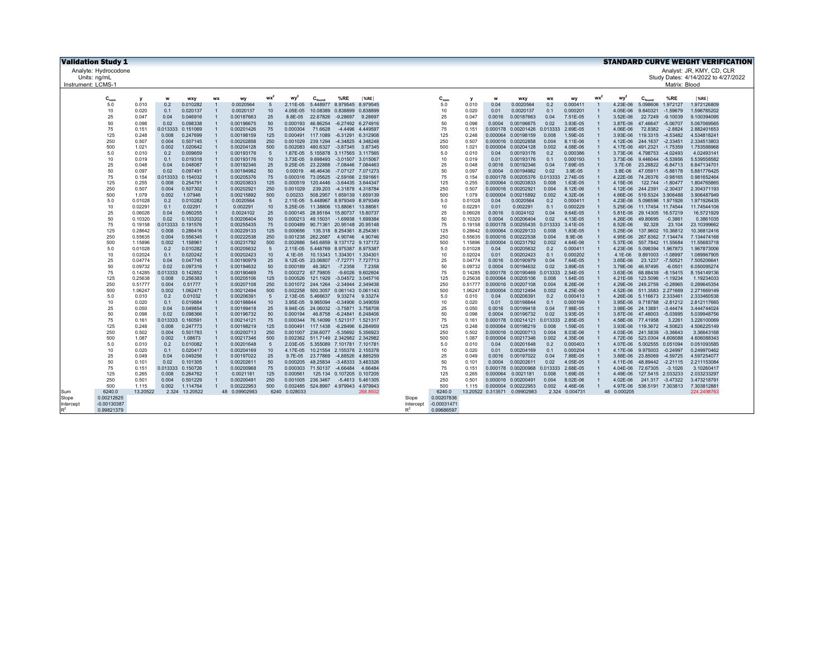| <b>Validation Study 1</b> |                      |                |                |                     |           |                          |                   |                      |                                     |                                                 |                   |                    |                      |                |              |                                            |                |                      |                |                      |                                        |                  | <b>STANDARD CURVE WEIGHT VERIFICATION</b> |
|---------------------------|----------------------|----------------|----------------|---------------------|-----------|--------------------------|-------------------|----------------------|-------------------------------------|-------------------------------------------------|-------------------|--------------------|----------------------|----------------|--------------|--------------------------------------------|----------------|----------------------|----------------|----------------------|----------------------------------------|------------------|-------------------------------------------|
| Analyte: Hydrocodone      |                      |                |                |                     |           |                          |                   |                      |                                     |                                                 |                   |                    |                      |                |              |                                            |                |                      |                |                      |                                        |                  | Analyst: JR, KMY, CD, CLR                 |
| Units: na/mL              |                      |                |                |                     |           |                          |                   |                      |                                     |                                                 |                   |                    |                      |                |              |                                            |                |                      |                |                      |                                        |                  | Study Dates: 4/14/2022 to 4/27/2022       |
| Instrument: LCMS-1        |                      |                |                |                     |           |                          |                   |                      |                                     |                                                 |                   |                    |                      |                |              |                                            |                |                      |                |                      |                                        | Matrix: Blood    |                                           |
|                           |                      |                |                |                     |           |                          |                   |                      |                                     |                                                 |                   |                    |                      |                |              |                                            |                |                      |                |                      |                                        |                  |                                           |
|                           | $C_{nom}$            | $\mathbf{v}$   | w              | wxy                 | <b>WX</b> | wy                       | <b>WX</b>         | wy                   | $C_{\text{found}}$                  | %RE                                             | %RE               |                    | $C_{nom}$            | <b>v</b>       | w            | wxy                                        | <b>WX</b>      | wy                   | <b>WX</b>      | wv <sup>2</sup>      | $C_{\text{found}}$                     | %RE              | $ \%$ RE                                  |
|                           | 5.0                  | 0.010          | 0.2            | 0.010282            |           | 0.0020564                | 5                 | 2.11E-05             | 5.448977                            | 8.979545                                        | 8.979545          |                    | 5.0                  | 0.010          | 0.04         | 0.0020564                                  | 0.2            | 0.000411             |                | 4.23E-06             | 5.098606                               | 1.972127         | 1.972126809                               |
|                           | 10                   | 0.020          | 0.1            | 0.020137            |           | 0.0020137                | 10                | 4.05E-05             |                                     | 10.08389  0.838899  0.838899                    |                   |                    | 10                   | 0.020          | 0.01         | 0.0020137                                  | 0.1            | 0.000201             |                | 4.05E-06             | 9.840321                               | $-1.59679$       | 1.596785202                               |
|                           | 25                   | 0.047          | 0.04           | 0.046916            |           | 0.00187663               | 25                | 8.8E-05              | 22.67826                            | $-9.28697$                                      | 9.28697           |                    | 25                   | 0.047          | 0.0016       | 0.00187663                                 | 0.04           | 7.51E-05             |                | 3.52E-06             |                                        | 22.7249 -9.10039 | 9.100394095                               |
|                           | 50                   | 0.098          | 0.02           | 0.098338            |           | 0.00196675               | 50                | 0.000193             | 46.86254                            | $-6.27492$                                      | 6.274916          |                    | 50                   | 0.098          | 0.0004       | 0.00196675                                 | 0.02           | 3.93E-05             |                | 3.87E-06             | 47.46647 -5.06707                      |                  | 5.067069565                               |
|                           | 75                   | 0.151          | 0.013333       | 0.151069            |           | 0.00201426               | 75                | 0.000304             | 71.6628                             | $-4.4496$                                       | 4.449597          |                    | 75                   | 0.151          |              | 0.000178 0.00201426 0.013333               |                | 2.69E-05             |                | 4.06E-06             | 72.8382                                | $-2.8824$        | 2.882401653                               |
|                           | 125                  | 0.248          | 0.008          | 0.247699            |           | 0.00198159               | 125               | 0.000491             | 117,1089                            | $-6.31291$                                      | 6.312908          |                    | 125                  | 0.248          |              | 0.000064 0.00198159                        | 0.008          | 1.59E-05             |                | $3.93F - 06$         | 119.3315 -4.53482                      |                  | 4.534818241                               |
|                           | 250                  | 0.507          | 0.004          | 0.507145            |           | 0.00202858               | 250               | 0.001029             | 239.1294                            | $-4.34825$                                      | 4.348248          |                    | 250                  | 0.507          |              | 0.000016 0.00202858                        | 0.004          | 8.11E-06             |                | 4.12E-06             | 244.1637 -2.33451                      |                  | 2.334513803                               |
|                           | 500                  | 1.021          | 0.002          | 1.020642            |           | 0.00204128               | 500               | 0.002083             |                                     | 480.6327 -3.87345                               | 3.87345           |                    | 500                  | 1.021          |              | 0.000004 0.00204128                        | 0.002          | 4.08E-06             |                | 4.17E-06             | 491.2321 -1.75359                      |                  | 1.753588968                               |
|                           | 5.0                  | 0.010          | 0.2            | 0.009659            |           | 0.00193176               | 5                 | 1.87E-05             |                                     | 5.155878 3.117565 3.117565                      |                   |                    | 5.0                  | 0.010          | 0.04         | 0.00193176                                 | 0.2            | 0.000386             |                | 3.73E-06             | 4.798753                               | $-4.02493$       | 4.02493141                                |
|                           | 10                   | 0.019          | 0.1            | 0.019318            |           | 0.00193176               | 10                | 3.73E-05             |                                     | 9.698493 -3.01507 3.015067                      |                   |                    | 10                   | 0.019          | 0.01         | 0.00193176                                 | 0.1            | 0.000193             |                | 3.73E-06             | 9.446044 -5.53956                      |                  | 5.539558582                               |
|                           | 25                   | 0.048          | 0.04           | 0.048087            |           | 0.00192346               | 25                | 9.25E-05             | 23.22888                            | -7.08446 7.084463                               |                   |                    | 25                   | 0.048          | 0.0016       | 0.00192346                                 | 0.04           | 7.69E-05             |                | $3.7E-06$            | 23.28822 -6.84713                      |                  | 6.847134701                               |
|                           | 50                   | 0.097          | 0.02           | 0.097491            |           | 0.00194982               | 50                | 0.00019              | 46.46436                            | -7.07127 7.071273                               |                   |                    | 50                   | 0.097          | 0.0004       | 0.00194982                                 | 0.02           | 3.9E-05              |                | 3.8E-06              | 47.05911 -5.88178                      |                  | 5.881776425                               |
|                           | 75                   | 0.154          | 0.013333       | 0.154032            |           | 0.00205376               | 75                | 0.000316             | 73.05625                            | $-2.59166$ 2.59166                              |                   |                    | 75                   | 0.154          |              | 0.000178 0.00205376 0.013333               |                | 2.74E-05             |                | 4.22E-06             | 74.26376 -0.98165                      |                  | 0.981652464                               |
|                           | 125                  | 0.255          | 0.008          | 0.254791            |           | 0.00203833               | 125               | 0.000519             | 120,4446                            | $-3.64435$ 3.644347                             |                   |                    | 125                  | 0.255          |              | 0.000064 0.00203833                        | 0.008          | 1.63E-05             |                | 4.15E-06             |                                        | 122.744 -1.80477 | 1.804765865                               |
|                           | 250<br>500           | 0.507<br>1.079 | 0.004<br>0.002 | 0.507302<br>1.07946 |           | 0.00202921<br>0.00215892 | 250<br>500        | 0.001029<br>0.00233  | 239.203                             | -4.31878 4.318784<br>508.2957 1.659139 1.659139 |                   |                    | 250<br>500           | 0.507<br>1.079 |              | 0.000016 0.00202921<br>0.000004 0.00215892 | 0.004<br>0.002 | 8.12E-06<br>4.32E-06 |                | 4.12E-06<br>4.66E-06 | 244.2391 -2.30437<br>519.5324 3.906488 |                  | 2.304371193<br>3.906487949                |
|                           | 5.0                  | 0.01028        | 0.2            | 0.010282            |           | 0.0020564                | 5                 | 2.11E-05             |                                     | 5.448967 8.979349 8.979349                      |                   |                    | 5.0                  | 0.01028        | 0.04         | 0.0020564                                  | 0.2            | 0.000411             |                | 4.23E-06             | 5.098596 1.971926                      |                  | 1.971926435                               |
|                           | 10                   | 0.02291        | 0.1            | 0.02291             |           | 0.002291                 | 10                | 5.25E-05             | 11.38806 13.88061                   |                                                 | 13.88061          |                    | 10                   | 0.02291        | 0.01         | 0.002291                                   | 0.1            | 0.000229             |                | 5.25E-06             | 11.17454 11.74544                      |                  | 11.74544106                               |
|                           | 25                   | 0.06026        | 0.04           | 0.060255            |           | 0.0024102                | 25                |                      | 0.000145 28.95184 15.80737          |                                                 | 15.80737          |                    | 25                   | 0.06026        | 0.0016       | 0.0024102                                  | 0.04           | 9.64E-05             |                | 5.81E-06             | 29.14305                               | 16.57219         | 16.5721929                                |
|                           | 50                   | 0.10320        | 0.02           | 0.103202            |           | 0.00206404               | 50                | 0.000213             |                                     | 49.15031 -1.69938                               | 1.699384          |                    | 50                   | 0.10320        | 0.0004       | 0.00206404                                 | 0.02           | 4.13E-05             |                | 4.26E-06             | 49.80695                               | $-0.3861$        | 0.3861035                                 |
|                           | 75                   | 0.19158        | 0.013333       | 0.191576            |           | 0.00255435               | 75                | 0.000489             |                                     | 90.71361 20.95148 20.95148                      |                   |                    | 75                   | 0.19158        |              | 0.000178 0.00255435 0.013333               |                | 3.41E-05             |                | 6.52E-06             | 92.328                                 | 23.104           | 23.10399662                               |
|                           | 125                  | 0.28642        | 0.008          | 0.286416            |           | 0.00229133               | 125               | 0.000656             |                                     | 135.318 8.254361                                | 8.25436           |                    | 125                  | 0.28642        |              | 0.000064 0.00229133                        | 0.008          | 1.83E-05             |                | 5.25E-06             | 137.9602 10.36812                      |                  | 10.36812416                               |
|                           | 250                  | 0.55635        | 0.004          | 0.556345            |           | 0.00222538               | 250               | 0.001238             | 262,2687                            | 4.90746                                         | 4.90746           |                    | 250                  | 0.55635        |              | 0.000016 0.00222538                        | 0.004          | 8.9E-06              |                | 4.95E-06             | 267.8362 7.134474                      |                  | 7.134474168                               |
|                           | 500                  | 1.15896        | 0.002          | 1.158961            |           | 0.00231792               | 500               | 0.002686             |                                     | 545.6859 9.137172 9.137172                      |                   |                    | 500                  | 1.15896        |              | 0.000004 0.00231792                        | 0.002          | 4.64E-06             |                | 5.37E-06             | 557.7842 11.55684                      |                  | 11.55683718                               |
|                           | 5.0                  | 0.01028        | 0.2            | 0.010282            |           | 0.00205632               | 5                 | 2.11E-05             |                                     | 5.448769 8.975387 8.975387                      |                   |                    | 5.0                  | 0.01028        | 0.04         | 0.00205632                                 | 0.2            | 0.000411             | $\overline{1}$ | 4.23E-06             | 5.098394 1.967873                      |                  | 1.967873006                               |
|                           | 10                   | 0.02024        | 0.1            | 0.020242            |           | 0.00202423               | 10                | 4.1E-05              |                                     | 10.13343 1.334301 1.33430                       |                   |                    | 10                   | 0.02024        | 0.01         | 0.00202423                                 | 0.1            | 0.000202             |                | $4.1E-06$            | 9.891003                               | $-1.08997$       | 1.089967905                               |
|                           | 25                   | 0.04774        | 0.04           | 0.047745            |           | 0.00190979               | 25                |                      | 9.12E-05 23.06807                   | -7.72771 7.727713                               |                   |                    | 25                   | 0.04774        | 0.0016       | 0.00190979                                 | 0.04           | 7.64E-05             |                | 3.65E-06             |                                        | 23.1237 -7.50521 | 7.505206641                               |
|                           | 50                   | 0.09732        | 0.02           | 0.097316            |           | 0.00194632               | 50                | 0.000189             | 46.3821                             | $-7.2358$                                       | 7.2358            |                    | 50                   | 0.09732        | 0.0004       | 0.00194632                                 | 0.02           | 3.89E-05             |                | 3.79E-06             | 46.97495                               | $-6.0501$        | 6.050095274                               |
|                           | 75                   | 0.14285        | 0.013333       | 0.142852            |           | 0.00190469               | 75                |                      | 0.000272 67.79805                   |                                                 | -9.6026 9.602604  |                    | 75                   | 0.14285        |              | 0.000178 0.00190469 0.013333               |                | 2.54E-05             |                | 3.63E-06             | 68.88439                               | $-8.15415$       | 8.154149136                               |
|                           | 125                  | 0.25638        | 0.008          | 0.256383            |           | 0.00205106               | 125               | 0.000526             | 121.1929                            |                                                 | -3.04572 3.045716 |                    | 125                  | 0.25638        |              | 0.000064 0.00205106                        | 0.008          | 1.64E-05             |                | 4.21E-06             | 123.5096                               | $-1.19234$       | 1.19234033                                |
|                           | 250                  | 0.51777        | 0.004          | 0.51777             |           | 0.00207108               | 250               | 0.001072             | 244.1264                            | -2.34944 2.349438                               |                   |                    | 250                  | 0.51777        |              | 0.000016 0.00207108                        | 0.004          | 8.28E-06             |                | 4.29E-06             | 249.2759                               | $-0.28965$       | 0.289645354                               |
|                           | 500                  | 1.06247        | 0.002          | 1.062471            |           | 0.00212494               | 500<br>$\sqrt{5}$ | 0.002258             | 500.3057                            | 0.061143 0.061143                               |                   |                    | 500                  | 1.06247        |              | 0.000004 0.00212494                        | 0.002          | 4.25E-06             |                | 4.52E-06             | 511.3583 2.271669                      |                  | 2.271669149                               |
|                           | 5.0<br>10            | 0.010<br>0.020 | 0.2<br>0.1     | 0.01032<br>0.019884 |           | 0.00206391<br>0.00198844 | 10                | 2.13E-05<br>3.95E-05 | 5.466637<br>9.965094                | -0.34906 0.349059                               | 9.33274 9.33274   |                    | 5.0<br>10            | 0.010<br>0.020 | 0.04<br>0.01 | 0.00206391<br>0.00198844                   | 0.2<br>0.1     | 0.000413<br>0.000199 |                | 4.26E-06<br>3.95E-06 | 5.116673 2.333461<br>9.718788 -2.81212 |                  | 2.333460538<br>2.812117665                |
|                           | 25                   | 0.050          | 0.04           | 0.049854            |           | 0.00199418               | 25                | 9.94E-05             | 24.06032                            | -3.75871 3.758708                               |                   |                    | 25                   | 0.050          | 0.0016       | 0.00199418                                 | 0.04           | 7.98E-05             |                | 3.98E-06             | 24.13881                               | $-3.44474$       | 3.444744024                               |
|                           | 50                   | 0.098          | 0.02           | 0.098366            |           | 0.00196732               | 50                | 0.000194             | 46,8758                             | -6.24841 6.248406                               |                   |                    | 50                   | 0.098          | 0.0004       | 0.00196732                                 | 0.02           | 3.93E-05             |                | 3.87E-06             | 47.48003                               | $-5.03995$       | 5.039948756                               |
|                           | 75                   | 0.161          | 0.013333       | 0.160591            |           | 0.00214121               | 75                |                      | 0.000344 76.14099 1.521317 1.521317 |                                                 |                   |                    | 75                   | 0.161          |              | 0.000178 0.00214121 0.013333               |                | 2.85E-05             |                | 4.58E-06             | 77,41958                               | 3.2261           | 3.226100069                               |
|                           | 125                  | 0.248          | 0.008          | 0.247773            |           | 0.00198219               | 125               | 0.000491             | 117.1438 -6.28496                   |                                                 | 6.284959          |                    | 125                  | 0.248          |              | 0.000064 0.00198219                        | 0.008          | 1.59E-05             |                | 3.93E-06             | 119.3672 -4.50623                      |                  | 4.506225149                               |
|                           | 250                  | 0.502          | 0.004          | 0.501783            |           | 0.00200713               | 250               |                      | 0.001007 236.6077 -5.35692          |                                                 | 5.356923          |                    | 250                  | 0.502          |              | 0.000016 0.00200713                        | 0.004          | 8.03E-06             |                | 4.03E-06             | 241.5839                               | $-3.36643$       | 3.36643168                                |
|                           | 500                  | 1.087          | 0.002          | 1.08673             |           | 0.00217346               | 500               | 0.002362             |                                     | 511.7149 2.342982 2.342982                      |                   |                    | 500                  | 1.087          |              | 0.000004 0.00217346                        | 0.002          | 4.35E-06             |                | 4.72E-06             | 523.0304 4.606088                      |                  | 4.606088343                               |
|                           | 5.0                  | 0.010          | 0.2            | 0.010082            |           | 0.00201648               | 5                 | 2.03E-05             |                                     | 5.355089 7.101781 7.101781                      |                   |                    | 5.0                  | 0.010          | 0.04         | 0.00201648                                 | 0.2            | 0.000403             |                | 4.07E-06             | 5.002555 0.051094                      |                  | 0.051093585                               |
|                           | 10                   | 0.020          | 0.1            | 0.020417            |           | 0.00204169               | 10                | 4.17E-05             |                                     | 10.21554 2.155378 2.155378                      |                   |                    | 10                   | 0.020          | 0.01         | 0.00204169                                 | 0.1            | 0.000204             |                | 4.17E-06             | 9.975003 -0.24997                      |                  | 0.249970462                               |
|                           | 25                   | 0.049          | 0.04           | 0.049256            |           | 0.00197022               | 25                | 9.7E-05              | 23,77869                            | -4.88526                                        | 4.885259          |                    | 25                   | 0.049          | 0.0016       | 0.00197022                                 | 0.04           | 7.88E-05             |                | 3.88E-06             | 23.85069                               | $-4.59725$       | 4.597254077                               |
|                           | 50                   | 0.101          | 0.02           | 0.101305            |           | 0.00202611               | 50                | 0.000205             | 48.25834                            | $-3.48333$                                      | 3.483326          |                    | 50                   | 0.101          | 0.0004       | 0.00202611                                 | 0.02           | 4.05E-05             |                | 4.11E-06             | 48.89442 -2.21115                      |                  | 2.211153084                               |
|                           | 75                   | 0.151          | 0.013333       | 0.150726            |           | 0.00200968               | 75                |                      | 0.000303 71.50137 -4.66484          |                                                 | 4.66484           |                    | 75                   | 0.151          |              | 0.000178 0.00200968 0.013333               |                | 2.68E-05             |                | 4.04E-06             | 72.67305                               | $-3.1026$        | 3.10260417                                |
|                           | 125                  | 0.265          | 0.008          | 0.264762            |           | 0.0021181                | 125               | 0.000561             |                                     | 125.134 0.107205 0.107205                       |                   |                    | 125                  | 0.265          | 0.000064     | 0.0021181                                  | 0.008          | 1.69E-05             |                | 4.49E-06             | 127.5415 2.033233                      |                  | 2.033233297                               |
|                           | 250                  | 0.501          | 0.004          | 0.501229            |           | 0.00200491               | 250               |                      | 0.001005 236.3467                   | -5.4613                                         | 5.461305          |                    | 250                  | 0.501          |              | 0.000016 0.00200491                        | 0.004          | 8.02E-06             |                | 4.02E-06             |                                        | 241.317 -3.47322 | 3.473218791                               |
|                           | 500                  | 1.115          | 0.002          | 1.114764            |           | 0.00222953               | 500               | 0.002485             |                                     | 524.8997 4.979943 4.979943                      |                   |                    | 500                  | 1.115          |              | 0.000004 0.00222953                        | 0.002          | 4.46E-06             |                | 4.97E-06             | 536.5191 7.303813                      |                  | 7.303812881                               |
| Sum                       | 6240.0<br>0.00212625 | 13.20522       |                | 2.324 13.20522      |           | 48 0.09902983            |                   | 6240 0.028033        |                                     |                                                 | 268,8502          |                    | 6240.0<br>0.00207836 |                |              | 13.20522 0.313571 0.09902983               |                | 2.324 0.004731       |                | 48 0.000205          |                                        |                  | 224.2498763                               |
| Slope<br>Intercept        | $-0.00130387$        |                |                |                     |           |                          |                   |                      |                                     |                                                 |                   | Slope<br>Intercept | $-0.00031471$        |                |              |                                            |                |                      |                |                      |                                        |                  |                                           |
| $R^2$                     | 0.99821379           |                |                |                     |           |                          |                   |                      |                                     |                                                 |                   | $R^2$              | 0.99686597           |                |              |                                            |                |                      |                |                      |                                        |                  |                                           |
|                           |                      |                |                |                     |           |                          |                   |                      |                                     |                                                 |                   |                    |                      |                |              |                                            |                |                      |                |                      |                                        |                  |                                           |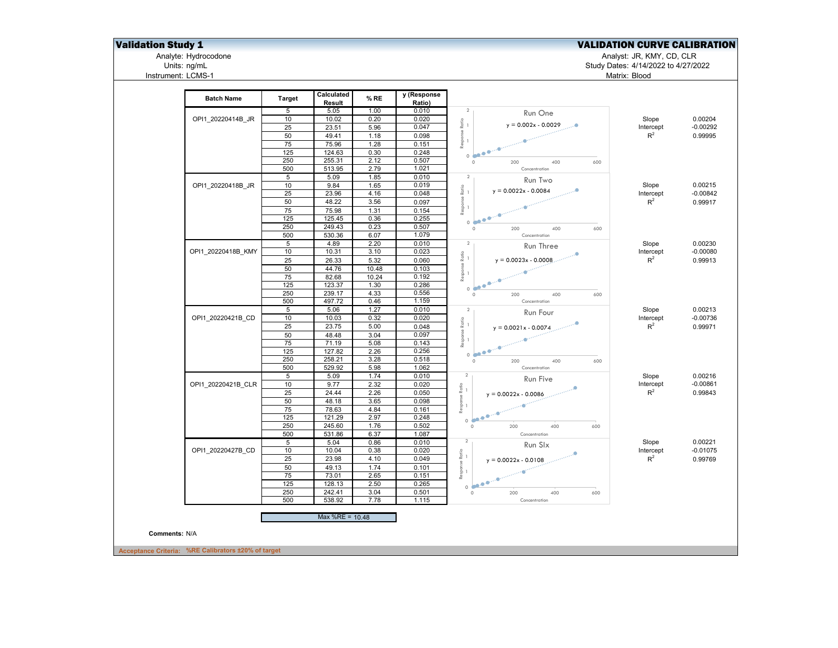## **Validation Study 1** Validation Study 1 Validation Study 1 Validation CURVE CALIBRATION

Analyte: Hydrocodone Analyst: JR, KMY, CD, CLR

Units: ng/mL Study Dates: 4/14/2022 to 4/27/2022 Analyte: Hydrocodone<br>Units: ng/mL<br>Instrument: LCMS-1

| <b>Batch Name</b>  | <b>Target</b>   | Calculated<br>Result | % RE         | y (Response<br>Ratio) |                                                                                                      |                             |            |
|--------------------|-----------------|----------------------|--------------|-----------------------|------------------------------------------------------------------------------------------------------|-----------------------------|------------|
|                    | 5               | 5.05                 | 1.00         | 0.010                 | $\overline{2}$<br>Run One                                                                            |                             |            |
| OPI1_20220414B_JR  | 10              | 10.02                | 0.20         | 0.020                 | $\frac{6}{8}$ $_1$                                                                                   | Slope                       | 0.00204    |
|                    | 25              | 23.51                | 5.96         | 0.047                 | $y = 0.002x - 0.0029$<br>                                                                            | Intercept                   | $-0.00292$ |
|                    | 50              | 49.41                | 1.18         | 0.098                 | Response<br>--                                                                                       | $\mathsf{R}^2$              | 0.99995    |
|                    | 75              | 75.96                | 1.28         | 0.151                 |                                                                                                      |                             |            |
|                    | 125             | 124.63               | 0.30         | 0.248                 | 0.500                                                                                                |                             |            |
|                    | 250             | 255.31               | 2.12         | 0.507                 | 200<br>400<br>600<br>$\circ$                                                                         |                             |            |
|                    | 500             | 513.95               | 2.79         | 1.021                 | Concentration                                                                                        |                             |            |
|                    | $\overline{5}$  | 5.09                 | 1.85         | 0.010                 | $\overline{2}$<br>Run Two                                                                            |                             |            |
| OPI1_20220418B_JR  | 10              | 9.84                 | 1.65         | 0.019                 | $\frac{1}{R}$ -                                                                                      | Slope                       | 0.00215    |
|                    | 25              | 23.96                | 4.16         | 0.048                 | $y = 0.0022x - 0.0084$                                                                               | Intercept                   | $-0.00842$ |
|                    | 50              | 48.22                | 3.56         | 0.097                 | Response I                                                                                           | $R^2$                       | 0.99917    |
|                    | 75              | 75.98                | 1.31         | 0.154                 |                                                                                                      |                             |            |
|                    | 125             | 125.45               | 0.36         | 0.255                 | $0 \frac{1}{2}$                                                                                      |                             |            |
|                    | 250             | 249.43               | 0.23         | 0.507                 | 400<br>600<br>$\circ$<br>200                                                                         |                             |            |
|                    | 500             | 530.36               | 6.07         | 1.079                 | Concentration                                                                                        |                             |            |
|                    | $\overline{5}$  | 4.89                 | 2.20         | 0.010                 | $\overline{2}$<br>Run Three                                                                          | Slope                       | 0.00230    |
| OPI1_20220418B_KMY | 10              | 10.31                | 3.10         | 0.023                 |                                                                                                      | Intercept                   | $-0.00080$ |
|                    | 25              | 26.33                | 5.32         | 0.060                 | $\stackrel{\circ}{\phantom{\text{0.75} \cdot \overline{\phantom{0}}}}$ 1<br>$y = 0.0023x - 0.0008$ . | $R^2$                       | 0.99913    |
|                    | 50              | 44.76                | 10.48        | 0.103                 |                                                                                                      |                             |            |
|                    | 75              | 82.68                | 10.24        | 0.192                 | Response<br>--                                                                                       |                             |            |
|                    | 125             | 123.37               | 1.30         | 0.286                 | $\begin{array}{c} \bullet & \bullet \bullet \\ \bullet & \bullet \end{array}$                        |                             |            |
|                    | 250             | 239.17               | 4.33         | 0.556                 | 200<br>400<br>$\circ$<br>600                                                                         |                             |            |
|                    | 500             | 497.72               | 0.46         | 1.159                 | Concentration                                                                                        |                             |            |
|                    | $5\overline{)}$ | 5.06                 | 1.27         | 0.010                 | $\overline{2}$                                                                                       | Slope                       | 0.00213    |
| OPI1 20220421B CD  | 10              | 10.03                | 0.32         | 0.020                 | Run Four                                                                                             | Intercept                   | $-0.00736$ |
|                    | 25              | 23.75                | 5.00         | 0.048                 | $\frac{6}{8}$ $_1$<br>$y = 0.0021x - 0.0074$                                                         | $R^2$                       | 0.99971    |
|                    | 50              | 48.48                | 3.04         | 0.097                 | Response F<br>—                                                                                      |                             |            |
|                    | 75              | 71.19                | 5.08         | 0.143                 |                                                                                                      |                             |            |
|                    | 125             | 127.82               | 2.26         | 0.256                 |                                                                                                      |                             |            |
|                    | 250             | 258.21               | 3.28         | 0.518                 | 0.50<br>400                                                                                          |                             |            |
|                    | 500             | 529.92               | 5.98         | 1.062                 | $\circ$<br>200<br>600<br>Concentration                                                               |                             |            |
|                    | $\overline{5}$  | 5.09                 | 1.74         | 0.010                 | $\overline{2}$                                                                                       | Slope                       | 0.00216    |
| OPI1 20220421B CLR | 10              | 9.77                 | 2.32         | 0.020                 | Run Five                                                                                             | Intercept                   | $-0.00861$ |
|                    | 25              | 24.44                | 2.26         | 0.050                 | $\stackrel{\circ}{\pi}$ 1                                                                            | $\mathsf{R}^2$              | 0.99843    |
|                    |                 | 48.18                |              |                       | $y = 0.0022x - 0.0086$                                                                               |                             |            |
|                    | 50              |                      | 3.65         | 0.098                 | Response l<br>--                                                                                     |                             |            |
|                    | 75              | 78.63                | 4.84         | 0.161                 |                                                                                                      |                             |            |
|                    | 125<br>250      | 121.29<br>245.60     | 2.97<br>1.76 | 0.248<br>0.502        | 0.500<br>400                                                                                         |                             |            |
|                    | 500             | 531.86               | 6.37         | 1.087                 | $\circ$<br>200<br>600<br>Concentration                                                               |                             |            |
|                    | $5\overline{)}$ | 5.04                 | 0.86         | 0.010                 | $\overline{2}$                                                                                       |                             | 0.00221    |
| OPI1 20220427B CD  | 10              | 10.04                | 0.38         | 0.020                 | Run Slx                                                                                              | Slope                       | $-0.01075$ |
|                    |                 |                      |              |                       | $\begin{array}{c}\n\text{Response Ratio} \\ - \\ - \\ \end{array}$                                   | Intercept<br>$\mathsf{R}^2$ |            |
|                    | 25              | 23.98                | 4.10         | 0.049                 | $y = 0.0022x - 0.0108$                                                                               |                             | 0.99769    |
|                    | 50              | 49.13                | 1.74         | 0.101                 |                                                                                                      |                             |            |
|                    | 75              | 73.01                | 2.65         | 0.151                 |                                                                                                      |                             |            |
|                    | 125             | 128.13               | 2.50         | 0.265                 | 0.000                                                                                                |                             |            |
|                    | 250             | 242.41               | 3.04         | 0.501                 | $\circ$<br>200<br>400<br>600                                                                         |                             |            |
|                    | 500             | 538.92               | 7.78         | 1.115                 | Concentration                                                                                        |                             |            |
|                    |                 | Max %RE = 10.48      |              |                       |                                                                                                      |                             |            |
| Comments: N/A      |                 |                      |              |                       |                                                                                                      |                             |            |
|                    |                 |                      |              |                       |                                                                                                      |                             |            |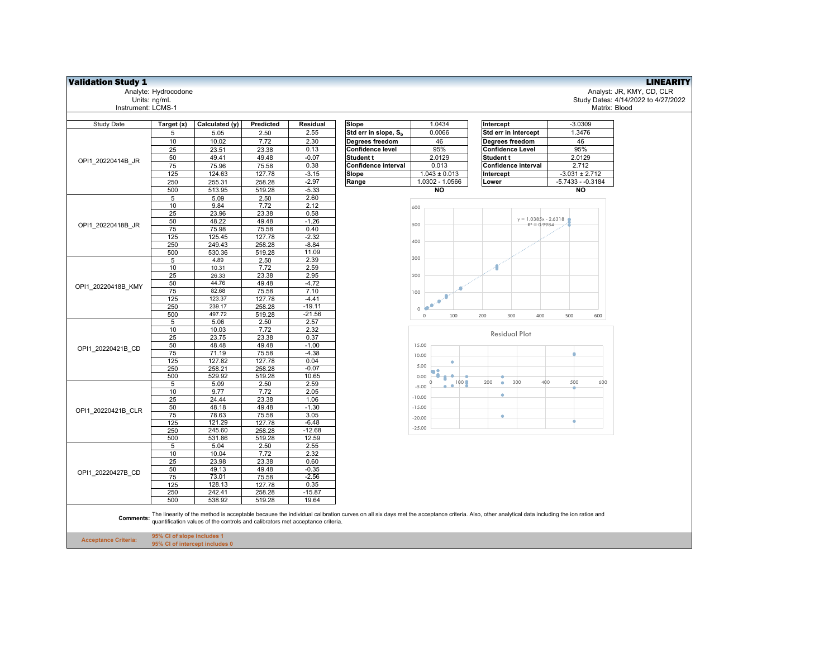| <b>Validation Study 1</b>   |                                                              |                                                                                |                 |                 |                                                                                                                                                                                                     |                   |                                |                                     | <b>LINEARITY</b>          |
|-----------------------------|--------------------------------------------------------------|--------------------------------------------------------------------------------|-----------------|-----------------|-----------------------------------------------------------------------------------------------------------------------------------------------------------------------------------------------------|-------------------|--------------------------------|-------------------------------------|---------------------------|
|                             | Analyte: Hydrocodone                                         |                                                                                |                 |                 |                                                                                                                                                                                                     |                   |                                |                                     | Analyst: JR, KMY, CD, CLR |
|                             | Units: ng/mL                                                 |                                                                                |                 |                 |                                                                                                                                                                                                     |                   |                                | Study Dates: 4/14/2022 to 4/27/2022 |                           |
| Instrument: LCMS-1          |                                                              |                                                                                |                 |                 |                                                                                                                                                                                                     |                   |                                | Matrix: Blood                       |                           |
|                             |                                                              |                                                                                |                 |                 |                                                                                                                                                                                                     |                   |                                |                                     |                           |
| Study Date                  | Target (x)                                                   | Calculated (y)                                                                 | Predicted       | Residual        | Slope                                                                                                                                                                                               | 1.0434            | Intercept                      | $-3.0309$                           |                           |
|                             | 5                                                            | 5.05                                                                           | 2.50            | 2.55            | Std err in slope, S <sub>h</sub>                                                                                                                                                                    | 0.0066            | Std err in Intercept           | 1.3476                              |                           |
|                             | 10                                                           | 10.02                                                                          | 7.72            | 2.30            | Degrees freedom                                                                                                                                                                                     | 46                | Degrees freedom                | 46                                  |                           |
|                             | 25                                                           | 23.51                                                                          | 23.38           | 0.13            | Confidence level                                                                                                                                                                                    | 95%               | <b>Confidence Level</b>        | 95%                                 |                           |
|                             | 50                                                           | 49.41                                                                          | 49.48           | $-0.07$         | Student t                                                                                                                                                                                           | 2.0129            | Student t                      | 2.0129                              |                           |
| OPI1 20220414B JR           | 75                                                           | 75.96                                                                          | 75.58           | 0.38            | Confidence interval                                                                                                                                                                                 | 0.013             | Confidence interval            | 2.712                               |                           |
|                             | 125                                                          | 124.63                                                                         | 127.78          | $-3.15$         | Slope                                                                                                                                                                                               | $1.043 \pm 0.013$ | Intercept                      | $-3.031 \pm 2.712$                  |                           |
|                             | 250                                                          | 255.31                                                                         | 258.28          | $-2.97$         | Range                                                                                                                                                                                               | 1.0302 - 1.0566   | Lower                          | $-5.7433 - 0.3184$                  |                           |
|                             | 500                                                          | 513.95                                                                         | 519.28          | $-5.33$         |                                                                                                                                                                                                     | <b>NO</b>         |                                | NO                                  |                           |
|                             | 5                                                            | 5.09                                                                           | 2.50            | 2.60            |                                                                                                                                                                                                     |                   |                                |                                     |                           |
|                             | 10                                                           | 9.84                                                                           | 7.72            | 2.12            |                                                                                                                                                                                                     | 600               |                                |                                     |                           |
|                             | 25                                                           | 23.96                                                                          | 23.38           | 0.58            |                                                                                                                                                                                                     |                   |                                |                                     |                           |
|                             | 50                                                           | 48.22                                                                          | 49.48           | $-1.26$         |                                                                                                                                                                                                     | 500               | $y = 1.0385x - 2.6318$         |                                     |                           |
| OPI1 20220418B JR           | 75                                                           | 75.98                                                                          | 75.58           | 0.40            |                                                                                                                                                                                                     |                   | $R^2 = 0.9984$                 |                                     |                           |
|                             | 125                                                          | 125.45                                                                         | 127.78          | $-2.32$         |                                                                                                                                                                                                     |                   |                                |                                     |                           |
|                             | 250                                                          | 249.43                                                                         | 258.28          | $-8.84$         |                                                                                                                                                                                                     | 400               |                                |                                     |                           |
|                             | 500                                                          | 530.36                                                                         | 519.28          | 11.09           |                                                                                                                                                                                                     |                   |                                |                                     |                           |
|                             | $\sqrt{5}$                                                   | 4.89                                                                           | 2.50            | 2.39            |                                                                                                                                                                                                     | 300               |                                |                                     |                           |
|                             | 10                                                           | 10.31                                                                          | 7.72            | 2.59            |                                                                                                                                                                                                     |                   | ۰O                             |                                     |                           |
|                             | 25                                                           | 26.33                                                                          | 23.38           | 2.95            |                                                                                                                                                                                                     | 200               |                                |                                     |                           |
| OPI1 20220418B KMY          | 50                                                           | 44.76                                                                          | 49.48           | $-4.72$         |                                                                                                                                                                                                     |                   |                                |                                     |                           |
|                             | 75                                                           | 82.68                                                                          | 75.58           | 7.10            |                                                                                                                                                                                                     | 100               |                                |                                     |                           |
|                             | 125                                                          | 123.37                                                                         | 127.78          | $-4.41$         |                                                                                                                                                                                                     |                   |                                |                                     |                           |
|                             | 250                                                          | 239.17                                                                         | 258.28          | $-19.11$        |                                                                                                                                                                                                     | $\circ$<br>×      |                                |                                     |                           |
|                             | 500                                                          | 497.72                                                                         | 519.28          | $-21.56$        |                                                                                                                                                                                                     | 100<br>$\,0\,$    | 300<br>400<br>200              | 500<br>600                          |                           |
|                             | 5                                                            | 5.06                                                                           | 2.50            | 2.57            |                                                                                                                                                                                                     |                   |                                |                                     |                           |
|                             | 10                                                           | 10.03                                                                          | 7.72            | 2.32            |                                                                                                                                                                                                     |                   | <b>Residual Plot</b>           |                                     |                           |
|                             | 25                                                           | 23.75                                                                          | 23.38           | 0.37            |                                                                                                                                                                                                     |                   |                                |                                     |                           |
| OPI1 20220421B CD           | 50                                                           | 48.48                                                                          | 49.48           | $-1.00$         |                                                                                                                                                                                                     | 15.00             |                                |                                     |                           |
|                             | 75<br>125                                                    | 71.19<br>127.82                                                                | 75.58<br>127.78 | $-4.38$<br>0.04 |                                                                                                                                                                                                     | 10.00             |                                |                                     |                           |
|                             | 250                                                          | 258.21                                                                         | 258.28          | $-0.07$         |                                                                                                                                                                                                     | ٠<br>5.00         |                                |                                     |                           |
|                             | 500                                                          | 529.92                                                                         | 519.28          | 10.65           |                                                                                                                                                                                                     | 0.00              |                                |                                     |                           |
|                             | 5                                                            | 5.09                                                                           | 2.50            | 2.59            |                                                                                                                                                                                                     | 100               | 400<br>200<br>300<br>$\bullet$ | 500<br>600                          |                           |
|                             | 10                                                           | 9.77                                                                           | 7.72            | 2.05            |                                                                                                                                                                                                     | $-5.00$           |                                |                                     |                           |
|                             | 25                                                           | 24.44                                                                          | 23.38           | 1.06            |                                                                                                                                                                                                     | $-10.00$          | ۰                              |                                     |                           |
|                             | 50                                                           | 48.18                                                                          | 49.48           | $-1.30$         |                                                                                                                                                                                                     | $-15.00$          |                                |                                     |                           |
| OPI1 20220421B CLR          | 75                                                           | 78.63                                                                          | 75.58           | 3.05            |                                                                                                                                                                                                     | $-20.00$          | ٠                              |                                     |                           |
|                             | 125                                                          | 121.29                                                                         | 127.78          | $-6.48$         |                                                                                                                                                                                                     |                   |                                |                                     |                           |
|                             | 250                                                          | 245.60                                                                         | 258.28          | $-12.68$        |                                                                                                                                                                                                     | $-25.00$          |                                |                                     |                           |
|                             | 500                                                          | 531.86                                                                         | 519.28          | 12.59           |                                                                                                                                                                                                     |                   |                                |                                     |                           |
|                             | $\overline{5}$                                               | 5.04                                                                           | 2.50            | 2.55            |                                                                                                                                                                                                     |                   |                                |                                     |                           |
|                             | 10                                                           | 10.04                                                                          | 7.72            | 2.32            |                                                                                                                                                                                                     |                   |                                |                                     |                           |
|                             | 25                                                           | 23.98                                                                          | 23.38           | 0.60            |                                                                                                                                                                                                     |                   |                                |                                     |                           |
| OPI1 20220427B CD           | 50                                                           | 49.13                                                                          | 49.48           | $-0.35$         |                                                                                                                                                                                                     |                   |                                |                                     |                           |
|                             | 75                                                           | 73.01                                                                          | 75.58           | $-2.56$         |                                                                                                                                                                                                     |                   |                                |                                     |                           |
|                             | 125                                                          | 128.13                                                                         | 127.78          | 0.35            |                                                                                                                                                                                                     |                   |                                |                                     |                           |
|                             | 250                                                          | 242.41                                                                         | 258.28          | $-15.87$        |                                                                                                                                                                                                     |                   |                                |                                     |                           |
|                             | 500                                                          | 538.92                                                                         | 519.28          | 19.64           |                                                                                                                                                                                                     |                   |                                |                                     |                           |
|                             |                                                              | quantification values of the controls and calibrators met acceptance criteria. |                 |                 | Comments: The linearity of the method is acceptable because the individual calibration curves on all six days met the acceptance criteria. Also, other analytical data including the ion ratios and |                   |                                |                                     |                           |
| <b>Acceptance Criteria:</b> | 95% CI of slope includes 1<br>95% CI of intercept includes 0 |                                                                                |                 |                 |                                                                                                                                                                                                     |                   |                                |                                     |                           |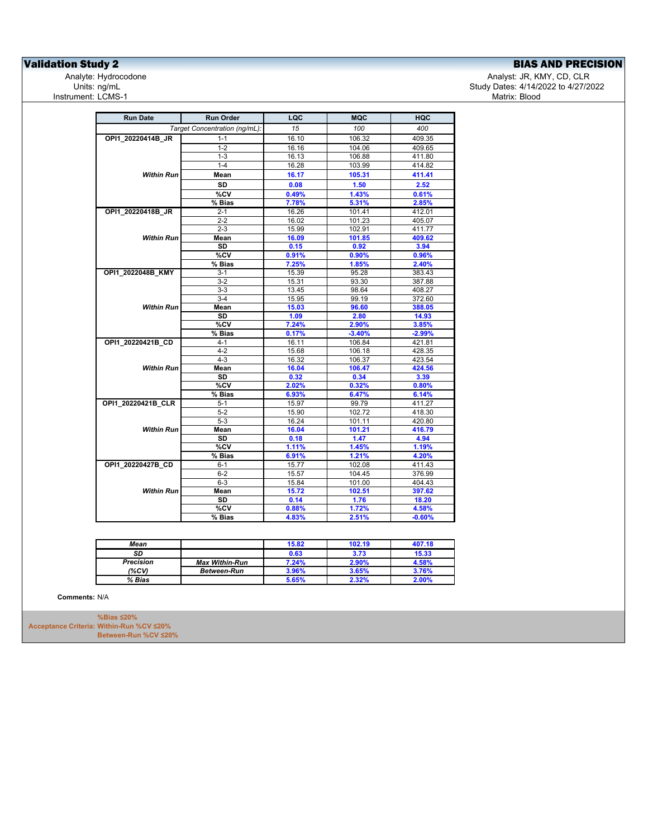**Validation Study 2**<br>
Analyte: Hydrocodone **BIAS AND PRECISION**<br>
Analyte: Hydrocodone **BIAS AND PRECISION** Instrument: LCMS-1

Analyte: Hydrocodone بما المستخدم المستخدم المستخدم المستخدم المستخدم المستخدم المستخدم المستخدم المستخدم المس<br>27/2/12 Study Dates: 4/14/2022 to 4/27/20 المستخدم المستخدم المستخدم المستخدم المستخدم المستخدم المستخدم المست Study Dates: 4/14/2022 to 4/27/2022<br>Matrix: Blood

| <b>Run Date</b>    | <b>Run Order</b>              | LQC            | <b>MQC</b>       | <b>HQC</b>        |
|--------------------|-------------------------------|----------------|------------------|-------------------|
|                    | Target Concentration (ng/mL): | 15             | 100              | 400               |
| OPI1 20220414B JR  | $1 - 1$                       | 16.10          | 106.32           | 409.35            |
|                    | $1 - 2$                       | 16.16          | 104.06           | 409.65            |
|                    | $1 - 3$                       | 16.13          | 106.88           | 411.80            |
|                    | $1 - 4$                       | 16.28          | 103.99           | 414.82            |
| <b>Within Run</b>  | Mean                          | 16.17          | 105.31           | 411.41            |
|                    | <b>SD</b>                     | 0.08           | 1.50             | 2.52              |
|                    | $\overline{\text{°SCV}}$      | 0.49%          | 1.43%            | 0.61%             |
|                    | % Bias                        | 7.78%          | 5.31%            | 2.85%             |
| OPI1_20220418B_JR  | $2 - 1$                       | 16.26          | 101.41           | 412.01            |
|                    | $2 - 2$                       | 16.02          | 101.23           | 405.07            |
|                    | $2 - 3$                       | 15.99          | 102.91           | 411.77            |
| <b>Within Run</b>  | Mean                          | 16.09          | 101.85           | 409.62            |
|                    | <b>SD</b>                     | 0.15           | 0.92             | 3.94              |
|                    | %CV                           | 0.91%          | 0.90%            | 0.96%             |
|                    | % Bias                        | 7.25%          | 1.85%            | 2.40%             |
| OPI1_2022048B_KMY  | $3-1$                         | 15.39          | 95.28            | 383.43            |
|                    | $3 - 2$                       | 15.31          | 93.30            | 387.88            |
|                    | $3-3$                         | 13.45          | 98.64            | 408.27            |
|                    | $3-4$                         | 15.95          | 99.19            | 372.60            |
| <b>Within Run</b>  | Mean                          | 15.03          | 96.60            | 388.05            |
|                    | <b>SD</b>                     | 1.09           | 2.80             | 14.93             |
|                    | %CV                           | 7.24%          | 2.90%            | 3.85%             |
|                    | % Bias                        | 0.17%          | $-3.40%$         | $-2.99%$          |
| OPI1_20220421B_CD  | $4 - 1$                       | 16.11          | 106.84           | 421.81            |
|                    | $4 - 2$                       | 15.68          | 106.18           | 428.35            |
|                    | $4 - 3$                       | 16.32          | 106.37           | 423.54            |
| <b>Within Run</b>  | Mean                          | 16.04          | 106.47           | 424.56            |
|                    | <b>SD</b>                     | 0.32           | 0.34             | 3.39              |
|                    | %CV                           | 2.02%          | 0.32%            | 0.80%             |
|                    | % Bias                        | 6.93%          | 6.47%            | 6.14%             |
| OPI1_20220421B_CLR | $5 - 1$                       | 15.97          | 99.79<br>102.72  | 411.27            |
|                    | $5-2$                         | 15.90          |                  | 418.30            |
| <b>Within Run</b>  | $5-3$                         | 16.24          | 101.11           | 420.80            |
|                    | Mean<br><b>SD</b>             | 16.04          | 101.21           | 416.79            |
|                    | %CV                           | 0.18<br>1.11%  | 1.47<br>1.45%    | 4.94<br>1.19%     |
|                    | % Bias                        | 6.91%          | 1.21%            | 4.20%             |
|                    |                               |                |                  |                   |
| OPI1_20220427B_CD  | $6 - 1$                       | 15.77<br>15.57 | 102.08<br>104.45 | 411.43<br>376.99  |
|                    | $6 - 2$                       |                |                  |                   |
|                    | $6-3$                         | 15.84          | 101.00           | 404.43            |
| <b>Within Run</b>  | Mean                          | 15.72          | 102.51           | 397.62            |
|                    | SD                            | 0.14           | 1.76             | 18.20             |
|                    | %CV<br>% Bias                 | 0.88%<br>4.83% | 1.72%<br>2.51%   | 4.58%<br>$-0.60%$ |
|                    |                               |                |                  |                   |

| Mean      |                       | 15.82 | 102.19 | 407.18 |
|-----------|-----------------------|-------|--------|--------|
| SD        |                       | 0.63  | 3.73   | 15.33  |
| Precision | <b>Max Within-Run</b> | 7.24% | 2.90%  | 4.58%  |
| (%CV)     | <b>Between-Run</b>    | 3.96% | 3.65%  | 3.76%  |
| % Bias    |                       | 5.65% | 2.32%  | 2.00%  |

**Comments:** N/A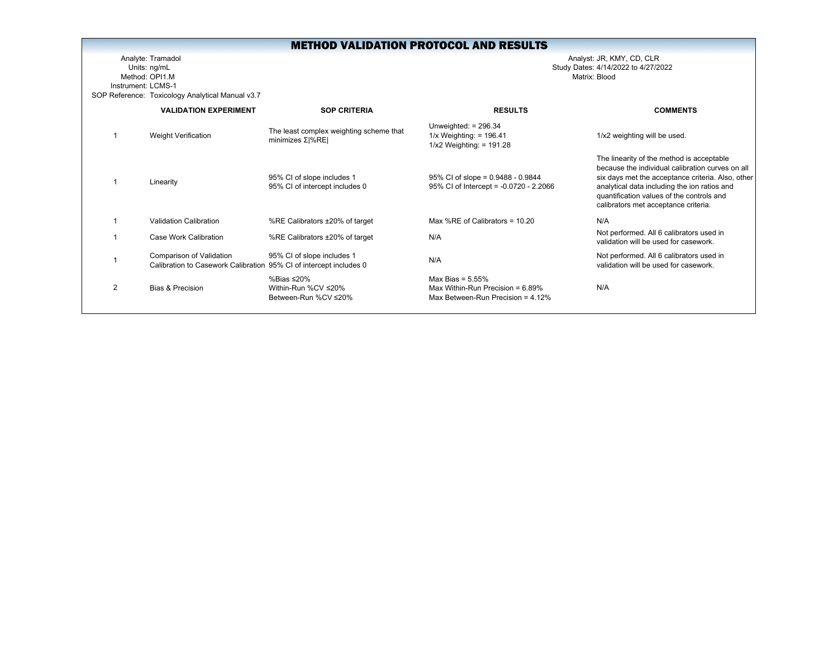Analyte: Tramadol Analyst: JR, KMY, CD, CLR Units: ng/mL Study Dates: 4/14/2022 to 4/27/2022 Method: OPI1.MInstrument: LCMS-1SOP Reference: Toxicology Analytical Manual v3.7

|   | <b>VALIDATION EXPERIMENT</b>                                                                   | <b>SOP CRITERIA</b>                                            | <b>RESULTS</b>                                                                                     | <b>COMMENTS</b>                                                                                                                                                                                                                                                                         |
|---|------------------------------------------------------------------------------------------------|----------------------------------------------------------------|----------------------------------------------------------------------------------------------------|-----------------------------------------------------------------------------------------------------------------------------------------------------------------------------------------------------------------------------------------------------------------------------------------|
|   | <b>Weight Verification</b>                                                                     | The least complex weighting scheme that<br>minimizes $Σ  %RE $ | Unweighted: $= 296.34$<br>$1/x$ Weighting: = 196.41<br>$1/x2$ Weighting: = 191.28                  | 1/x2 weighting will be used.                                                                                                                                                                                                                                                            |
|   | Linearity                                                                                      | 95% CI of slope includes 1<br>95% CI of intercept includes 0   | 95% CI of slope = $0.9488 - 0.9844$<br>95% CI of Intercept = -0.0720 - 2.2066                      | The linearity of the method is acceptable<br>because the individual calibration curves on all<br>six days met the acceptance criteria. Also, other<br>analytical data including the ion ratios and<br>quantification values of the controls and<br>calibrators met acceptance criteria. |
|   | Validation Calibration                                                                         | %RE Calibrators ±20% of target                                 | Max %RE of Calibrators = 10.20                                                                     | N/A                                                                                                                                                                                                                                                                                     |
|   | Case Work Calibration                                                                          | %RE Calibrators ±20% of target                                 | N/A                                                                                                | Not performed. All 6 calibrators used in<br>validation will be used for casework.                                                                                                                                                                                                       |
|   | Comparison of Validation<br>Calibration to Casework Calibration 95% CI of intercept includes 0 | 95% CI of slope includes 1                                     | N/A                                                                                                | Not performed. All 6 calibrators used in<br>validation will be used for casework.                                                                                                                                                                                                       |
| 2 | <b>Bias &amp; Precision</b>                                                                    | %Bias ≤20%<br>Within-Run %CV ≤20%<br>Between-Run %CV ≤20%      | Max Bias = $5.55\%$<br>Max Within-Run Precision = $6.89\%$<br>Max Between-Run Precision = $4.12\%$ | N/A                                                                                                                                                                                                                                                                                     |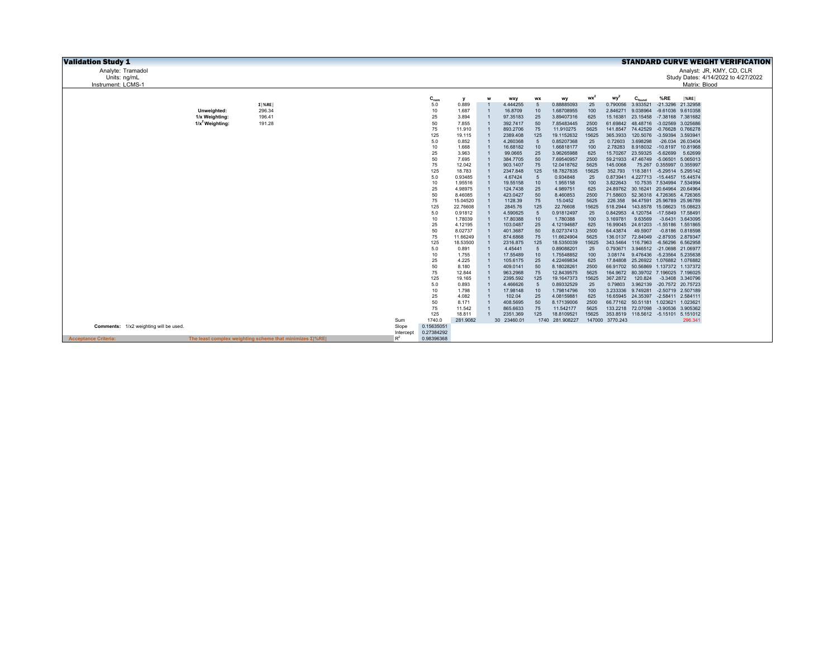| <b>Validation Study 1</b>                                                                      |           |            |                    |   |                      |                  |                          |               |                      |                                     |                            |                      | <b>STANDARD CURVE WEIGHT VERIFICATION</b> |  |
|------------------------------------------------------------------------------------------------|-----------|------------|--------------------|---|----------------------|------------------|--------------------------|---------------|----------------------|-------------------------------------|----------------------------|----------------------|-------------------------------------------|--|
| Analyte: Tramadol                                                                              |           |            |                    |   |                      |                  |                          |               |                      |                                     |                            |                      | Analyst: JR, KMY, CD, CLR                 |  |
| Units: ng/mL                                                                                   |           |            |                    |   |                      |                  |                          |               |                      |                                     |                            |                      | Study Dates: 4/14/2022 to 4/27/2022       |  |
| Instrument: LCMS-1                                                                             |           |            |                    |   |                      |                  |                          |               |                      |                                     |                            | Matrix: Blood        |                                           |  |
|                                                                                                |           |            |                    |   |                      |                  |                          |               |                      |                                     |                            |                      |                                           |  |
|                                                                                                |           | $C_{nom}$  | y                  | w | wxy                  | <b>WX</b>        | wy                       | <b>WX</b>     | wy                   | $C_{\text{found}}$                  | %RE                        | %RE                  |                                           |  |
| $\Sigma$ %RE                                                                                   |           | 5.0        | 0.889              |   | 4.444255             | 5                | 0.88885093               | 25            | 0.790056             | 3.933521                            |                            | -21.3296 21.32958    |                                           |  |
| 296.34<br>Unweighted:                                                                          |           | 10         | 1.687              |   | 16,8709              | 10               | 1.68708955               | 100           | 2.846271             | 9.038964                            |                            | -9.61036 9.610358    |                                           |  |
| 1/x Weighting:<br>196.41                                                                       |           | 25         | 3.894              |   | 97.35183             | 25               | 3.89407316               | 625           | 15.16381             | 23.15458 -7.38168 7.381682          |                            |                      |                                           |  |
| $1/x^2$ Weighting:<br>191.28                                                                   |           | 50         | 7.855              |   | 392.7417             | 50               | 7.85483445               | 2500          | 61.69842             | 48.48716                            |                            | -3.02569 3.025686    |                                           |  |
|                                                                                                |           | 75         | 11.910             |   | 893.2706             | 75               | 11.910275                | 5625          | 141.8547             | 74.42529                            |                            | -0.76628 0.766278    |                                           |  |
|                                                                                                |           | 125        | 19.115             |   | 2389.408             | 125              | 19.1152632               | 15625         | 365.3933             | 120.5076                            | -3.59394 3.593941          |                      |                                           |  |
|                                                                                                |           | 5.0        | 0.852              |   | 4.260368             | 5                | 0.85207368               | 25            | 0.72603              | 3.698298                            |                            | -26.034 26.03404     |                                           |  |
|                                                                                                |           | 10         | 1.668              |   | 16.68182             | 10               | 1.66818177               | 100           | 2.78283              | 8.918032                            | -10.8197 10.81968          |                      |                                           |  |
|                                                                                                |           | 25         | 3.963              |   | 99.0665              | 25               | 3.96265988               | 625           | 15,70267             | 23.59325                            | $-5.62699$                 | 5.62699              |                                           |  |
|                                                                                                |           | 50         | 7.695              |   | 384.7705             | 50               | 7.69540957               | 2500          | 59.21933             | 47.46749 -5.06501 5.065013          |                            |                      |                                           |  |
|                                                                                                |           | 75         | 12.042             |   | 903.1407             | 75               | 12.0418762               | 5625          | 145.0068             | 75.267                              | 0.355997 0.355997          |                      |                                           |  |
|                                                                                                |           | 125        | 18.783             |   | 2347.848             | 125              | 18.7827835               | 15625         | 352.793              |                                     | 118.3811 -5.29514 5.295142 |                      |                                           |  |
|                                                                                                |           | 5.0        | 0.93485            |   | 4.67424              | 5                | 0.934848                 | 25            | 0.873941             | 4.227713                            | -15.4457 15.44574          |                      |                                           |  |
|                                                                                                |           | 10         | 1.95516            |   | 19.55158             | 10               | 1.955158<br>4.989751     | 100           | 3.822643             | 24.89762 30.16241 20.64964 20.64964 | 10.7535 7.534994 7.534994  |                      |                                           |  |
|                                                                                                |           | 25<br>50   | 4.98975<br>8.46085 |   | 124.7438<br>423.0427 | 25<br>50         | 8.460853                 | 625<br>2500   | 71.58603             |                                     | 52.36318 4.726365 4.726365 |                      |                                           |  |
|                                                                                                |           | 75         | 15.04520           |   | 1128.39              | 75               | 15.0452                  | 5625          |                      | 226.358 94.47591 25.96789 25.96789  |                            |                      |                                           |  |
|                                                                                                |           | 125        | 22.76608           |   | 2845.76              | 125              | 22,76608                 | 15625         | 518.2944             |                                     | 143.8578 15.08623 15.08623 |                      |                                           |  |
|                                                                                                |           | 5.0        | 0.91812            |   | 4.590625             | $\sqrt{5}$       | 0.91812497               | 25            |                      | 0.842953 4.120754                   | -17.5849 17.58491          |                      |                                           |  |
|                                                                                                |           | 10         | 1.78039            |   | 17.80388             | 10               | 1.780388                 | 100           | 3.169781             | 9.63569                             |                            | -3.6431 3.643095     |                                           |  |
|                                                                                                |           | 25         | 4.12195            |   | 103.0487             | 25               | 4.12194687               | 625           |                      | 16.99045 24.61203                   | -1.55186 1.551865          |                      |                                           |  |
|                                                                                                |           | 50         | 8.02737            |   | 401.3687             | 50               | 8.02737413               | 2500          | 64.43874             | 49.5907                             |                            | $-0.8186$ $0.818598$ |                                           |  |
|                                                                                                |           | 75         | 11.66249           |   | 874.6868             | 75               | 11.6624904               | 5625          |                      | 136.0137 72.84049                   | -2.87935 2.879347          |                      |                                           |  |
|                                                                                                |           | 125        | 18.53500           |   | 2316.875             | 125              | 18.5350039               | 15625         | 343.5464             | 116,7963                            | -6.56296 6.562958          |                      |                                           |  |
|                                                                                                |           | 5.0        | 0.891              |   | 4.45441              | $\sqrt{5}$       | 0.89088201               | 25            | 0.793671             |                                     | 3.946512 -21.0698 21.06977 |                      |                                           |  |
|                                                                                                |           | 10         | 1.755              |   | 17.55489             | 10               | 1.75548852               | 100           |                      | 3.08174 9.476436 -5.23564 5.235638  |                            |                      |                                           |  |
|                                                                                                |           | 25         | 4.225              |   | 105.6175             | 25               | 4.22469834               | 625           | 17.84808             |                                     | 25.26922 1.076882 1.076882 |                      |                                           |  |
|                                                                                                |           | 50         | 8.180              |   | 409.0141             | 50               | 8.18028261               | 2500          | 66.91702             |                                     | 50.56869 1.137372 1.137372 |                      |                                           |  |
|                                                                                                |           | 75<br>125  | 12.844<br>19.165   |   | 963.2968<br>2395.592 | 75<br>125        | 12.8439575<br>19.1647373 | 5625<br>15625 | 164.9672<br>367,2872 | 120.824                             | 80.39702 7.196025 7.196025 | -3.3408 3.340796     |                                           |  |
|                                                                                                |           | 5.0        | 0.893              |   | 4.466626             | 5                | 0.89332529               | 25            | 0.79803              | 3.962139                            |                            | -20.7572 20.75723    |                                           |  |
|                                                                                                |           | 10         | 1.798              |   | 17.98148             | 10 <sup>10</sup> | 1.79814796               | 100           | 3.233336             | 9.749281                            |                            | -2.50719 2.507189    |                                           |  |
|                                                                                                |           | 25         | 4.082              |   | 102.04               | 25               | 4.08159881               | 625           | 16.65945             | 24.35397                            | -2.58411 2.584111          |                      |                                           |  |
|                                                                                                |           | 50         | 8.171              |   | 408.5695             | 50               | 8.17139006               | 2500          | 66.77162             |                                     | 50.51181 1.023621 1.023621 |                      |                                           |  |
|                                                                                                |           | 75         | 11.542             |   | 865.6633             | 75               | 11.542177                | 5625          |                      | 133.2218 72.07098 -3.90536 3.905362 |                            |                      |                                           |  |
|                                                                                                |           | 125        | 18.811             |   | 2351.369             | 125              | 18.8109521               | 15625         |                      | 353.8519 118.5612 -5.15101 5.151012 |                            |                      |                                           |  |
|                                                                                                | Sum       | 1740.0     | 281.9082           |   | 30 23460.01          |                  | 1740 281.908227          |               | 147000 3770.243      |                                     |                            | 296.341              |                                           |  |
| Comments: 1/x2 weighting will be used.                                                         | Slope     | 0.15635051 |                    |   |                      |                  |                          |               |                      |                                     |                            |                      |                                           |  |
|                                                                                                | Intercept | 0.27384292 |                    |   |                      |                  |                          |               |                      |                                     |                            |                      |                                           |  |
| The least complex weighting scheme that minimizes $\Sigma$ %REI<br><b>Acceptance Criteria:</b> | $R^2$     | 0.98396368 |                    |   |                      |                  |                          |               |                      |                                     |                            |                      |                                           |  |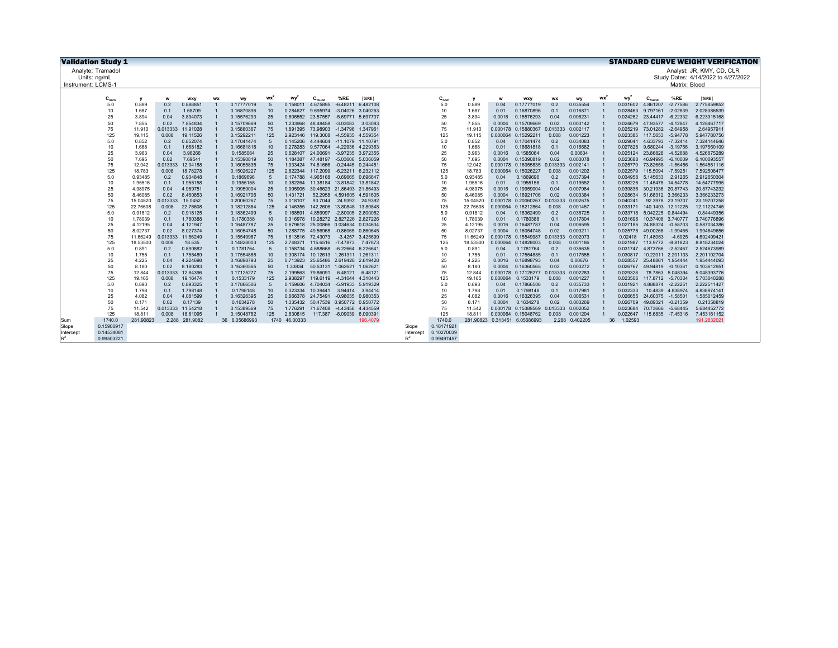| <b>Validation Study 1</b> |                   |                    |                   |                      |           |                          |                 |                      |                                        |                            |                                          |           |            |                    |                      |                               |                   |                      |    |                      |                            |                                | <b>STANDARD CURVE WEIGHT VERIFICATION</b> |
|---------------------------|-------------------|--------------------|-------------------|----------------------|-----------|--------------------------|-----------------|----------------------|----------------------------------------|----------------------------|------------------------------------------|-----------|------------|--------------------|----------------------|-------------------------------|-------------------|----------------------|----|----------------------|----------------------------|--------------------------------|-------------------------------------------|
|                           | Analyte: Tramadol |                    |                   |                      |           |                          |                 |                      |                                        |                            |                                          |           |            |                    |                      |                               |                   |                      |    |                      |                            |                                | Analyst: JR, KMY, CD, CLR                 |
| Units: ng/mL              |                   |                    |                   |                      |           |                          |                 |                      |                                        |                            |                                          |           |            |                    |                      |                               |                   |                      |    |                      |                            |                                | Study Dates: 4/14/2022 to 4/27/2022       |
| Instrument: LCMS-1        |                   |                    |                   |                      |           |                          |                 |                      |                                        |                            |                                          |           |            |                    |                      |                               |                   |                      |    |                      |                            | Matrix: Blood                  |                                           |
|                           |                   |                    |                   |                      |           |                          |                 |                      |                                        |                            |                                          |           |            |                    |                      |                               |                   |                      |    |                      |                            |                                |                                           |
|                           | $C_{nom}$         | v                  | w                 | wxy                  | <b>WX</b> | wv                       | wx              | wy <sup>2</sup>      | $C_{\text{founc}}$                     | %RE                        | %RE                                      |           | $C_{nom}$  | v                  | w                    | wxy                           | <b>WX</b>         | wv                   | wx | wy <sup>2</sup>      | $C_{found}$                | %RE                            | %RE                                       |
|                           | 5.0<br>10         | 0.889<br>1.687     | 0.2               | 0.888851<br>1.68709  |           | 0.17777019<br>0.16870896 | 5               | 0.158011             | 4.675895<br>9.695974                   | $-6.48211$                 | 6.482108<br>-3.04026 3.040263            |           | 5.0<br>10  | 0.889<br>1.687     | 0.04                 | 0.17777019<br>0.16870896      | 0.2<br>0.1        | 0.035554<br>0.016871 |    | 0.031602             | 4.861207<br>9.797161       | $-2.77586$<br>$-2.02839$       | 2.775859852<br>2.028386539                |
|                           | 25                | 3.894              | 0.1<br>0.04       | 3.894073             |           | 0.15576293               | 10<br>25        | 0.284627<br>0.606552 | 23.57557                               | -5.69771 5.697707          |                                          |           | 25         | 3.894              | 0.01<br>0.0016       | 0.15576293                    | 0.04              | 0.006231             |    | 0.028463<br>0.024262 | 23.44417 -6.22332          |                                | 6.223315168                               |
|                           | 50                | 7.855              | 0.02              | 7.854834             |           | 0.15709669               | 50              | 1.233968             | 48.48458                               | $-3.03083$                 | 3.03083                                  |           | 50         | 7.855              | 0.0004               | 0.15709669                    | 0.02              | 0.003142             |    | 0.024679             | 47.93577                   | $-4.12847$                     | 4.128467717                               |
|                           | 75                | 11.910             | 0.013333          | 11.91028             |           | 0.15880367               | 75              | 1.891395             | 73.98903                               | -1.34796 1.347961          |                                          |           | 75         | 11.910             | 0.000178             | 0.15880367                    | 0.013333          | 0.002117             |    |                      | 0.025219 73.01282 -2.64958 |                                | 2.64957911                                |
|                           | 125               | 19.115             | 0.008             | 19.11526             |           | 0.15292211               | 125             | 2.923146             | 119,3008                               |                            | -4.55935 4.559354                        |           | 125        | 19.115             | 0.000064             | 0.15292211                    | 0.008             | 0.001223             |    | 0.023385             | 117,5653                   | $-5.94778$                     | 5.947780756                               |
|                           | 5.0               | 0.852              | 0.2               | 0.852074             |           | 0.17041474               | $5\overline{5}$ | 0.145206             | 4.444604                               | -11.1079 11.10791          |                                          |           | 5.0        | 0.852              | 0.04                 | 0.17041474                    | 0.2               | 0.034083             |    | 0.029041             |                            | 4.633793 -7.32414              | 7.324144646                               |
|                           | 10                | 1.668              | 0.1               | 1.668182             |           | 0.16681818               | 10              | 0.278283             | 9.577064                               | -4.22936 4.229363          |                                          |           | 10         | 1.668              | 0.01                 | 0.16681818                    | 0.1               | 0.016682             |    | 0.027828             | 9.680244                   | $-3.19756$                     | 3.197560109                               |
|                           | 25                | 3.963              | 0.04              | 3.96266              |           | 0.1585064                | 25              | 0.628107             | 24.00691                               |                            | -3.97235 3.972355                        |           | 25         | 3.963              | 0.0016               | 0.1585064                     | 0.04              | 0.00634              |    | 0.025124             | 23.86828                   | $-4.52688$                     | 4.526875289                               |
|                           | 50                | 7.695              | 0.02              | 7.69541              |           | 0.15390819               | 50              | 1.184387             | 47.48197                               |                            | -5.03606 5.036059                        |           | 50         | 7.695              | 0.0004               | 0.15390819                    | 0.02              | 0.003078             |    | 0.023688             | 46.94995                   | $-6.10009$                     | 6.100093557                               |
|                           | 75<br>125         | 12.042<br>18.783   | 0.013333<br>0.008 | 12.04188<br>18.78278 |           | 0.16055835<br>0.15026227 | 75<br>125       | 1.933424<br>2.822344 | 74.81666<br>117,2099                   |                            | $-0.24445$ 0.244451<br>-6.23211 6.232112 |           | 75<br>125  | 12.042<br>18.783   | 0.000178<br>0.000064 | 0.16055835<br>0.15026227      | 0.013333<br>0.008 | 0.002141<br>0.001202 |    | 0.025779<br>0.022579 | 73.82658<br>115,5094       | $-1.56456$<br>$-7.59251$       | 1.564561116<br>7.592506477                |
|                           | 5.0               | 0.93485            | 0.2               | 0.934848             |           | 0.1869696                | 5               | 0.174788             | 4.965168                               |                            | $-0.69665$ 0.696647                      |           | 5.0        | 0.93485            | 0.04                 | 0.1869696                     | 0.2               | 0.037394             |    | 0.034958             | 5.145633                   | 2.91265                        | 2.912650304                               |
|                           | 10                | 1.95516            | 0.1               | 1.955158             |           | 0.1955158                | 10              | 0.382264             | 11.38184 13.81842 13.81842             |                            |                                          |           | 10         | 1.95516            | 0.01                 | 0.1955158                     | 0.1               | 0.019552             |    | 0.038226             | 11.45478 14.54778          |                                | 14.54777995                               |
|                           | 25                | 4.98975            | 0.04              | 4.989751             |           | 0.19959004               | 25              | 0.995905             | 30.46623 21.86493 21.86493             |                            |                                          |           | 25         | 4.98975            | 0.0016               | 0.19959004                    | 0.04              | 0.007984             |    | 0.039836             |                            | 30.21936 20.87743              | 20.87743232                               |
|                           | 50                | 8.46085            | 0.02              | 8.460853             |           | 0.16921706               | 50              | 1.431721             |                                        | 52.2958 4.591605 4.591605  |                                          |           | 50         | 8.46085            | 0.0004               | 0.16921706                    | 0.02              | 0.003384             |    | 0.028634             |                            | 51.68312 3.366233              | 3.366233273                               |
|                           | 75                | 15.04520           | 0.013333          | 15.0452              |           | 0.20060267               | 75              | 3.018107             | 93.7044                                | 24.9392                    | 24.9392                                  |           | 75         | 15.04520           | 0.000178             | 0.20060267                    | 0.013333          | 0.002675             |    | 0.040241             |                            | 92.3978 23.19707               | 23.19707258                               |
|                           | 125               | 22.76608           | 0.008             | 22,76608             |           | 0.18212864               | 125             | 4.146355             | 142,2606                               | 13.80848 13.80848          |                                          |           | 125        | 22.76608           | 0.000064             | 0.18212864                    | 0.008             | 0.001457             |    | 0.033171             | 140.1403 12.11225          |                                | 12.11224745                               |
|                           | 5.0               | 0.91812            | 0.2               | 0.918125             |           | 0.18362499               | 5               | 0.168591             | 4.859997                               |                            | -2.80005 2.800052                        |           | 5.0        | 0.91812            | 0.04                 | 0.18362499                    | 0.2               | 0.036725             |    | 0.033718             | 5.042225 0.844494          |                                | 0.84449356                                |
|                           | 10                | 1.78039            | 0.1               | 1.780388             |           | 0.1780388                | 10              | 0.316978             |                                        | 10.28272 2.827226 2.827226 |                                          |           | 10         | 1.78039            | 0.01                 | 0.1780388                     | 0.1               | 0.017804             |    | 0.031698             | 10.37408 3.740777          | $-0.58703$                     | 3.740776896                               |
|                           | 25<br>50          | 4.12195<br>8.02737 | 0.04<br>0.02      | 4.121947<br>8.027374 |           | 0.16487787<br>0.16054748 | 25<br>50        | 0.679618<br>1.288775 | 25.00866 0.034634 0.034634<br>49.56968 |                            | $-0.86065$ $0.860645$                    |           | 25<br>50   | 4.12195<br>8.02737 | 0.0016<br>0.0004     | 0.16487787<br>0.16054748      | 0.04<br>0.02      | 0.006595<br>0.003211 |    | 0.027185<br>0.025775 | 24.85324<br>49.00268       | $-1.99465$                     | 0.587034386<br>1.994649656                |
|                           | 75                | 11.66249           | 0.013333          | 11,66249             |           | 0.15549987               | 75              | 1.813516             | 72.43073                               | -3.4257 3.425699           |                                          |           | 75         | 11.66249           | 0.000178             | 0.15549987                    | 0.013333          | 0.002073             |    | 0.02418              | 71.48063                   | $-4.6925$                      | 4.692499421                               |
|                           | 125               | 18.53500           | 0.008             | 18.535               |           | 0.14828003               | 125             | 2.748371             | 115,6516                               | $-7.47873$                 | 7.47873                                  |           | 125        | 18.53500           | 0.000064             | 0.14828003                    | 0.008             | 0.001186             |    | 0.021987             | 113,9772                   | $-8.81823$                     | 8.818234024                               |
|                           | 5.0               | 0.891              | 0.2               | 0.890882             |           | 0.1781764                | $\sqrt{5}$      | 0.158734             | 4.688668                               | -6.22664 6.226641          |                                          |           | 5.0        | 0.891              | 0.04                 | 0.1781764                     | 0.2               | 0.035635             |    | 0.031747             | 4.873766 -2.52467          |                                | 2.524673989                               |
|                           | 10                | 1.755              | 0.1               | 1.755489             |           | 0.17554885               | 10              | 0.308174             |                                        | 10.12613 1.261311 1.261311 |                                          |           | 10         | 1.755              | 0.01                 | 0.17554885                    | 0.1               | 0.017555             |    | 0.030817             |                            | 10.22011 2.201103              | 2.201102704                               |
|                           | 25                | 4.225              | 0.04              | 4.224698             |           | 0.16898793               | 25              | 0.713923             |                                        | 25.65486 2.619428 2.619428 |                                          |           | 25         | 4.225              | 0.0016               | 0.16898793                    | 0.04              | 0.00676              |    | 0.028557             | 25.48861 1.954444          |                                | 1.954444093                               |
|                           | 50                | 8.180              | 0.02              | 8.180283             |           | 0.16360565               | 50              | 1.33834              | 50.53131 1.062621 1.062621             |                            |                                          |           | 50         | 8.180              | 0.0004               | 0.16360565                    | 0.02              | 0.003272             |    | 0.026767             | 49.94819 -0.10361          |                                | 0.103612951                               |
|                           | 75                | 12.844             | 0.013333          | 12.84396             |           | 0.17125277               | 75              | 2.199563             | 79,86091                               | 6.48121                    | 6.48121                                  |           | 75         | 12.844             | 0.000178             | 0.17125277                    | 0.013333          | 0.002283             |    | 0.029328             |                            | 78.7863 5.048394               | 5.048393776                               |
|                           | 125               | 19.165             | 0.008             | 19.16474             |           | 0.1533179                | 125             | 2.938297             | 119.6119                               | -4.31044 4.310443          |                                          |           | 125        | 19.165             | 0.000064             | 0.1533179                     | 0.008             | 0.001227             |    | 0.023506             | 117.8712 -5.70304          |                                | 5.703040288                               |
|                           | 5.0<br>10         | 0.893<br>1.798     | 0.2<br>0.1        | 0.893325<br>1.798148 |           | 0.17866506<br>0.1798148  | 5<br>10         | 0.159606<br>0.323334 | 4.704034<br>10.39441                   |                            | -5.91933 5.919329<br>3.94414 3.94414     |           | 5.0<br>10  | 0.893<br>1.798     | 0.04<br>0.01         | 0.17866506<br>0.1798148       | 0.2<br>0.1        | 0.035733<br>0.017981 |    | 0.031921<br>0.032333 | 4.888874                   | $-2.22251$<br>10.4839 4.838974 | 2.222511427<br>4.838974141                |
|                           | 25                | 4.082              | 0.04              | 4.081599             |           | 0.16326395               | 25              | 0.666378             | 24.75491                               |                            | -0.98035 0.980353                        |           | 25         | 4.082              | 0.0016               | 0.16326395                    | 0.04              | 0.006531             |    | 0.026655             | 24.60375 -1.58501          |                                | 1.585012459                               |
|                           | 50                | 8.171              | 0.02              | 8.17139              |           | 0.1634278                | 50              | 1.335432             | 50.47539 0.950772 0.950772             |                            |                                          |           | 50         | 8.171              | 0.0004               | 0.1634278                     | 0.02              | 0.003269             |    | 0.026709             | 49.89321                   | $-0.21359$                     | 0.21358819                                |
|                           | 75                | 11.542             | 0.013333          | 11.54218             |           | 0.15389569               | 75              | 1.776291             | 71.67408                               | -4.43456                   | 4.434559                                 |           | 75         | 11.542             | 0.000178             | 0.15389569                    | 0.013333          | 0.002052             |    | 0.023684             | 70.73666                   | $-5.68445$                     | 5.684452772                               |
|                           | 125               | 18.811             | 0.008             | 18.81095             |           | 0.15048762               | 125             | 2.830815             |                                        | 117.387 -6.09039 6.090391  |                                          |           | 125        | 18.811             |                      | 0.000064 0.15048762           | 0.008             | 0.001204             |    | 0.022647             |                            | 115.6835 -7.45316              | 7.453161152                               |
| <b>Sum</b>                | 1740.0            | 281.90823          |                   | 2.288 281.9082       |           | 36 6.05686993            |                 | 1740 46.00333        |                                        |                            | 196.4079                                 |           | 1740.0     |                    |                      | 281.90823 0.313451 6.05686993 |                   | 2.288 0.402205       |    | 36 1.02593           |                            |                                | 191.2832021                               |
| Slope                     | 0.15900917        |                    |                   |                      |           |                          |                 |                      |                                        |                            |                                          | Slope     | 0.16171921 |                    |                      |                               |                   |                      |    |                      |                            |                                |                                           |
| Intercep                  | 0.14534081        |                    |                   |                      |           |                          |                 |                      |                                        |                            |                                          | Intercept | 0.10270039 |                    |                      |                               |                   |                      |    |                      |                            |                                |                                           |
|                           | 0.99503221        |                    |                   |                      |           |                          |                 |                      |                                        |                            |                                          | R         | 0.99497457 |                    |                      |                               |                   |                      |    |                      |                            |                                |                                           |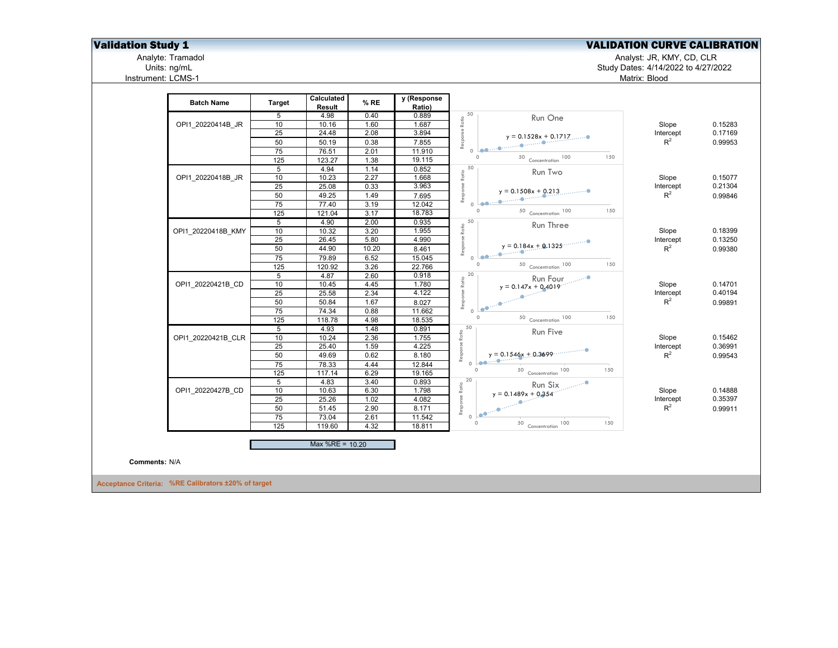## **Validation Study 1** Validation Study 1 Validation Study 1 Validation CURVE CALIBRATION

Analyte: Tramadol Analyst: JR, KMY, CD, CLR

Units: ng/mL Study Dates: 4/14/2022 to 4/27/2022

Matrix: Blood

Analyte: Tramadol<br>Units: ng/mL<br>Instrument: LCMS-1

|                      |                                                     |                  | Calculated         |       | y (Response |                                                    |                                           |           |         |
|----------------------|-----------------------------------------------------|------------------|--------------------|-------|-------------|----------------------------------------------------|-------------------------------------------|-----------|---------|
|                      | <b>Batch Name</b>                                   | <b>Target</b>    | Result             | % RE  | Ratio)      |                                                    |                                           |           |         |
|                      |                                                     | 5                | 4.98               | 0.40  | 0.889       | Response Ratio<br>O                                | Run One                                   |           |         |
|                      | OPI1_20220414B_JR                                   | 10               | 10.16              | 1.60  | 1.687       |                                                    |                                           | Slope     | 0.15283 |
|                      |                                                     | 25               | $\overline{24.48}$ | 2.08  | 3.894       |                                                    | $y = 0.1528x + 0.1717$                    | Intercept | 0.17169 |
|                      |                                                     | 50               | 50.19              | 0.38  | 7.855       |                                                    |                                           | $R^2$     | 0.99953 |
|                      |                                                     | 75               | 76.51              | 2.01  | 11.910      |                                                    |                                           |           |         |
|                      |                                                     | 125              | 123.27             | 1.38  | 19.115      | $\Omega$                                           | 50 Concentration 100                      | 150       |         |
|                      |                                                     | 5                | 4.94               | 1.14  | 0.852       | 50                                                 | Run Two                                   |           |         |
|                      | OPI1 20220418B JR                                   | 10               | 10.23              | 2.27  | 1.668       | Response Ratio                                     |                                           | Slope     | 0.15077 |
|                      |                                                     | 25               | 25.08              | 0.33  | 3.963       |                                                    | $y = 0.1508x + 0.213$                     | Intercept | 0.21304 |
|                      |                                                     | 50               | 49.25              | 1.49  | 7.695       |                                                    |                                           | $R^2$     | 0.99846 |
|                      |                                                     | 75               | 77.40              | 3.19  | 12.042      |                                                    |                                           |           |         |
|                      |                                                     | 125              | 121.04             | 3.17  | 18.783      | $\Omega$                                           | 50 Concentration 100                      | 150       |         |
|                      |                                                     | 5                | 4.90               | 2.00  | 0.935       | 50                                                 | Run Three                                 |           |         |
|                      | OPI1 20220418B KMY                                  | 10               | 10.32              | 3.20  | 1.955       |                                                    |                                           | Slope     | 0.18399 |
|                      |                                                     | 25               | 26.45              | 5.80  | 4.990       |                                                    | $y = 0.184x + 0.1325$                     | Intercept | 0.13250 |
|                      |                                                     | 50               | 44.90              | 10.20 | 8.461       | Response Ratio                                     |                                           | $R^2$     | 0.99380 |
|                      |                                                     | 75               | 79.89              | 6.52  | 15.045      | $\bullet$ Learnesses                               |                                           |           |         |
|                      |                                                     | 125              | 120.92             | 3.26  | 22.766      | $\circ$                                            | 50 Concentration 100                      | 150       |         |
|                      |                                                     | $5\overline{)}$  | 4.87               | 2.60  | 0.918       | 20                                                 |                                           |           |         |
|                      | OPI1 20220421B CD                                   | 10               | 10.45              | 4.45  | 1.780       | Ratio                                              |                                           | Slope     | 0.14701 |
|                      |                                                     | 25               | 25.58              | 2.34  | 4.122       | Response                                           |                                           | Intercept | 0.40194 |
|                      |                                                     | 50               | 50.84              | 1.67  | 8.027       |                                                    |                                           | $R^2$     | 0.99891 |
|                      |                                                     | 75               | 74.34              | 0.88  | 11.662      | 0 <sup>10<sup>o</sup><br/><math>\circ</math></sup> |                                           |           |         |
|                      |                                                     | $\overline{125}$ | 118.78             | 4.98  | 18.535      |                                                    | 50 Concentration 100                      | 150       |         |
|                      |                                                     | $5\overline{)}$  | 4.93               | 1.48  | 0.891       | 50                                                 | Run Five                                  |           |         |
|                      | OPI1 20220421B CLR                                  | 10               | 10.24              | 2.36  | 1.755       | Ratio                                              |                                           | Slope     | 0.15462 |
|                      |                                                     | 25               | 25.40              | 1.59  | 4.225       | Response                                           |                                           | Intercept | 0.36991 |
|                      |                                                     | 50               | 49.69              | 0.62  | 8.180       |                                                    | $y = 0.1546x + 0.3699 \dots$              | $R^2$     | 0.99543 |
|                      |                                                     | 75               | 78.33              | 4.44  | 12.844      | $\circ$                                            |                                           | 150       |         |
|                      |                                                     | 125              | 117.14             | 6.29  | 19.165      |                                                    | 50 Concentration 100                      |           |         |
|                      |                                                     | 5                | 4.83               | 3.40  | 0.893       | 20                                                 | Run Six <sub>politi</sub> ne <sup>o</sup> |           |         |
|                      | OPI1 20220427B CD                                   | 10               | 10.63              | 6.30  | 1.798       | $y = 0.1489x + 0.354$                              |                                           | Slope     | 0.14888 |
|                      |                                                     | 25               | 25.26              | 1.02  | 4.082       | Response Ratio<br>o <b>Leonis Charles Contains</b> |                                           | Intercept | 0.35397 |
|                      |                                                     | 50               | 51.45              | 2.90  | 8.171       |                                                    |                                           | $R^2$     | 0.99911 |
|                      |                                                     | $\overline{75}$  | 73.04              | 2.61  | 11.542      | $\circ$                                            |                                           | 150       |         |
|                      |                                                     | 125              | 119.60             | 4.32  | 18.811      |                                                    | 50 Concentration 100                      |           |         |
|                      |                                                     |                  | Max %RE = $10.20$  |       |             |                                                    |                                           |           |         |
| <b>Comments: N/A</b> |                                                     |                  |                    |       |             |                                                    |                                           |           |         |
|                      | Acceptance Criteria: %RE Calibrators ±20% of target |                  |                    |       |             |                                                    |                                           |           |         |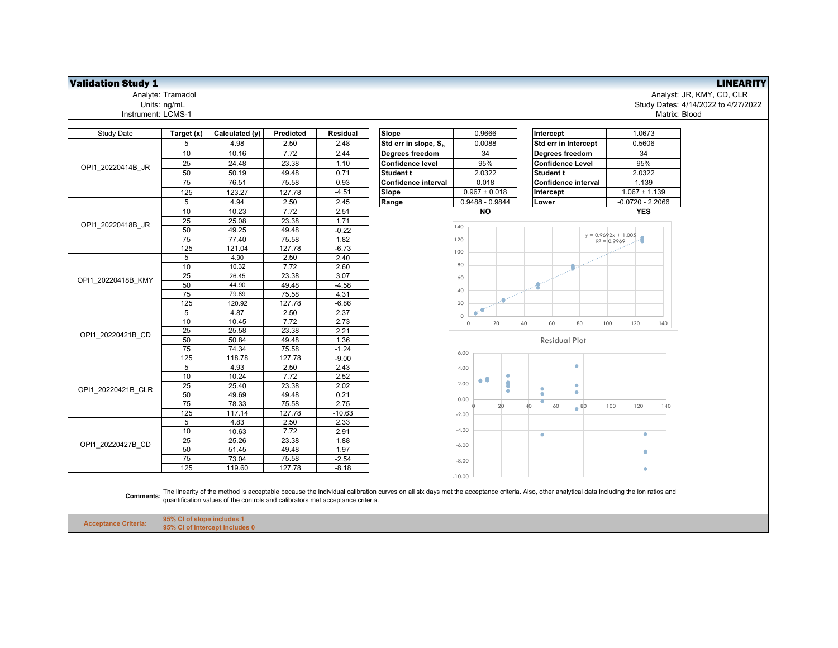## **Validation Study 1** LINEARITY

Instrument: LCMS-1

| Analyte: Tramadol | Analyst: JR, KMY, CD, CLR           |
|-------------------|-------------------------------------|
| Units: ng/mL      | Study Dates: 4/14/2022 to 4/27/2022 |
| trument: LCMS-1   | Matrix: Blood                       |

| <b>Study Date</b>           | Target (x)                 | Calculated (y)                                                                 | Predicted | <b>Residual</b> | Slope                                                                                                                                                                                     | 0.9666                  | Intercept               | 1.0673                |
|-----------------------------|----------------------------|--------------------------------------------------------------------------------|-----------|-----------------|-------------------------------------------------------------------------------------------------------------------------------------------------------------------------------------------|-------------------------|-------------------------|-----------------------|
|                             | 5                          | 4.98                                                                           | 2.50      | 2.48            | Std err in slope, S <sub>b</sub>                                                                                                                                                          | 0.0088                  | Std err in Intercept    | 0.5606                |
|                             | 10                         | 10.16                                                                          | 7.72      | 2.44            | Degrees freedom                                                                                                                                                                           | 34                      | Degrees freedom         | 34                    |
|                             | 25                         | 24.48                                                                          | 23.38     | 1.10            | <b>Confidence level</b>                                                                                                                                                                   | 95%                     | <b>Confidence Level</b> | 95%                   |
| OPI1 20220414B JR           | 50                         | 50.19                                                                          | 49.48     | 0.71            | Student t                                                                                                                                                                                 | 2.0322                  | Student t               | 2.0322                |
|                             | 75                         | 76.51                                                                          | 75.58     | 0.93            | Confidence interval                                                                                                                                                                       | 0.018                   | Confidence interval     | 1.139                 |
|                             | 125                        | 123.27                                                                         | 127.78    | $-4.51$         | Slope                                                                                                                                                                                     | $0.967 \pm 0.018$       | Intercept               | $1.067 \pm 1.139$     |
|                             | 5                          | 4.94                                                                           | 2.50      | 2.45            | Range                                                                                                                                                                                     | 0.9488 - 0.9844         | Lower                   | $-0.0720 - 2.2066$    |
|                             | 10                         | 10.23                                                                          | 7.72      | 2.51            |                                                                                                                                                                                           | <b>NO</b>               |                         | <b>YES</b>            |
|                             | 25                         | 25.08                                                                          | 23.38     | 1.71            |                                                                                                                                                                                           |                         |                         |                       |
| OPI1_20220418B_JR           | 50                         | 49.25                                                                          | 49.48     | $-0.22$         |                                                                                                                                                                                           | 140                     |                         |                       |
|                             | 75                         | 77.40                                                                          | 75.58     | 1.82            |                                                                                                                                                                                           | 120                     |                         | $y = 0.9692x + 1.005$ |
|                             | 125                        | 121.04                                                                         | 127.78    | $-6.73$         |                                                                                                                                                                                           |                         |                         | $R^2 = 0.9969$        |
|                             | 5                          | 4.90                                                                           | 2.50      | 2.40            |                                                                                                                                                                                           | 100                     |                         |                       |
|                             | 10                         | 10.32                                                                          | 7.72      | 2.60            |                                                                                                                                                                                           | 80                      |                         |                       |
|                             | 25                         | 26.45                                                                          | 23.38     | 3.07            |                                                                                                                                                                                           | 60                      |                         |                       |
| OPI1 20220418B KMY          | 50                         | 44.90                                                                          | 49.48     | $-4.58$         |                                                                                                                                                                                           |                         | ÷                       |                       |
|                             | 75                         | 79.89                                                                          | 75.58     | 4.31            |                                                                                                                                                                                           | 40                      |                         |                       |
|                             | 125                        | 120.92                                                                         | 127.78    | $-6.86$         |                                                                                                                                                                                           | $\mathbf{e}^{2}$<br>20  |                         |                       |
|                             | 5                          | 4.87                                                                           | 2.50      | 2.37            |                                                                                                                                                                                           | ۵<br>c<br>$\circ$       |                         |                       |
|                             | 10                         | 10.45                                                                          | 7.72      | 2.73            |                                                                                                                                                                                           | $\mathbb O$<br>20<br>40 | 60<br>80                | 100<br>120<br>140     |
|                             | 25                         | 25.58                                                                          | 23.38     | 2.21            |                                                                                                                                                                                           |                         |                         |                       |
| OPI1 20220421B CD           | 50                         | 50.84                                                                          | 49.48     | 1.36            |                                                                                                                                                                                           |                         | <b>Residual Plot</b>    |                       |
|                             | 75                         | 74.34                                                                          | 75.58     | $-1.24$         |                                                                                                                                                                                           | 6.00                    |                         |                       |
|                             | 125                        | 118.78                                                                         | 127.78    | $-9.00$         |                                                                                                                                                                                           |                         |                         |                       |
|                             | 5                          | 4.93                                                                           | 2.50      | 2.43            |                                                                                                                                                                                           | 4.00                    | ٠                       |                       |
|                             | 10                         | 10.24                                                                          | 7.72      | 2.52            |                                                                                                                                                                                           | $\bullet$ $\bullet$     |                         |                       |
| OPI1 20220421B CLR          | 25                         | 25.40                                                                          | 23.38     | 2.02            |                                                                                                                                                                                           | 2.00                    | ۰<br>۰                  |                       |
|                             | 50                         | 49.69                                                                          | 49.48     | 0.21            |                                                                                                                                                                                           | ٠<br>0.00               | ۰<br>۰                  |                       |
|                             | 75                         | 78.33                                                                          | 75.58     | 2.75            |                                                                                                                                                                                           | 20                      | e<br>80<br>40<br>60     | 100<br>120<br>140     |
|                             | 125                        | 117.14                                                                         | 127.78    | $-10.63$        |                                                                                                                                                                                           | $-2.00$                 |                         |                       |
|                             | 5                          | 4.83                                                                           | 2.50      | 2.33            |                                                                                                                                                                                           |                         |                         |                       |
|                             | 10                         | 10.63                                                                          | 7.72      | 2.91            |                                                                                                                                                                                           | $-4.00$                 | $\bullet$               | $\bullet$             |
| OPI1 20220427B CD           | $\overline{25}$            | 25.26                                                                          | 23.38     | 1.88            |                                                                                                                                                                                           | $-6.00$                 |                         |                       |
|                             | 50                         | 51.45                                                                          | 49.48     | 1.97            |                                                                                                                                                                                           |                         |                         | $\bullet$             |
|                             | 75                         | 73.04                                                                          | 75.58     | $-2.54$         |                                                                                                                                                                                           | $-8.00$                 |                         |                       |
|                             | 125                        | 119.60                                                                         | 127.78    | $-8.18$         |                                                                                                                                                                                           |                         |                         | $\bullet$             |
| <b>Comments:</b>            |                            | quantification values of the controls and calibrators met acceptance criteria. |           |                 | The linearity of the method is acceptable because the individual calibration curves on all six days met the acceptance criteria. Also, other analytical data including the ion ratios and | $-10.00$                |                         |                       |
| <b>Acceptance Criteria:</b> | 95% CI of slope includes 1 | 95% CI of intercept includes 0                                                 |           |                 |                                                                                                                                                                                           |                         |                         |                       |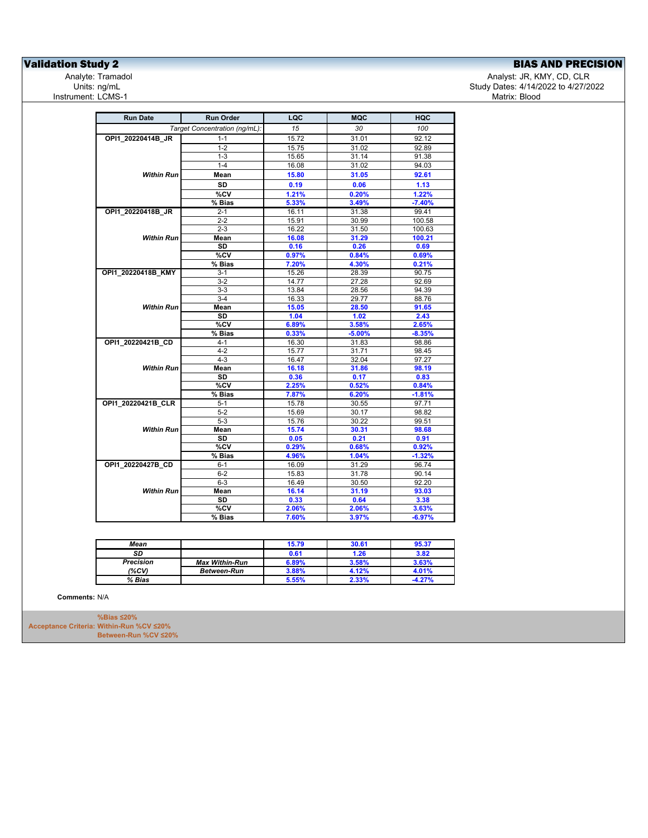## **Validation Study 2**<br>
Analyte: Tramadol **Analyte: Tramadol**<br>
Analyte: Tramadol **Analyte: Tramadol** Analyte: Tramadol **Analyte: Tramadol**

Analyst: JR, KMY, CD, CLR Study Dates: 4/14/2022 to 4/27/2022<br>Matrix: Blood

| Target Concentration (ng/mL):<br>OPI1 20220414B JR<br>$1 - 1$<br>$1 - 2$<br>$1 - 3$<br>$1 - 4$<br><b>Within Run</b><br>Mean<br>SD<br>%CV<br>% Bias<br>OPI1_20220418B_JR<br>$2 - 1$<br>$2 - 2$<br>$2 - 3$<br><b>Within Run</b><br>Mean<br><b>SD</b><br>%CV<br>% Bias<br>$3 - 1$<br>$3-2$<br>$3-3$<br>$3-4$<br>Mean<br><b>Within Run</b><br>SD<br>%CV<br>% Bias<br>OPI1 20220421B CD<br>$4 - 1$<br>$4 - 2$<br>$4 - 3$ | 15<br>15.72<br>15.75<br>15.65<br>16.08<br>15.80<br>0.19<br>1.21%<br>5.33%<br>16.11<br>15.91<br>16.22<br>16.08<br>0.16<br>0.97%<br>7.20% | 30<br>31.01<br>31.02<br>31.14<br>31.02<br>31.05<br>0.06<br>0.20%<br>3.49%<br>31.38<br>30.99<br>31.50<br>31.29<br>0.26<br>0.84% | 100<br>92.12<br>92.89<br>91.38<br>94.03<br>92.61<br>1.13<br>1.22%<br>$-7.40%$<br>99.41<br>100.58<br>100.63<br>100.21 |
|---------------------------------------------------------------------------------------------------------------------------------------------------------------------------------------------------------------------------------------------------------------------------------------------------------------------------------------------------------------------------------------------------------------------|-----------------------------------------------------------------------------------------------------------------------------------------|--------------------------------------------------------------------------------------------------------------------------------|----------------------------------------------------------------------------------------------------------------------|
|                                                                                                                                                                                                                                                                                                                                                                                                                     |                                                                                                                                         |                                                                                                                                |                                                                                                                      |
|                                                                                                                                                                                                                                                                                                                                                                                                                     |                                                                                                                                         |                                                                                                                                |                                                                                                                      |
|                                                                                                                                                                                                                                                                                                                                                                                                                     |                                                                                                                                         |                                                                                                                                |                                                                                                                      |
|                                                                                                                                                                                                                                                                                                                                                                                                                     |                                                                                                                                         |                                                                                                                                |                                                                                                                      |
|                                                                                                                                                                                                                                                                                                                                                                                                                     |                                                                                                                                         |                                                                                                                                |                                                                                                                      |
|                                                                                                                                                                                                                                                                                                                                                                                                                     |                                                                                                                                         |                                                                                                                                |                                                                                                                      |
|                                                                                                                                                                                                                                                                                                                                                                                                                     |                                                                                                                                         |                                                                                                                                |                                                                                                                      |
|                                                                                                                                                                                                                                                                                                                                                                                                                     |                                                                                                                                         |                                                                                                                                |                                                                                                                      |
|                                                                                                                                                                                                                                                                                                                                                                                                                     |                                                                                                                                         |                                                                                                                                |                                                                                                                      |
|                                                                                                                                                                                                                                                                                                                                                                                                                     |                                                                                                                                         |                                                                                                                                |                                                                                                                      |
|                                                                                                                                                                                                                                                                                                                                                                                                                     |                                                                                                                                         |                                                                                                                                |                                                                                                                      |
| OPI1 20220418B KMY                                                                                                                                                                                                                                                                                                                                                                                                  |                                                                                                                                         |                                                                                                                                |                                                                                                                      |
|                                                                                                                                                                                                                                                                                                                                                                                                                     |                                                                                                                                         |                                                                                                                                |                                                                                                                      |
|                                                                                                                                                                                                                                                                                                                                                                                                                     |                                                                                                                                         |                                                                                                                                | 0.69                                                                                                                 |
|                                                                                                                                                                                                                                                                                                                                                                                                                     |                                                                                                                                         |                                                                                                                                | 0.69%                                                                                                                |
|                                                                                                                                                                                                                                                                                                                                                                                                                     |                                                                                                                                         | 4.30%                                                                                                                          | 0.21%                                                                                                                |
|                                                                                                                                                                                                                                                                                                                                                                                                                     | 15.26                                                                                                                                   | 28.39                                                                                                                          | 90.75                                                                                                                |
|                                                                                                                                                                                                                                                                                                                                                                                                                     | 14.77                                                                                                                                   | 27.28                                                                                                                          | 92.69                                                                                                                |
|                                                                                                                                                                                                                                                                                                                                                                                                                     | 13.84                                                                                                                                   | 28.56                                                                                                                          | 94.39                                                                                                                |
|                                                                                                                                                                                                                                                                                                                                                                                                                     | 16.33                                                                                                                                   | 29.77                                                                                                                          | 88.76                                                                                                                |
|                                                                                                                                                                                                                                                                                                                                                                                                                     | 15.05                                                                                                                                   | 28.50                                                                                                                          | 91.65                                                                                                                |
|                                                                                                                                                                                                                                                                                                                                                                                                                     | 1.04                                                                                                                                    | 1.02                                                                                                                           | 2.43                                                                                                                 |
|                                                                                                                                                                                                                                                                                                                                                                                                                     | 6.89%                                                                                                                                   | 3.58%                                                                                                                          | 2.65%                                                                                                                |
|                                                                                                                                                                                                                                                                                                                                                                                                                     | 0.33%                                                                                                                                   | $-5.00%$                                                                                                                       | $-8.35%$                                                                                                             |
|                                                                                                                                                                                                                                                                                                                                                                                                                     | 16.30                                                                                                                                   | 31.83                                                                                                                          | 98.86                                                                                                                |
|                                                                                                                                                                                                                                                                                                                                                                                                                     | 15.77                                                                                                                                   | 31.71                                                                                                                          | 98.45                                                                                                                |
|                                                                                                                                                                                                                                                                                                                                                                                                                     | 16.47                                                                                                                                   | 32.04                                                                                                                          | 97.27                                                                                                                |
| Mean<br><b>Within Run</b>                                                                                                                                                                                                                                                                                                                                                                                           | 16.18                                                                                                                                   | 31.86                                                                                                                          | 98.19                                                                                                                |
| <b>SD</b>                                                                                                                                                                                                                                                                                                                                                                                                           | 0.36                                                                                                                                    | 0.17                                                                                                                           | 0.83                                                                                                                 |
| %CV                                                                                                                                                                                                                                                                                                                                                                                                                 | 2.25%                                                                                                                                   | 0.52%                                                                                                                          | 0.84%                                                                                                                |
| % Bias                                                                                                                                                                                                                                                                                                                                                                                                              | 7.87%                                                                                                                                   | 6.20%                                                                                                                          | $-1.81%$                                                                                                             |
| OPI1_20220421B_CLR<br>$5-1$                                                                                                                                                                                                                                                                                                                                                                                         | 15.78                                                                                                                                   | 30.55                                                                                                                          | 97.71                                                                                                                |
| $5-2$                                                                                                                                                                                                                                                                                                                                                                                                               | 15.69                                                                                                                                   | 30.17                                                                                                                          | 98.82                                                                                                                |
| $5 - 3$                                                                                                                                                                                                                                                                                                                                                                                                             | 15.76                                                                                                                                   | 30.22                                                                                                                          | 99.51                                                                                                                |
| Mean<br><b>Within Run</b>                                                                                                                                                                                                                                                                                                                                                                                           | 15.74                                                                                                                                   | 30.31                                                                                                                          | 98.68                                                                                                                |
| SD                                                                                                                                                                                                                                                                                                                                                                                                                  | 0.05                                                                                                                                    | 0.21                                                                                                                           | 0.91                                                                                                                 |
| %CV                                                                                                                                                                                                                                                                                                                                                                                                                 | 0.29%                                                                                                                                   | 0.68%                                                                                                                          | 0.92%                                                                                                                |
| % Bias                                                                                                                                                                                                                                                                                                                                                                                                              | 4.96%                                                                                                                                   | 1.04%                                                                                                                          | $-1.32%$                                                                                                             |
| OPI1_20220427B_CD<br>$6 - 1$                                                                                                                                                                                                                                                                                                                                                                                        | 16.09                                                                                                                                   | 31.29                                                                                                                          | 96.74                                                                                                                |
| $6 - 2$                                                                                                                                                                                                                                                                                                                                                                                                             | 15.83                                                                                                                                   | 31.78                                                                                                                          | 90.14                                                                                                                |
| $6-3$                                                                                                                                                                                                                                                                                                                                                                                                               | 16.49                                                                                                                                   | 30.50                                                                                                                          | 92.20                                                                                                                |
| <b>Within Run</b><br>Mean                                                                                                                                                                                                                                                                                                                                                                                           | 16.14                                                                                                                                   | 31.19                                                                                                                          | 93.03                                                                                                                |
| <b>SD</b>                                                                                                                                                                                                                                                                                                                                                                                                           | 0.33                                                                                                                                    | 0.64                                                                                                                           | 3.38                                                                                                                 |
| %CV                                                                                                                                                                                                                                                                                                                                                                                                                 | 2.06%                                                                                                                                   | 2.06%                                                                                                                          | 3.63%                                                                                                                |
| % Bias                                                                                                                                                                                                                                                                                                                                                                                                              | 7.60%                                                                                                                                   | 3.97%                                                                                                                          | $-6.97%$                                                                                                             |

| Mean             |                       | 15.79 | 30.61 | 95.37 |
|------------------|-----------------------|-------|-------|-------|
| SD               |                       | 0.61  | 1.26  | 3.82  |
| <b>Precision</b> | <b>Max Within-Run</b> | 6.89% | 3.58% | 3.63% |
| (%CV)            | <b>Between-Run</b>    | 3.88% | 4.12% | 4.01% |
| % Bias           |                       | 5.55% | 2.33% | 4.27% |

**Comments:** N/A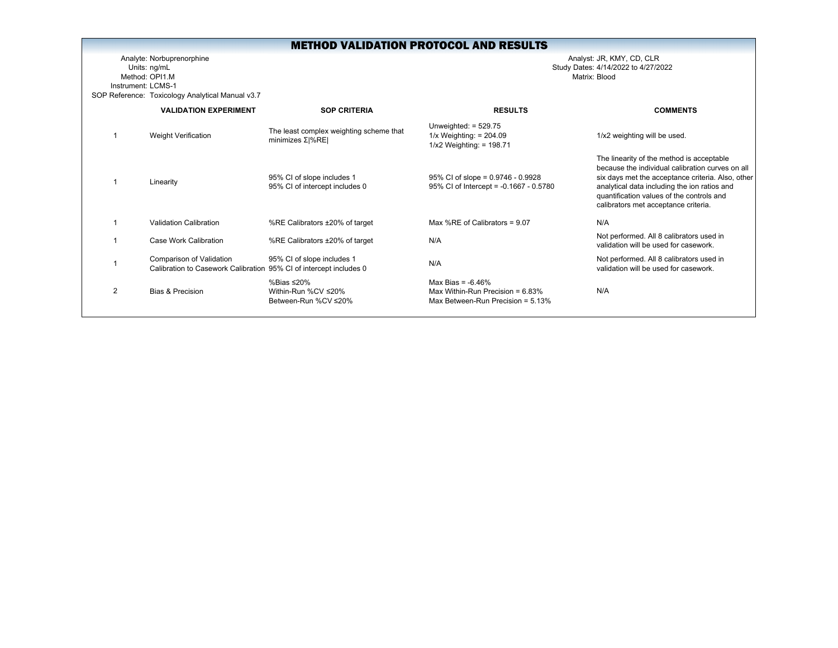Analyte: Norbuprenorphine Analyst: JR, KMY, CD, CLR Units: ng/mL Study Dates: 4/14/2022 to 4/27/2022 Method: OPI1.MInstrument: LCMS-1SOP Reference: Toxicology Analytical Manual v3.7

|   | <b>VALIDATION EXPERIMENT</b>                                                                   | <b>SOP CRITERIA</b>                                              | <b>RESULTS</b>                                                                                      | <b>COMMENTS</b>                                                                                                                                                                                                                                                                         |
|---|------------------------------------------------------------------------------------------------|------------------------------------------------------------------|-----------------------------------------------------------------------------------------------------|-----------------------------------------------------------------------------------------------------------------------------------------------------------------------------------------------------------------------------------------------------------------------------------------|
|   | Weight Verification                                                                            | The least complex weighting scheme that<br>minimizes $Σ$  % $RE$ | Unweighted: $= 529.75$<br>$1/x$ Weighting: = 204.09<br>$1/x2$ Weighting: = 198.71                   | 1/x2 weighting will be used.                                                                                                                                                                                                                                                            |
|   | Linearity                                                                                      | 95% CI of slope includes 1<br>95% CI of intercept includes 0     | $95\%$ CI of slope = 0.9746 - 0.9928<br>95% CI of Intercept = -0.1667 - 0.5780                      | The linearity of the method is acceptable<br>because the individual calibration curves on all<br>six days met the acceptance criteria. Also, other<br>analytical data including the ion ratios and<br>quantification values of the controls and<br>calibrators met acceptance criteria. |
|   | <b>Validation Calibration</b>                                                                  | %RE Calibrators ±20% of target                                   | Max %RE of Calibrators = $9.07$                                                                     | N/A                                                                                                                                                                                                                                                                                     |
|   | Case Work Calibration                                                                          | %RE Calibrators ±20% of target                                   | N/A                                                                                                 | Not performed. All 8 calibrators used in<br>validation will be used for casework.                                                                                                                                                                                                       |
|   | Comparison of Validation<br>Calibration to Casework Calibration 95% CI of intercept includes 0 | 95% CI of slope includes 1                                       | N/A                                                                                                 | Not performed. All 8 calibrators used in<br>validation will be used for casework.                                                                                                                                                                                                       |
| 2 | <b>Bias &amp; Precision</b>                                                                    | %Bias ≤20%<br>Within-Run %CV ≤20%<br>Between-Run %CV ≤20%        | Max Bias = $-6.46\%$<br>Max Within-Run Precision = $6.83\%$<br>Max Between-Run Precision = $5.13\%$ | N/A                                                                                                                                                                                                                                                                                     |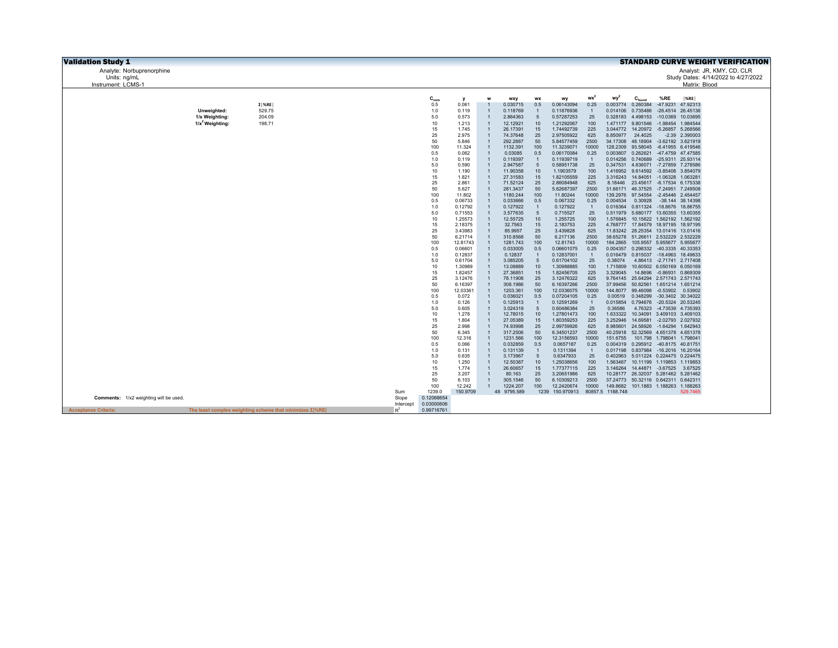| <b>Validation Study 1</b>              |                                                                |              |                      |                       |                                  |                      |                       |                          |                |                      |                                                                   |                             |                                       | <b>STANDARD CURVE WEIGHT VERIFICATION</b> |  |
|----------------------------------------|----------------------------------------------------------------|--------------|----------------------|-----------------------|----------------------------------|----------------------|-----------------------|--------------------------|----------------|----------------------|-------------------------------------------------------------------|-----------------------------|---------------------------------------|-------------------------------------------|--|
| Analyte: Norbuprenorphine              |                                                                |              |                      |                       |                                  |                      |                       |                          |                |                      |                                                                   |                             |                                       | Analyst: JR, KMY, CD, CLR                 |  |
| Units: ng/mL                           |                                                                |              |                      |                       |                                  |                      |                       |                          |                |                      |                                                                   |                             |                                       | Study Dates: 4/14/2022 to 4/27/2022       |  |
| Instrument: LCMS-1                     |                                                                |              |                      |                       |                                  |                      |                       |                          |                |                      |                                                                   |                             | Matrix: Blood                         |                                           |  |
|                                        |                                                                |              |                      |                       |                                  |                      |                       |                          | wx             | wy                   |                                                                   |                             |                                       |                                           |  |
|                                        | $\Sigma$   %RE                                                 |              | $C_{nom}$<br>0.5     | $\mathbf{v}$<br>0.061 |                                  | wxy<br>0.030715      | <b>WX</b><br>0.5      | wy<br>0.06143094         | 0.25           | 0.003774             | $C_{\text{found}}$<br>0.260384                                    | %RE<br>$-47.9231$           | $ \%RE $<br>47.92313                  |                                           |  |
| Unweighted:                            | 529.75                                                         |              | 1.0                  | 0.119                 | $\overline{1}$                   | 0.118769             |                       | 0.11876936               | $\mathbf{1}$   | 0.014106             | 0.735486                                                          |                             | -26.4514 26.45136                     |                                           |  |
| 1/x Weighting:                         | 204.09                                                         |              | 5.0                  | 0.573                 | $\overline{1}$                   | 2.864363             | 5                     | 0.57287253               | 25             |                      | 0.328183 4.498153                                                 | $-10.0369$                  | 10.03695                              |                                           |  |
| $1/x^2$ Weighting:                     | 198.71                                                         |              | 10                   | 1.213                 | $\mathbf{1}$                     | 12.12921             | 10                    | 1.21292067               | 100            | 1.471177             | 9.801546 -1.98454                                                 |                             | 1.984544                              |                                           |  |
|                                        |                                                                |              | 15                   | 1.745                 | $\overline{1}$                   | 26.17391             | 15                    | 1.74492739               | 225            |                      | 3.044772 14.20972 -5.26857                                        |                             | 5.268566                              |                                           |  |
|                                        |                                                                |              | 25<br>50             | 2.975<br>5.846        |                                  | 74.37648<br>292.2887 | 25<br>50              | 2.97505922<br>5.84577459 | 625<br>2500    | 8.850977<br>34.17308 | 24.4025<br>48.18904                                               |                             | $-2.39$ 2.390003<br>-3.62192 3.621919 |                                           |  |
|                                        |                                                                |              | 100                  | 11.324                | $\mathbf{1}$                     | 1132.391             | 100                   | 11.3239071               | 10000          | 128,2309             | 93.58045 -6.41955 6.419546                                        |                             |                                       |                                           |  |
|                                        |                                                                |              | 0.5                  | 0.062                 | $\overline{1}$                   | 0.03085              | 0.5                   | 0.06170084               | 0.25           | 0.003807             | 0.262621                                                          |                             | -47.4759 47.47585                     |                                           |  |
|                                        |                                                                |              | 1.0                  | 0.119                 | $\overline{1}$                   | 0.119397             | $\overline{1}$        | 0.11939719               | $\mathbf{1}$   | 0.014256             | 0.740689                                                          |                             | -25.9311 25.93114                     |                                           |  |
|                                        |                                                                |              | 5.0<br>10            | 0.590<br>1.190        | $\overline{1}$<br>$\overline{1}$ | 2.947587<br>11.90358 | 5<br>10               | 0.58951738<br>1.1903579  | 25<br>100      | 0.347531             | 4.636071 -7.27859 7.278586<br>1.416952 9.614592 -3.85408 3.854079 |                             |                                       |                                           |  |
|                                        |                                                                |              | 15                   | 1.821                 | $\overline{1}$                   | 27.31583             | 15                    | 1.82105559               | 225            | 3.316243             | 14.84051 -1.06328 1.063281                                        |                             |                                       |                                           |  |
|                                        |                                                                |              | 25                   | 2.861                 | $\overline{1}$                   | 71.52124             | 25                    | 2.86084948               | 625            | 8.18446              | 23.45617 -6.17534 6.175338                                        |                             |                                       |                                           |  |
|                                        |                                                                |              | 50                   | 5.627                 | $\overline{1}$                   | 281.3437             | 50                    | 5.62687397               | 2500           |                      | 31.66171 46.37525 -7.24951 7.249508                               |                             |                                       |                                           |  |
|                                        |                                                                |              | 100<br>0.5           | 11.802<br>0.06733     | $\overline{1}$<br>$\mathbf{1}$   | 1180.244<br>0.033666 | 100<br>0.5            | 11.80244<br>0.067332     | 10000<br>0.25  | 139.2976<br>0.004534 | 97.54554<br>0.30928                                               |                             | -2.45446 2.454457<br>-38.144 38.14398 |                                           |  |
|                                        |                                                                |              | 1.0                  | 0.12792               | $\overline{1}$                   | 0.127922             | $\overline{1}$        | 0.127922                 | $\overline{1}$ | 0.016364             | 0.811324 -18.8676 18.86755                                        |                             |                                       |                                           |  |
|                                        |                                                                |              | 5.0                  | 0.71553               | $\mathbf{1}$                     | 3.577635             | 5                     | 0.715527                 | 25             | 0.511979             | 5.680177 13.60355                                                 |                             | 13.60355                              |                                           |  |
|                                        |                                                                |              | 10                   | 1.25573               | $\overline{1}$                   | 12.55725             | 10                    | 1.255725                 | 100            |                      | 1.576845 10.15622 1.562192                                        |                             | 1.562192                              |                                           |  |
|                                        |                                                                |              | 15                   | 2.18375               | $\mathbf{1}$                     | 32.7563              | 15                    | 2.183753                 | 225            |                      | 4.768777 17.84579 18.97195 18.97195                               |                             |                                       |                                           |  |
|                                        |                                                                |              | 25<br>50             | 3.43983<br>6.21714    | $\overline{1}$<br>$\mathbf{1}$   | 85.9957<br>310.8568  | 25<br>50              | 3.439828<br>6.217136     | 625<br>2500    | 38.65278             | 11.83242 28.25354 13.01416 13.01416<br>51.26611 2.532229 2.532229 |                             |                                       |                                           |  |
|                                        |                                                                |              | 100                  | 12.81743              | $\overline{1}$                   | 1281.743             | 100                   | 12.81743                 | 10000          | 164.2865             | 105.9557 5.955677 5.955677                                        |                             |                                       |                                           |  |
|                                        |                                                                |              | 0.5                  | 0.06601               | $\mathbf{1}$                     | 0.033005             | 0.5                   | 0.06601075               | 0.25           | 0.004357             | 0.298332 -40.3335                                                 |                             | 40.33353                              |                                           |  |
|                                        |                                                                |              | 1.0                  | 0.12837               | $\overline{1}$                   | 0.12837              | $\overline{1}$        | 0.12837001               | $\mathbf{1}$   | 0.016479             | 0.815037                                                          | $-18.4963$                  | 18.49633                              |                                           |  |
|                                        |                                                                |              | 5.0<br>10            | 0.61704<br>1.30989    | $\mathbf{1}$<br>$\overline{1}$   | 3.085205<br>13.09889 | 5<br>10 <sup>10</sup> | 0.61704102<br>1.30988885 | 25<br>100      | 0.38074<br>1.715809  |                                                                   | 4.86413 -2.71741 2.717408   | 10.60502 6.050169 6.050169            |                                           |  |
|                                        |                                                                |              | 15                   | 1.82457               | $\mathbf{1}$                     | 27.36851             | 15                    | 1.82456705               | 225            | 3.329045             | 14.8696                                                           | $-0.86931$                  | 0.869309                              |                                           |  |
|                                        |                                                                |              | 25                   | 3.12476               | $\overline{1}$                   | 78.11908             | 25                    | 3.12476322               | 625            | 9.764145             | 25.64294 2.571743 2.571743                                        |                             |                                       |                                           |  |
|                                        |                                                                |              | 50                   | 6.16397               | $\overline{1}$                   | 308.1986             | 50                    | 6.16397266               | 2500           | 37.99456             | 50.82561 1.651214 1.651214                                        |                             |                                       |                                           |  |
|                                        |                                                                |              | 100<br>0.5           | 12.03361<br>0.072     | $\overline{1}$<br>$\overline{1}$ | 1203.361<br>0.036021 | 100<br>0.5            | 12.0336075<br>0.07204105 | 10000<br>0.25  | 144.8077<br>0.00519  | 99.46098<br>0.348299                                              | $-0.53902$                  | 0.53902<br>-30.3402 30.34022          |                                           |  |
|                                        |                                                                |              | 1.0                  | 0.126                 | $\overline{1}$                   | 0.125913             | $\overline{1}$        | 0.12591269               | $\mathbf{1}$   | 0.015854             | 0.794676 -20.5324 20.53245                                        |                             |                                       |                                           |  |
|                                        |                                                                |              | 5.0                  | 0.605                 | $\overline{1}$                   | 3.024319             | 5                     | 0.60486384               | 25             | 0.36586              | 4.76323                                                           |                             | -4.73539 4.735393                     |                                           |  |
|                                        |                                                                |              | 10                   | 1.278                 | $\overline{1}$                   | 12.78015             | 10                    | 1.27801473               | 100            | 1.633322             |                                                                   |                             | 10.34091 3.409103 3.409103            |                                           |  |
|                                        |                                                                |              | 15<br>25             | 1.804                 | $\overline{1}$<br>$\overline{1}$ | 27.05389             | 15                    | 1.80359253               | 225            | 3.252946             | 14.69581                                                          |                             | -2.02793 2.027932                     |                                           |  |
|                                        |                                                                |              | 50                   | 2.998<br>6.345        | $\overline{1}$                   | 74.93998<br>317.2506 | 25<br>50              | 2.99759926<br>6.34501237 | 625<br>2500    | 8.985601<br>40.25918 | 24.58926<br>52.32569 4.651378 4.651378                            |                             | -1.64294 1.642943                     |                                           |  |
|                                        |                                                                |              | 100                  | 12.316                | $\overline{1}$                   | 1231.566             | 100                   | 12.3156593               | 10000          | 151.6755             |                                                                   | 101.798  1.798041  1.798041 |                                       |                                           |  |
|                                        |                                                                |              | 0.5                  | 0.066                 | $\overline{1}$                   | 0.032859             | 0.5                   | 0.0657187                | 0.25           | 0.004319             | 0.295912                                                          |                             | -40.8175 40.81751                     |                                           |  |
|                                        |                                                                |              | 1.0                  | 0.131                 | $\overline{1}$                   | 0.131139             | $\overline{1}$        | 0.1311394                | $\overline{1}$ | 0.017198             | 0.837984 -16.2016                                                 |                             | 16.20164                              |                                           |  |
|                                        |                                                                |              | 5.0<br>10            | 0.635<br>1.250        | $\overline{1}$<br>$\overline{1}$ | 3.173967<br>12.50387 | 5<br>10 <sup>10</sup> | 0.6347933<br>1.25038656  | 25<br>100      | 0.402963<br>1.563467 | 10.11199 1.119853 1.119853                                        |                             | 5.011224 0.224475 0.224475            |                                           |  |
|                                        |                                                                |              | 15                   | 1.774                 | $\overline{1}$                   | 26.60657             | 15                    | 1.77377115               | 225            | 3.146264             | 14.44871 -3.67525                                                 |                             | 3.67525                               |                                           |  |
|                                        |                                                                |              | 25                   | 3.207                 | $\overline{1}$                   | 80.163               | 25                    | 3.20651986               | 625            | 10.28177             | 26.32037 5.281462 5.281462                                        |                             |                                       |                                           |  |
|                                        |                                                                |              | 50                   | 6.103                 | $\overline{1}$                   | 305.1546             | 50                    | 6.10309213               | 2500           | 37.24773             | 50.32116 0.642311 0.642311                                        |                             |                                       |                                           |  |
|                                        |                                                                |              | 100                  | 12.242                | $\overline{1}$                   | 1224.207             | 100                   | 12.2420674               | 10000          |                      | 149.8682 101.1883 1.188263 1.188263                               |                             |                                       |                                           |  |
| Comments: 1/x2 weighting will be used. |                                                                | Sum<br>Slope | 1239.0<br>0.12068654 | 150.9709              |                                  | 9795.589<br>48       |                       | 1239 150.970913          |                | 80857.5 1188.748     |                                                                   |                             | 529.7465                              |                                           |  |
|                                        |                                                                | Intercept    | 0.03000606           |                       |                                  |                      |                       |                          |                |                      |                                                                   |                             |                                       |                                           |  |
| <b>Acceptance Criteria:</b>            | The least complex weighting scheme that minimizes $\Sigma$ %RE | $R^2$        | 0.99716761           |                       |                                  |                      |                       |                          |                |                      |                                                                   |                             |                                       |                                           |  |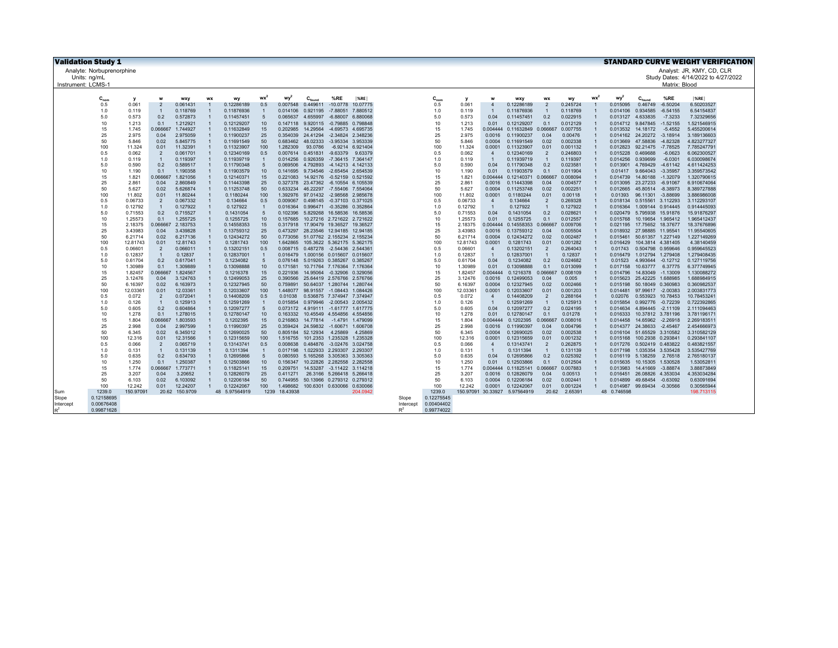| <b>Validation Study 1</b> |                           |                    |                       |                      |                |                          |                     |                      |             |                                                          |                   |           |            |                    |                  |                                   |                  |                      |           |                      |                               |                          | <b>STANDARD CURVE WEIGHT VERIFICATION</b> |
|---------------------------|---------------------------|--------------------|-----------------------|----------------------|----------------|--------------------------|---------------------|----------------------|-------------|----------------------------------------------------------|-------------------|-----------|------------|--------------------|------------------|-----------------------------------|------------------|----------------------|-----------|----------------------|-------------------------------|--------------------------|-------------------------------------------|
|                           | Analyte: Norbuprenorphine |                    |                       |                      |                |                          |                     |                      |             |                                                          |                   |           |            |                    |                  |                                   |                  |                      |           |                      |                               |                          | Analyst: JR, KMY, CD, CLR                 |
| Units: ng/mL              |                           |                    |                       |                      |                |                          |                     |                      |             |                                                          |                   |           |            |                    |                  |                                   |                  |                      |           |                      |                               |                          | Study Dates: 4/14/2022 to 4/27/2022       |
| Instrument: LCMS-         |                           |                    |                       |                      |                |                          |                     |                      |             |                                                          |                   |           |            |                    |                  |                                   |                  |                      |           |                      |                               | Matrix: Blood            |                                           |
|                           |                           |                    |                       |                      |                |                          |                     |                      |             |                                                          |                   |           |            |                    |                  |                                   |                  |                      |           |                      |                               |                          |                                           |
|                           | $C_{nom}$                 | $\mathbf{v}$       |                       | wxy                  | WX             | wy                       | $wx^2$              | wy <sup>2</sup>      | $C_{found}$ | %RE                                                      | $ \%$ RE          |           | $C_{nom}$  |                    |                  | wxy                               | <b>WX</b>        | wy                   | <b>WX</b> | wy <sup>2</sup>      | $C_{\text{found}}$            | %RE                      | $ \%RE $                                  |
|                           | 0.5                       | 0.061              | $\overline{2}$        | 0.061431             |                | 0.12286189               | 0.5                 | 0.007548             | 0.449611    | $-10.0778$                                               | 10.07775          |           | 0.5        | 0.061              | $\overline{4}$   | 0.12286189                        | $\overline{2}$   | 0.245724             |           | 0.015095             | 0.46749                       | $-6.50204$               | 6.50203527                                |
|                           | 1.0                       | 0.119              | $\overline{1}$        | 0.118769             |                | 0.11876936               | $\overline{1}$      | 0.014106             |             | 0.921195 -7.88051 7.880512                               |                   |           | 1.0        | 0.119              | $\overline{1}$   | 0.11876936                        | $\overline{1}$   | 0.118769             |           | 0.014106             | 0.934585                      | $-6.54155$               | 6.54154837                                |
|                           | 5.0                       | 0.573              | 0.2                   | 0.572873             | $\overline{1}$ | 0.11457451               | 5                   | 0.065637             | 4.655997    |                                                          | -6.88007 6.880068 |           | 5.0        | 0.573              | 0.04             | 0.11457451                        | 0.2              | 0.022915             |           | 0.013127             | 4.633835                      | $-7.3233$                | 7.32329656                                |
|                           | 10                        | 1.213              | 0.1                   | 1.212921             | $\overline{1}$ | 0.12129207               | 10                  | 0.147118             |             | 9.920115 -0.79885 0.798848                               |                   |           | 10         | 1.213              | 0.01             | 0.12129207                        | 0.1              | 0.012129             |           |                      | 0.014712 9.847845             | $-1.52155$               | 1.521546915                               |
|                           | 15                        | 1.745              | 0.066667              | 1.744927             |                | 0.11632849               | 15                  | 0.202985             |             | 14.29564 -4.69573 4.695735                               |                   |           | 15         | 1.745              | 0.004444         | 0.11632849                        | 0.066667         | 0.007755             |           |                      | 0.013532 14.18172             | $-5.4552$                | 5.455200614                               |
|                           | 25                        | 2.975              | 0.04                  | 2.975059             |                | 0.11900237               | 25                  | 0.354039             | 24.41294    | -2.34824 2.348236                                        |                   |           | 25         | 2.975              | 0.0016           | 0.11900237                        | 0.04             | 0.00476              |           |                      | 0.014162 24.20272 -3.18914    |                          | 3.189136603                               |
|                           | 50                        | 5.846              | 0.02                  | 5.845775             |                | 0.11691549               | 50                  | 0.683462             |             | 48.02333 -3.95334 3.953339                               |                   |           | 50         | 5.846              | 0.0004           | 0.11691549                        | 0.02             | 0.002338             |           | 0.013669             | 47.58836                      | $-4.82328$               | 4.823277327                               |
|                           | 100                       | 11.324             | 0.01                  | 11.32391             | $\overline{1}$ | 0.11323907               | 100                 | 1.282309             | 93.0786     |                                                          | -6.9214 6.921404  |           | 100        | 11.324             | 0.0001           | 0.11323907                        | 0.01             | 0.001132             |           | 0.012823             | 92.21475                      | $-7.78525$               | 7.785247791                               |
|                           | 0.5                       | 0.062              | $\overline{2}$        | 0.061701             | $\overline{1}$ | 0.12340169               | 0.5                 | 0.007614             |             | 0.451831 -9.63379 9.63379                                |                   |           | 0.5        | 0.062              | $\overline{4}$   | 0.12340169                        | $\overline{2}$   | 0.246803             |           | 0.015228             | 0.469688                      | $-6.0623$                | 6.062300527                               |
|                           | 1.0<br>5.0                | 0.119              | $\overline{1}$<br>0.2 | 0.119397             | $\overline{1}$ | 0.11939719               | $\overline{1}$<br>5 | 0.014256<br>0.069506 |             | 0.926359 -7.36415 7.364147<br>4.792893 -4.14213 4.142133 |                   |           | 1.0<br>5.0 | 0.119              | $\overline{1}$   | 0.11939719                        | $\overline{1}$   | 0.119397             |           | 0.014256             | 0.939699                      | $-6.0301$                | 6.030098674                               |
|                           | 10                        | 0.590<br>1.190     | 0.1                   | 0.589517<br>1.190358 | $\overline{1}$ | 0.11790348<br>0.11903579 | 10                  | 0.141695             |             | 9.734546 -2.65454 2.654539                               |                   |           | 10         | 0.590<br>1.190     | 0.04<br>0.01     | 0.11790348<br>0.11903579          | 0.2<br>0.1       | 0.023581<br>0.011904 |           | 0.013901<br>0.01417  | 4.769429<br>9.664043          | $-4.61142$<br>$-3.35957$ | 4.611424253<br>3.359573542                |
|                           | 15                        | 1.821              | 0.066667              | 1.821056             |                | 0.12140371               | 15                  | 0.221083             |             | 14.92176 -0.52159 0.521592                               |                   |           | 15         | 1.821              |                  | 0.004444 0.12140371               | 0.066667         | 0.008094             |           | 0.014739             | 14.80188                      | $-1.32079$               | 1.320790615                               |
|                           | 25                        | 2.861              | 0.04                  | 2.860849             |                | 0.11443398               | 25                  | 0.327378             |             | 23.47362 -6.10554 6.105539                               |                   |           | 25         | 2.861              | 0.0016           | 0.11443398                        | 0.04             | 0.004577             |           | 0.013095             | 23.27233                      | $-6.91067$               | 6.910674064                               |
|                           | 50                        | 5.627              | 0.02                  | 5.626874             |                | 0.11253748               | 50                  | 0.633234             |             | 46.22297 -7.55406 7.554064                               |                   |           | 50         | 5.627              | 0.0004           | 0.11253748                        | 0.02             | 0.002251             |           | 0.012665             | 45.80514                      | $-8.38973$               | 8.389727888                               |
|                           | 100                       | 11.802             | 0.01                  | 11.80244             | $\overline{1}$ | 0.1180244                | 100                 | 1.392976             |             | 97.01432 -2.98568 2.985678                               |                   |           | 100        | 11.802             | 0.0001           | 0.1180244                         | 0.01             | 0.00118              |           | 0.01393              | 96.11301                      | $-3.88699$               | 3.886986008                               |
|                           | 0.5                       | 0.06733            | $\overline{2}$        | 0.067332             |                | 0.134664                 | 0.5                 | 0.009067             |             | 0.498145 -0.37103 0.371025                               |                   |           | 0.5        | 0.06733            | $\overline{4}$   | 0.134664                          | $\overline{2}$   | 0.269328             |           |                      | 0.018134  0.515561  3.112293  |                          | 3.112293107                               |
|                           | 1.0                       | 0.12792            | $\overline{1}$        | 0.127922             | $\overline{1}$ | 0.127922                 | $\overline{1}$      | 0.016364             |             | 0.996471 -0.35286 0.352864                               |                   |           | 1.0        | 0.12792            | $\overline{1}$   | 0.127922                          | $\overline{1}$   | 0.127922             |           | 0.016364             | 1.009144 0.914445             |                          | 0.914445093                               |
|                           | 5.0                       | 0.71553            | 0.2                   | 0.715527             |                | 0.1431054                | 5                   | 0.102396             |             | 5.829268 16.58536 16.58536                               |                   |           | 5.0        | 0.71553            | 0.04             | 0.1431054                         | 0.2              | 0.028621             |           |                      | 0.020479 5.795938 15.91876    |                          | 15.91876297                               |
|                           | 10                        | 1.25573            | 0.1                   | 1.255725             | $\overline{1}$ | 0.1255725                | 10                  | 0.157685             |             | 10.27216 2.721622 2.721622                               |                   |           | 10         | 1.25573            | 0.01             | 0.1255725                         | 0.1              | 0.012557             |           | 0.015768             | 10.19654 1.965412             |                          | 1.965412437                               |
|                           | 15                        | 2.18375            | 0.066667              | 2.183753             |                | 0.14558353               | 15                  | 0.317918             |             | 17.90479 19.36527 19.36527                               |                   |           | 15         | 2.18375            |                  | 0.004444 0.14558353               | 0.066667         | 0.009706             |           |                      | 0.021195 17.75652 18.37677    |                          | 18.37676896                               |
|                           | 25                        | 3.43983            | 0.04                  | 3.439828             | $\overline{1}$ | 0.13759312               | 25                  | 0.473297             |             | 28.23546 12.94185 12.94185                               |                   |           | 25         | 3.43983            | 0.0016           | 0.13759312                        | 0.04             | 0.005504             |           |                      | 0.018932 27.98885 11.95541    |                          | 11.95540605                               |
|                           | 50                        | 6.21714            | 0.02                  | 6.217136             |                | 0.12434272               | 50                  | 0.773056             |             | 51.07762 2.155234 2.155234                               |                   |           | 50         | 6.21714            | 0.0004           | 0.12434272                        | 0.02             | 0.002487             |           | 0.015461             | 50.61357 1.227149             |                          | 1.227149269                               |
|                           | 100                       | 12.81743           | 0.01                  | 12.81743             | $\overline{1}$ | 0.1281743                | 100                 | 1.642865             |             | 105.3622 5.362175 5.362175                               |                   |           | 100        | 12.81743           | 0.0001           | 0.1281743                         | 0.01             | 0.001282             |           | 0.016429             | 104.3814 4.381405             |                          | 4.38140459                                |
|                           | 0.5                       | 0.06601            | $\overline{2}$        | 0.066011             | $\overline{1}$ | 0.13202151               | 0.5                 | 0.008715             |             | 0.487278 -2.54436 2.544361                               |                   |           | 0.5        | 0.06601            | $\overline{4}$   | 0.13202151                        | $\overline{2}$   | 0.264043             |           | 0.01743              | 0.504798 0.959646             |                          | 0.959645523                               |
|                           | 1.0                       | 0.12837            | $\overline{1}$        | 0.12837              |                | 0.12837001               | $\overline{1}$      | 0.016479             |             | 1.000156 0.015607 0.015607                               |                   |           | 1.0        | 0.12837            | $\overline{1}$   | 0.12837001                        | $\overline{1}$   | 0.12837              |           | 0.016479             | 1.012794 1.279408             |                          | 1.279408435                               |
|                           | 5.0                       | 0.61704            | 0.2                   | 0.617041             |                | 0.1234082                | 5                   | 0.076148             |             | 5.019263 0.385267 0.385267                               |                   |           | 5.0        | 0.61704            | 0.04             | 0.1234082                         | 0.2              | 0.024682             |           | 0.01523              | 4.993644                      | $-0.12712$               | 0.127119756                               |
|                           | 10<br>15                  | 1.30989<br>1.82457 | 0.1<br>0.066667       | 1.309889<br>1.824567 | $\overline{1}$ | 0.13098888<br>0.1216378  | 10<br>15            | 0.171581<br>0.221936 |             | 10.71764 7.176364 7.176364<br>14.95064 -0.32906 0.329056 |                   |           | 10<br>15   | 1.30989<br>1.82457 | 0.01<br>0.004444 | 0.13098888<br>0.1216378           | 0.1<br>0.066667  | 0.013099<br>0.008109 |           | 0.017158<br>0.014796 | 10.63777<br>14.83049 -1.13009 | 6.37775                  | 6.377749945<br>1.130088272                |
|                           | 25                        | 3.12476            | 0.04                  | 3.124763             | $\overline{1}$ | 0.12499053               | 25                  | 0.390566             |             | 25.64419 2.576766 2.576766                               |                   |           | 25         | 3.12476            | 0.0016           | 0.12499053                        | 0.04             | 0.005                |           | 0.015623             | 25.42225 1.688985             |                          | 1.688984915                               |
|                           | 50                        | 6.16397            | 0.02                  | 6.163973             |                | 0.12327945               | 50                  | 0.759891             |             | 50.64037 1.280744 1.280744                               |                   |           | 50         | 6.16397            | 0.0004           | 0.12327945                        | 0.02             | 0.002466             |           | 0.015198             | 50.18049 0.360983             |                          | 0.360982537                               |
|                           | 100                       | 12.03361           | 0.01                  | 12.03361             | $\overline{1}$ | 0.12033607               | 100                 | 1.448077             |             | 98.91557 -1.08443 1.084426                               |                   |           | 100        | 12.03361           | 0.0001           | 0.12033607                        | 0.01             | 0.001203             |           | 0.014481             | 97.99617 -2.00383             |                          | 2.003831773                               |
|                           | 0.5                       | 0.072              | $\overline{2}$        | 0.072041             | $\overline{1}$ | 0.14408209               | 0.5                 | 0.01038              |             | 0.536875 7.374947 7.374947                               |                   |           | 0.5        | 0.072              | $\overline{4}$   | 0.14408209                        | $\overline{2}$   | 0.288164             |           | 0.02076              | 0.553923 10.78453             |                          | 10.78453241                               |
|                           | 1.0                       | 0.126              | $\overline{1}$        | 0.125913             | $\overline{1}$ | 0.12591269               | $\overline{1}$      | 0.015854             |             | 0.979946 -2.00543 2.005432                               |                   |           | 1.0        | 0.126              | $\overline{1}$   | 0.12591269                        | $\overline{1}$   | 0.125913             |           | 0.015854             | 0.992776 -0.72239             |                          | 0.722392865                               |
|                           | 5.0                       | 0.605              | 0.2                   | 0.604864             | $\overline{1}$ | 0.12097277               | 5                   | 0.073172             |             | 4.919111 -1.61777 1.617775                               |                   |           | 5.0        | 0.605              | 0.04             | 0.12097277                        | 0.2              | 0.024195             |           | 0.014634             | 4.894445                      | $-2.11109$               | 2.111094463                               |
|                           | 10                        | 1.278              | 0.1                   | 1.278015             | $\overline{1}$ | 0.12780147               | 10                  | 0.163332             |             | 10.45549 4.554856 4.554856                               |                   |           | 10         | 1.278              | 0.01             | 0.12780147                        | 0.1              | 0.01278              |           | 0.016333             | 10.37812 3.781196             |                          | 3.781196171                               |
|                           | 15                        | 1.804              | 0.06666               | 1.803593             |                | 0.1202395                | 15                  | 0.216863             |             | 14.77814 -1.4791 1.479099                                |                   |           | 15         | 1.804              | 0.004444         | 0.1202395                         | 0.066667         | 0.008016             |           | 0.014458             | 14.65962 -2.26918             |                          | 2.26918351                                |
|                           | 25                        | 2.998              | 0.04                  | 2.997599             | $\overline{1}$ | 0.11990397               | 25                  | 0.359424             |             | 24.59832 -1.60671 1.606708                               |                   |           | 25         | 2.998              | 0.0016           | 0.11990397                        | 0.04             | 0.004796             |           | 0.014377             | 24.38633 -2.45467             |                          | 2.454666973                               |
|                           | 50                        | 6.345              | 0.02                  | 6.345012             | $\overline{1}$ | 0.12690025               | 50                  | 0.805184             |             | 52.12934 4.25869                                         | 4.25869           |           | 50         | 6.345              | 0.0004           | 0.12690025                        | 0.02             | 0.002538             |           |                      | 0.016104 51.65529 3.310582    |                          | 3.310582129                               |
|                           | 100                       | 12.316             | 0.01                  | 12.31566             | $\overline{1}$ | 0.12315659               | 100                 | 1.516755             |             | 101.2353 1.235328 1.235328                               |                   |           | 100        | 12.316             | 0.0001           | 0.12315659                        | 0.01             | 0.001232             |           | 0.015168             | 100.2938 0.293841             |                          | 0.293841107                               |
|                           | 0.5                       | 0.066              | $\overline{2}$        | 0.065719             | $\overline{1}$ | 0.13143741               | 0.5                 | 0.008638             |             | 0.484876 -3.02476 3.024758                               |                   |           | 0.5        | 0.066              | $\overline{4}$   | 0.13143741                        | $\overline{2}$   | 0.262875             |           |                      | 0.017276 0.502419 0.483822    |                          | 0.483821557                               |
|                           | 1.0                       | 0.131              | $\overline{1}$        | 0.131139             | $\overline{1}$ | 0.1311394                | $\overline{1}$      | 0.017198             |             | 1.022933 2.293307 2.293307                               |                   |           | 1.0        | 0.131              | $\overline{1}$   | 0.1311394                         | $\mathbf{1}$     | 0.131139             |           | 0.017198             | 1.035354 3.535428             |                          | 3.535427769                               |
|                           | 5.0                       | 0.635              | 0.2                   | 0.634793             |                | 0.12695866               | $5\overline{5}$     | 0.080593             |             | 5.165268 3.305363 3.305363                               |                   |           | 5.0        | 0.635              | 0.04             | 0.12695866                        | 0.2              | 0.025392             |           |                      | 0.016119 5.138259             | 2.76518                  | 2.765180137                               |
|                           | 10                        | 1.250              | 0.1                   | 1.250387             | $\overline{1}$ | 0.12503866               | 10<br>15            | 0.156347<br>0.209751 |             | 10.22826 2.282558 2.282558                               |                   |           | 10<br>15   | 1.250<br>1.774     | 0.01             | 0.12503866                        | 0.1              | 0.012504             |           |                      | 0.015635 10.15305 1.530528    |                          | 1.53052811                                |
|                           | 15<br>25                  | 1.774<br>3.207     | 0.066667<br>0.04      | 1.773771<br>3.20652  | $\overline{1}$ | 0.11825141<br>0.12826079 | 25                  | 0.411271             |             | 14.53287 -3.11422 3.114218<br>26.3166 5.266418 5.266418  |                   |           | 25         | 3.207              | 0.0016           | 0.004444 0.11825141<br>0.12826079 | 0.066667<br>0.04 | 0.007883<br>0.00513  |           | 0.013983<br>0.016451 | 14.41669<br>26.08826          | $-3.88874$<br>4.353034   | 3.88873849<br>4.353034284                 |
|                           | 50                        | 6.103              | 0.02                  | 6.103092             | $\overline{1}$ | 0.12206184               | 50                  | 0.744955             |             | 50.13966 0.279312 0.279312                               |                   |           | 50         | 6.103              | 0.0004           | 0.12206184                        | 0.02             | 0.002441             |           | 0.014899             | 49.68454                      | $-0.63092$               | 0.63091694                                |
|                           | 100                       | 12.242             | 0.01                  | 12.24207             | $\overline{1}$ | 0.12242067               | 100                 | 1.498682             |             | 100.6301  0.630066  0.630066                             |                   |           | 100        | 12.242             | 0.0001           | 0.12242067                        | 0.01             | 0.001224             |           | 0.014987             | 99.69434 -0.30566             |                          | 0.30565944                                |
| Sum                       | 1239.0                    | 150.97091          |                       | 20.62 150.9709       |                | 48 5.97564919            |                     | 1239 18,43938        |             |                                                          | 204.0942          |           | 1239.0     |                    |                  | 150.97091 30.33927 5.97564919     |                  | 20.62 2.65391        |           | 48 0.746598          |                               |                          | 198.713115                                |
| Slope                     | 0.12158695                |                    |                       |                      |                |                          |                     |                      |             |                                                          |                   | Slope     | 0.12275545 |                    |                  |                                   |                  |                      |           |                      |                               |                          |                                           |
| Intercept                 | 0.00676408                |                    |                       |                      |                |                          |                     |                      |             |                                                          |                   | Intercept | 0.00404402 |                    |                  |                                   |                  |                      |           |                      |                               |                          |                                           |
| $R^2$                     | 0.99871628                |                    |                       |                      |                |                          |                     |                      |             |                                                          |                   | $R^2$     | 0.99774022 |                    |                  |                                   |                  |                      |           |                      |                               |                          |                                           |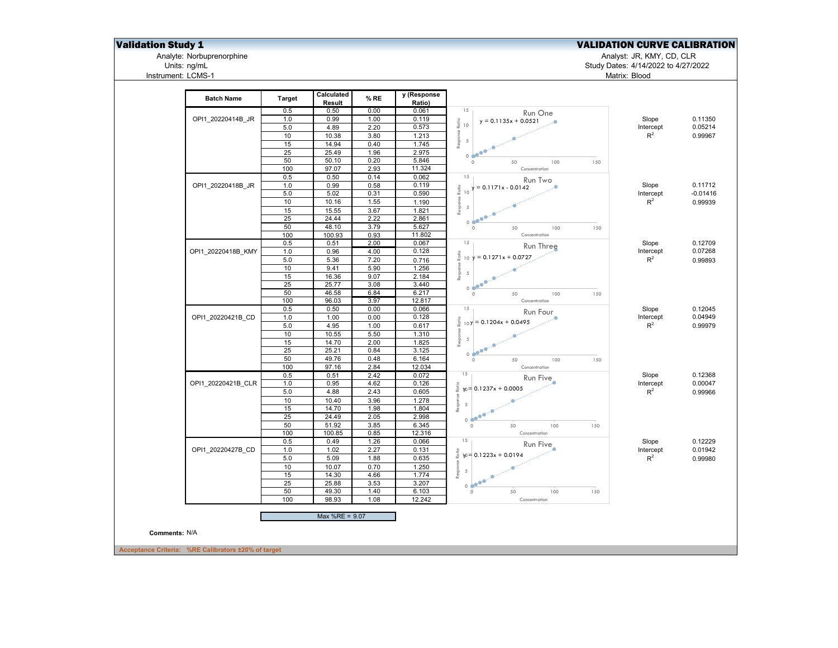Units: ng/mL<br>Instrument: LCMS-1

## **Validation Study 1** Validation Study 1 Validation Study 1 Validation CURVE CALIBRATION

Analyte: Norbuprenorphine Analyst: JR, KMY, CD, CLR

## Units: ng/mL Study Dates: 4/14/2022 to 4/27/2022 Matrix: Blood

| <b>Batch Name</b>  | Target  | Calculated<br>Result | % RE | y (Response<br>Ratio) |                                               |           |            |
|--------------------|---------|----------------------|------|-----------------------|-----------------------------------------------|-----------|------------|
|                    | 0.5     | 0.50                 | 0.00 | 0.061                 | 15<br>Run One                                 |           |            |
| OPI1 20220414B JR  | 1.0     | 0.99                 | 1.00 | 0.119                 | $y = 0.1135x + 0.0521$                        | Slope     | 0.11350    |
|                    | 5.0     | 4.89                 | 2.20 | 0.573                 | $\frac{6}{6}$ 10                              | Intercept | 0.05214    |
|                    | 10      | 10.38                | 3.80 | 1.213                 | Response                                      | $R^2$     | 0.99967    |
|                    | 15      | 14.94                | 0.40 | 1.745                 | $\overline{5}$                                |           |            |
|                    | 25      | 25.49                | 1.96 | 2.975                 |                                               |           |            |
|                    | 50      | 50.10                | 0.20 | 5.846                 | 0 <sup>4</sup><br>$\circ$<br>50<br>100<br>150 |           |            |
|                    | 100     | 97.07                | 2.93 | 11.324                | Concentration                                 |           |            |
|                    | 0.5     | 0.50                 | 0.14 | 0.062                 | 15<br>Run Two                                 |           |            |
| OPI1 20220418B JR  | $1.0$   | 0.99                 | 0.58 | 0.119                 | $y = 0.1171x - 0.0142$                        | Slope     | 0.11712    |
|                    | 5.0     | 5.02                 | 0.31 | 0.590                 | $\frac{6}{6}$ 10                              | Intercept | $-0.01416$ |
|                    | 10      | 10.16                | 1.55 | 1.190                 | Response                                      | $R^2$     | 0.99939    |
|                    | 15      | 15.55                | 3.67 | 1.821                 | $\overline{5}$                                |           |            |
|                    | 25      | 24.44                | 2.22 | 2.861                 | $\bullet^\bullet$                             |           |            |
|                    | 50      | 48.10                | 3.79 | 5.627                 | 0 <sup>4</sup><br>$\circ$<br>50<br>100<br>150 |           |            |
|                    | 100     | 100.93               | 0.93 | 11.802                | Concentration                                 |           |            |
|                    | 0.5     | 0.51                 | 2.00 | 0.067                 | 15                                            | Slope     | 0.12709    |
| OPI1 20220418B KMY | 1.0     | 0.96                 | 4.00 | 0.128                 | Run Three                                     | Intercept | 0.07268    |
|                    | 5.0     | 5.36                 | 7.20 | 0.716                 | $10 \ y = 0.1271x + 0.0727$                   | $R^2$     | 0.99893    |
|                    | 10      | 9.41                 | 5.90 | 1.256                 |                                               |           |            |
|                    | 15      |                      | 9.07 | 2.184                 | Response<br>$\overline{5}$                    |           |            |
|                    | 25      | 16.36<br>25.77       | 3.08 | 3.440                 | ۰                                             |           |            |
|                    | 50      | 46.58                | 6.84 | 6.217                 | 0 <sup>o</sup>                                |           |            |
|                    | 100     | 96.03                | 3.97 | 12.817                | $\circ$<br>50<br>100<br>150<br>Concentration  |           |            |
|                    | 0.5     | 0.50                 | 0.00 | 0.066                 | 15                                            |           | 0.12045    |
| OPI1 20220421B CD  |         |                      |      | 0.128                 | Run Four                                      | Slope     |            |
|                    | 1.0     | 1.00                 | 0.00 |                       | esponse Ratio<br>$ 109 $ = 0.1204x + 0.0495   | Intercept | 0.04949    |
|                    | 5.0     | 4.95                 | 1.00 | 0.617                 |                                               | $R^2$     | 0.99979    |
|                    | 10      | 10.55                | 5.50 | 1.310                 | $\overline{5}$                                |           |            |
|                    | 15      | 14.70                | 2.00 | 1.825                 | $\tilde{\alpha}$                              |           |            |
|                    | 25      | 25.21                | 0.84 | 3.125                 | $\bullet^\bullet$<br>0e                       |           |            |
|                    | 50      | 49.76                | 0.48 | 6.164                 | $\circ$<br>100<br>150<br>50                   |           |            |
|                    | 100     | 97.16                | 2.84 | 12.034                | Concentration                                 |           |            |
|                    | 0.5     | 0.51                 | 2.42 | 0.072                 | 15<br>Run Five                                | Slope     | 0.12368    |
| OPI1 20220421B CLR | 1.0     | 0.95                 | 4.62 | 0.126                 | $\frac{e}{2}$ $w = 0.1237x + 0.0005$          | Intercept | 0.00047    |
|                    | 5.0     | 4.88                 | 2.43 | 0.605                 |                                               | $R^2$     | 0.99966    |
|                    | 10      | 10.40                | 3.96 | 1.278                 | Response<br>5                                 |           |            |
|                    | 15      | 14.70                | 1.98 | 1.804                 |                                               |           |            |
|                    | 25      | 24.49                | 2.05 | 2.998                 | 0e                                            |           |            |
|                    | 50      | 51.92                | 3.85 | 6.345                 | 50<br>150<br>$\circ$<br>100                   |           |            |
|                    | 100     | 100.85               | 0.85 | 12.316                | Concentration                                 |           |            |
|                    | 0.5     | 0.49                 | 1.26 | 0.066                 | 15<br>Run Five                                | Slope     | 0.12229    |
| OPI1 20220427B CD  | 1.0     | 1.02                 | 2.27 | 0.131                 | $up = 0.1223x + 0.0194$                       | Intercept | 0.01942    |
|                    | $5.0\,$ | 5.09                 | 1.88 | 0.635                 |                                               | $R^2$     | 0.99980    |
|                    | 10      | 10.07                | 0.70 | 1.250                 | Response                                      |           |            |
|                    | 15      | 14.30                | 4.66 | 1.774                 | $5\overline{5}$                               |           |            |
|                    | 25      | 25.88                | 3.53 | 3.207                 | 0.600                                         |           |            |
|                    | 50      | 49.30                | 1.40 | 6.103                 | $\circ$<br>50<br>100<br>150                   |           |            |
|                    | 100     | 98.93                | 1.08 | 12.242                | Concentration                                 |           |            |
|                    |         | Max %RE = 9.07       |      |                       |                                               |           |            |
|                    |         |                      |      |                       |                                               |           |            |
|                    |         |                      |      |                       |                                               |           |            |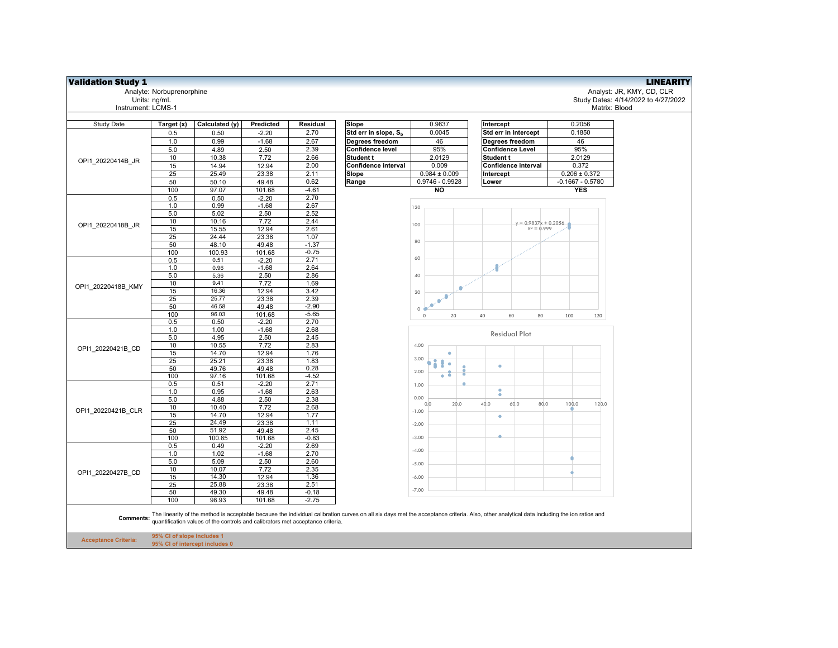| <b>Validation Study 1</b>   |                                                              |                                                                                |                 |                 |                                                                                                                                                                                           |                                        |                         |                                         | <b>LINEARITY</b>                    |
|-----------------------------|--------------------------------------------------------------|--------------------------------------------------------------------------------|-----------------|-----------------|-------------------------------------------------------------------------------------------------------------------------------------------------------------------------------------------|----------------------------------------|-------------------------|-----------------------------------------|-------------------------------------|
|                             | Analyte: Norbuprenorphine                                    |                                                                                |                 |                 |                                                                                                                                                                                           |                                        |                         |                                         | Analyst: JR, KMY, CD, CLR           |
|                             | Units: ng/mL                                                 |                                                                                |                 |                 |                                                                                                                                                                                           |                                        |                         |                                         | Study Dates: 4/14/2022 to 4/27/2022 |
| Instrument: LCMS-1          |                                                              |                                                                                |                 |                 |                                                                                                                                                                                           |                                        |                         |                                         | Matrix: Blood                       |
|                             |                                                              |                                                                                |                 |                 |                                                                                                                                                                                           |                                        |                         |                                         |                                     |
| <b>Study Date</b>           | Target (x)                                                   | Calculated (y)                                                                 | Predicted       | Residual        | Slope                                                                                                                                                                                     | 0.9837                                 | Intercept               | 0.2056                                  |                                     |
|                             | 0.5                                                          | 0.50                                                                           | $-2.20$         | 2.70            | Std err in slope, S <sub>b</sub>                                                                                                                                                          | 0.0045                                 | Std err in Intercept    | 0.1850                                  |                                     |
|                             | 1.0                                                          | 0.99                                                                           | $-1.68$         | 2.67            | Degrees freedom                                                                                                                                                                           | 46                                     | Degrees freedom         | 46                                      |                                     |
|                             | $5.0\,$                                                      | 4.89                                                                           | 2.50            | 2.39            | <b>Confidence level</b>                                                                                                                                                                   | 95%                                    | <b>Confidence Level</b> | 95%                                     |                                     |
| OPI1 20220414B JR           | 10                                                           | 10.38                                                                          | 7.72            | 2.66            | Student t                                                                                                                                                                                 | 2.0129                                 | Student t               | 2.0129                                  |                                     |
|                             | 15                                                           | 14.94                                                                          | 12.94           | 2.00            | Confidence interval                                                                                                                                                                       | 0.009                                  | Confidence interval     | 0.372                                   |                                     |
|                             | 25                                                           | 25.49                                                                          | 23.38           | 2.11<br>0.62    | Slope                                                                                                                                                                                     | $0.984 \pm 0.009$<br>$0.9746 - 0.9928$ | Intercept<br>Lower      | $0.206 \pm 0.372$<br>$-0.1667 - 0.5780$ |                                     |
|                             | 50<br>100                                                    | 50.10<br>97.07                                                                 | 49.48<br>101.68 | $-4.61$         | Range                                                                                                                                                                                     | NO                                     |                         | <b>YES</b>                              |                                     |
|                             | 0.5                                                          | 0.50                                                                           | $-2.20$         | 2.70            |                                                                                                                                                                                           |                                        |                         |                                         |                                     |
|                             | 1.0                                                          | 0.99                                                                           | $-1.68$         | 2.67            |                                                                                                                                                                                           |                                        |                         |                                         |                                     |
|                             | 5.0                                                          | 5.02                                                                           | 2.50            | 2.52            |                                                                                                                                                                                           | 120                                    |                         |                                         |                                     |
|                             | 10                                                           | 10.16                                                                          | 7.72            | 2.44            |                                                                                                                                                                                           |                                        | $y = 0.9837x + 0.2056$  |                                         |                                     |
| OPI1 20220418B JR           | 15                                                           | 15.55                                                                          | 12.94           | 2.61            |                                                                                                                                                                                           | 100                                    | $R^2 = 0.999$           |                                         |                                     |
|                             | 25                                                           | 24.44                                                                          | 23.38           | 1.07            |                                                                                                                                                                                           |                                        |                         |                                         |                                     |
|                             | 50                                                           | 48.10                                                                          | 49.48           | $-1.37$         |                                                                                                                                                                                           | 80                                     |                         |                                         |                                     |
|                             | 100                                                          | 100.93                                                                         | 101.68          | $-0.75$         |                                                                                                                                                                                           |                                        |                         |                                         |                                     |
|                             | 0.5                                                          | 0.51                                                                           | $-2.20$         | 2.71            |                                                                                                                                                                                           | 60                                     |                         |                                         |                                     |
|                             | 1.0                                                          | 0.96                                                                           | $-1.68$         | 2.64            |                                                                                                                                                                                           |                                        |                         |                                         |                                     |
|                             | 5.0                                                          | 5.36                                                                           | 2.50            | 2.86            |                                                                                                                                                                                           | 40                                     |                         |                                         |                                     |
| OPI1 20220418B KMY          | 10                                                           | 9.41                                                                           | 7.72            | 1.69            |                                                                                                                                                                                           |                                        |                         |                                         |                                     |
|                             | 15<br>25                                                     | 16.36<br>25.77                                                                 | 12.94<br>23.38  | 3.42<br>2.39    |                                                                                                                                                                                           | 20                                     |                         |                                         |                                     |
|                             | 50                                                           | 46.58                                                                          | 49.48           | $-2.90$         |                                                                                                                                                                                           | ۵                                      |                         |                                         |                                     |
|                             | 100                                                          | 96.03                                                                          | 101.68          | $-5.65$         |                                                                                                                                                                                           | $\circ$                                |                         |                                         |                                     |
|                             | 0.5                                                          | 0.50                                                                           | $-2.20$         | 2.70            |                                                                                                                                                                                           | 20<br>$\mathbb O$                      | 40<br>60<br>80          | 100<br>120                              |                                     |
|                             | 1.0                                                          | 1.00                                                                           | $-1.68$         | 2.68            |                                                                                                                                                                                           |                                        |                         |                                         |                                     |
|                             | 5.0                                                          | 4.95                                                                           | 2.50            | 2.45            |                                                                                                                                                                                           |                                        | <b>Residual Plot</b>    |                                         |                                     |
| OPI1 20220421B CD           | 10                                                           | 10.55                                                                          | 7.72            | 2.83            |                                                                                                                                                                                           | 4.00                                   |                         |                                         |                                     |
|                             | 15                                                           | 14.70                                                                          | 12.94           | 1.76            |                                                                                                                                                                                           |                                        |                         |                                         |                                     |
|                             | 25                                                           | 25.21                                                                          | 23.38           | 1.83            |                                                                                                                                                                                           | 3.00<br>٠                              | $\bullet$               |                                         |                                     |
|                             | 50                                                           | 49.76                                                                          | 49.48           | 0.28            |                                                                                                                                                                                           | 2.00                                   |                         |                                         |                                     |
|                             | 100                                                          | 97.16                                                                          | 101.68          | $-4.52$         |                                                                                                                                                                                           | ö                                      |                         |                                         |                                     |
|                             | 0.5                                                          | 0.51                                                                           | $-2.20$         | 2.71            |                                                                                                                                                                                           | 1.00                                   | ۰                       |                                         |                                     |
|                             | 1.0<br>5.0                                                   | 0.95<br>4.88                                                                   | $-1.68$<br>2.50 | 2.63<br>2.38    |                                                                                                                                                                                           | 0.00                                   |                         |                                         |                                     |
|                             | 10                                                           | 10.40                                                                          | 7.72            | 2.68            |                                                                                                                                                                                           | 20.0<br>0,0                            | 40.0<br>60.0<br>80.0    | 100.0<br>120.0                          |                                     |
| OPI1 20220421B CLR          | 15                                                           | 14.70                                                                          | 12.94           | 1.77            |                                                                                                                                                                                           | $-1.00$                                | ۰                       |                                         |                                     |
|                             | 25                                                           | 24.49                                                                          | 23.38           | 1.11            |                                                                                                                                                                                           | $-2.00$                                |                         |                                         |                                     |
|                             | 50                                                           | 51.92                                                                          | 49.48           | 2.45            |                                                                                                                                                                                           |                                        |                         |                                         |                                     |
|                             | 100                                                          | 100.85                                                                         | 101.68          | $-0.83$         |                                                                                                                                                                                           | $-3.00$                                |                         |                                         |                                     |
|                             | 0.5                                                          | 0.49                                                                           | $-2.20$         | 2.69            |                                                                                                                                                                                           | $-4.00$                                |                         |                                         |                                     |
|                             | 1.0                                                          | 1.02                                                                           | $-1.68$         | 2.70            |                                                                                                                                                                                           |                                        |                         |                                         |                                     |
|                             | 5.0                                                          | 5.09                                                                           | 2.50            | 2.60            |                                                                                                                                                                                           | $-5.00$                                |                         |                                         |                                     |
| OPI1 20220427B CD           | 10                                                           | 10.07                                                                          | 7.72            | 2.35            |                                                                                                                                                                                           |                                        |                         |                                         |                                     |
|                             | 15                                                           | 14.30                                                                          | 12.94           | 1.36            |                                                                                                                                                                                           | $-6.00$                                |                         |                                         |                                     |
|                             | 25<br>50                                                     | 25.88<br>49.30                                                                 | 23.38<br>49.48  | 2.51<br>$-0.18$ |                                                                                                                                                                                           | $-7.00$                                |                         |                                         |                                     |
|                             | 100                                                          | 98.93                                                                          | 101.68          | $-2.75$         |                                                                                                                                                                                           |                                        |                         |                                         |                                     |
|                             |                                                              |                                                                                |                 |                 |                                                                                                                                                                                           |                                        |                         |                                         |                                     |
| Comments:                   |                                                              | quantification values of the controls and calibrators met acceptance criteria. |                 |                 | The linearity of the method is acceptable because the individual calibration curves on all six days met the acceptance criteria. Also, other analytical data including the ion ratios and |                                        |                         |                                         |                                     |
| <b>Acceptance Criteria:</b> | 95% CI of slope includes 1<br>95% CI of intercept includes 0 |                                                                                |                 |                 |                                                                                                                                                                                           |                                        |                         |                                         |                                     |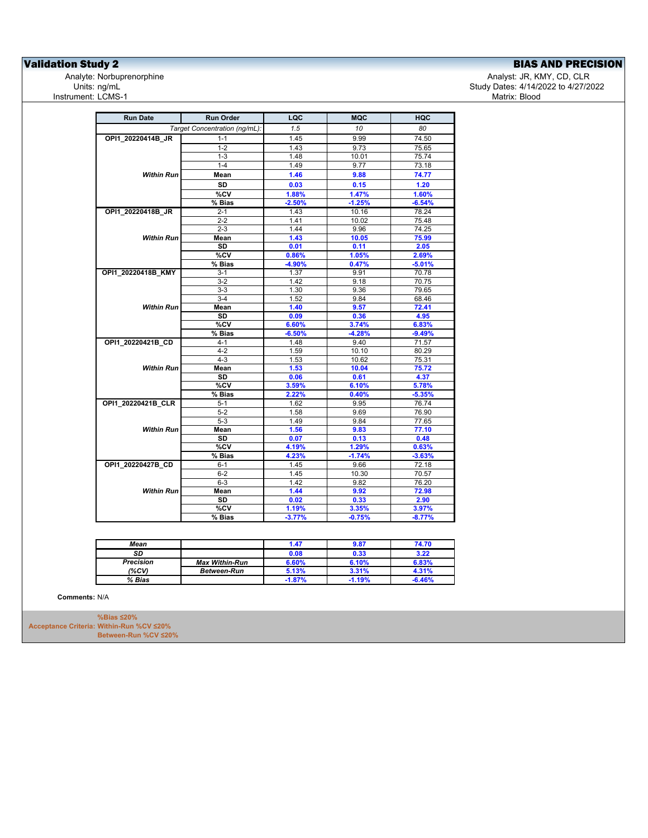**Validation Study 2**<br>
Analyte: Norbuprenorphine<br>
Analyte: Norbuprenorphine<br>
Analyte: Norbuprenorphine<br>
BIAS AND PRECISION Instrument: LCMS-1

Analyte: Norbuprenorphine هال Analyst: JR, KMY, CD, CLR<br>Units: ng/mL مالك Study Dates: 4/14/2022 to 4/27/20 Study Dates: 4/14/2022 to 4/27/2022<br>Matrix: Blood

| <b>Run Date</b>    | <b>Run Order</b>              | LQC      | <b>MQC</b> | <b>HQC</b> |
|--------------------|-------------------------------|----------|------------|------------|
|                    | Target Concentration (ng/mL): | 1.5      | 10         | 80         |
| OPI1 20220414B JR  | $1 - 1$                       | 1.45     | 9.99       | 74.50      |
|                    | $1 - 2$                       | 1.43     | 9.73       | 75.65      |
|                    | $1 - 3$                       | 1.48     | 10.01      | 75.74      |
|                    | $1 - 4$                       | 1.49     | 9.77       | 73.18      |
| Within Run         | Mean                          | 1.46     | 9.88       | 74.77      |
|                    | <b>SD</b>                     | 0.03     | 0.15       | 1.20       |
|                    | %CV                           | 1.88%    | 1.47%      | 1.60%      |
|                    | % Bias                        | $-2.50%$ | $-1.25%$   | $-6.54%$   |
| OPI1_20220418B_JR  | $2 - 1$                       | 1.43     | 10.16      | 78.24      |
|                    | $2 - 2$                       | 1.41     | 10.02      | 75.48      |
|                    | $2 - 3$                       | 1.44     | 9.96       | 74.25      |
| <b>Within Run</b>  | Mean                          | 1.43     | 10.05      | 75.99      |
|                    | <b>SD</b>                     | 0.01     | 0.11       | 2.05       |
|                    | %CV                           | 0.86%    | 1.05%      | 2.69%      |
|                    | $%$ Bias                      | $-4.90%$ | 0.47%      | $-5.01%$   |
| OPI1_20220418B_KMY | $3-1$                         | 1.37     | 9.91       | 70.78      |
|                    | $3-2$                         | 1.42     | 9.18       | 70.75      |
|                    | $3-3$                         | 1.30     | 9.36       | 79.65      |
|                    | $3-4$                         | 1.52     | 9.84       | 68.46      |
| <b>Within Run</b>  | Mean                          | 1.40     | 9.57       | 72.41      |
|                    | <b>SD</b>                     | 0.09     | 0.36       | 4.95       |
|                    | $\overline{\text{°CV}}$       | 6.60%    | 3.74%      | 6.83%      |
|                    | $%$ Bias                      | $-6.50%$ | $-4.28%$   | $-9.49%$   |
| OPI1_20220421B_CD  | $4 - 1$                       | 1.48     | 9.40       | 71.57      |
|                    | $4 - 2$                       | 1.59     | 10.10      | 80.29      |
|                    | $4 - 3$                       | 1.53     | 10.62      | 75.31      |
| <b>Within Run</b>  | Mean                          | 1.53     | 10.04      | 75.72      |
|                    | <b>SD</b>                     | 0.06     | 0.61       | 4.37       |
|                    | %CV                           | 3.59%    | 6.10%      | 5.78%      |
|                    | % Bias                        | 2.22%    | 0.40%      | $-5.35%$   |
| OPI1_20220421B_CLR | $5 - 1$                       | 1.62     | 9.95       | 76.74      |
|                    | $5-2$                         | 1.58     | 9.69       | 76.90      |
|                    | $5-3$                         | 1.49     | 9.84       | 77.65      |
| <b>Within Run</b>  | Mean                          | 1.56     | 9.83       | 77.10      |
|                    | <b>SD</b>                     | 0.07     | 0.13       | 0.48       |
|                    | %CV                           | 4.19%    | 1.29%      | 0.63%      |
|                    | % Bias                        | 4.23%    | $-1.74%$   | $-3.63%$   |
| OPI1_20220427B_CD  | $6 - 1$                       | 1.45     | 9.66       | 72.18      |
|                    | $6 - 2$                       | 1.45     | 10.30      | 70.57      |
|                    | $6 - 3$                       | 1.42     | 9.82       | 76.20      |
| <b>Within Run</b>  | Mean                          | 1.44     | 9.92       | 72.98      |
|                    | SD                            | 0.02     | 0.33       | 2.90       |
|                    | $\overline{\text{°SCV}}$      | 1.19%    | 3.35%      | 3.97%      |
|                    |                               |          | $-0.75%$   | $-8.77%$   |
|                    | % Bias                        | $-3.77%$ |            |            |

| Mean             |                       | 1.47     | 9.87     | 74.70    |
|------------------|-----------------------|----------|----------|----------|
| SD               |                       | 0.08     | 0.33     | 3.22     |
| <b>Precision</b> | <b>Max Within-Run</b> | 6.60%    | 6.10%    | 6.83%    |
| (%CV)            | Between-Run           | 5.13%    | 3.31%    | 4.31%    |
| % Bias           |                       | $-1.87%$ | $-1.19%$ | $-6.46%$ |

**Comments:** N/A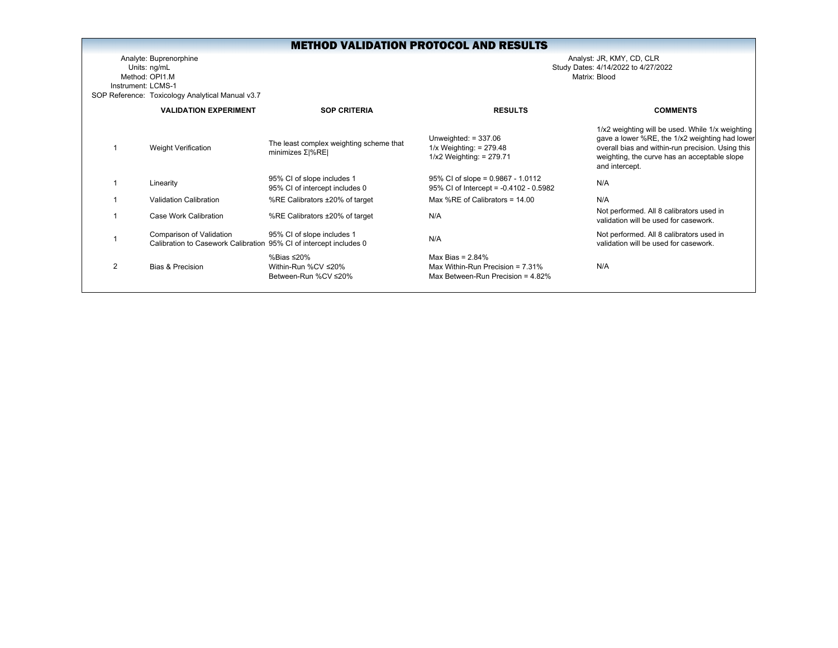Analyte: Buprenorphine Analyst: JR, KMY, CD, CLR Units: ng/mL Study Dates: 4/14/2022 to 4/27/2022 Method: OPI1.MInstrument: LCMS-1SOP Reference: Toxicology Analytical Manual v3.7

|                | <b>VALIDATION EXPERIMENT</b>                                                                   | <b>SOP CRITERIA</b>                                            | <b>RESULTS</b>                                                                                     | <b>COMMENTS</b>                                                                                                                                                                                                           |
|----------------|------------------------------------------------------------------------------------------------|----------------------------------------------------------------|----------------------------------------------------------------------------------------------------|---------------------------------------------------------------------------------------------------------------------------------------------------------------------------------------------------------------------------|
|                | <b>Weight Verification</b>                                                                     | The least complex weighting scheme that<br>minimizes $Σ  %RE $ | Unweighted: $= 337.06$<br>$1/x$ Weighting: = 279.48<br>$1/x2$ Weighting: = 279.71                  | 1/x2 weighting will be used. While 1/x weighting<br>gave a lower %RE, the 1/x2 weighting had lower<br>overall bias and within-run precision. Using this<br>weighting, the curve has an acceptable slope<br>and intercept. |
|                | Linearity                                                                                      | 95% CI of slope includes 1<br>95% CI of intercept includes 0   | $95\%$ CI of slope = 0.9867 - 1.0112<br>95% CI of Intercept = -0.4102 - 0.5982                     | N/A                                                                                                                                                                                                                       |
|                | Validation Calibration                                                                         | %RE Calibrators ±20% of target                                 | Max %RE of Calibrators = $14.00$                                                                   | N/A                                                                                                                                                                                                                       |
|                | Case Work Calibration                                                                          | %RE Calibrators ±20% of target                                 | N/A                                                                                                | Not performed. All 8 calibrators used in<br>validation will be used for casework.                                                                                                                                         |
|                | Comparison of Validation<br>Calibration to Casework Calibration 95% CI of intercept includes 0 | 95% CI of slope includes 1                                     | N/A                                                                                                | Not performed. All 8 calibrators used in<br>validation will be used for casework.                                                                                                                                         |
| $\mathfrak{p}$ | Bias & Precision                                                                               | %Bias ≤20%<br>Within-Run %CV ≤20%<br>Between-Run %CV ≤20%      | Max Bias = $2.84\%$<br>Max Within-Run Precision = $7.31\%$<br>Max Between-Run Precision = $4.82\%$ | N/A                                                                                                                                                                                                                       |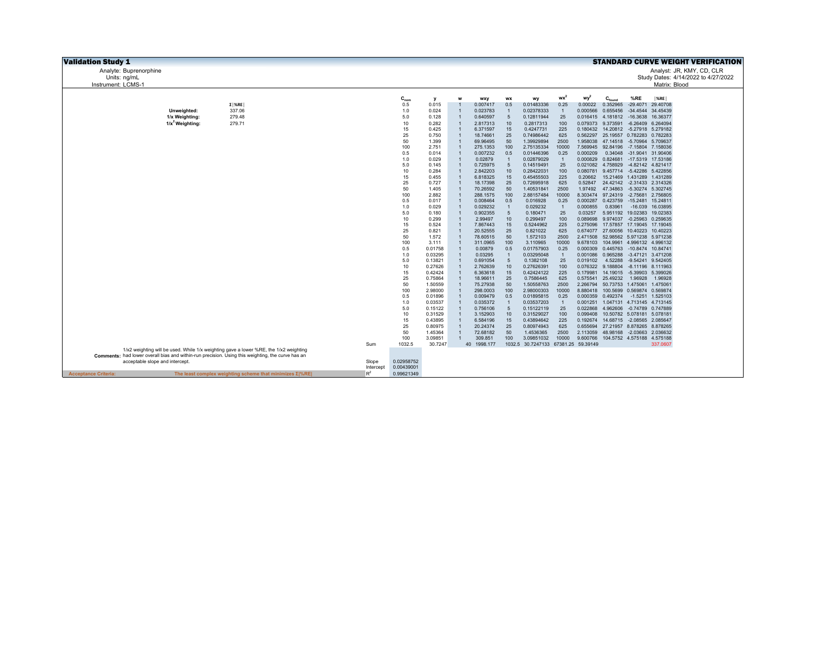| <b>Validation Study 1</b>                                                                                |                    |            |                    |   |                      |                |                                     |                |                      |                    |                                                                   | <b>STANDARD CURVE WEIGHT VERIFICATION</b> |
|----------------------------------------------------------------------------------------------------------|--------------------|------------|--------------------|---|----------------------|----------------|-------------------------------------|----------------|----------------------|--------------------|-------------------------------------------------------------------|-------------------------------------------|
| Analyte: Buprenorphine                                                                                   |                    |            |                    |   |                      |                |                                     |                |                      |                    |                                                                   | Analyst: JR, KMY, CD, CLR                 |
| Units: na/mL                                                                                             |                    |            |                    |   |                      |                |                                     |                |                      |                    |                                                                   | Study Dates: 4/14/2022 to 4/27/2022       |
| Instrument: LCMS-1                                                                                       |                    |            |                    |   |                      |                |                                     |                |                      |                    |                                                                   | Matrix: Blood                             |
|                                                                                                          |                    |            |                    |   |                      |                |                                     |                |                      |                    |                                                                   |                                           |
|                                                                                                          |                    | $C_{nom}$  | У                  | w | <b>WXV</b>           | wx             | wy                                  | $wx^2$         | wy <sup>2</sup>      | $C_{\text{found}}$ | %RE                                                               | $ \%$ RE                                  |
| $\Sigma$   %RE                                                                                           |                    | 0.5        | 0.015              |   | 0.007417             | 0.5            | 0.01483336                          | 0.25           | 0.00022              | 0.352965           | $-29.4071$                                                        | 29.40708                                  |
| 337.06<br>Unweighted:                                                                                    |                    | 1.0        | 0.024              |   | 0.023783             |                | 0.02378333                          | $\overline{1}$ | 0.000566             | 0.655456           |                                                                   | -34.4544 34.45439                         |
| 1/x Weighting:<br>279.48                                                                                 |                    | 5.0        | 0.128              |   | 0.640597             | 5              | 0.12811944                          | 25             |                      |                    | 0.016415  4.181812  -16.3638  16.36377                            |                                           |
| $1/x^2$ Weighting:<br>279.71                                                                             |                    | 10         | 0.282              |   | 2.817313             | 10             | 0.2817313                           | 100            |                      | 0.079373 9.373591  | $-6.26409$                                                        | 6.264094                                  |
|                                                                                                          |                    | 15         | 0.425              |   | 6.371597             | 15             | 0.4247731                           | 225            |                      |                    | 0.180432 14.20812 -5.27918 5.279182                               |                                           |
|                                                                                                          |                    | 25         | 0.750              |   | 18.74661             | 25             | 0.74986442                          | 625            |                      |                    | 0.562297 25.19557 0.782283 0.782283                               |                                           |
|                                                                                                          |                    | 50         | 1.399              |   | 69.96495             | 50             | 1.39929894                          | 2500           |                      |                    | 1.958038 47.14518 -5.70964 5.709637                               |                                           |
|                                                                                                          |                    | 100        | 2.751              |   | 275.1353             | 100            | 2.75135334                          | 10000          |                      |                    | 7.569945 92.84196 -7.15804 7.158036                               |                                           |
|                                                                                                          |                    | 0.5<br>1.0 | 0.014<br>0.029     |   | 0.007232<br>0.02879  | 0.5            | 0.01446396<br>0.02879029            | 0.25           | 0.000209<br>0.000829 |                    | 0.34048 -31.9041 31.90406<br>0.824681 -17.5319 17.53186           |                                           |
|                                                                                                          |                    | 5.0        | 0.145              |   | 0.725975             | $\overline{5}$ | 0.14519491                          | 25             |                      | 0.021082 4.758929  | -4.82142 4.821417                                                 |                                           |
|                                                                                                          |                    | 10         | 0.284              |   | 2.842203             | 10             | 0.28422031                          | 100            | 0.080781             |                    | 9.457714 -5.42286 5.422856                                        |                                           |
|                                                                                                          |                    | 15         | 0.455              |   | 6.818325             | 15             | 0.45455503                          | 225            | 0.20662              |                    | 15.21469 1.431289 1.431289                                        |                                           |
|                                                                                                          |                    | 25         | 0.727              |   | 18.17398             | 25             | 0.72695918                          | 625            |                      |                    | 0.52847 24.42142 -2.31433 2.314326                                |                                           |
|                                                                                                          |                    | 50         | 1.405              |   | 70.26592             | 50             | 1.40531841                          | 2500           |                      |                    | 1.97492 47.34863 -5.30274 5.302745                                |                                           |
|                                                                                                          |                    | 100        | 2.882              |   | 288.1575             | 100            | 2.88157484                          | 10000          |                      |                    | 8.303474 97.24319 -2.75681 2.756805                               |                                           |
|                                                                                                          |                    | 0.5        | 0.017              |   | 0.008464             | 0.5            | 0.016928                            | 0.25           |                      |                    | 0.000287  0.423759  -15.2481                                      | 15.24811                                  |
|                                                                                                          |                    | 1.0        | 0.029              |   | 0.029232             |                | 0.029232                            |                | 0.000855             | 0.83961            | $-16.039$                                                         | 16.03895                                  |
|                                                                                                          |                    | 5.0        | 0.180              |   | 0.902355             | 5              | 0.180471                            | 25             | 0.03257              |                    | 5.951192 19.02383                                                 | 19.02383                                  |
|                                                                                                          |                    | 10         | 0.299              |   | 2.99497              | 10             | 0.299497                            | 100            | 0.089698             |                    | 9.974037 -0.25963                                                 | 0.259635                                  |
|                                                                                                          |                    | 15         | 0.524              |   | 7.867443             | 15<br>25       | 0.5244962                           | 225<br>625     |                      |                    | 0.275096 17.57857 17.19045 17.19045                               |                                           |
|                                                                                                          |                    | 25<br>50   | 0.821<br>1.572     |   | 20.52555<br>78.60515 | 50             | 0.821022<br>1.572103                | 2500           |                      |                    | 0.674077 27.60056 10.40223<br>2.471508 52.98562 5.971238 5.971238 | 10.40223                                  |
|                                                                                                          |                    | 100        | 3.111              |   | 311.0965             | 100            | 3.110965                            | 10000          |                      |                    | 9.678103 104.9961 4.996132 4.996132                               |                                           |
|                                                                                                          |                    | 0.5        | 0.01758            |   | 0.00879              | 0.5            | 0.01757903                          | 0.25           |                      |                    | 0.000309  0.445763  -10.8474  10.84741                            |                                           |
|                                                                                                          |                    | 1.0        | 0.03295            |   | 0.03295              |                | 0.03295048                          |                | 0.001086             | 0.965288           | -3.47121 3.471208                                                 |                                           |
|                                                                                                          |                    | 5.0        | 0.13821            |   | 0.691054             | 5              | 0.1382108                           | 25             | 0.019102             | 4.52288            |                                                                   | -9.54241 9.542405                         |
|                                                                                                          |                    | 10         | 0.27626            |   | 2.762639             | 10             | 0.27626391                          | 100            |                      | 0.076322 9.188804  | -8.11196 8.111963                                                 |                                           |
|                                                                                                          |                    | 15         | 0.42424            |   | 6.363618             | 15             | 0.42424122                          | 225            | 0.179981             |                    | 14.19015 -5.39903 5.399026                                        |                                           |
|                                                                                                          |                    | 25         | 0.75864            |   | 18.96611             | 25             | 0.7586445                           | 625            |                      | 0.575541 25.49232  | 1.96928                                                           | 1.96928                                   |
|                                                                                                          |                    | 50         | 1.50559            |   | 75.27938             | 50             | 1.50558763                          | 2500           |                      |                    | 2.266794 50.73753 1.475061 1.475061                               |                                           |
|                                                                                                          |                    | 100        | 2.98000            |   | 298.0003             | 100            | 2.98000303                          | 10000          |                      |                    | 8.880418 100.5699 0.569874 0.569874                               |                                           |
|                                                                                                          |                    | 0.5        | 0.01896            |   | 0.009479             | 0.5            | 0.01895815                          | 0.25           |                      | 0.000359 0.492374  |                                                                   | -1.5251 1.525103                          |
|                                                                                                          |                    | 1.0        | 0.03537            |   | 0.035372             | $\overline{5}$ | 0.03537203                          | $\overline{1}$ |                      |                    | 0.001251  1.047131  4.713145  4.713145                            |                                           |
|                                                                                                          |                    | 5.0<br>10  | 0.15122<br>0.31529 |   | 0.756106<br>3.152903 | 10             | 0.15122119<br>0.31529027            | 25<br>100      | 0.022868<br>0.099408 |                    | 4.962606 -0.74789 0.747889<br>10.50782 5.078181 5.078181          |                                           |
|                                                                                                          |                    | 15         | 0.43895            |   | 6.584196             | 15             | 0.43894642                          | 225            |                      |                    | 0.192674 14.68715 -2.08565 2.085647                               |                                           |
|                                                                                                          |                    | 25         | 0.80975            |   | 20.24374             | 25             | 0.80974943                          | 625            | 0.655694             |                    | 27.21957 8.878265 8.878265                                        |                                           |
|                                                                                                          |                    | 50         | 1.45364            |   | 72.68182             | 50             | 1.4536365                           | 2500           | 2.113059             |                    | 48.98168 -2.03663 2.036632                                        |                                           |
|                                                                                                          |                    | 100        | 3.09851            |   | 309.851              | 100            | 3.09851032                          | 10000          |                      |                    | 9.600766 104.5752 4.575188 4.575188                               |                                           |
|                                                                                                          | Sum                | 1032.5     | 30.7247            |   | 40 1998.177          |                | 1032.5 30.7247133 67381.25 59.39149 |                |                      |                    |                                                                   | 337.0607                                  |
| 1/x2 weighting will be used. While 1/x weighting gave a lower %RE, the 1/x2 weighting                    |                    |            |                    |   |                      |                |                                     |                |                      |                    |                                                                   |                                           |
| <b>Comments:</b> had lower overall bias and within-run precision. Using this weighting, the curve has an |                    |            |                    |   |                      |                |                                     |                |                      |                    |                                                                   |                                           |
| acceptable slope and intercept                                                                           | Slope              | 0.02958752 |                    |   |                      |                |                                     |                |                      |                    |                                                                   |                                           |
|                                                                                                          | Intercept<br>$R^2$ | 0.00439001 |                    |   |                      |                |                                     |                |                      |                    |                                                                   |                                           |
| <b>Acceptance Criteria</b><br>The least complex weighting scheme that minimizes $\Sigma$  %RE            |                    | 0.99621349 |                    |   |                      |                |                                     |                |                      |                    |                                                                   |                                           |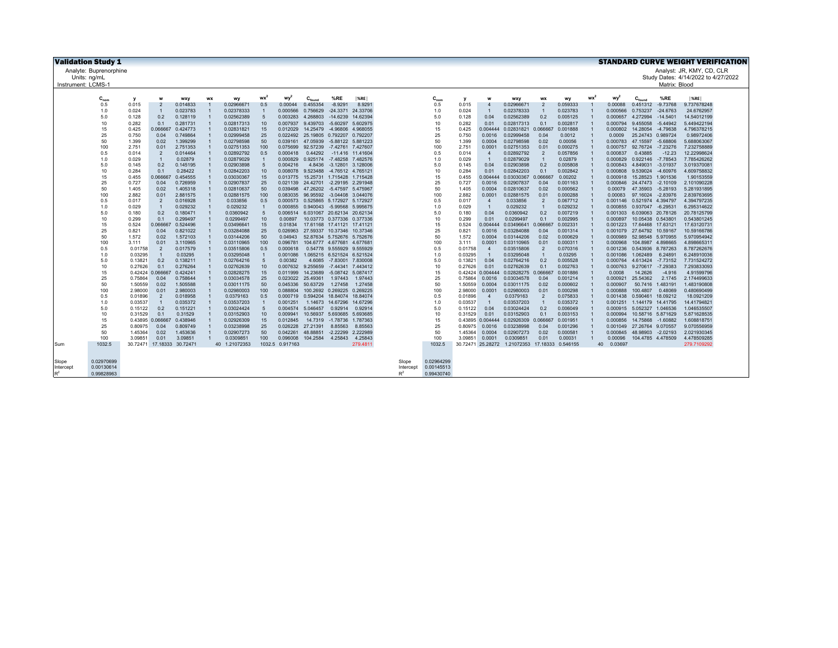| <b>Validation Study 1</b><br><b>STANDARD CURVE WEIGHT VERIFICATION</b> |                        |                            |                                  |                      |           |                          |                       |                      |             |                                                          |                     |                    |            |                    |                         |                                                |                                |                      |    |                      |                                        |               |                                     |
|------------------------------------------------------------------------|------------------------|----------------------------|----------------------------------|----------------------|-----------|--------------------------|-----------------------|----------------------|-------------|----------------------------------------------------------|---------------------|--------------------|------------|--------------------|-------------------------|------------------------------------------------|--------------------------------|----------------------|----|----------------------|----------------------------------------|---------------|-------------------------------------|
|                                                                        | Analyte: Buprenorphine |                            |                                  |                      |           |                          |                       |                      |             |                                                          |                     |                    |            |                    |                         |                                                |                                |                      |    |                      |                                        |               | Analyst: JR, KMY, CD, CLR           |
| Units: na/mL                                                           |                        |                            |                                  |                      |           |                          |                       |                      |             |                                                          |                     |                    |            |                    |                         |                                                |                                |                      |    |                      |                                        |               | Study Dates: 4/14/2022 to 4/27/2022 |
| Instrument: LCMS-                                                      |                        |                            |                                  |                      |           |                          |                       |                      |             |                                                          |                     |                    |            |                    |                         |                                                |                                |                      |    |                      |                                        | Matrix: Blood |                                     |
|                                                                        |                        |                            |                                  |                      |           |                          |                       |                      |             |                                                          |                     |                    |            |                    |                         |                                                |                                |                      |    |                      |                                        |               |                                     |
|                                                                        | $C_{nom}$              | v                          | W                                | wxy                  | <b>WX</b> | wy                       | $wx^2$                | wv                   | $C_{found}$ | %RE                                                      | $ \%RE $            |                    | $C_{nom}$  | <b>V</b>           | w                       | wxy                                            | <b>WX</b>                      | wy                   | wx | wy <sup>2</sup>      | $C_{\text{found}}$                     | %RE           | $ \%$ RE                            |
|                                                                        | 0.5                    | 0.015                      | $\overline{2}$                   | 0.014833             |           | 0.02966671               | 0.5                   | 0.00044              | 0.455354    | $-8.9291$                                                | 8.9291              |                    | 0.5        | 0.015              | $\overline{\mathbf{r}}$ | 0.02966671                                     | $\overline{2}$                 | 0.059333             |    | 0.00088              | 0.451312                               | $-9.73768$    | 9.737678248                         |
|                                                                        | 1.0                    | 0.024                      | $\overline{1}$                   | 0.023783             |           | 0.02378333               | $\overline{1}$        | 0.000566             | 0.756629    | -24.3371 24.33706                                        |                     |                    | 1.0        | 0.024              | $\blacksquare$          | 0.02378333                                     | $\mathbf{1}$                   | 0.023783             |    | 0.000566             | 0.753237                               | $-24.6763$    | 24.6762957                          |
|                                                                        | 5.0                    | 0.128                      | 0.2                              | 0.128119             |           | 0.02562389               | 5                     | 0.003283             | 4.268803    | $-14.6239$                                               | 14.62394            |                    | 5.0        | 0.128              | 0.04                    | 0.02562389                                     | 0.2                            | 0.005125             |    | 0.000657             | 4.272994                               | $-14.5401$    | 14.54012199                         |
|                                                                        | 10                     | 0.282                      | 0.1                              | 0.281731             |           | 0.02817313               | 10                    | 0.007937             | 9.439703    | $-5.60297$                                               | 5.602975            |                    | 10         | 0.282              | 0.01                    | 0.02817313                                     | 0.1                            | 0.002817             |    | 0.000794             | 9.455058                               | $-5.44942$    | 5.449422194                         |
|                                                                        | 15                     | 0.425                      | 0.06666                          | 0.424773             |           | 0.02831821               | 15                    | 0.012029             |             | 14.25479 -4.96806                                        | 4.968055            |                    | 15         | 0.425              | 0.004444                | 0.02831821                                     | 0.066667                       | 0.001888             |    | 0.000802             | 14.28054                               | $-4.79638$    | 4.796378215                         |
|                                                                        | 25<br>50               | 0.750                      | 0.04<br>0.02                     | 0.749864             |           | 0.02999458               | 25                    | 0.039161             |             | 0.022492 25.19805 0.792207 0.792207                      |                     |                    | 25<br>50   | 0.750              | 0.0016<br>0.0004        | 0.02999458                                     | 0.04                           | 0.0012               |    | 0.0009<br>0.000783   | 25.24743 0.989724                      | $-5.68806$    | 0.98972406                          |
|                                                                        | 100                    | 1.399<br>2.751             | 0.01                             | 1.399299<br>2.751353 |           | 0.02798598<br>0.02751353 | 50<br>100             | 0.075699             | 47.05939    | -5.88122 5.881223<br>92.57239 -7.42761 7.427607          |                     |                    | 100        | 1.399<br>2.751     | 0.0001                  | 0.02798598<br>0.02751353                       | 0.02<br>0.01                   | 0.00056<br>0.000275  |    | 0.000757             | 47.15597<br>92.76724 -7.23276          |               | 5.688063067<br>7.232758889          |
|                                                                        | 0.5                    | 0.014                      | $\overline{2}$                   | 0.014464             |           | 0.02892792               | 0.5                   | 0.000418             | 0.44292     |                                                          | -11.416 11.41604    |                    | 0.5        | 0.014              | $\overline{4}$          | 0.02892792                                     | $\overline{2}$                 | 0.057856             |    | 0.000837             | 0.43885                                | $-12.23$      | 12.22998624                         |
|                                                                        | 1.0                    | 0.029                      | $\overline{1}$                   | 0.02879              |           | 0.02879029               | $\overline{1}$        | 0.000829             |             | 0.925174 -7.48258 7.482576                               |                     |                    | 1.0        | 0.029              | $\blacksquare$          | 0.02879029                                     | $\overline{1}$                 | 0.02879              |    | 0.000829             | 0.922146                               | $-7.78543$    | 7.785426262                         |
|                                                                        | 5.0                    | 0.145                      | 0.2                              | 0.145195             |           | 0.02903898               | $5\overline{5}$       | 0.004216             |             | 4.8436 -3.12801 3.128006                                 |                     |                    | 5.0        | 0.145              | 0.04                    | 0.02903898                                     | 0.2                            | 0.005808             |    | 0.000843             | 4.849031                               | $-3.01937$    | 3.019370081                         |
|                                                                        | 10                     | 0.284                      | 0.1                              | 0.28422              |           | 0.02842203               | 10                    | 0.008078             |             | 9.523488 -4.76512 4.765121                               |                     |                    | 10         | 0.284              | 0.01                    | 0.02842203                                     | 0.1                            | 0.002842             |    | 0.000808             | 9.539024                               | $-4.60976$    | 4.609758832                         |
|                                                                        | 15                     | 0.455                      | 0.06666                          | 0.454555             |           | 0.03030367               | 15                    | 0.013775             |             | 15.25731 1.715428 1.715428                               |                     |                    | 15         | 0.455              | 0.004444                | 0.03030367                                     | 0.06666                        | 0.00202              |    | 0.000918             | 15.28523 1.901536                      |               | 1.90153559                          |
|                                                                        | 25                     | 0.727                      | 0.04                             | 0.726959             |           | 0.02907837               | 25                    | 0.021139             |             | 24.42701 -2.29195 2.291948                               |                     |                    | 25         | 0.727              | 0.0016                  | 0.02907837                                     | 0.04                           | 0.001163             |    | 0.000846             | 24.47473 -2.10109                      |               | 2.101090228                         |
|                                                                        | 50                     | 1.405                      | 0.02                             | 1.405318             |           | 0.02810637               | 50                    | 0.039498             |             | 47.26202 -5.47597 5.475967                               |                     |                    | 50         | 1.405              | 0.0004                  | 0.02810637                                     | 0.02                           | 0.000562             |    | 0.00079              | 47.35903                               | $-5.28193$    | 5.281931895                         |
|                                                                        | 100                    | 2.882                      | 0.01                             | 2.881575             |           | 0.02881575               | 100                   | 0.083035             |             | 96.95592 -3.04408 3.044076                               |                     |                    | 100        | 2.882              | 0.0001                  | 0.02881575                                     | 0.01                           | 0.000288             |    | 0.00083              | 97.16024 -2.83976                      |               | 2.839763695                         |
|                                                                        | 0.5                    | 0.017                      | $\overline{2}$                   | 0.016928             |           | 0.033856                 | 0.5                   | 0.000573             |             | 0.525865 5.172927 5.172927                               |                     |                    | 0.5        | 0.017              | $\overline{4}$          | 0.033856                                       | $\overline{2}$                 | 0.067712             |    | 0.001146             | 0.521974 4.394797                      |               | 4.394797235                         |
|                                                                        | 1.0                    | 0.029                      | $\overline{1}$                   | 0.029232             |           | 0.029232                 | $\overline{1}$        | 0.000855             |             | 0.940043 -5.99568 5.995675                               |                     |                    | 1.0        | 0.029              | $\overline{1}$          | 0.029232                                       | $\overline{1}$                 | 0.029232             |    | 0.000855             | 0.937047 -6.29531                      |               | 6.295314622                         |
|                                                                        | 5.0                    | 0.180                      | 0.2<br>0.1                       | 0.180471             |           | 0.0360942                | $5\overline{5}$       | 0.006514<br>0.00897  |             | 6.031067 20.62134 20.62134                               |                     |                    | 5.0<br>10  | 0.180              | 0.04                    | 0.0360942                                      | 0.2                            | 0.007219             |    | 0.001303<br>0.000897 | 6.039063 20.78126                      |               | 20.78125799                         |
|                                                                        | 10<br>15               | 0.299<br>0.524             | 0.066667                         | 0.299497<br>0.524496 |           | 0.0299497<br>0.03496641  | 10<br>15              | 0.01834              |             | 10.03773 0.377336 0.377336<br>17.61168 17.41121 17.41121 |                     |                    | 15         | 0.299<br>0.524     | 0.01<br>0.004444        | 0.0299497<br>0.03496641                        | 0.1<br>0.066667                | 0.002995<br>0.002331 |    | 0.001223             | 10.05438 0.543801<br>17.64468 17.63121 |               | 0.543801245<br>17.63120731          |
|                                                                        | 25                     | 0.821                      | 0.04                             | 0.821022             |           | 0.03284088               | 25                    | 0.026963             |             | 27.59337 10.37346 10.37346                               |                     |                    | 25         | 0.821              | 0.0016                  | 0.03284088                                     | 0.04                           | 0.001314             |    | 0.001079             | 27.64792 10.59167                      |               | 10.59166786                         |
|                                                                        | 50                     | 1.572                      | 0.02                             | 1.572103             |           | 0.03144206               | 50                    | 0.04943              |             | 52.87634 5.752676 5.752676                               |                     |                    | 50         | 1.572              | 0.0004                  | 0.03144206                                     | 0.02                           | 0.000629             |    | 0.000989             | 52.98548 5.970955                      |               | 5.970954942                         |
|                                                                        | 100                    | 3.111                      | 0.01                             | 3.110965             |           | 0.03110965               | 100                   | 0.096781             |             | 104.6777 4.677681 4.67768                                |                     |                    | 100        | 3.111              | 0.0001                  | 0.03110965                                     | 0.01                           | 0.000311             |    | 0.000968             | 104.8987 4.898665                      |               | 4.898665311                         |
|                                                                        | 0.5                    | 0.01758                    | 2                                | 0.017579             |           | 0.03515806               | 0.5                   | 0.000618             |             | 0.54778 9.555929 9.555929                                |                     |                    | 0.5        | 0.01758            | $\overline{4}$          | 0.03515806                                     | $\overline{2}$                 | 0.070316             |    | 0.001236             | 0.543936 8.787263                      |               | 8.787262676                         |
|                                                                        | 1.0                    | 0.03295                    | $\overline{1}$                   | 0.03295              |           | 0.03295048               | $\overline{1}$        | 0.001086             |             | 1.065215 6.521524 6.521524                               |                     |                    | 1.0        | 0.03295            | $\overline{1}$          | 0.03295048                                     | $\overline{1}$                 | 0.03295              |    | 0.001086             | 1.062489                               | 6.24891       | 6.248910036                         |
|                                                                        | 5.0                    | 0.13821                    | 0.2                              | 0.138211             |           | 0.02764216               | $5\overline{5}$       | 0.00382              | 4.6085      | -7.83001 7.830008                                        |                     |                    | 5.0        | 0.13821            | 0.04                    | 0.02764216                                     | 0.2                            | 0.005528             |    | 0.000764             | 4.613424 -7.73152                      |               | 7.731524272                         |
|                                                                        | 10                     | 0.27626                    | 0.1                              | 0.276264             |           | 0.02762639               | 10                    | 0.007632             | 9.255659    | -7.44341 7.443412                                        |                     |                    | 10         | 0.27626            | 0.01                    | 0.02762639                                     | 0.1                            | 0.002763             |    | 0.000763             | 9.270617                               | $-7.29383$    | 7.293833093                         |
|                                                                        | 15                     |                            | 0.42424 0.066667                 | 0.424241             |           | 0.02828275               | 15                    | 0.011999             | 14.23689    | -5.08742 5.087417                                        |                     |                    | 15         |                    | 0.42424 0.004444        | 0.02828275                                     | 0.066667                       | 0.001886             |    | 0.0008               | 14.2626                                | $-4.916$      | 4.91599796                          |
|                                                                        | 25                     | 0.75864                    | 0.04                             | 0.758644             |           | 0.03034578               | 25                    | 0.023022             | 25.49361    | 1.97443                                                  | 1.97443             |                    | 25         | 0.75864            | 0.0016                  | 0.03034578                                     | 0.04                           | 0.001214             |    | 0.000921             | 25.54362                               | 2.1745        | 2.174499633                         |
|                                                                        | 50                     | 1.50559                    | 0.02                             | 1.505588             |           | 0.03011175               | 50                    | 0.045336             | 50.63729    | 1.27458                                                  | 1.27458             |                    | 50         | 1.50559            | 0.0004                  | 0.03011175                                     | 0.02                           | 0.000602             |    | 0.000907             | 50,7416                                | 1.483191      | 1.483190808                         |
|                                                                        | 100                    | 2.98000                    | 0.01                             | 2.980003             |           | 0.02980003               | 100                   | 0.088804             |             | 100.2692 0.269225                                        | 0.269225            |                    | 100        | 2.98000            | 0.0001                  | 0.02980003                                     | 0.01                           | 0.000298             |    | 0.000888             | 100.4807                               | 0.48069       | 0.480690499                         |
|                                                                        | 0.5<br>1.0             | 0.01896<br>0.03537         | $\overline{2}$<br>$\overline{1}$ | 0.018958<br>0.035372 |           | 0.0379163<br>0.03537203  | 0.5<br>$\overline{1}$ | 0.000719             |             | 0.594204 18.84074<br>1.14673 14.67296                    | 18,84074            |                    | 0.5<br>1.0 | 0.01896            | $\overline{4}$          | 0.0379163<br>0.03537203                        | $\overline{2}$<br>$\mathbf{1}$ | 0.075833<br>0.035372 |    | 0.001438             | 0.590461<br>1.144179 14.41795          | 18.09212      | 18.0921209<br>14.41794821           |
|                                                                        | 5.0                    | 0.15122                    | 0.2                              | 0.151221             |           | 0.03024424               | $5\overline{5}$       | 0.001251<br>0.004574 | 5.046457    | 0.92914                                                  | 14.67296<br>0.92914 |                    | 5.0        | 0.03537<br>0.15122 | 0.04                    | 0.03024424                                     | 0.2                            | 0.006049             |    | 0.001251<br>0.000915 | 5.052327 1.046536                      |               | 1.046535507                         |
|                                                                        | 10                     | 0.31529                    | 0.1                              | 0.31529              |           | 0.03152903               | 10                    | 0.009941             | 10.56937    | 5.693685                                                 | 5.693685            |                    | 10         | 0.31529            | 0.01                    | 0.03152903                                     | 0.1                            | 0.003153             |    | 0.000994             | 10.58716 5.871629                      |               | 5.871628535                         |
|                                                                        | 15                     | 0.43895                    | 0.066667                         | 0.438946             |           | 0.02926309               | 15                    | 0.012845             |             | 14.7319 -1.78736 1.787363                                |                     |                    | 15         |                    | 0.43895 0.004444        | 0.02926309                                     | 0.066667 0.001951              |                      |    | 0.000856             | 14.75868 -1.60882                      |               | 1.608818751                         |
|                                                                        | 25                     | 0.80975                    | 0.04                             | 0.809749             |           | 0.03238998               | 25                    | 0.026228             | 27.21391    | 8.85563                                                  | 8.85563             |                    | 25         | 0.80975            | 0.0016                  | 0.03238998                                     | 0.04                           | 0.001296             |    | 0.001049             | 27.26764 9.070557                      |               | 9.070556959                         |
|                                                                        | 50                     | 1.45364                    | 0.02                             | 1.453636             |           | 0.02907273               | 50                    | 0.042261             | 48.88851    | $-2.22299$                                               | 2.222989            |                    | 50         | 1.45364            | 0.0004                  | 0.02907273                                     | 0.02                           | 0.000581             |    | 0.000845             | 48.98903 -2.02193                      |               | 2.021930345                         |
|                                                                        | 100                    | 3.09851                    | 0.01                             | 3.09851              |           | 0.0309851                | 100                   | 0.096008             | 104.2584    | 4.25843                                                  | 4.25843             |                    | 100        | 3.09851            | 0.0001                  | 0.0309851                                      | 0.01                           | 0.00031              |    | 0.00096              | 104.4785 4.478509                      |               | 4.478509285                         |
| Sum                                                                    | 1032.5                 | 30.72471 17.18333 30.72471 |                                  |                      |           | 40 1.21072353            |                       | 1032.5 0.917163      |             |                                                          | 279.481             |                    | 1032.5     |                    |                         | 30.72471 25.28272 1.21072353 17.18333 0.546155 |                                |                      |    | 0.03697<br>40        |                                        |               | 279.7109292                         |
|                                                                        |                        |                            |                                  |                      |           |                          |                       |                      |             |                                                          |                     |                    |            |                    |                         |                                                |                                |                      |    |                      |                                        |               |                                     |
|                                                                        | 0.02970699             |                            |                                  |                      |           |                          |                       |                      |             |                                                          |                     |                    | 0.02964299 |                    |                         |                                                |                                |                      |    |                      |                                        |               |                                     |
| Slope<br>Intercept                                                     | 0.00130614             |                            |                                  |                      |           |                          |                       |                      |             |                                                          |                     | Slope<br>Intercept | 0.00145513 |                    |                         |                                                |                                |                      |    |                      |                                        |               |                                     |
| $R^2$                                                                  | 0.99828963             |                            |                                  |                      |           |                          |                       |                      |             |                                                          |                     | $R^2$              | 0.99430740 |                    |                         |                                                |                                |                      |    |                      |                                        |               |                                     |
|                                                                        |                        |                            |                                  |                      |           |                          |                       |                      |             |                                                          |                     |                    |            |                    |                         |                                                |                                |                      |    |                      |                                        |               |                                     |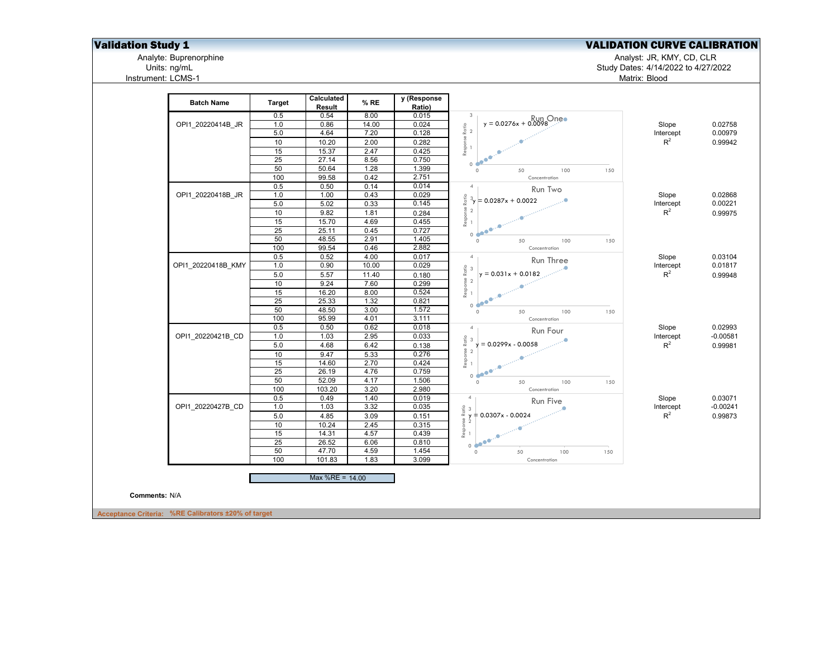Analyte: Buprenorphine<br>Units: ng/mL<br>Instrument: LCMS-1

**Validation Study 1** Validation Study 1 Validation Study 1 Validation CURVE CALIBRATION

Analyte: Buprenorphine Analyst: JR, KMY, CD, CLR

Units: ng/mL Study Dates: 4/14/2022 to 4/27/2022 Matrix: Blood

| 0.5                       | <b>Target</b><br>Result | % RE  | y (Response<br>Ratio) |                                                                                                                                    |           |            |
|---------------------------|-------------------------|-------|-----------------------|------------------------------------------------------------------------------------------------------------------------------------|-----------|------------|
|                           | 0.54                    | 8.00  | 0.015                 | $\overline{3}$                                                                                                                     |           |            |
| 1.0<br>OPI1_20220414B_JR  | 0.86                    | 14.00 | 0.024                 | $y = 0.0276x + 0.0098$                                                                                                             | Slope     | 0.02758    |
| 5.0                       | 4.64                    | 7.20  | 0.128                 |                                                                                                                                    | Intercept | 0.00979    |
| 10                        | 10.20                   | 2.00  | 0.282                 |                                                                                                                                    | $R^2$     | 0.99942    |
| 15                        | 15.37                   | 2.47  | 0.425                 |                                                                                                                                    |           |            |
| 25                        | 27.14                   | 8.56  | 0.750                 | 0 <sup>o</sup>                                                                                                                     |           |            |
| 50                        | 50.64                   | 1.28  | 1.399                 | $\circ$<br>50<br>150<br>100                                                                                                        |           |            |
| 100                       | 99.58                   | 0.42  | 2.751                 | Concentration                                                                                                                      |           |            |
| 0.5                       | 0.50                    | 0.14  | 0.014                 | $\overline{4}$<br>Run Two                                                                                                          |           |            |
| 1.0<br>OPI1 20220418B JR  | 1.00                    | 0.43  | 0.029                 | Ratio<br>$3_y = 0.0287x + 0.0022$                                                                                                  | Slope     | 0.02868    |
| 5.0                       | 5.02                    | 0.33  | 0.145                 |                                                                                                                                    | Intercept | 0.00221    |
| 10                        | 9.82                    | 1.81  | 0.284                 |                                                                                                                                    | $R^2$     | 0.99975    |
| 15                        | 15.70                   | 4.69  | 0.455                 | $\begin{array}{ccc}\n\text{Response} & \text{I} \\ \text{P}} & \text{O} \\ \text{I} & \text{O}\n\end{array}$<br>$\triangle$        |           |            |
| 25                        | 25.11                   | 0.45  | 0.727                 | $\bullet^\bullet$<br>0 <sup>4</sup>                                                                                                |           |            |
| 50                        | 48.55                   | 2.91  | 1.405                 | 150<br>$\circ$<br>50<br>100                                                                                                        |           |            |
| 100                       | 99.54                   | 0.46  | 2.882                 | Concentration                                                                                                                      |           |            |
| 0.5                       | 0.52                    | 4.00  | 0.017                 | 4 <sub>1</sub><br>Run Three                                                                                                        | Slope     | 0.03104    |
| 1.0<br>OPI1 20220418B KMY | 0.90                    | 10.00 | 0.029                 |                                                                                                                                    | Intercept | 0.01817    |
| 5.0                       | 5.57                    | 11.40 | 0.180                 | $y = 0.031x + 0.0182$                                                                                                              | $R^2$     | 0.99948    |
| 10                        | 9.24                    | 7.60  | 0.299                 |                                                                                                                                    |           |            |
| 15                        | 16.20                   | 8.00  | 0.524                 | $\begin{array}{ccc}\n\text{Response Ratio} & \text{~~} & \text{~~}\\ \hline\n 1 & \text{~~} & \text{~~} & \text{~~}\\ \end{array}$ |           |            |
| 25                        | 25.33                   | 1.32  | 0.821                 | 0.600                                                                                                                              |           |            |
| 50                        | 48.50                   | 3.00  | 1.572                 | $\circ$<br>50<br>100<br>150                                                                                                        |           |            |
| 100                       | 95.99                   | 4.01  | 3.111                 | Concentration                                                                                                                      |           |            |
| 0.5                       | 0.50                    | 0.62  | 0.018                 | 4 <sub>1</sub><br>Run Four                                                                                                         | Slope     | 0.02993    |
| OPI1 20220421B CD<br>1.0  | 1.03                    | 2.95  | 0.033                 |                                                                                                                                    | Intercept | $-0.00581$ |
| $5.0\,$                   | 4.68                    | 6.42  | 0.138                 | $y = 0.0299x - 0.0058$                                                                                                             | $R^2$     | 0.99981    |
| 10                        | 9.47                    | 5.33  | 0.276                 |                                                                                                                                    |           |            |
| 15                        | 14.60                   | 2.70  | 0.424                 |                                                                                                                                    |           |            |
| $\overline{25}$           | 26.19                   | 4.76  | 0.759                 | 0 <sup>o</sup>                                                                                                                     |           |            |
| 50                        | 52.09                   | 4.17  | 1.506                 | $\circ$<br>50<br>100<br>150                                                                                                        |           |            |
| 100                       | 103.20                  | 3.20  | 2.980                 | Concentration                                                                                                                      |           |            |
| 0.5                       | 0.49                    | 1.40  | 0.019                 | 4 <sub>1</sub><br>Run Five                                                                                                         | Slope     | 0.03071    |
| OPI1 20220427B CD<br>1.0  | 1.03                    | 3.32  | 0.035                 | $\frac{2}{15}$ 3<br>$\frac{3}{2}$ + 0.0307x - 0.0024                                                                               | Intercept | $-0.00241$ |
| 5.0                       | 4.85                    | 3.09  | 0.151                 |                                                                                                                                    | $R^2$     | 0.99873    |
| 10                        | 10.24                   | 2.45  | 0.315                 | $Rasponse21$                                                                                                                       |           |            |
| 15                        | 14.31                   | 4.57  | 0.439                 | .O                                                                                                                                 |           |            |
| $\overline{25}$           | 26.52                   | 6.06  | 0.810                 | $\bullet$<br>0 <sup>4</sup>                                                                                                        |           |            |
| 50                        | 47.70                   | 4.59  | 1.454                 | 50<br>100<br>$\circ$<br>150                                                                                                        |           |            |
| 100                       | 101.83                  | 1.83  | 3.099                 | Concentration                                                                                                                      |           |            |
|                           | Max %RE = 14.00         |       |                       |                                                                                                                                    |           |            |
|                           |                         |       |                       |                                                                                                                                    |           |            |
| Comments: N/A             |                         |       |                       |                                                                                                                                    |           |            |
|                           |                         |       |                       |                                                                                                                                    |           |            |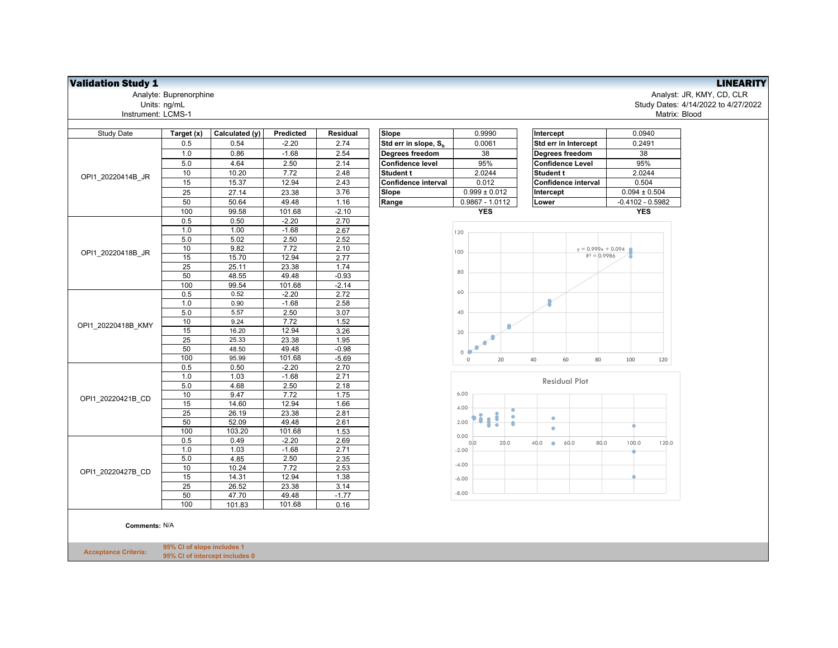| <b>Study Date</b>  | Target (x) | Calculated (y) | Predicted      | Residual     | Slope                            | 0.9990            | Intercept                         | 0.0940         |
|--------------------|------------|----------------|----------------|--------------|----------------------------------|-------------------|-----------------------------------|----------------|
|                    | 0.5        | 0.54           | $-2.20$        | 2.74         | Std err in slope, S <sub>h</sub> | 0.0061            | Std err in Intercept              | 0.2491         |
|                    | 1.0        | 0.86           | $-1.68$        | 2.54         | Degrees freedom                  | 38                | Degrees freedom                   | 38             |
|                    | 5.0        | 4.64           | 2.50           | 2.14         | <b>Confidence level</b>          | 95%               | <b>Confidence Level</b>           | 95%            |
|                    | 10         | 10.20          | 7.72           | 2.48         | <b>Student t</b>                 | 2.0244            | <b>Student t</b>                  | 2.0244         |
| OPI1 20220414B JR  | 15         | 15.37          | 12.94          | 2.43         | Confidence interval              | 0.012             | Confidence interval               | 0.504          |
|                    | 25         | 27.14          | 23.38          | 3.76         | Slope                            | $0.999 \pm 0.012$ | Intercept                         | $0.094 \pm 0.$ |
|                    | 50         | 50.64          | 49.48          | 1.16         | Range                            | $0.9867 - 1.0112$ | Lower                             | $-0.4102 - 0.$ |
|                    | 100        | 99.58          | 101.68         | $-2.10$      |                                  | <b>YES</b>        |                                   | <b>YES</b>     |
|                    | 0.5        | 0.50           | $-2.20$        | 2.70         |                                  |                   |                                   |                |
|                    | 1.0        | 1.00           | $-1.68$        | 2.67         |                                  | 120               |                                   |                |
|                    | 5.0        | 5.02           | 2.50           | 2.52         |                                  |                   |                                   |                |
| OPI1 20220418B JR  | 10         | 9.82           | 7.72           | 2.10         |                                  | 100               | $y = 0.999x + 0.094$              |                |
|                    | 15         | 15.70          | 12.94          | 2.77         |                                  |                   | $R^2 = 0.9986$                    |                |
|                    | 25         | 25.11          | 23.38          | 1.74         |                                  | 80                |                                   |                |
|                    | 50         | 48.55          | 49.48          | $-0.93$      |                                  |                   |                                   |                |
|                    | 100        | 99.54          | 101.68         | $-2.14$      |                                  |                   |                                   |                |
|                    | 0.5        | 0.52           | $-2.20$        | 2.72         |                                  | 60                |                                   |                |
|                    | 1.0        | 0.90           | $-1.68$        | 2.58         |                                  |                   |                                   |                |
|                    | 5.0        | 5.57           | 2.50           | 3.07         |                                  | 40                |                                   |                |
| OPI1_20220418B_KMY | 10         | 9.24           | 7.72           | 1.52         |                                  | Ω                 |                                   |                |
|                    | 15         | 16.20          | 12.94          | 3.26         |                                  | 20                |                                   |                |
|                    | 25         | 25.33          | 23.38          | 1.95         |                                  |                   |                                   |                |
|                    | 50         | 48.50          | 49.48          | $-0.98$      |                                  | 0                 |                                   |                |
|                    | 100        | 95.99          | 101.68         | $-5.69$      |                                  | $\mathsf 0$<br>20 | 40<br>60<br>80                    | 100            |
|                    | 0.5        | 0.50           | $-2.20$        | 2.70         |                                  |                   |                                   |                |
|                    | 1.0        | 1.03           | $-1.68$        | 2.71         |                                  |                   | <b>Residual Plot</b>              |                |
|                    | 5.0        | 4.68           | 2.50           | 2.18         |                                  |                   |                                   |                |
| OPI1 20220421B CD  | 10         | 9.47           | 7.72           | 1.75         |                                  | 6.00              |                                   |                |
|                    | 15         | 14.60          | 12.94          | 1.66         |                                  | 4.00              |                                   |                |
|                    | 25<br>50   | 26.19<br>52.09 | 23.38<br>49.48 | 2.81<br>2.61 |                                  | 2.00              | $\bullet$                         |                |
|                    | 100        | 103.20         | 101.68         | 1.53         |                                  |                   | $\bullet$                         |                |
|                    | 0.5        | 0.49           | $-2.20$        | 2.69         |                                  | 0.00              |                                   |                |
|                    | 1.0        | 1.03           | $-1.68$        | 2.71         |                                  | 20.0<br>0.0       | 60.0<br>80.0<br>40.0<br>$\bullet$ | 100.0          |
|                    | 5.0        | 4.85           | 2.50           | 2.35         |                                  | $-2.00$           |                                   |                |
|                    | 10         | 10.24          | 7.72           | 2.53         |                                  | $-4.00$           |                                   |                |
| OPI1 20220427B CD  | 15         | 14.31          | 12.94          | 1.38         |                                  |                   |                                   |                |
|                    | 25         | 26.52          | 23.38          | 3.14         |                                  | $-6.00$           |                                   |                |
|                    | 50         | 47.70          | 49.48          | $-1.77$      |                                  | $-8.00$           |                                   |                |
|                    | 100        | 101.83         | 101.68         | 0.16         |                                  |                   |                                   |                |

**Comments:** N/A

**Acceptance Criteria: 95% CI of slope includes 1 95% CI of intercept includes 0**



**Validation Study 1**<br>
Analyst: JR, KMY, CD, CLR<br>
Analyst: JR, KMY, CD, CLR Analyte: Buprenorphine Analyst: JR, KMY, CD, CLR Study Dates: 4/14/2022 to 4/27/2022<br>Matrix: Blood Matrix: Blood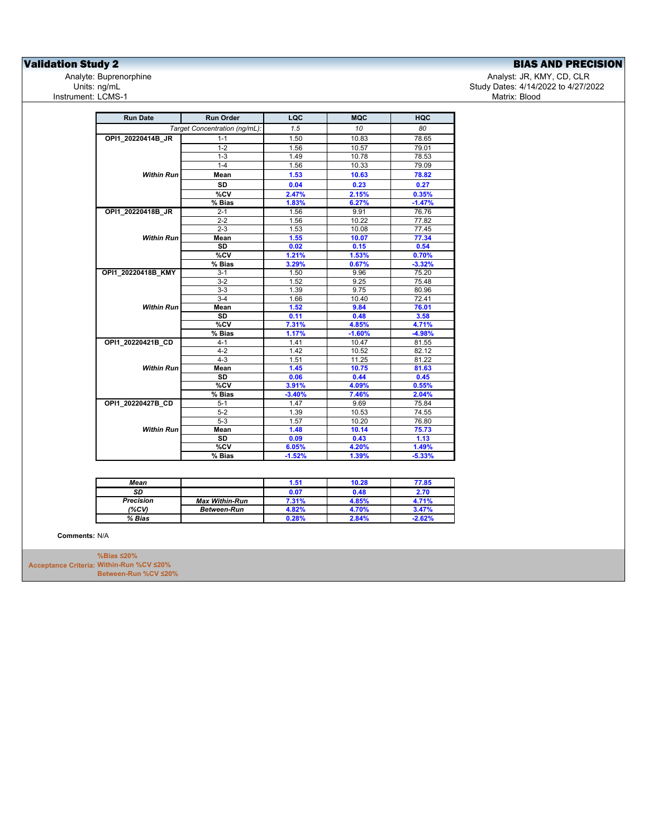**Validation Study 2**<br>Analyte: Buprenorphine **BIAS AND PRECISION**<br>Analyte: Uppenorphine **Biase analyte: Buprenorphine** Units: ng/mL<br>Instrument: LCMS-1

Analyst: JR, KMY, CD, CLR Study Dates: 4/14/2022 to 4/27/2022<br>Matrix: Blood

| <b>Run Date</b>    | <b>Run Order</b>              | LQC      | <b>MQC</b> | HQC      |
|--------------------|-------------------------------|----------|------------|----------|
|                    | Target Concentration (ng/mL): | 1.5      | 10         | 80       |
| OPI1_20220414B_JR  | $1 - 1$                       | 1.50     | 10.83      | 78.65    |
|                    | $1 - 2$                       | 1.56     | 10.57      | 79.01    |
|                    | $1 - 3$                       | 1.49     | 10.78      | 78.53    |
|                    | $1 - 4$                       | 1.56     | 10.33      | 79.09    |
| <b>Within Run</b>  | Mean                          | 1.53     | 10.63      | 78.82    |
|                    | <b>SD</b>                     | 0.04     | 0.23       | 0.27     |
|                    | %CV                           | 2.47%    | 2.15%      | 0.35%    |
|                    | % Bias                        | 1.83%    | 6.27%      | $-1.47%$ |
| OPI1 20220418B JR  | $2 - 1$                       | 1.56     | 9.91       | 76.76    |
|                    | $2 - 2$                       | 1.56     | 10.22      | 77.82    |
|                    | $2 - 3$                       | 1.53     | 10.08      | 77.45    |
| <b>Within Run</b>  | Mean                          | 1.55     | 10.07      | 77.34    |
|                    | <b>SD</b>                     | 0.02     | 0.15       | 0.54     |
|                    | %CV                           | 1.21%    | 1.53%      | 0.70%    |
|                    | % Bias                        | 3.29%    | 0.67%      | $-3.32%$ |
| OPI1 20220418B KMY | $3 - 1$                       | 1.50     | 9.96       | 75.20    |
|                    | $3 - 2$                       | 1.52     | 9.25       | 75.48    |
|                    | $3-3$                         | 1.39     | 9.75       | 80.96    |
|                    | $3-4$                         | 1.66     | 10.40      | 72.41    |
| <b>Within Run</b>  | Mean                          | 1.52     | 9.84       | 76.01    |
|                    | <b>SD</b>                     | 0.11     | 0.48       | 3.58     |
|                    | %CV                           | 7.31%    | 4.85%      | 4.71%    |
|                    | % Bias                        | 1.17%    | $-1.60%$   | $-4.98%$ |
| OPI1 20220421B CD  | $4 - 1$                       | 1.41     | 10.47      | 81.55    |
|                    | $4 - 2$                       | 1.42     | 10.52      | 82.12    |
|                    | $4 - 3$                       | 1.51     | 11.25      | 81.22    |
| <b>Within Run</b>  | Mean                          | 1.45     | 10.75      | 81.63    |
|                    | SD                            | 0.06     | 0.44       | 0.45     |
|                    | %CV                           | 3.91%    | 4.09%      | 0.55%    |
|                    | % Bias                        | $-3.40%$ | 7.46%      | 2.04%    |
| OPI1 20220427B CD  | $5 - 1$                       | 1.47     | 9.69       | 75.84    |
|                    | $5 - 2$                       | 1.39     | 10.53      | 74.55    |
|                    | $5-3$                         | 1.57     | 10.20      | 76.80    |
| <b>Within Run</b>  | Mean                          | 1.48     | 10.14      | 75.73    |
|                    | SD                            | 0.09     | 0.43       | 1.13     |
|                    | %CV                           | 6.05%    | 4.20%      | 1.49%    |
|                    | $\overline{\%}$ Bias          | $-1.52%$ | 1.39%      | $-5.33%$ |

| Mean             |                       | 1.51  | 10.28 | 77.85    |
|------------------|-----------------------|-------|-------|----------|
| SD               |                       | 0.07  | 0.48  | 2.70     |
| <b>Precision</b> | <b>Max Within-Run</b> | 7.31% | 4.85% | 4.71%    |
| (%CV)            | <b>Between-Run</b>    | 4.82% | 4.70% | 3.47%    |
| % Bias           |                       | 0.28% | 2.84% | $-2.62%$ |

**Comments:** N/A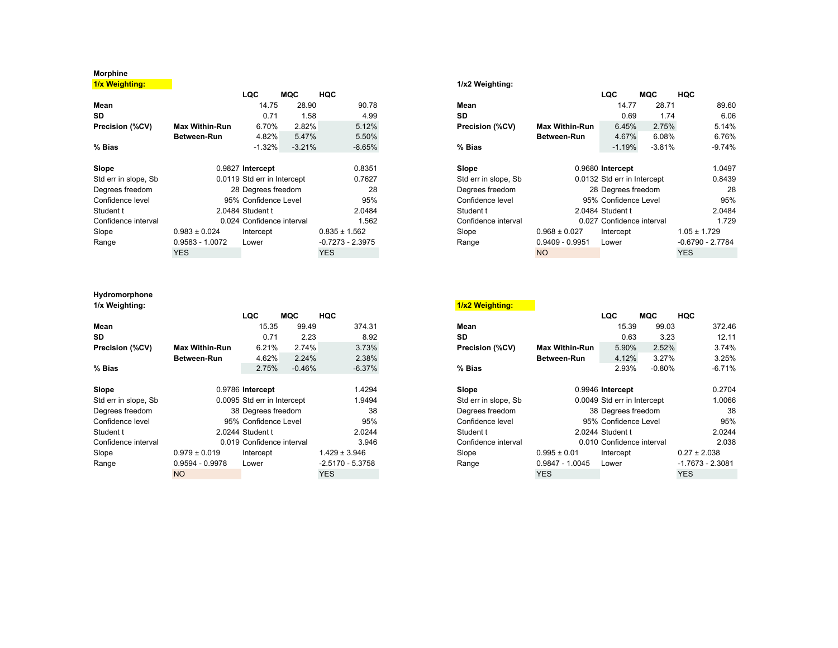## **Morphine**

**1/x Weighting: 1/x2 Weighting:**

|                      |                       | LQC                         | MQC      | HQC                |                      |                       | LQC                         | MQC      | HQC                |
|----------------------|-----------------------|-----------------------------|----------|--------------------|----------------------|-----------------------|-----------------------------|----------|--------------------|
| Mean                 |                       | 14.75                       | 28.90    | 90.78              | Mean                 |                       | 14.77                       | 28.71    | 89.60              |
| SD.                  |                       | 0.71                        | 1.58     | 4.99               | SD                   |                       | 0.69                        | 1.74     | 6.06               |
| Precision (%CV)      | <b>Max Within-Run</b> | 6.70%                       | 2.82%    | 5.12%              | Precision (%CV)      | <b>Max Within-Run</b> | 6.45%                       | 2.75%    | 5.14%              |
|                      | Between-Run           | 4.82%                       | 5.47%    | 5.50%              |                      | <b>Between-Run</b>    | 4.67%                       | 6.08%    | 6.76%              |
| $%$ Bias             |                       | $-1.32%$                    | $-3.21%$ | $-8.65%$           | % Bias               |                       | $-1.19%$                    | $-3.81%$ | $-9.74%$           |
| Slope                |                       | 0.9827 Intercept            |          | 0.8351             | Slope                |                       | 0.9680 Intercept            |          | 1.0497             |
| Std err in slope, Sb |                       | 0.0119 Std err in Intercept |          | 0.7627             | Std err in slope, Sb |                       | 0.0132 Std err in Intercept |          | 0.8439             |
| Degrees freedom      |                       | 28 Degrees freedom          |          | 28                 | Degrees freedom      |                       | 28 Degrees freedom          |          | 28                 |
| Confidence level     |                       | 95% Confidence Level        |          | 95%                | Confidence level     |                       | 95% Confidence Level        |          | 95%                |
| Student t            |                       | 2.0484 Student t            |          | 2.0484             | Student t            |                       | 2.0484 Student t            |          | 2.0484             |
| Confidence interval  |                       | 0.024 Confidence interval   |          | 1.562              | Confidence interval  |                       | 0.027 Confidence interval   |          | 1.729              |
| Slope                | $0.983 \pm 0.024$     | Intercept                   |          | $0.835 \pm 1.562$  | Slope                | $0.968 \pm 0.027$     | Intercept                   |          | $1.05 \pm 1.729$   |
| Range                | 0.9583 - 1.0072       | Lower                       |          | $-0.7273 - 2.3975$ | Range                | $0.9409 - 0.9951$     | Lower                       |          | $-0.6790 - 2.7784$ |
|                      | <b>YES</b>            |                             |          | <b>YES</b>         |                      | <b>NO</b>             |                             |          | <b>YES</b>         |

## **Hydromorphone**

|                      |                       | <b>LQC</b>                  | <b>MQC</b> | <b>HQC</b>         |                      |                       | <b>LQC</b>                  | <b>MQC</b> | <b>HQC</b>         |
|----------------------|-----------------------|-----------------------------|------------|--------------------|----------------------|-----------------------|-----------------------------|------------|--------------------|
| Mean                 |                       | 15.35                       | 99.49      | 374.31             | Mean                 |                       | 15.39                       | 99.03      | 372.46             |
| <b>SD</b>            |                       | 0.71                        | 2.23       | 8.92               | SD                   |                       | 0.63                        | 3.23       | 12.11              |
| Precision (%CV)      | <b>Max Within-Run</b> | 6.21%                       | 2.74%      | 3.73%              | Precision (%CV)      | <b>Max Within-Run</b> | 5.90%                       | 2.52%      | 3.74%              |
|                      | Between-Run           | 4.62%                       | 2.24%      | 2.38%              |                      | Between-Run           | 4.12%                       | 3.27%      | 3.25%              |
| $%$ Bias             |                       | 2.75%                       | $-0.46%$   | $-6.37%$           | % Bias               |                       | 2.93%                       | $-0.80\%$  | $-6.71%$           |
| Slope                |                       | 0.9786 Intercept            |            | 1.4294             | Slope                |                       | 0.9946 Intercept            |            | 0.2704             |
| Std err in slope, Sb |                       | 0.0095 Std err in Intercept |            | 1.9494             | Std err in slope, Sb |                       | 0.0049 Std err in Intercept |            | 1.0066             |
| Degrees freedom      |                       | 38 Degrees freedom          |            | 38                 | Degrees freedom      |                       | 38 Degrees freedom          |            | 38                 |
| Confidence level     |                       | 95% Confidence Level        |            | 95%                | Confidence level     |                       | 95% Confidence Level        |            | 95%                |
| Student t            |                       | 2.0244 Student t            |            | 2.0244             | Student t            |                       | 2.0244 Student t            |            | 2.0244             |
| Confidence interval  |                       | 0.019 Confidence interval   |            | 3.946              | Confidence interval  |                       | 0.010 Confidence interval   |            | 2.038              |
| Slope                | $0.979 \pm 0.019$     | Intercept                   |            | $1.429 \pm 3.946$  | Slope                | $0.995 \pm 0.01$      | Intercept                   |            | $0.27 \pm 2.038$   |
| Range                | $0.9594 - 0.9978$     | Lower                       |            | $-2.5170 - 5.3758$ | Range                | 0.9847 - 1.0045       | Lower                       |            | $-1.7673 - 2.3081$ |
|                      | <b>NO</b>             |                             |            | <b>YES</b>         |                      | <b>YES</b>            |                             |            | <b>YES</b>         |

|                  |                       | LQC                         | MQC      | <b>HQC</b>         |                      |                       | LQC                         | <b>MQC</b> | HQC                |          |
|------------------|-----------------------|-----------------------------|----------|--------------------|----------------------|-----------------------|-----------------------------|------------|--------------------|----------|
|                  |                       | 14.75                       | 28.90    | 90.78              | Mean                 |                       | 14.77                       | 28.71      |                    | 89.60    |
|                  |                       | 0.71                        | 1.58     | 4.99               | SD                   |                       | 0.69                        | 1.74       |                    | 6.06     |
| ision (%CV):     | <b>Max Within-Run</b> | 6.70%                       | 2.82%    | 5.12%              | Precision (%CV)      | <b>Max Within-Run</b> | 6.45%                       | 2.75%      |                    | 5.14%    |
|                  | Between-Run           | 4.82%                       | 5.47%    | 5.50%              |                      | Between-Run           | 4.67%                       | 6.08%      |                    | 6.76%    |
| ias              |                       | $-1.32%$                    | $-3.21%$ | $-8.65%$           | % Bias               |                       | $-1.19%$                    | $-3.81%$   |                    | $-9.74%$ |
| ۱e               |                       | 0.9827 Intercept            |          | 0.8351             | Slope                |                       | 0.9680 Intercept            |            |                    | 1.0497   |
| err in slope, Sb |                       | 0.0119 Std err in Intercept |          | 0.7627             | Std err in slope, Sb |                       | 0.0132 Std err in Intercept |            |                    | 0.8439   |
| rees freedom     |                       | 28 Degrees freedom          |          | 28                 | Degrees freedom      |                       | 28 Degrees freedom          |            |                    | 28       |
| fidence level    |                       | 95% Confidence Level        |          | 95%                | Confidence level     |                       | 95% Confidence Level        |            |                    | 95%      |
| lent t           |                       | 2.0484 Student t            |          | 2.0484             | Student t            |                       | 2.0484 Student t            |            |                    | 2.0484   |
| fidence interval |                       | 0.024 Confidence interval   |          | 1.562              | Confidence interval  |                       | 0.027 Confidence interval   |            |                    | 1.729    |
| e                | $0.983 \pm 0.024$     | Intercept                   |          | $0.835 \pm 1.562$  | Slope                | $0.968 \pm 0.027$     | Intercept                   |            | $1.05 \pm 1.729$   |          |
| qe               | $0.9583 - 1.0072$     | Lower                       |          | $-0.7273 - 2.3975$ | Range                | $0.9409 - 0.9951$     | Lower                       |            | $-0.6790 - 2.7784$ |          |
|                  | <b>YES</b>            |                             |          | <b>YES</b>         |                      | <b>NO</b>             |                             |            | <b>YES</b>         |          |
|                  |                       |                             |          |                    |                      |                       |                             |            |                    |          |

| 1/x Weighting:       |                       |                             |          |                    | 1/x2 Weighting:      |                       |                             |          |                    |          |
|----------------------|-----------------------|-----------------------------|----------|--------------------|----------------------|-----------------------|-----------------------------|----------|--------------------|----------|
|                      |                       | LQC                         | MQC      | <b>HQC</b>         |                      |                       | <b>LQC</b>                  | MQC      | <b>HQC</b>         |          |
| Mean                 |                       | 15.35                       | 99.49    | 374.31             | Mean                 |                       | 15.39                       | 99.03    |                    | 372.46   |
| SD                   |                       | 0.71                        | 2.23     | 8.92               | SD                   |                       | 0.63                        | 3.23     |                    | 12.11    |
| Precision (%CV)      | <b>Max Within-Run</b> | 6.21%                       | 2.74%    | 3.73%              | Precision (%CV)      | <b>Max Within-Run</b> | 5.90%                       | 2.52%    |                    | 3.74%    |
|                      | Between-Run           | 4.62%                       | 2.24%    | 2.38%              |                      | Between-Run           | 4.12%                       | 3.27%    |                    | 3.25%    |
| % Bias               |                       | 2.75%                       | $-0.46%$ | $-6.37%$           | $%$ Bias             |                       | 2.93%                       | $-0.80%$ |                    | $-6.71%$ |
| Slope                |                       | 0.9786 Intercept            |          | 1.4294             | Slope                |                       | 0.9946 Intercept            |          |                    | 0.2704   |
| Std err in slope, Sb |                       | 0.0095 Std err in Intercept |          | 1.9494             | Std err in slope, Sb |                       | 0.0049 Std err in Intercept |          |                    | 1.0066   |
| Degrees freedom      |                       | 38 Degrees freedom          |          | 38                 | Degrees freedom      | 38 Degrees freedom    |                             |          |                    | 38       |
| Confidence level     |                       | 95% Confidence Level        |          | 95%                | Confidence level     |                       | 95% Confidence Level        |          |                    | 95%      |
| Student t            |                       | 2.0244 Student t            |          | 2.0244             | Student t            |                       | 2.0244 Student t            |          |                    | 2.0244   |
| Confidence interval  |                       | 0.019 Confidence interval   |          | 3.946              | Confidence interval  |                       | 0.010 Confidence interval   |          |                    | 2.038    |
| Slope                | $0.979 \pm 0.019$     | Intercept                   |          | $1.429 \pm 3.946$  | Slope                | $0.995 \pm 0.01$      | Intercept                   |          | $0.27 \pm 2.038$   |          |
| Range                | $0.9594 - 0.9978$     | Lower                       |          | $-2.5170 - 5.3758$ | Range                | $0.9847 - 1.0045$     | Lower                       |          | $-1.7673 - 2.3081$ |          |
|                      | <b>NO</b>             |                             |          | <b>YES</b>         |                      | <b>YES</b>            |                             |          | <b>YES</b>         |          |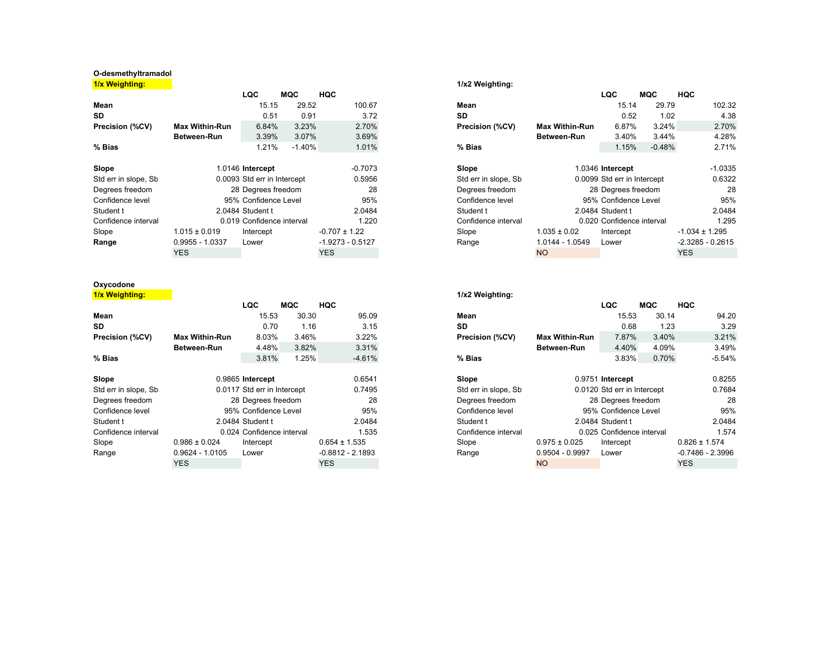## **O-desmethyltramadol**

**1/x Weighting: 1/x2 Weighting:**

|                      |                             | LQC                       | MQC      | HQC                |                      |                       | LQC                         | MQC      | HQC                |
|----------------------|-----------------------------|---------------------------|----------|--------------------|----------------------|-----------------------|-----------------------------|----------|--------------------|
| Mean                 |                             | 15.15                     | 29.52    | 100.67             | Mean                 |                       | 15.14                       | 29.79    | 102.32             |
| SD.                  |                             | 0.51                      | 0.91     | 3.72               | SD                   |                       | 0.52                        | 1.02     | 4.38               |
| Precision (%CV)      | <b>Max Within-Run</b>       | 6.84%                     | 3.23%    | 2.70%              | Precision (%CV)      | <b>Max Within-Run</b> | 6.87%                       | 3.24%    | 2.70%              |
|                      | Between-Run                 | 3.39%                     | 3.07%    | 3.69%              |                      | <b>Between-Run</b>    | 3.40%                       | 3.44%    | 4.28%              |
| % Bias               |                             | 1.21%                     | $-1.40%$ | 1.01%              | $%$ Bias             |                       | 1.15%                       | $-0.48%$ | 2.71%              |
| Slope                | 1.0146 Intercept            |                           |          | $-0.7073$          | Slope                |                       | 1.0346 Intercept            |          | $-1.0335$          |
| Std err in slope, Sb | 0.0093 Std err in Intercept |                           |          | 0.5956             | Std err in slope, Sb |                       | 0.0099 Std err in Intercept |          | 0.6322             |
| Degrees freedom      |                             | 28 Degrees freedom        |          | 28                 | Degrees freedom      | 28 Degrees freedom    |                             |          | 28                 |
| Confidence level     |                             | 95% Confidence Level      |          | 95%                | Confidence level     | 95% Confidence Level  |                             |          | 95%                |
| Student t            |                             | 2.0484 Student t          |          | 2.0484             | Student t            |                       | 2.0484 Student t            |          | 2.0484             |
| Confidence interval  |                             | 0.019 Confidence interval |          | 1.220              | Confidence interval  |                       | 0.020 Confidence interval   |          | 1.295              |
| Slope                | $1.015 \pm 0.019$           | Intercept                 |          | $-0.707 \pm 1.22$  | Slope                | $1.035 \pm 0.02$      | Intercept                   |          | $-1.034 \pm 1.295$ |
| Range                | $0.9955 - 1.0337$           | Lower                     |          | $-1.9273 - 0.5127$ | Range                | 1.0144 - 1.0549       | Lower                       |          | $-2.3285 - 0.2615$ |
|                      | <b>YES</b>                  |                           |          | YES.               |                      | <b>NO</b>             |                             |          | <b>YES</b>         |

## **Oxycodone**

**1/x Weighting: 1/x2 Weighting:**

|                      |                             | LQC                       | MQC   | <b>HQC</b>         |                      |                       | <b>LQC</b>                  | <b>MQC</b> | <b>HQC</b>         |
|----------------------|-----------------------------|---------------------------|-------|--------------------|----------------------|-----------------------|-----------------------------|------------|--------------------|
| Mean                 |                             | 15.53                     | 30.30 | 95.09              | Mean                 |                       | 15.53                       | 30.14      | 94.20              |
| SD                   |                             | 0.70                      | 1.16  | 3.15               | <b>SD</b>            |                       | 0.68                        | 1.23       | 3.29               |
| Precision (%CV)      | <b>Max Within-Run</b>       | 8.03%                     | 3.46% | 3.22%              | Precision (%CV)      | <b>Max Within-Run</b> | 7.87%                       | 3.40%      | 3.21%              |
|                      | Between-Run                 | 4.48%                     | 3.82% | 3.31%              |                      | Between-Run           | 4.40%                       | 4.09%      | 3.49%              |
| $%$ Bias             |                             | 3.81%                     | 1.25% | $-4.61%$           | % Bias               |                       | 3.83%                       | 0.70%      | $-5.54%$           |
| Slope                | 0.9865 Intercept            |                           |       | 0.6541             | Slope                |                       | 0.9751 Intercept            |            | 0.8255             |
| Std err in slope, Sb | 0.0117 Std err in Intercept |                           |       | 0.7495             | Std err in slope, Sb |                       | 0.0120 Std err in Intercept |            | 0.7684             |
| Degrees freedom      |                             | 28 Degrees freedom        |       | 28                 | Degrees freedom      |                       | 28 Degrees freedom          |            | 28                 |
| Confidence level     |                             | 95% Confidence Level      |       | 95%                | Confidence level     |                       | 95% Confidence Level        |            | 95%                |
| Student t            |                             | 2.0484 Student t          |       | 2.0484             | Student t            |                       | 2.0484 Student t            |            | 2.0484             |
| Confidence interval  |                             | 0.024 Confidence interval |       | 1.535              | Confidence interval  |                       | 0.025 Confidence interval   |            | 1.574              |
| Slope                | $0.986 \pm 0.024$           | Intercept                 |       | $0.654 \pm 1.535$  | Slope                | $0.975 \pm 0.025$     | Intercept                   |            | $0.826 \pm 1.574$  |
| Range                | $0.9624 - 1.0105$           | Lower                     |       | $-0.8812 - 2.1893$ | Range                | 0.9504 - 0.9997       | Lower                       |            | $-0.7486 - 2.3996$ |
|                      | YES.                        |                           |       | <b>YES</b>         |                      | <b>NO</b>             |                             |            | <b>YES</b>         |

|                  |                       | LQC                         | MQC      | HQC                |                      |                       | LQC                         | MQC      | HQC                |
|------------------|-----------------------|-----------------------------|----------|--------------------|----------------------|-----------------------|-----------------------------|----------|--------------------|
|                  |                       | 15.15                       | 29.52    | 100.67             | Mean                 |                       | 15.14                       | 29.79    | 102.32             |
|                  |                       | 0.51                        | 0.91     | 3.72               | <b>SD</b>            |                       | 0.52                        | 1.02     | 4.38               |
| ision (%CV):     | <b>Max Within-Run</b> | 6.84%                       | 3.23%    | 2.70%              | Precision (%CV)      | <b>Max Within-Run</b> | 6.87%                       | 3.24%    | 2.70%              |
|                  | <b>Between-Run</b>    | 3.39%                       | 3.07%    | 3.69%              |                      | Between-Run           | 3.40%                       | 3.44%    | 4.28%              |
| ias              |                       | 1.21%                       | $-1.40%$ | 1.01%              | $%$ Bias             |                       | 1.15%                       | $-0.48%$ | 2.71%              |
| ۱e               |                       | 1.0146 Intercept            |          | $-0.7073$          | Slope                |                       | 1.0346 Intercept            |          | $-1.0335$          |
| err in slope, Sb |                       | 0.0093 Std err in Intercept |          | 0.5956             | Std err in slope, Sb |                       | 0.0099 Std err in Intercept |          | 0.6322             |
| rees freedom     |                       | 28 Degrees freedom          |          | 28                 | Degrees freedom      |                       | 28 Degrees freedom          |          | 28                 |
| fidence level    |                       | 95% Confidence Level        |          | 95%                | Confidence level     |                       | 95% Confidence Level        |          | 95%                |
| ent t            |                       | 2.0484 Student t            |          | 2.0484             | Student t            |                       | 2.0484 Student t            |          | 2.0484             |
| fidence interval |                       | 0.019 Confidence interval   |          | 1.220              | Confidence interval  |                       | 0.020 Confidence interval   |          | 1.295              |
| e                | $1.015 \pm 0.019$     | Intercept                   |          | $-0.707 \pm 1.22$  | Slope                | $1.035 \pm 0.02$      | Intercept                   |          | $-1.034 \pm 1.295$ |
| qe               | $0.9955 - 1.0337$     | Lower                       |          | $-1.9273 - 0.5127$ | Range                | 1.0144 - 1.0549       | Lower                       |          | $-2.3285 - 0.2615$ |
|                  | <b>YES</b>            |                             |          | <b>YES</b>         |                      | <b>NO</b>             |                             |          | <b>YES</b>         |
|                  |                       |                             |          |                    |                      |                       |                             |          |                    |

|                  |                       | LQC                         | MQC   | <b>HQC</b> |                    |                      |                       | LQC                         | MQC   | <b>HQC</b>        |                    |
|------------------|-----------------------|-----------------------------|-------|------------|--------------------|----------------------|-----------------------|-----------------------------|-------|-------------------|--------------------|
|                  |                       | 15.53                       | 30.30 |            | 95.09              | Mean                 |                       | 15.53                       | 30.14 |                   | 94.20              |
|                  |                       | 0.70                        | 1.16  |            | 3.15               | <b>SD</b>            |                       | 0.68                        | 1.23  |                   | 3.29               |
| ision (%CV):     | <b>Max Within-Run</b> | 8.03%                       | 3.46% |            | 3.22%              | Precision (%CV)      | <b>Max Within-Run</b> | 7.87%                       | 3.40% |                   | 3.21%              |
|                  | Between-Run           | 4.48%                       | 3.82% |            | 3.31%              |                      | <b>Between-Run</b>    | 4.40%                       | 4.09% |                   | 3.49%              |
| ias              |                       | 3.81%                       | 1.25% |            | $-4.61%$           | % Bias               |                       | 3.83%                       | 0.70% |                   | $-5.54%$           |
| ۱e               |                       | 0.9865 Intercept            |       |            | 0.6541             | Slope                |                       | 0.9751 Intercept            |       |                   | 0.8255             |
| err in slope, Sb |                       | 0.0117 Std err in Intercept |       |            | 0.7495             | Std err in slope, Sb |                       | 0.0120 Std err in Intercept |       |                   | 0.7684             |
| rees freedom     |                       | 28 Degrees freedom          |       |            | 28                 | Degrees freedom      |                       | 28 Degrees freedom          |       |                   | 28                 |
| fidence level    |                       | 95% Confidence Level        |       |            | 95%                | Confidence level     |                       | 95% Confidence Level        |       |                   | 95%                |
| ent t            |                       | 2.0484 Student t            |       |            | 2.0484             | Student t            |                       | 2.0484 Student t            |       |                   | 2.0484             |
| fidence interval |                       | 0.024 Confidence interval   |       |            | 1.535              | Confidence interval  |                       | 0.025 Confidence interval   |       |                   | 1.574              |
| е                | $0.986 \pm 0.024$     | Intercept                   |       |            | $0.654 \pm 1.535$  | Slope                | $0.975 \pm 0.025$     | Intercept                   |       | $0.826 \pm 1.574$ |                    |
| aе               | $0.9624 - 1.0105$     | Lower                       |       |            | $-0.8812 - 2.1893$ | Range                | $0.9504 - 0.9997$     | Lower                       |       |                   | $-0.7486 - 2.3996$ |
|                  | <b>YES</b>            |                             |       | <b>YES</b> |                    |                      | <b>NO</b>             |                             |       | <b>YES</b>        |                    |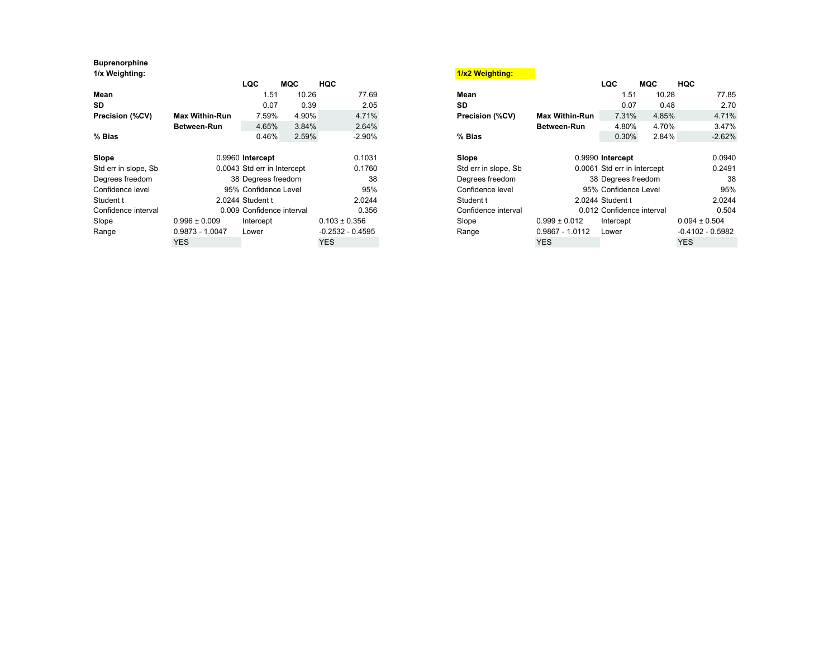## **Buprenorphine**

|                      |                             | LQC                       | MQC    | HQC                  |                     |                             | LQC                       | MQC   | HQC                |
|----------------------|-----------------------------|---------------------------|--------|----------------------|---------------------|-----------------------------|---------------------------|-------|--------------------|
| Mean                 |                             | 1.51                      | 10.26  | 77.69                | Mean                |                             | 1.51                      | 10.28 | 77.85              |
| SD.                  |                             | 0.07                      | 0.39   | 2.05                 | <b>SD</b>           |                             | 0.07                      | 0.48  | 2.70               |
| Precision (%CV)      | <b>Max Within-Run</b>       | 7.59%                     | 4.90%  | 4.71%                | Precision (%CV)     | <b>Max Within-Run</b>       | 7.31%                     | 4.85% | 4.71%              |
|                      | Between-Run                 | 4.65%                     | 3.84%  | 2.64%                |                     | Between-Run                 | 4.80%                     | 4.70% | 3.47%              |
| % Bias               |                             | 0.46%                     | 2.59%  | $-2.90%$             | % Bias              |                             | 0.30%                     | 2.84% | $-2.62%$           |
| Slope                |                             | 0.9960 Intercept          |        | 0.1031               | Slope               |                             | 0.9990 Intercept          |       | 0.0940             |
| Std err in slope, Sb | 0.0043 Std err in Intercept |                           | 0.1760 | Std err in slope, Sb |                     | 0.0061 Std err in Intercept |                           |       |                    |
| Degrees freedom      |                             | 38 Degrees freedom        |        | 38                   | Degrees freedom     | 38 Degrees freedom          |                           |       | 38                 |
| Confidence level     |                             | 95% Confidence Level      |        | 95%                  | Confidence level    |                             | 95% Confidence Level      |       | 95%                |
| Student t            |                             | 2.0244 Student t          |        | 2.0244               | Student t           |                             | 2.0244 Student t          |       | 2.0244             |
| Confidence interval  |                             | 0.009 Confidence interval |        | 0.356                | Confidence interval |                             | 0.012 Confidence interval |       | 0.504              |
| Slope                | $0.996 \pm 0.009$           | Intercept                 |        | $0.103 \pm 0.356$    | Slope               | $0.999 \pm 0.012$           | Intercept                 |       | $0.094 \pm 0.504$  |
| Range                | $0.9873 - 1.0047$           | Lower                     |        | $-0.2532 - 0.4595$   | Range               | $0.9867 - 1.0112$           | Lower                     |       | $-0.4102 - 0.5982$ |
|                      | <b>YES</b>                  |                           |        | YES.                 |                     | <b>YES</b>                  |                           |       | <b>YES</b>         |

| 1/x Weighting:       |                       |                             |       |                    | 1/x2 Weighting:      |                             |                           |       |                    |  |
|----------------------|-----------------------|-----------------------------|-------|--------------------|----------------------|-----------------------------|---------------------------|-------|--------------------|--|
|                      |                       | <b>LQC</b>                  | MQC   | <b>HQC</b>         |                      |                             | <b>LQC</b>                | MQC   | <b>HQC</b>         |  |
| Mean                 |                       | 1.51                        | 10.26 | 77.69              | Mean                 |                             | 1.51                      | 10.28 | 77.85              |  |
| <b>SD</b>            |                       | 0.07                        | 0.39  | 2.05               | <b>SD</b>            |                             | 0.07                      | 0.48  | 2.70               |  |
| Precision (%CV)      | <b>Max Within-Run</b> | 7.59%                       | 4.90% | 4.71%              | Precision (%CV)      | Max Within-Run              | 7.31%                     | 4.85% | 4.71%              |  |
|                      | <b>Between-Run</b>    | 4.65%                       | 3.84% | 2.64%              |                      | Between-Run                 | 4.80%                     | 4.70% | 3.47%              |  |
| $%$ Bias             |                       | 0.46%                       | 2.59% | $-2.90%$           | % Bias               |                             | 0.30%                     | 2.84% | $-2.62%$           |  |
|                      |                       |                             |       |                    |                      |                             |                           |       |                    |  |
| Slope                |                       | 0.9960 Intercept            |       | 0.1031             | Slope                |                             | 0.9990 Intercept          |       | 0.0940             |  |
| Std err in slope, Sb |                       | 0.0043 Std err in Intercept |       | 0.1760             | Std err in slope, Sb | 0.0061 Std err in Intercept |                           |       | 0.2491             |  |
| Degrees freedom      |                       | 38 Degrees freedom          |       | 38                 | Degrees freedom      | 38 Degrees freedom          | 38                        |       |                    |  |
| Confidence level     |                       | 95% Confidence Level        |       | 95%                | Confidence level     |                             | 95% Confidence Level      |       |                    |  |
| Student t            | 2.0244 Student t      |                             |       | 2.0244             | Student t            |                             | 2.0244 Student t          |       |                    |  |
| Confidence interval  |                       | 0.009 Confidence interval   |       | 0.356              | Confidence interval  |                             | 0.012 Confidence interval |       | 0.504              |  |
| Slope                | $0.996 \pm 0.009$     | Intercept                   |       | $0.103 \pm 0.356$  | Slope                | $0.999 \pm 0.012$           | Intercept                 |       | $0.094 \pm 0.504$  |  |
| Range                | $0.9873 - 1.0047$     | Lower                       |       | $-0.2532 - 0.4595$ | Range                | $0.9867 - 1.0112$           | Lower                     |       | $-0.4102 - 0.5982$ |  |
|                      | <b>YES</b>            |                             |       | <b>YES</b>         |                      | <b>YES</b>                  |                           |       | <b>YES</b>         |  |